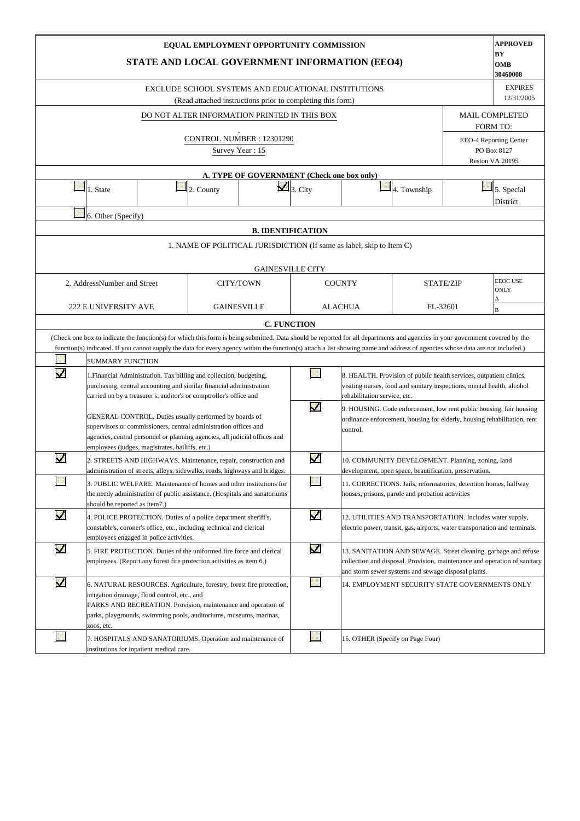|                       |                                                                                                                                                                                                                                                                                                                                                                                            | STATE AND LOCAL GOVERNMENT INFORMATION (EEO4)                                                                                                                                                                                                               |           | EQUAL EMPLOYMENT OPPORTUNITY COMMISSION                                                                           |                         |                                  |                                                                                                                                                                                                    |  | <b>APPROVED</b><br>BY<br>OMB<br>30460008                 |  |  |  |  |
|-----------------------|--------------------------------------------------------------------------------------------------------------------------------------------------------------------------------------------------------------------------------------------------------------------------------------------------------------------------------------------------------------------------------------------|-------------------------------------------------------------------------------------------------------------------------------------------------------------------------------------------------------------------------------------------------------------|-----------|-------------------------------------------------------------------------------------------------------------------|-------------------------|----------------------------------|----------------------------------------------------------------------------------------------------------------------------------------------------------------------------------------------------|--|----------------------------------------------------------|--|--|--|--|
|                       |                                                                                                                                                                                                                                                                                                                                                                                            |                                                                                                                                                                                                                                                             |           | EXCLUDE SCHOOL SYSTEMS AND EDUCATIONAL INSTITUTIONS<br>(Read attached instructions prior to completing this form) |                         |                                  |                                                                                                                                                                                                    |  | <b>EXPIRES</b><br>12/31/2005                             |  |  |  |  |
|                       |                                                                                                                                                                                                                                                                                                                                                                                            |                                                                                                                                                                                                                                                             |           | DO NOT ALTER INFORMATION PRINTED IN THIS BOX                                                                      |                         |                                  |                                                                                                                                                                                                    |  | <b>MAIL COMPLETED</b>                                    |  |  |  |  |
|                       |                                                                                                                                                                                                                                                                                                                                                                                            |                                                                                                                                                                                                                                                             |           | CONTROL NUMBER: 12301290<br>Survey Year: 15                                                                       |                         |                                  |                                                                                                                                                                                                    |  | <b>FORM TO:</b><br>EEO-4 Reporting Center<br>PO Box 8127 |  |  |  |  |
|                       |                                                                                                                                                                                                                                                                                                                                                                                            |                                                                                                                                                                                                                                                             |           |                                                                                                                   |                         |                                  |                                                                                                                                                                                                    |  | Reston VA 20195                                          |  |  |  |  |
|                       |                                                                                                                                                                                                                                                                                                                                                                                            |                                                                                                                                                                                                                                                             |           | A. TYPE OF GOVERNMENT (Check one box only)                                                                        |                         |                                  |                                                                                                                                                                                                    |  |                                                          |  |  |  |  |
|                       | 1. State                                                                                                                                                                                                                                                                                                                                                                                   |                                                                                                                                                                                                                                                             | 2. County |                                                                                                                   | $\mathbf{Z}$ 3. City    |                                  | 4. Township                                                                                                                                                                                        |  | 5. Special<br>District                                   |  |  |  |  |
|                       | 6. Other (Specify)                                                                                                                                                                                                                                                                                                                                                                         |                                                                                                                                                                                                                                                             |           |                                                                                                                   |                         |                                  |                                                                                                                                                                                                    |  |                                                          |  |  |  |  |
|                       |                                                                                                                                                                                                                                                                                                                                                                                            |                                                                                                                                                                                                                                                             |           |                                                                                                                   |                         |                                  |                                                                                                                                                                                                    |  |                                                          |  |  |  |  |
|                       | 1. NAME OF POLITICAL JURISDICTION (If same as label, skip to Item C)                                                                                                                                                                                                                                                                                                                       |                                                                                                                                                                                                                                                             |           |                                                                                                                   |                         |                                  |                                                                                                                                                                                                    |  |                                                          |  |  |  |  |
|                       | <b>GAINESVILLE CITY</b>                                                                                                                                                                                                                                                                                                                                                                    |                                                                                                                                                                                                                                                             |           |                                                                                                                   |                         |                                  |                                                                                                                                                                                                    |  |                                                          |  |  |  |  |
|                       | <b>EEOC USE</b><br>2. AddressNumber and Street<br><b>CITY/TOWN</b><br><b>COUNTY</b><br><b>STATE/ZIP</b><br><b>ONLY</b><br>Α<br><b>222 E UNIVERSITY AVE</b><br><b>GAINESVILLE</b><br><b>ALACHUA</b><br>FL-32601<br>B<br><b>C. FUNCTION</b>                                                                                                                                                  |                                                                                                                                                                                                                                                             |           |                                                                                                                   |                         |                                  |                                                                                                                                                                                                    |  |                                                          |  |  |  |  |
|                       |                                                                                                                                                                                                                                                                                                                                                                                            |                                                                                                                                                                                                                                                             |           |                                                                                                                   |                         |                                  |                                                                                                                                                                                                    |  |                                                          |  |  |  |  |
|                       |                                                                                                                                                                                                                                                                                                                                                                                            |                                                                                                                                                                                                                                                             |           |                                                                                                                   |                         |                                  |                                                                                                                                                                                                    |  |                                                          |  |  |  |  |
|                       |                                                                                                                                                                                                                                                                                                                                                                                            | (Check one box to indicate the function(s) for which this form is being submitted. Data should be reported for all departments and agencies in your government covered by the                                                                               |           |                                                                                                                   |                         |                                  |                                                                                                                                                                                                    |  |                                                          |  |  |  |  |
|                       | <b>SUMMARY FUNCTION</b>                                                                                                                                                                                                                                                                                                                                                                    | function(s) indicated. If you cannot supply the data for every agency within the function(s) attach a list showing name and address of agencies whose data are not included.)                                                                               |           |                                                                                                                   |                         |                                  |                                                                                                                                                                                                    |  |                                                          |  |  |  |  |
| $\blacktriangledown$  |                                                                                                                                                                                                                                                                                                                                                                                            | 1. Financial Administration. Tax billing and collection, budgeting,<br>purchasing, central accounting and similar financial administration<br>carried on by a treasurer's, auditor's or comptroller's office and                                            |           |                                                                                                                   |                         | rehabilitation service, etc.     | 8. HEALTH. Provision of public health services, outpatient clinics,<br>visiting nurses, food and sanitary inspections, mental health, alcohol                                                      |  |                                                          |  |  |  |  |
|                       |                                                                                                                                                                                                                                                                                                                                                                                            | GENERAL CONTROL. Duties usually performed by boards of<br>supervisors or commissioners, central administration offices and<br>agencies, central personnel or planning agencies, all judicial offices and<br>employees (judges, magistrates, bailiffs, etc.) |           |                                                                                                                   | $\blacktriangledown$    | control.                         | 9. HOUSING. Code enforcement, low rent public housing, fair housing<br>ordinance enforcement, housing for elderly, housing rehabilitation, rent                                                    |  |                                                          |  |  |  |  |
| $\blacktriangleright$ |                                                                                                                                                                                                                                                                                                                                                                                            | 2. STREETS AND HIGHWAYS. Maintenance, repair, construction and<br>administration of streets, alleys, sidewalks, roads, highways and bridges.                                                                                                                |           |                                                                                                                   | $\overline{\mathbf{v}}$ |                                  | 10. COMMUNITY DEVELOPMENT. Planning, zoning, land<br>development, open space, beautification, preservation.                                                                                        |  |                                                          |  |  |  |  |
|                       | should be reported as item7.)                                                                                                                                                                                                                                                                                                                                                              | 3. PUBLIC WELFARE. Maintenance of homes and other institutions for<br>the needy administration of public assistance. (Hospitals and sanatoriums                                                                                                             |           |                                                                                                                   |                         |                                  | 11. CORRECTIONS. Jails, reformatories, detention homes, halfway<br>houses, prisons, parole and probation activities                                                                                |  |                                                          |  |  |  |  |
| $\blacktriangledown$  |                                                                                                                                                                                                                                                                                                                                                                                            | 4. POLICE PROTECTION. Duties of a police department sheriff's,<br>constable's, coroner's office, etc., including technical and clerical<br>employees engaged in police activities.                                                                          |           |                                                                                                                   | $\blacktriangledown$    |                                  | 12. UTILITIES AND TRANSPORTATION. Includes water supply,<br>electric power, transit, gas, airports, water transportation and terminals.                                                            |  |                                                          |  |  |  |  |
| $\blacktriangledown$  |                                                                                                                                                                                                                                                                                                                                                                                            | 5. FIRE PROTECTION. Duties of the uniformed fire force and clerical<br>employees. (Report any forest fire protection activities as item 6.)                                                                                                                 |           |                                                                                                                   | $\blacktriangledown$    |                                  | 13. SANITATION AND SEWAGE. Street cleaning, garbage and refuse<br>collection and disposal. Provision, maintenance and operation of sanitary<br>and storm sewer systems and sewage disposal plants. |  |                                                          |  |  |  |  |
| $\blacktriangledown$  | 14. EMPLOYMENT SECURITY STATE GOVERNMENTS ONLY<br>6. NATURAL RESOURCES. Agriculture, forestry, forest fire protection,<br>irrigation drainage, flood control, etc., and<br>PARKS AND RECREATION. Provision, maintenance and operation of<br>parks, playgrounds, swimming pools, auditoriums, museums, marinas,<br>zoos, etc.<br>7. HOSPITALS AND SANATORIUMS. Operation and maintenance of |                                                                                                                                                                                                                                                             |           |                                                                                                                   |                         |                                  |                                                                                                                                                                                                    |  |                                                          |  |  |  |  |
|                       |                                                                                                                                                                                                                                                                                                                                                                                            | institutions for inpatient medical care.                                                                                                                                                                                                                    |           |                                                                                                                   |                         | 15. OTHER (Specify on Page Four) |                                                                                                                                                                                                    |  |                                                          |  |  |  |  |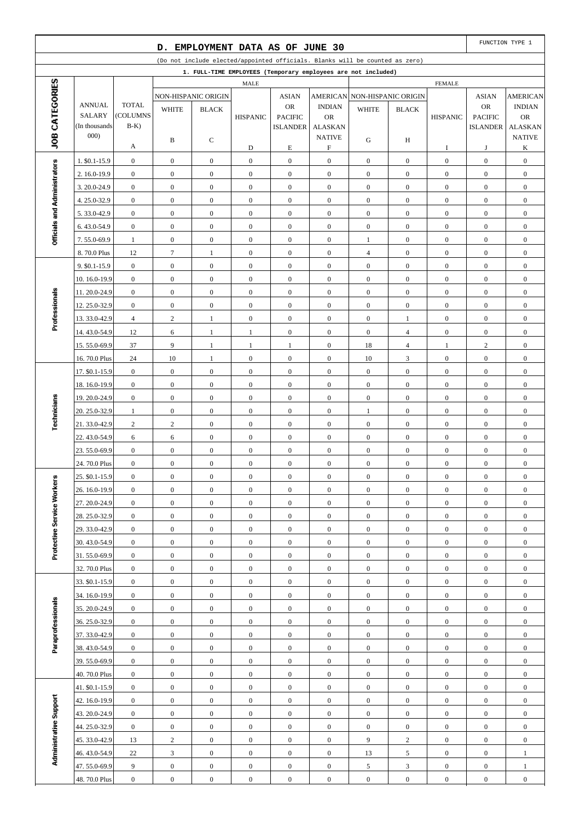|                              |                               |                                      | D.                                   | EMPLOYMENT DATA AS OF JUNE 30    |                                  |                                      |                                      |                                                                              |                              |                                      |                                      | FUNCTION TYPE 1                      |
|------------------------------|-------------------------------|--------------------------------------|--------------------------------------|----------------------------------|----------------------------------|--------------------------------------|--------------------------------------|------------------------------------------------------------------------------|------------------------------|--------------------------------------|--------------------------------------|--------------------------------------|
|                              |                               |                                      |                                      |                                  |                                  |                                      |                                      | (Do not include elected/appointed officials. Blanks will be counted as zero) |                              |                                      |                                      |                                      |
|                              |                               |                                      |                                      |                                  |                                  |                                      |                                      | 1. FULL-TIME EMPLOYEES (Temporary employees are not included)                |                              |                                      |                                      |                                      |
| JOB CATEGORIES               |                               |                                      |                                      |                                  | MALE                             |                                      |                                      |                                                                              |                              | <b>FEMALE</b>                        |                                      |                                      |
|                              | <b>ANNUAL</b>                 | <b>TOTAL</b>                         |                                      | NON-HISPANIC ORIGIN              |                                  | <b>ASIAN</b>                         | <b>AMERICAN</b>                      |                                                                              | NON-HISPANIC ORIGIN          |                                      | <b>ASIAN</b>                         | <b>AMERICAN</b>                      |
|                              | <b>SALARY</b>                 | (COLUMNS                             | <b>WHITE</b>                         | <b>BLACK</b>                     | <b>HISPANIC</b>                  | <b>OR</b><br><b>PACIFIC</b>          | <b>INDIAN</b><br><b>OR</b>           | <b>WHITE</b>                                                                 | <b>BLACK</b>                 | <b>HISPANIC</b>                      | OR<br><b>PACIFIC</b>                 | <b>INDIAN</b><br><b>OR</b>           |
|                              | (In thousands)                | $B-K$ )                              |                                      |                                  |                                  | <b>ISLANDER</b>                      | <b>ALASKAN</b>                       |                                                                              |                              |                                      | <b>ISLANDER</b>                      | <b>ALASKAN</b>                       |
|                              | 000)                          |                                      | B                                    | С                                |                                  |                                      | <b>NATIVE</b>                        | G                                                                            | H                            |                                      |                                      | <b>NATIVE</b>                        |
|                              |                               | А                                    |                                      |                                  | D                                | $\mathbf E$                          | $\boldsymbol{\mathrm{F}}$            |                                                                              |                              | I                                    | J                                    | K                                    |
|                              | 1. \$0.1-15.9                 | $\boldsymbol{0}$                     | $\mathbf{0}$                         | $\boldsymbol{0}$                 | $\mathbf{0}$                     | $\boldsymbol{0}$                     | $\boldsymbol{0}$                     | $\mathbf{0}$                                                                 | $\mathbf{0}$                 | $\boldsymbol{0}$                     | $\boldsymbol{0}$                     | $\boldsymbol{0}$                     |
|                              | 2. 16.0-19.9                  | $\boldsymbol{0}$                     | $\boldsymbol{0}$                     | $\mathbf{0}$                     | $\boldsymbol{0}$                 | $\boldsymbol{0}$                     | $\boldsymbol{0}$                     | $\mathbf{0}$                                                                 | $\overline{0}$               | $\mathbf{0}$                         | $\boldsymbol{0}$                     | $\boldsymbol{0}$                     |
|                              | 3.20.0-24.9                   | $\boldsymbol{0}$                     | $\boldsymbol{0}$                     | $\mathbf{0}$                     | $\mathbf{0}$                     | $\boldsymbol{0}$                     | $\boldsymbol{0}$                     | $\boldsymbol{0}$                                                             | $\mathbf{0}$                 | $\boldsymbol{0}$                     | $\boldsymbol{0}$                     | $\boldsymbol{0}$                     |
|                              | 4.25.0-32.9                   | $\boldsymbol{0}$                     | $\boldsymbol{0}$                     | $\boldsymbol{0}$                 | $\boldsymbol{0}$                 | $\boldsymbol{0}$                     | $\boldsymbol{0}$                     | $\mathbf{0}$                                                                 | $\overline{0}$               | $\boldsymbol{0}$                     | $\boldsymbol{0}$                     | $\boldsymbol{0}$                     |
| Officials and Administrators | 5.33.0-42.9                   | $\boldsymbol{0}$                     | $\boldsymbol{0}$                     | $\boldsymbol{0}$                 | $\boldsymbol{0}$                 | $\boldsymbol{0}$                     | $\boldsymbol{0}$                     | $\mathbf{0}$                                                                 | $\mathbf{0}$                 | $\boldsymbol{0}$                     | $\boldsymbol{0}$                     | $\boldsymbol{0}$                     |
|                              | 6.43.0-54.9                   | $\boldsymbol{0}$                     | $\boldsymbol{0}$                     | $\boldsymbol{0}$                 | $\boldsymbol{0}$                 | $\boldsymbol{0}$                     | $\boldsymbol{0}$                     | $\boldsymbol{0}$                                                             | $\mathbf{0}$                 | $\boldsymbol{0}$                     | $\boldsymbol{0}$                     | $\boldsymbol{0}$                     |
|                              | 7.55.0-69.9                   | $\mathbf{1}$                         | $\boldsymbol{0}$                     | $\mathbf{0}$                     | $\mathbf{0}$                     | $\boldsymbol{0}$                     | $\boldsymbol{0}$                     | $\mathbf{1}$                                                                 | $\mathbf{0}$                 | $\boldsymbol{0}$                     | $\boldsymbol{0}$                     | $\boldsymbol{0}$                     |
|                              | 8.70.0 Plus                   | 12                                   | $\boldsymbol{7}$                     | $\mathbf{1}$                     | $\boldsymbol{0}$                 | $\boldsymbol{0}$                     | $\boldsymbol{0}$                     | $\overline{4}$                                                               | $\overline{0}$               | $\boldsymbol{0}$                     | $\boldsymbol{0}$                     | $\boldsymbol{0}$                     |
|                              | 9. \$0.1-15.9                 | $\boldsymbol{0}$                     | $\boldsymbol{0}$                     | $\boldsymbol{0}$                 | $\mathbf{0}$                     | $\boldsymbol{0}$                     | $\boldsymbol{0}$                     | $\boldsymbol{0}$                                                             | $\mathbf{0}$                 | $\boldsymbol{0}$                     | $\boldsymbol{0}$                     | $\boldsymbol{0}$                     |
|                              | 10.16.0-19.9                  | $\boldsymbol{0}$                     | $\boldsymbol{0}$                     | $\mathbf{0}$                     | $\boldsymbol{0}$                 | $\boldsymbol{0}$                     | $\boldsymbol{0}$                     | $\mathbf{0}$                                                                 | $\mathbf{0}$                 | $\boldsymbol{0}$                     | $\boldsymbol{0}$                     | $\boldsymbol{0}$                     |
| Professionals                | 11.20.0-24.9                  | $\boldsymbol{0}$                     | $\boldsymbol{0}$                     | $\mathbf{0}$                     | $\boldsymbol{0}$                 | $\boldsymbol{0}$                     | $\boldsymbol{0}$                     | $\boldsymbol{0}$                                                             | $\mathbf{0}$                 | $\boldsymbol{0}$                     | $\boldsymbol{0}$                     | $\boldsymbol{0}$                     |
|                              | 12.25.0-32.9                  | $\boldsymbol{0}$                     | $\boldsymbol{0}$                     | $\boldsymbol{0}$                 | $\boldsymbol{0}$                 | $\boldsymbol{0}$                     | $\boldsymbol{0}$                     | $\mathbf{0}$                                                                 | $\mathbf{0}$                 | $\boldsymbol{0}$                     | $\boldsymbol{0}$                     | $\boldsymbol{0}$                     |
|                              | 13.33.0-42.9                  | $\overline{4}$                       | $\sqrt{2}$                           | $\mathbf{1}$                     | $\mathbf{0}$                     | $\boldsymbol{0}$                     | $\boldsymbol{0}$                     | $\mathbf{0}$                                                                 | $\mathbf{1}$                 | $\boldsymbol{0}$                     | $\boldsymbol{0}$                     | $\boldsymbol{0}$                     |
|                              | 14.43.0-54.9                  | 12                                   | 6                                    | $\mathbf{1}$                     | $\mathbf{1}$                     | $\boldsymbol{0}$                     | $\boldsymbol{0}$                     | $\mathbf{0}$                                                                 | $\overline{4}$               | $\boldsymbol{0}$                     | $\boldsymbol{0}$                     | $\boldsymbol{0}$                     |
|                              | 15.55.0-69.9                  | 37                                   | 9                                    | $\mathbf{1}$                     | 1                                | 1                                    | $\boldsymbol{0}$                     | 18                                                                           | $\overline{4}$               | 1                                    | $\overline{c}$                       | $\boldsymbol{0}$                     |
|                              | 16.70.0 Plus                  | 24                                   | 10                                   | $\mathbf{1}$                     | $\boldsymbol{0}$                 | $\boldsymbol{0}$                     | $\boldsymbol{0}$                     | 10                                                                           | 3                            | $\boldsymbol{0}$                     | $\boldsymbol{0}$                     | $\boldsymbol{0}$                     |
|                              | 17. \$0.1-15.9                | $\boldsymbol{0}$                     | $\boldsymbol{0}$                     | $\boldsymbol{0}$<br>$\mathbf{0}$ | $\mathbf{0}$<br>$\boldsymbol{0}$ | $\boldsymbol{0}$<br>$\boldsymbol{0}$ | $\boldsymbol{0}$<br>$\boldsymbol{0}$ | $\mathbf{0}$<br>$\mathbf{0}$                                                 | $\mathbf{0}$<br>$\mathbf{0}$ | $\boldsymbol{0}$<br>$\boldsymbol{0}$ | $\boldsymbol{0}$                     | $\boldsymbol{0}$                     |
|                              | 18.16.0-19.9                  | $\boldsymbol{0}$<br>$\boldsymbol{0}$ | $\boldsymbol{0}$<br>$\boldsymbol{0}$ | $\mathbf{0}$                     | $\boldsymbol{0}$                 | $\boldsymbol{0}$                     | $\boldsymbol{0}$                     | $\boldsymbol{0}$                                                             | $\mathbf{0}$                 | $\boldsymbol{0}$                     | $\boldsymbol{0}$<br>$\boldsymbol{0}$ | $\boldsymbol{0}$<br>$\boldsymbol{0}$ |
|                              | 19.20.0-24.9<br>20. 25.0-32.9 | $\mathbf{1}$                         | $\boldsymbol{0}$                     | $\boldsymbol{0}$                 | $\boldsymbol{0}$                 | $\boldsymbol{0}$                     | $\boldsymbol{0}$                     | $\mathbf{1}$                                                                 | $\overline{0}$               | $\boldsymbol{0}$                     | $\boldsymbol{0}$                     | $\boldsymbol{0}$                     |
| Technicians                  | 21.33.0-42.9                  | $\overline{c}$                       | $\sqrt{2}$                           | $\boldsymbol{0}$                 | $\boldsymbol{0}$                 | $\boldsymbol{0}$                     | $\boldsymbol{0}$                     | $\boldsymbol{0}$                                                             | $\mathbf{0}$                 | $\boldsymbol{0}$                     | $\boldsymbol{0}$                     | $\boldsymbol{0}$                     |
|                              | 22.43.0-54.9                  | 6                                    | 6                                    | $\boldsymbol{0}$                 | $\boldsymbol{0}$                 | $\boldsymbol{0}$                     | $\boldsymbol{0}$                     | $\boldsymbol{0}$                                                             | $\overline{0}$               | $\boldsymbol{0}$                     | $\boldsymbol{0}$                     | $\boldsymbol{0}$                     |
|                              | 23.55.0-69.9                  | $\boldsymbol{0}$                     | $\boldsymbol{0}$                     | $\boldsymbol{0}$                 | $\boldsymbol{0}$                 | $\boldsymbol{0}$                     | $\boldsymbol{0}$                     | $\boldsymbol{0}$                                                             | $\overline{0}$               | $\boldsymbol{0}$                     | $\boldsymbol{0}$                     | $\boldsymbol{0}$                     |
|                              | 24.70.0 Plus                  | $\boldsymbol{0}$                     | $\boldsymbol{0}$                     | $\mathbf{0}$                     | $\boldsymbol{0}$                 | $\boldsymbol{0}$                     | $\boldsymbol{0}$                     | $\boldsymbol{0}$                                                             | $\boldsymbol{0}$             | $\boldsymbol{0}$                     | $\boldsymbol{0}$                     | $\boldsymbol{0}$                     |
|                              | 25. \$0.1-15.9                | $\boldsymbol{0}$                     | $\boldsymbol{0}$                     | $\boldsymbol{0}$                 | $\boldsymbol{0}$                 | $\boldsymbol{0}$                     | $\boldsymbol{0}$                     | $\boldsymbol{0}$                                                             | $\boldsymbol{0}$             | $\boldsymbol{0}$                     | $\boldsymbol{0}$                     | $\boldsymbol{0}$                     |
|                              | 26. 16.0-19.9                 | $\mathbf{0}$                         | $\overline{0}$                       | $\overline{0}$                   | $\boldsymbol{0}$                 | $\mathbf{0}$                         | $\overline{0}$                       | $\mathbf{0}$                                                                 | $\boldsymbol{0}$             | $\mathbf{0}$                         | $\mathbf{0}$                         | $\mathbf{0}$                         |
|                              | 27.20.0-24.9                  | $\boldsymbol{0}$                     | $\mathbf{0}$                         | $\boldsymbol{0}$                 | $\mathbf{0}$                     | $\boldsymbol{0}$                     | $\mathbf{0}$                         | $\boldsymbol{0}$                                                             | $\boldsymbol{0}$             | $\boldsymbol{0}$                     | $\mathbf{0}$                         | $\boldsymbol{0}$                     |
| Protective Service Workers   | 28.25.0-32.9                  | $\boldsymbol{0}$                     | $\mathbf{0}$                         | $\boldsymbol{0}$                 | $\boldsymbol{0}$                 | $\boldsymbol{0}$                     | $\mathbf{0}$                         | $\mathbf{0}$                                                                 | $\boldsymbol{0}$             | $\boldsymbol{0}$                     | $\boldsymbol{0}$                     | $\boldsymbol{0}$                     |
|                              | 29.33.0-42.9                  | $\boldsymbol{0}$                     | $\mathbf{0}$                         | $\boldsymbol{0}$                 | $\boldsymbol{0}$                 | $\boldsymbol{0}$                     | $\mathbf{0}$                         | $\boldsymbol{0}$                                                             | $\boldsymbol{0}$             | $\boldsymbol{0}$                     | $\boldsymbol{0}$                     | $\boldsymbol{0}$                     |
|                              | 30.43.0-54.9                  | $\boldsymbol{0}$                     | $\mathbf{0}$                         | $\mathbf{0}$                     | $\boldsymbol{0}$                 | $\boldsymbol{0}$                     | $\mathbf{0}$                         | $\mathbf{0}$                                                                 | $\boldsymbol{0}$             | $\boldsymbol{0}$                     | $\boldsymbol{0}$                     | $\boldsymbol{0}$                     |
|                              | 31.55.0-69.9                  | $\boldsymbol{0}$                     | $\boldsymbol{0}$                     | $\boldsymbol{0}$                 | $\mathbf{0}$                     | $\boldsymbol{0}$                     | $\boldsymbol{0}$                     | $\boldsymbol{0}$                                                             | $\boldsymbol{0}$             | $\boldsymbol{0}$                     | $\boldsymbol{0}$                     | $\boldsymbol{0}$                     |
|                              | 32.70.0 Plus                  | $\boldsymbol{0}$                     | $\mathbf{0}$                         | $\mathbf{0}$                     | $\boldsymbol{0}$                 | $\boldsymbol{0}$                     | $\mathbf{0}$                         | $\boldsymbol{0}$                                                             | $\boldsymbol{0}$             | $\boldsymbol{0}$                     | $\boldsymbol{0}$                     | $\boldsymbol{0}$                     |
|                              | 33. \$0.1-15.9                | $\boldsymbol{0}$                     | $\mathbf{0}$                         | $\boldsymbol{0}$                 | $\boldsymbol{0}$                 | $\boldsymbol{0}$                     | $\mathbf{0}$                         | $\boldsymbol{0}$                                                             | $\boldsymbol{0}$             | $\boldsymbol{0}$                     | $\boldsymbol{0}$                     | $\boldsymbol{0}$                     |
|                              | 34. 16.0-19.9                 | $\boldsymbol{0}$                     | $\boldsymbol{0}$                     | $\boldsymbol{0}$                 | $\boldsymbol{0}$                 | $\boldsymbol{0}$                     | $\boldsymbol{0}$                     | $\mathbf{0}$                                                                 | $\boldsymbol{0}$             | $\boldsymbol{0}$                     | $\boldsymbol{0}$                     | $\boldsymbol{0}$                     |
| Paraprofessionals            | 35.20.0-24.9                  | $\boldsymbol{0}$                     | $\boldsymbol{0}$                     | $\boldsymbol{0}$                 | $\mathbf{0}$                     | $\boldsymbol{0}$                     | $\mathbf{0}$                         | $\boldsymbol{0}$                                                             | $\boldsymbol{0}$             | $\boldsymbol{0}$                     | $\mathbf{0}$                         | $\boldsymbol{0}$                     |
|                              | 36.25.0-32.9                  | $\boldsymbol{0}$                     | $\boldsymbol{0}$                     | $\boldsymbol{0}$                 | $\boldsymbol{0}$                 | $\boldsymbol{0}$                     | $\mathbf{0}$                         | $\mathbf{0}$                                                                 | $\boldsymbol{0}$             | $\boldsymbol{0}$                     | $\boldsymbol{0}$                     | $\boldsymbol{0}$                     |
|                              | 37.33.0-42.9                  | $\boldsymbol{0}$                     | $\boldsymbol{0}$                     | $\boldsymbol{0}$                 | $\boldsymbol{0}$                 | $\boldsymbol{0}$                     | $\mathbf{0}$                         | $\boldsymbol{0}$                                                             | $\boldsymbol{0}$             | $\boldsymbol{0}$                     | $\boldsymbol{0}$                     | $\boldsymbol{0}$                     |
|                              | 38.43.0-54.9                  | $\boldsymbol{0}$                     | $\boldsymbol{0}$                     | $\mathbf{0}$                     | $\boldsymbol{0}$                 | $\boldsymbol{0}$                     | $\mathbf{0}$                         | $\boldsymbol{0}$                                                             | $\boldsymbol{0}$             | $\boldsymbol{0}$                     | $\boldsymbol{0}$                     | $\boldsymbol{0}$                     |
|                              | 39.55.0-69.9                  | $\boldsymbol{0}$                     | $\boldsymbol{0}$                     | $\boldsymbol{0}$                 | $\mathbf{0}$                     | $\boldsymbol{0}$                     | $\boldsymbol{0}$                     | $\boldsymbol{0}$                                                             | $\boldsymbol{0}$             | $\boldsymbol{0}$                     | $\mathbf{0}$                         | $\boldsymbol{0}$                     |
|                              | 40.70.0 Plus                  | $\boldsymbol{0}$                     | $\mathbf{0}$                         | $\mathbf{0}$                     | $\boldsymbol{0}$                 | $\boldsymbol{0}$                     | $\boldsymbol{0}$                     | $\boldsymbol{0}$                                                             | $\boldsymbol{0}$             | $\boldsymbol{0}$                     | $\boldsymbol{0}$                     | $\boldsymbol{0}$                     |
|                              | 41. \$0.1-15.9                | $\boldsymbol{0}$                     | $\boldsymbol{0}$                     | $\boldsymbol{0}$                 | $\boldsymbol{0}$                 | $\boldsymbol{0}$                     | $\mathbf{0}$                         | $\boldsymbol{0}$                                                             | $\boldsymbol{0}$             | $\boldsymbol{0}$                     | $\boldsymbol{0}$                     | $\boldsymbol{0}$                     |
| Administrative Support       | 42. 16.0-19.9                 | $\boldsymbol{0}$                     | $\mathbf{0}$                         | $\boldsymbol{0}$                 | $\boldsymbol{0}$                 | $\boldsymbol{0}$                     | $\boldsymbol{0}$                     | $\boldsymbol{0}$                                                             | $\boldsymbol{0}$             | $\boldsymbol{0}$                     | $\boldsymbol{0}$                     | $\boldsymbol{0}$                     |
|                              | 43.20.0-24.9                  | $\boldsymbol{0}$                     | $\boldsymbol{0}$                     | $\boldsymbol{0}$                 | $\mathbf{0}$                     | $\boldsymbol{0}$                     | $\overline{0}$                       | $\boldsymbol{0}$                                                             | $\boldsymbol{0}$             | $\boldsymbol{0}$                     | $\mathbf{0}$                         | $\boldsymbol{0}$                     |
|                              | 44.25.0-32.9                  | $\boldsymbol{0}$                     | $\boldsymbol{0}$                     | $\boldsymbol{0}$                 | $\boldsymbol{0}$                 | $\boldsymbol{0}$                     | $\boldsymbol{0}$                     | $\mathbf{0}$                                                                 | $\boldsymbol{0}$             | $\boldsymbol{0}$                     | $\boldsymbol{0}$                     | $\boldsymbol{0}$                     |
|                              | 45.33.0-42.9                  | 13                                   | $\overline{c}$                       | $\boldsymbol{0}$                 | $\boldsymbol{0}$                 | $\boldsymbol{0}$                     | $\mathbf{0}$                         | 9                                                                            | $\overline{c}$               | $\boldsymbol{0}$                     | $\boldsymbol{0}$                     | $\boldsymbol{0}$                     |
|                              | 46.43.0-54.9<br>47.55.0-69.9  | 22<br>9                              | 3<br>$\boldsymbol{0}$                | $\mathbf{0}$<br>$\boldsymbol{0}$ | $\boldsymbol{0}$<br>$\mathbf{0}$ | $\boldsymbol{0}$<br>$\boldsymbol{0}$ | $\boldsymbol{0}$<br>$\boldsymbol{0}$ | 13                                                                           | 5<br>$\mathfrak{Z}$          | $\boldsymbol{0}$<br>$\boldsymbol{0}$ | $\boldsymbol{0}$<br>$\boldsymbol{0}$ | $\mathbf{1}$                         |
|                              | 48.70.0 Plus                  | $\boldsymbol{0}$                     | $\boldsymbol{0}$                     | $\boldsymbol{0}$                 | $\mathbf{0}$                     | $\boldsymbol{0}$                     | $\boldsymbol{0}$                     | 5<br>$\boldsymbol{0}$                                                        | $\boldsymbol{0}$             | $\boldsymbol{0}$                     | $\boldsymbol{0}$                     | $\mathbf{1}$<br>$\boldsymbol{0}$     |
|                              |                               |                                      |                                      |                                  |                                  |                                      |                                      |                                                                              |                              |                                      |                                      |                                      |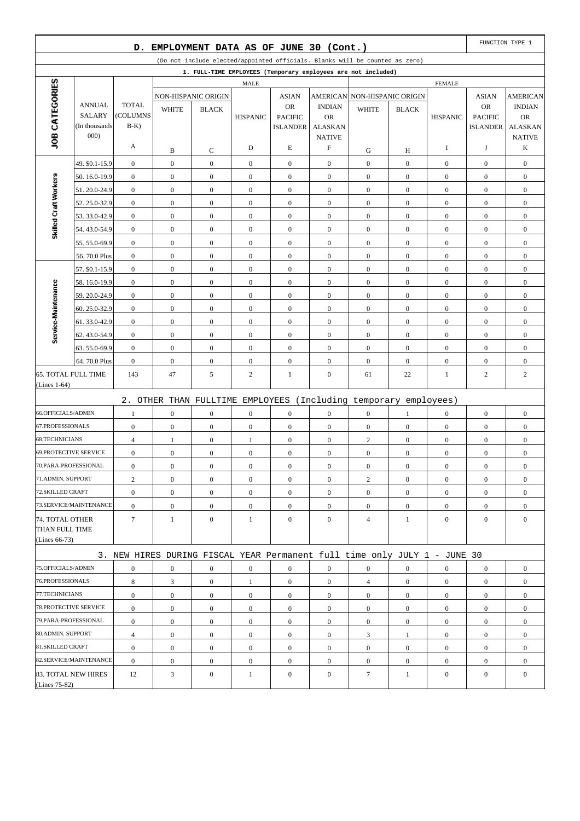|                                      |                                | D.                       |                  | EMPLOYMENT DATA AS OF JUNE 30 (Cont.) |                  |                                   |                             |                                                                              |                  |                  |                                   | FUNCTION TYPE 1             |
|--------------------------------------|--------------------------------|--------------------------|------------------|---------------------------------------|------------------|-----------------------------------|-----------------------------|------------------------------------------------------------------------------|------------------|------------------|-----------------------------------|-----------------------------|
|                                      |                                |                          |                  |                                       |                  |                                   |                             | (Do not include elected/appointed officials. Blanks will be counted as zero) |                  |                  |                                   |                             |
|                                      |                                |                          |                  |                                       |                  |                                   |                             | 1. FULL-TIME EMPLOYEES (Temporary employees are not included)                |                  |                  |                                   |                             |
|                                      |                                |                          |                  |                                       | <b>MALE</b>      |                                   |                             |                                                                              |                  | <b>FEMALE</b>    |                                   |                             |
| JOB CATEGORIES                       |                                |                          |                  | NON-HISPANIC ORIGIN                   |                  | <b>ASIAN</b>                      |                             | AMERICAN NON-HISPANIC ORIGIN                                                 |                  |                  | <b>ASIAN</b>                      | <b>AMERICAN</b>             |
|                                      | <b>ANNUAL</b><br><b>SALARY</b> | <b>TOTAL</b><br>(COLUMNS | <b>WHITE</b>     | <b>BLACK</b>                          |                  | <b>OR</b>                         | <b>INDIAN</b>               | <b>WHITE</b>                                                                 | <b>BLACK</b>     |                  | <b>OR</b>                         | <b>INDIAN</b>               |
|                                      | (In thousands)                 | $B-K$                    |                  |                                       | <b>HISPANIC</b>  | <b>PACIFIC</b><br><b>ISLANDER</b> | <b>OR</b><br><b>ALASKAN</b> |                                                                              |                  | <b>HISPANIC</b>  | <b>PACIFIC</b><br><b>ISLANDER</b> | <b>OR</b><br><b>ALASKAN</b> |
|                                      | 000                            |                          |                  |                                       |                  |                                   | <b>NATIVE</b>               |                                                                              |                  |                  |                                   | <b>NATIVE</b>               |
|                                      |                                | A                        | B                | C                                     | D                | E                                 | $\boldsymbol{\mathrm{F}}$   | G                                                                            | Н                | 1                | J                                 | K                           |
|                                      | 49. \$0.1-15.9                 | $\boldsymbol{0}$         | $\boldsymbol{0}$ | $\boldsymbol{0}$                      | $\boldsymbol{0}$ | $\mathbf{0}$                      | $\mathbf{0}$                | $\boldsymbol{0}$                                                             | $\mathbf{0}$     | $\boldsymbol{0}$ | $\boldsymbol{0}$                  | $\boldsymbol{0}$            |
|                                      | 50.16.0-19.9                   | $\boldsymbol{0}$         | $\boldsymbol{0}$ | $\boldsymbol{0}$                      | $\overline{0}$   | $\boldsymbol{0}$                  | $\overline{0}$              | $\boldsymbol{0}$                                                             | $\overline{0}$   | $\boldsymbol{0}$ | $\boldsymbol{0}$                  | $\boldsymbol{0}$            |
| Skilled Craft Workers                | 51.20.0-24.9                   | $\boldsymbol{0}$         | $\boldsymbol{0}$ | $\boldsymbol{0}$                      | $\boldsymbol{0}$ | $\boldsymbol{0}$                  | $\boldsymbol{0}$            | $\boldsymbol{0}$                                                             | $\mathbf{0}$     | $\boldsymbol{0}$ | $\boldsymbol{0}$                  | $\boldsymbol{0}$            |
|                                      | 52.25.0-32.9                   | $\boldsymbol{0}$         | $\mathbf{0}$     | $\overline{0}$                        | $\boldsymbol{0}$ | $\boldsymbol{0}$                  | $\overline{0}$              | $\boldsymbol{0}$                                                             | $\overline{0}$   | $\boldsymbol{0}$ | $\boldsymbol{0}$                  | $\boldsymbol{0}$            |
|                                      | 53.33.0-42.9                   | $\boldsymbol{0}$         | $\boldsymbol{0}$ | $\boldsymbol{0}$                      | $\boldsymbol{0}$ | $\mathbf{0}$                      | $\overline{0}$              | $\boldsymbol{0}$                                                             | $\overline{0}$   | $\boldsymbol{0}$ | $\boldsymbol{0}$                  | $\boldsymbol{0}$            |
|                                      | 54.43.0-54.9                   | $\boldsymbol{0}$         | $\boldsymbol{0}$ | $\boldsymbol{0}$                      | $\boldsymbol{0}$ | $\boldsymbol{0}$                  | $\overline{0}$              | $\boldsymbol{0}$                                                             | $\overline{0}$   | $\boldsymbol{0}$ | $\boldsymbol{0}$                  | $\boldsymbol{0}$            |
|                                      | 55.55.0-69.9                   | $\boldsymbol{0}$         | $\boldsymbol{0}$ | $\boldsymbol{0}$                      | $\boldsymbol{0}$ | $\boldsymbol{0}$                  | $\boldsymbol{0}$            | $\boldsymbol{0}$                                                             | $\mathbf{0}$     | $\boldsymbol{0}$ | $\boldsymbol{0}$                  | $\boldsymbol{0}$            |
|                                      | 56.70.0 Plus                   | $\boldsymbol{0}$         | $\boldsymbol{0}$ | $\mathbf{0}$                          | $\boldsymbol{0}$ | $\boldsymbol{0}$                  | $\overline{0}$              | $\boldsymbol{0}$                                                             | $\overline{0}$   | $\boldsymbol{0}$ | $\boldsymbol{0}$                  | $\boldsymbol{0}$            |
|                                      | 57. \$0.1-15.9                 | $\boldsymbol{0}$         | $\boldsymbol{0}$ | $\boldsymbol{0}$                      | $\boldsymbol{0}$ | $\mathbf{0}$                      | $\overline{0}$              | $\boldsymbol{0}$                                                             | $\mathbf{0}$     | $\boldsymbol{0}$ | $\boldsymbol{0}$                  | $\boldsymbol{0}$            |
|                                      | 58.16.0-19.9                   | $\boldsymbol{0}$         | $\boldsymbol{0}$ | $\boldsymbol{0}$                      | $\boldsymbol{0}$ | $\boldsymbol{0}$                  | $\overline{0}$              | $\boldsymbol{0}$                                                             | $\overline{0}$   | $\boldsymbol{0}$ | $\boldsymbol{0}$                  | $\boldsymbol{0}$            |
|                                      | 59.20.0-24.9                   | $\boldsymbol{0}$         | $\boldsymbol{0}$ | $\boldsymbol{0}$                      | $\boldsymbol{0}$ | $\boldsymbol{0}$                  | $\boldsymbol{0}$            | $\boldsymbol{0}$                                                             | $\mathbf{0}$     | $\boldsymbol{0}$ | $\boldsymbol{0}$                  | $\boldsymbol{0}$            |
|                                      | 60.25.0-32.9                   | $\boldsymbol{0}$         | $\mathbf{0}$     | $\overline{0}$                        | $\boldsymbol{0}$ | $\boldsymbol{0}$                  | $\overline{0}$              | $\boldsymbol{0}$                                                             | $\overline{0}$   | $\boldsymbol{0}$ | $\boldsymbol{0}$                  | $\boldsymbol{0}$            |
| Service-Maintenance                  | 61.33.0-42.9                   | $\boldsymbol{0}$         | $\boldsymbol{0}$ | $\boldsymbol{0}$                      | $\boldsymbol{0}$ | $\mathbf{0}$                      | $\overline{0}$              | $\boldsymbol{0}$                                                             | $\overline{0}$   | $\boldsymbol{0}$ | $\boldsymbol{0}$                  | $\boldsymbol{0}$            |
|                                      | 62.43.0-54.9                   | $\boldsymbol{0}$         | $\boldsymbol{0}$ | $\boldsymbol{0}$                      | $\boldsymbol{0}$ | $\boldsymbol{0}$                  | $\mathbf{0}$                | $\boldsymbol{0}$                                                             | $\overline{0}$   | $\boldsymbol{0}$ | $\boldsymbol{0}$                  | $\boldsymbol{0}$            |
|                                      | 63.55.0-69.9                   | $\boldsymbol{0}$         | $\boldsymbol{0}$ | $\boldsymbol{0}$                      | $\boldsymbol{0}$ | $\boldsymbol{0}$                  | $\boldsymbol{0}$            | $\boldsymbol{0}$                                                             | $\mathbf{0}$     | $\boldsymbol{0}$ | $\boldsymbol{0}$                  | $\boldsymbol{0}$            |
|                                      | 64.70.0 Plus                   | $\boldsymbol{0}$         | $\mathbf{0}$     | $\overline{0}$                        | $\boldsymbol{0}$ | $\boldsymbol{0}$                  | $\overline{0}$              | $\boldsymbol{0}$                                                             | $\overline{0}$   | $\boldsymbol{0}$ | $\boldsymbol{0}$                  | $\boldsymbol{0}$            |
| <b>65. TOTAL FULL TIME</b>           |                                | 143                      | 47               | 5                                     | 2                | $\mathbf{1}$                      | $\mathbf{0}$                | 61                                                                           | 22               | 1                | $\boldsymbol{2}$                  | $\overline{c}$              |
| (Lines 1-64)                         |                                |                          |                  |                                       |                  |                                   |                             |                                                                              |                  |                  |                                   |                             |
|                                      |                                |                          |                  |                                       |                  |                                   |                             | 2. OTHER THAN FULLTIME EMPLOYEES (Including temporary employees)             |                  |                  |                                   |                             |
| 66.OFFICIALS/ADMIN                   |                                | 1                        | $\mathbf{0}$     | $\overline{0}$                        | $\boldsymbol{0}$ | $\boldsymbol{0}$                  | $\overline{0}$              | $\boldsymbol{0}$                                                             | 1                | $\boldsymbol{0}$ | $\boldsymbol{0}$                  | $\boldsymbol{0}$            |
| 67.PROFESSIONALS                     |                                | $\boldsymbol{0}$         | $\boldsymbol{0}$ | $\boldsymbol{0}$                      | $\boldsymbol{0}$ | $\mathbf{0}$                      | $\mathbf{0}$                | $\boldsymbol{0}$                                                             | $\mathbf{0}$     | $\boldsymbol{0}$ | $\boldsymbol{0}$                  | $\boldsymbol{0}$            |
| <b>68.TECHNICIANS</b>                |                                | $\overline{4}$           | 1                | $\boldsymbol{0}$                      | 1                | $\boldsymbol{0}$                  | $\mathbf{0}$                | $\overline{c}$                                                               | $\overline{0}$   | $\mathbf{0}$     | $\boldsymbol{0}$                  | $\boldsymbol{0}$            |
| <b>69.PROTECTIVE SERVICE</b>         |                                | $\boldsymbol{0}$         | $\boldsymbol{0}$ | $\boldsymbol{0}$                      | $\boldsymbol{0}$ | $\boldsymbol{0}$                  | $\boldsymbol{0}$            | $\boldsymbol{0}$                                                             | $\boldsymbol{0}$ | $\boldsymbol{0}$ | $\boldsymbol{0}$                  | $\boldsymbol{0}$            |
| 70.PARA-PROFESSIONAL                 |                                | $\boldsymbol{0}$         | $\mathbf{0}$     | $\overline{0}$                        | $\boldsymbol{0}$ | $\boldsymbol{0}$                  | $\overline{0}$              | $\boldsymbol{0}$                                                             | $\mathbf{0}$     | $\boldsymbol{0}$ | $\boldsymbol{0}$                  | $\boldsymbol{0}$            |
| 71.ADMIN. SUPPORT                    |                                | $\boldsymbol{2}$         | $\boldsymbol{0}$ | $\boldsymbol{0}$                      | $\boldsymbol{0}$ | $\boldsymbol{0}$                  | $\mathbf{0}$                | $\overline{c}$                                                               | $\boldsymbol{0}$ | $\boldsymbol{0}$ | $\boldsymbol{0}$                  | $\boldsymbol{0}$            |
| 72.SKILLED CRAFT                     |                                | $\boldsymbol{0}$         | $\overline{0}$   | $\boldsymbol{0}$                      | $\overline{0}$   | $\overline{0}$                    | $\overline{0}$              | $\overline{0}$                                                               | $\overline{0}$   | $\overline{0}$   | $\overline{0}$                    | $\boldsymbol{0}$            |
|                                      | 73.SERVICE/MAINTENANCE         | $\boldsymbol{0}$         | $\boldsymbol{0}$ | $\boldsymbol{0}$                      | $\boldsymbol{0}$ | $\boldsymbol{0}$                  | $\boldsymbol{0}$            | $\boldsymbol{0}$                                                             | $\boldsymbol{0}$ | $\mathbf{0}$     | $\boldsymbol{0}$                  | $\overline{0}$              |
| 74. TOTAL OTHER                      |                                | $\tau$                   | $\mathbf{1}$     | $\overline{0}$                        | $\mathbf{1}$     | $\mathbf{0}$                      | $\overline{0}$              | $\overline{4}$                                                               | $\mathbf{1}$     | $\overline{0}$   | $\boldsymbol{0}$                  | $\mathbf{0}$                |
| THAN FULL TIME                       |                                |                          |                  |                                       |                  |                                   |                             |                                                                              |                  |                  |                                   |                             |
| (Lines 66-73)                        |                                |                          |                  |                                       |                  |                                   |                             |                                                                              |                  |                  |                                   |                             |
|                                      |                                |                          |                  |                                       |                  |                                   |                             | 3. NEW HIRES DURING FISCAL YEAR Permanent full time only JULY 1 - JUNE 30    |                  |                  |                                   |                             |
| 75.OFFICIALS/ADMIN                   |                                | $\boldsymbol{0}$         | $\boldsymbol{0}$ | $\boldsymbol{0}$                      | $\boldsymbol{0}$ | $\boldsymbol{0}$                  | $\boldsymbol{0}$            | $\boldsymbol{0}$                                                             | $\boldsymbol{0}$ | $\boldsymbol{0}$ | $\overline{0}$                    | $\boldsymbol{0}$            |
| 76.PROFESSIONALS                     |                                | 8                        | 3                | $\overline{0}$                        | $\mathbf{1}$     | $\boldsymbol{0}$                  | $\overline{0}$              | $\overline{4}$                                                               | $\overline{0}$   | $\mathbf{0}$     | $\boldsymbol{0}$                  | $\overline{0}$              |
| 77.TECHNICIANS                       |                                | $\boldsymbol{0}$         | $\overline{0}$   | $\overline{0}$                        | $\overline{0}$   | $\mathbf{0}$                      | $\overline{0}$              | $\overline{0}$                                                               | $\overline{0}$   | $\mathbf{0}$     | $\overline{0}$                    | $\overline{0}$              |
| 78. PROTECTIVE SERVICE               |                                | $\boldsymbol{0}$         | $\boldsymbol{0}$ | $\boldsymbol{0}$                      | $\boldsymbol{0}$ | $\boldsymbol{0}$                  | $\mathbf{0}$                | $\overline{0}$                                                               | $\overline{0}$   | $\mathbf{0}$     | $\boldsymbol{0}$                  | $\overline{0}$              |
| 79.PARA-PROFESSIONAL                 |                                | $\boldsymbol{0}$         | $\overline{0}$   | $\boldsymbol{0}$                      | $\boldsymbol{0}$ | $\boldsymbol{0}$                  | $\overline{0}$              | $\boldsymbol{0}$                                                             | $\overline{0}$   | $\mathbf{0}$     | $\overline{0}$                    | $\overline{0}$              |
| 80.ADMIN. SUPPORT                    |                                | $\overline{4}$           | $\boldsymbol{0}$ | $\boldsymbol{0}$                      | $\boldsymbol{0}$ | $\boldsymbol{0}$                  | $\boldsymbol{0}$            | 3                                                                            | $\mathbf{1}$     | $\mathbf{0}$     | $\boldsymbol{0}$                  | $\boldsymbol{0}$            |
| 81.SKILLED CRAFT                     |                                | $\boldsymbol{0}$         | $\boldsymbol{0}$ | $\overline{0}$                        | $\overline{0}$   | $\mathbf{0}$                      | $\overline{0}$              | $\overline{0}$                                                               | $\overline{0}$   | $\mathbf{0}$     | $\boldsymbol{0}$                  | $\boldsymbol{0}$            |
|                                      | 82.SERVICE/MAINTENANCE         | $\boldsymbol{0}$         | $\boldsymbol{0}$ | $\boldsymbol{0}$                      | $\boldsymbol{0}$ | $\boldsymbol{0}$                  | $\boldsymbol{0}$            | $\boldsymbol{0}$                                                             | $\overline{0}$   | $\boldsymbol{0}$ | $\boldsymbol{0}$                  | $\boldsymbol{0}$            |
| 83. TOTAL NEW HIRES<br>(Lines 75-82) |                                | 12                       | 3                | $\boldsymbol{0}$                      | 1                | $\boldsymbol{0}$                  | $\overline{0}$              | $\tau$                                                                       | $\mathbf{1}$     | $\mathbf{0}$     | $\boldsymbol{0}$                  | $\boldsymbol{0}$            |
|                                      |                                |                          |                  |                                       |                  |                                   |                             |                                                                              |                  |                  |                                   |                             |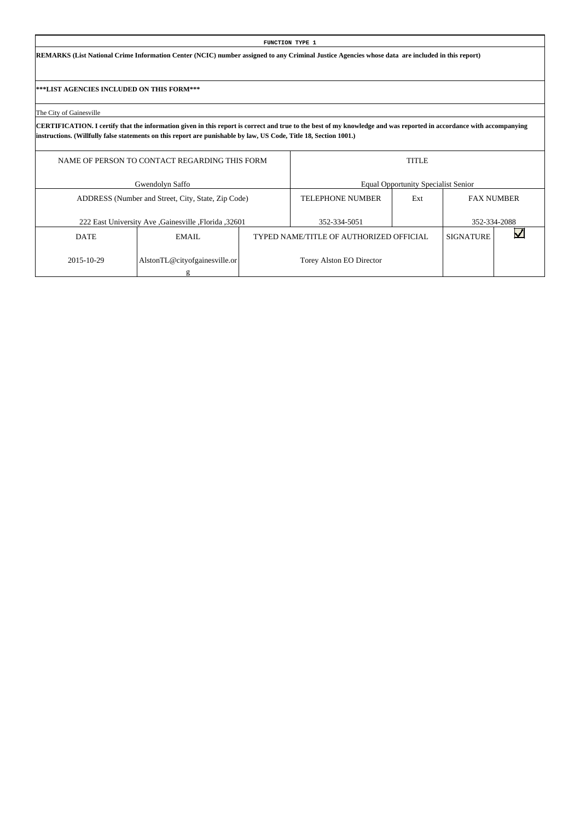**REMARKS (List National Crime Information Center (NCIC) number assigned to any Criminal Justice Agencies whose data are included in this report)**

**\*\*\*LIST AGENCIES INCLUDED ON THIS FORM\*\*\***

The City of Gainesville

|             | NAME OF PERSON TO CONTACT REGARDING THIS FORM       |                                         | <b>TITLE</b>                               |                   |              |
|-------------|-----------------------------------------------------|-----------------------------------------|--------------------------------------------|-------------------|--------------|
|             | Gwendolyn Saffo                                     |                                         | <b>Equal Opportunity Specialist Senior</b> |                   |              |
|             | ADDRESS (Number and Street, City, State, Zip Code)  | <b>TELEPHONE NUMBER</b>                 | Ext                                        | <b>FAX NUMBER</b> |              |
|             | 222 East University Ave Gainesville , Florida 32601 | 352-334-5051                            |                                            |                   | 352-334-2088 |
| <b>DATE</b> | EMAIL.                                              | TYPED NAME/TITLE OF AUTHORIZED OFFICIAL |                                            | <b>SIGNATURE</b>  |              |
| 2015-10-29  | AlstonTL@cityofgainesville.or                       | Torey Alston EO Director                |                                            |                   |              |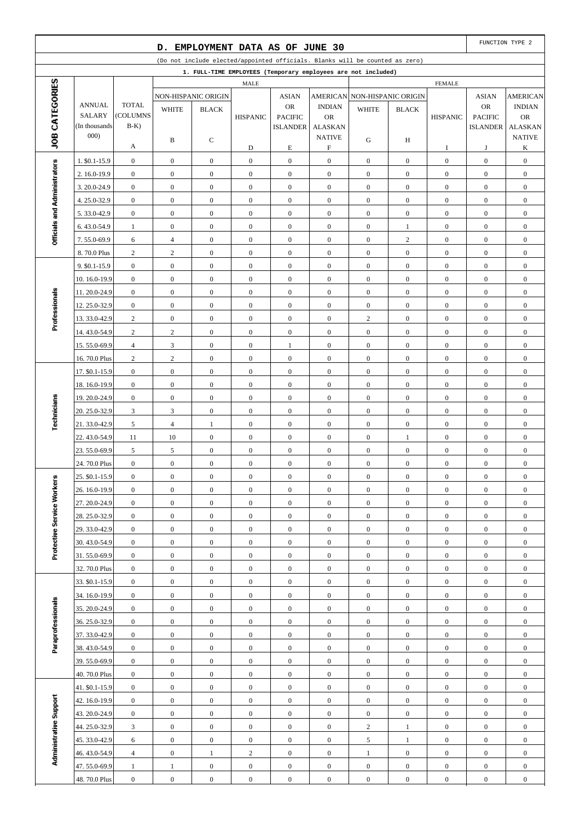|                              |                                |                          | D.                               | EMPLOYMENT DATA AS OF JUNE 30    |                                  |                                      |                                      |                                                                              |                                |                                      |                                      | FUNCTION TYPE 2                      |
|------------------------------|--------------------------------|--------------------------|----------------------------------|----------------------------------|----------------------------------|--------------------------------------|--------------------------------------|------------------------------------------------------------------------------|--------------------------------|--------------------------------------|--------------------------------------|--------------------------------------|
|                              |                                |                          |                                  |                                  |                                  |                                      |                                      | (Do not include elected/appointed officials. Blanks will be counted as zero) |                                |                                      |                                      |                                      |
|                              |                                |                          |                                  |                                  |                                  |                                      |                                      | 1. FULL-TIME EMPLOYEES (Temporary employees are not included)                |                                |                                      |                                      |                                      |
| JOB CATEGORIES               |                                |                          |                                  |                                  | MALE                             |                                      |                                      |                                                                              |                                | <b>FEMALE</b>                        |                                      |                                      |
|                              |                                |                          |                                  | NON-HISPANIC ORIGIN              |                                  | <b>ASIAN</b>                         | <b>AMERICAN</b>                      |                                                                              | NON-HISPANIC ORIGIN            |                                      | <b>ASIAN</b>                         | <b>AMERICAN</b>                      |
|                              | <b>ANNUAL</b><br><b>SALARY</b> | <b>TOTAL</b><br>(COLUMNS | <b>WHITE</b>                     | <b>BLACK</b>                     | <b>HISPANIC</b>                  | <b>OR</b><br><b>PACIFIC</b>          | <b>INDIAN</b><br><b>OR</b>           | <b>WHITE</b>                                                                 | <b>BLACK</b>                   | <b>HISPANIC</b>                      | OR<br><b>PACIFIC</b>                 | <b>INDIAN</b><br><b>OR</b>           |
|                              | (In thousands)                 | $B-K$ )                  |                                  |                                  |                                  | <b>ISLANDER</b>                      | <b>ALASKAN</b>                       |                                                                              |                                |                                      | <b>ISLANDER</b>                      | <b>ALASKAN</b>                       |
|                              | 000)                           |                          | B                                | С                                |                                  |                                      | <b>NATIVE</b>                        | G                                                                            | H                              |                                      |                                      | <b>NATIVE</b>                        |
|                              |                                | А                        |                                  |                                  | D                                | $\mathbf E$                          | $\boldsymbol{\mathrm{F}}$            |                                                                              |                                | I                                    | J                                    | K                                    |
|                              | 1. \$0.1-15.9                  | $\boldsymbol{0}$         | $\boldsymbol{0}$                 | $\boldsymbol{0}$                 | $\mathbf{0}$                     | $\boldsymbol{0}$                     | $\boldsymbol{0}$                     | $\mathbf{0}$                                                                 | $\mathbf{0}$                   | $\boldsymbol{0}$                     | $\boldsymbol{0}$                     | $\boldsymbol{0}$                     |
|                              | 2. 16.0-19.9                   | $\boldsymbol{0}$         | $\boldsymbol{0}$                 | $\mathbf{0}$                     | $\boldsymbol{0}$                 | $\boldsymbol{0}$                     | $\boldsymbol{0}$                     | $\mathbf{0}$                                                                 | $\overline{0}$                 | $\mathbf{0}$                         | $\boldsymbol{0}$                     | $\boldsymbol{0}$                     |
|                              | 3.20.0-24.9                    | $\boldsymbol{0}$         | $\boldsymbol{0}$                 | $\mathbf{0}$                     | $\mathbf{0}$                     | $\boldsymbol{0}$                     | $\boldsymbol{0}$                     | $\boldsymbol{0}$                                                             | $\mathbf{0}$                   | $\boldsymbol{0}$                     | $\boldsymbol{0}$                     | $\boldsymbol{0}$                     |
| Officials and Administrators | 4.25.0-32.9                    | $\boldsymbol{0}$         | $\boldsymbol{0}$                 | $\boldsymbol{0}$                 | $\boldsymbol{0}$                 | $\boldsymbol{0}$                     | $\boldsymbol{0}$                     | $\mathbf{0}$                                                                 | $\overline{0}$                 | $\boldsymbol{0}$                     | $\boldsymbol{0}$                     | $\boldsymbol{0}$                     |
|                              | 5.33.0-42.9                    | $\boldsymbol{0}$         | $\boldsymbol{0}$                 | $\boldsymbol{0}$                 | $\boldsymbol{0}$                 | $\boldsymbol{0}$                     | $\boldsymbol{0}$                     | $\mathbf{0}$                                                                 | $\mathbf{0}$                   | $\boldsymbol{0}$                     | $\boldsymbol{0}$                     | $\boldsymbol{0}$                     |
|                              | 6.43.0-54.9                    | $\mathbf{1}$             | $\boldsymbol{0}$                 | $\boldsymbol{0}$                 | $\boldsymbol{0}$                 | $\boldsymbol{0}$                     | $\boldsymbol{0}$                     | $\mathbf{0}$                                                                 | $\mathbf{1}$                   | $\boldsymbol{0}$                     | $\boldsymbol{0}$                     | $\boldsymbol{0}$                     |
|                              | 7.55.0-69.9                    | 6                        | $\overline{4}$                   | $\mathbf{0}$                     | $\mathbf{0}$                     | $\boldsymbol{0}$                     | $\boldsymbol{0}$                     | $\boldsymbol{0}$                                                             | $\overline{c}$                 | $\boldsymbol{0}$                     | $\boldsymbol{0}$                     | $\boldsymbol{0}$                     |
|                              | 8.70.0 Plus                    | $\sqrt{2}$               | $\sqrt{2}$                       | $\mathbf{0}$                     | $\boldsymbol{0}$                 | $\boldsymbol{0}$                     | $\boldsymbol{0}$                     | $\mathbf{0}$                                                                 | $\overline{0}$                 | $\boldsymbol{0}$                     | $\boldsymbol{0}$                     | $\boldsymbol{0}$                     |
|                              | 9. \$0.1-15.9                  | $\boldsymbol{0}$         | $\boldsymbol{0}$                 | $\boldsymbol{0}$                 | $\mathbf{0}$                     | $\boldsymbol{0}$                     | $\boldsymbol{0}$                     | $\boldsymbol{0}$                                                             | $\mathbf{0}$                   | $\boldsymbol{0}$                     | $\boldsymbol{0}$                     | $\boldsymbol{0}$                     |
|                              | 10.16.0-19.9                   | $\boldsymbol{0}$         | $\boldsymbol{0}$                 | $\mathbf{0}$                     | $\boldsymbol{0}$                 | $\boldsymbol{0}$                     | $\boldsymbol{0}$                     | $\mathbf{0}$                                                                 | $\mathbf{0}$                   | $\boldsymbol{0}$                     | $\boldsymbol{0}$                     | $\boldsymbol{0}$                     |
| Professionals                | 11.20.0-24.9                   | $\boldsymbol{0}$         | $\boldsymbol{0}$                 | $\mathbf{0}$                     | $\boldsymbol{0}$                 | $\boldsymbol{0}$                     | $\boldsymbol{0}$                     | $\boldsymbol{0}$                                                             | $\mathbf{0}$                   | $\boldsymbol{0}$                     | $\boldsymbol{0}$                     | $\boldsymbol{0}$                     |
|                              | 12.25.0-32.9                   | $\boldsymbol{0}$         | $\boldsymbol{0}$                 | $\boldsymbol{0}$                 | $\boldsymbol{0}$                 | $\boldsymbol{0}$                     | $\boldsymbol{0}$                     | $\mathbf{0}$                                                                 | $\overline{0}$                 | $\boldsymbol{0}$                     | $\boldsymbol{0}$                     | $\boldsymbol{0}$                     |
|                              | 13.33.0-42.9                   | $\overline{c}$           | $\boldsymbol{0}$                 | $\boldsymbol{0}$                 | $\boldsymbol{0}$                 | $\boldsymbol{0}$                     | $\boldsymbol{0}$                     | 2                                                                            | $\mathbf{0}$                   | $\boldsymbol{0}$                     | $\boldsymbol{0}$                     | $\boldsymbol{0}$                     |
|                              | 14.43.0-54.9                   | $\sqrt{2}$               | $\sqrt{2}$                       | $\boldsymbol{0}$                 | $\boldsymbol{0}$                 | $\boldsymbol{0}$                     | $\boldsymbol{0}$                     | $\boldsymbol{0}$                                                             | $\mathbf{0}$                   | $\boldsymbol{0}$                     | $\boldsymbol{0}$                     | $\boldsymbol{0}$                     |
|                              | 15.55.0-69.9                   | $\overline{4}$           | 3                                | $\mathbf{0}$                     | $\boldsymbol{0}$                 | 1                                    | $\boldsymbol{0}$                     | $\boldsymbol{0}$                                                             | $\mathbf{0}$                   | $\boldsymbol{0}$                     | $\boldsymbol{0}$                     | $\boldsymbol{0}$                     |
|                              | 16.70.0 Plus                   | $\sqrt{2}$               | $\sqrt{2}$                       | $\boldsymbol{0}$                 | $\boldsymbol{0}$                 | $\boldsymbol{0}$                     | $\boldsymbol{0}$                     | $\boldsymbol{0}$                                                             | $\overline{0}$                 | $\boldsymbol{0}$                     | $\boldsymbol{0}$                     | $\boldsymbol{0}$                     |
|                              | 17. \$0.1-15.9                 | $\boldsymbol{0}$         | $\boldsymbol{0}$                 | $\boldsymbol{0}$                 | $\mathbf{0}$                     | $\boldsymbol{0}$                     | $\boldsymbol{0}$                     | $\boldsymbol{0}$                                                             | $\mathbf{0}$                   | $\boldsymbol{0}$                     | $\boldsymbol{0}$                     | $\boldsymbol{0}$                     |
|                              | 18.16.0-19.9                   | $\boldsymbol{0}$         | $\boldsymbol{0}$                 | $\mathbf{0}$                     | $\boldsymbol{0}$                 | $\boldsymbol{0}$                     | $\boldsymbol{0}$                     | $\boldsymbol{0}$                                                             | $\mathbf{0}$                   | $\boldsymbol{0}$                     | $\boldsymbol{0}$                     | $\boldsymbol{0}$                     |
|                              | 19.20.0-24.9                   | $\boldsymbol{0}$         | $\boldsymbol{0}$                 | $\mathbf{0}$                     | $\boldsymbol{0}$                 | $\boldsymbol{0}$                     | $\boldsymbol{0}$                     | $\boldsymbol{0}$                                                             | $\mathbf{0}$                   | $\boldsymbol{0}$                     | $\boldsymbol{0}$                     | $\boldsymbol{0}$                     |
| Technicians                  | 20. 25.0-32.9                  | $\mathfrak{Z}$           | $\mathfrak{Z}$<br>$\overline{4}$ | $\boldsymbol{0}$                 | $\boldsymbol{0}$<br>$\mathbf{0}$ | $\boldsymbol{0}$                     | $\boldsymbol{0}$<br>$\boldsymbol{0}$ | $\mathbf{0}$<br>$\boldsymbol{0}$                                             | $\overline{0}$<br>$\mathbf{0}$ | $\boldsymbol{0}$                     | $\boldsymbol{0}$<br>$\boldsymbol{0}$ | $\boldsymbol{0}$                     |
|                              | 21.33.0-42.9<br>22.43.0-54.9   | 5<br>11                  | 10                               | $\mathbf{1}$<br>$\boldsymbol{0}$ | $\boldsymbol{0}$                 | $\boldsymbol{0}$<br>$\boldsymbol{0}$ | $\boldsymbol{0}$                     | $\boldsymbol{0}$                                                             | $\mathbf{1}$                   | $\boldsymbol{0}$<br>$\boldsymbol{0}$ | $\boldsymbol{0}$                     | $\boldsymbol{0}$<br>$\boldsymbol{0}$ |
|                              | 23.55.0-69.9                   | 5                        | 5                                | $\boldsymbol{0}$                 | $\boldsymbol{0}$                 | $\boldsymbol{0}$                     | $\boldsymbol{0}$                     | $\boldsymbol{0}$                                                             | $\overline{0}$                 | $\boldsymbol{0}$                     | $\boldsymbol{0}$                     | $\boldsymbol{0}$                     |
|                              | 24.70.0 Plus                   | $\boldsymbol{0}$         | $\boldsymbol{0}$                 | $\mathbf{0}$                     | $\boldsymbol{0}$                 | $\boldsymbol{0}$                     | $\boldsymbol{0}$                     | $\boldsymbol{0}$                                                             | $\boldsymbol{0}$               | $\boldsymbol{0}$                     | $\boldsymbol{0}$                     | $\boldsymbol{0}$                     |
|                              | 25. \$0.1-15.9                 | $\boldsymbol{0}$         | $\boldsymbol{0}$                 | $\boldsymbol{0}$                 | $\boldsymbol{0}$                 | $\boldsymbol{0}$                     | $\boldsymbol{0}$                     | $\boldsymbol{0}$                                                             | $\boldsymbol{0}$               | $\boldsymbol{0}$                     | $\boldsymbol{0}$                     | $\boldsymbol{0}$                     |
|                              | 26. 16.0-19.9                  | $\mathbf{0}$             | $\overline{0}$                   | $\overline{0}$                   | $\boldsymbol{0}$                 | $\mathbf{0}$                         | $\overline{0}$                       | $\mathbf{0}$                                                                 | $\overline{0}$                 | $\mathbf{0}$                         | $\mathbf{0}$                         | $\mathbf{0}$                         |
|                              | 27.20.0-24.9                   | $\mathbf{0}$             | $\mathbf{0}$                     | $\boldsymbol{0}$                 | $\boldsymbol{0}$                 | $\boldsymbol{0}$                     | $\mathbf{0}$                         | $\boldsymbol{0}$                                                             | $\boldsymbol{0}$               | $\boldsymbol{0}$                     | $\mathbf{0}$                         | $\boldsymbol{0}$                     |
| Protective Service Workers   | 28.25.0-32.9                   | $\boldsymbol{0}$         | $\mathbf{0}$                     | $\boldsymbol{0}$                 | $\boldsymbol{0}$                 | $\boldsymbol{0}$                     | $\mathbf{0}$                         | $\mathbf{0}$                                                                 | $\boldsymbol{0}$               | $\boldsymbol{0}$                     | $\boldsymbol{0}$                     | $\boldsymbol{0}$                     |
|                              | 29.33.0-42.9                   | $\boldsymbol{0}$         | $\mathbf{0}$                     | $\boldsymbol{0}$                 | $\boldsymbol{0}$                 | $\boldsymbol{0}$                     | $\mathbf{0}$                         | $\boldsymbol{0}$                                                             | $\boldsymbol{0}$               | $\boldsymbol{0}$                     | $\boldsymbol{0}$                     | $\boldsymbol{0}$                     |
|                              | 30.43.0-54.9                   | $\boldsymbol{0}$         | $\mathbf{0}$                     | $\mathbf{0}$                     | $\boldsymbol{0}$                 | $\boldsymbol{0}$                     | $\mathbf{0}$                         | $\mathbf{0}$                                                                 | $\boldsymbol{0}$               | $\boldsymbol{0}$                     | $\boldsymbol{0}$                     | $\boldsymbol{0}$                     |
|                              | 31.55.0-69.9                   | $\boldsymbol{0}$         | $\boldsymbol{0}$                 | $\boldsymbol{0}$                 | $\boldsymbol{0}$                 | $\boldsymbol{0}$                     | $\boldsymbol{0}$                     | $\boldsymbol{0}$                                                             | $\boldsymbol{0}$               | $\boldsymbol{0}$                     | $\boldsymbol{0}$                     | $\boldsymbol{0}$                     |
|                              | 32.70.0 Plus                   | $\boldsymbol{0}$         | $\boldsymbol{0}$                 | $\mathbf{0}$                     | $\boldsymbol{0}$                 | $\boldsymbol{0}$                     | $\mathbf{0}$                         | $\boldsymbol{0}$                                                             | $\boldsymbol{0}$               | $\boldsymbol{0}$                     | $\boldsymbol{0}$                     | $\boldsymbol{0}$                     |
|                              | 33. \$0.1-15.9                 | $\boldsymbol{0}$         | $\boldsymbol{0}$                 | $\boldsymbol{0}$                 | $\boldsymbol{0}$                 | $\boldsymbol{0}$                     | $\mathbf{0}$                         | $\boldsymbol{0}$                                                             | $\boldsymbol{0}$               | $\boldsymbol{0}$                     | $\boldsymbol{0}$                     | $\boldsymbol{0}$                     |
|                              | 34. 16.0-19.9                  | $\boldsymbol{0}$         | $\mathbf{0}$                     | $\boldsymbol{0}$                 | $\boldsymbol{0}$                 | $\boldsymbol{0}$                     | $\boldsymbol{0}$                     | $\mathbf{0}$                                                                 | $\boldsymbol{0}$               | $\boldsymbol{0}$                     | $\boldsymbol{0}$                     | $\boldsymbol{0}$                     |
| Paraprofessionals            | 35.20.0-24.9                   | $\boldsymbol{0}$         | $\boldsymbol{0}$                 | $\boldsymbol{0}$                 | $\boldsymbol{0}$                 | $\boldsymbol{0}$                     | $\mathbf{0}$                         | $\boldsymbol{0}$                                                             | $\boldsymbol{0}$               | $\boldsymbol{0}$                     | $\mathbf{0}$                         | $\boldsymbol{0}$                     |
|                              | 36.25.0-32.9                   | $\boldsymbol{0}$         | $\boldsymbol{0}$                 | $\boldsymbol{0}$                 | $\boldsymbol{0}$                 | $\boldsymbol{0}$                     | $\mathbf{0}$                         | $\mathbf{0}$                                                                 | $\boldsymbol{0}$               | $\boldsymbol{0}$                     | $\boldsymbol{0}$                     | $\boldsymbol{0}$                     |
|                              | 37.33.0-42.9                   | $\boldsymbol{0}$         | $\mathbf{0}$                     | $\boldsymbol{0}$                 | $\boldsymbol{0}$                 | $\boldsymbol{0}$                     | $\mathbf{0}$                         | $\boldsymbol{0}$                                                             | $\boldsymbol{0}$               | $\boldsymbol{0}$                     | $\boldsymbol{0}$                     | $\boldsymbol{0}$                     |
|                              | 38.43.0-54.9                   | $\boldsymbol{0}$         | $\mathbf{0}$                     | $\mathbf{0}$                     | $\boldsymbol{0}$                 | $\boldsymbol{0}$                     | $\mathbf{0}$                         | $\boldsymbol{0}$                                                             | $\boldsymbol{0}$               | $\boldsymbol{0}$                     | $\boldsymbol{0}$                     | $\boldsymbol{0}$                     |
|                              | 39.55.0-69.9                   | $\boldsymbol{0}$         | $\boldsymbol{0}$                 | $\boldsymbol{0}$                 | $\boldsymbol{0}$                 | $\boldsymbol{0}$                     | $\boldsymbol{0}$                     | $\boldsymbol{0}$                                                             | $\boldsymbol{0}$               | $\boldsymbol{0}$                     | $\mathbf{0}$                         | $\boldsymbol{0}$                     |
|                              | 40.70.0 Plus                   | $\boldsymbol{0}$         | $\mathbf{0}$                     | $\mathbf{0}$                     | $\boldsymbol{0}$                 | $\boldsymbol{0}$                     | $\boldsymbol{0}$                     | $\boldsymbol{0}$                                                             | $\boldsymbol{0}$               | $\boldsymbol{0}$                     | $\boldsymbol{0}$                     | $\boldsymbol{0}$                     |
|                              | 41. \$0.1-15.9                 | $\boldsymbol{0}$         | $\boldsymbol{0}$                 | $\boldsymbol{0}$                 | $\boldsymbol{0}$                 | $\boldsymbol{0}$                     | $\mathbf{0}$                         | $\boldsymbol{0}$                                                             | $\boldsymbol{0}$               | $\boldsymbol{0}$                     | $\boldsymbol{0}$                     | $\boldsymbol{0}$                     |
| Administrative Support       | 42. 16.0-19.9                  | $\mathbf{0}$             | $\boldsymbol{0}$                 | $\boldsymbol{0}$                 | $\boldsymbol{0}$                 | $\boldsymbol{0}$                     | $\boldsymbol{0}$                     | $\mathbf{0}$                                                                 | $\boldsymbol{0}$               | $\boldsymbol{0}$                     | $\boldsymbol{0}$                     | $\boldsymbol{0}$                     |
|                              | 43.20.0-24.9                   | $\boldsymbol{0}$         | $\boldsymbol{0}$                 | $\boldsymbol{0}$                 | $\boldsymbol{0}$                 | $\boldsymbol{0}$                     | $\overline{0}$                       | $\boldsymbol{0}$                                                             | $\boldsymbol{0}$               | $\boldsymbol{0}$                     | $\mathbf{0}$                         | $\boldsymbol{0}$                     |
|                              | 44.25.0-32.9                   | 3                        | $\boldsymbol{0}$                 | $\boldsymbol{0}$                 | $\boldsymbol{0}$                 | $\boldsymbol{0}$                     | $\boldsymbol{0}$                     | $\overline{2}$                                                               | $\mathbf{1}$                   | $\boldsymbol{0}$                     | $\boldsymbol{0}$                     | $\boldsymbol{0}$                     |
|                              | 45.33.0-42.9                   | 6                        | $\mathbf{0}$                     | $\boldsymbol{0}$                 | $\boldsymbol{0}$                 | $\boldsymbol{0}$                     | $\mathbf{0}$                         | 5                                                                            | $\mathbf{1}$                   | $\boldsymbol{0}$                     | $\boldsymbol{0}$                     | $\boldsymbol{0}$                     |
|                              | 46.43.0-54.9                   | $\overline{4}$           | $\mathbf{0}$                     | $\mathbf{1}$                     | $\overline{2}$                   | $\boldsymbol{0}$                     | $\mathbf{0}$                         | $\mathbf{1}$                                                                 | $\boldsymbol{0}$               | $\boldsymbol{0}$                     | $\boldsymbol{0}$                     | $\boldsymbol{0}$                     |
|                              | 47.55.0-69.9                   | $\mathbf{1}$             | $\mathbf{1}$                     | $\boldsymbol{0}$                 | $\mathbf{0}$                     | $\boldsymbol{0}$                     | $\boldsymbol{0}$                     | $\boldsymbol{0}$                                                             | $\boldsymbol{0}$               | $\boldsymbol{0}$                     | $\boldsymbol{0}$                     | $\boldsymbol{0}$                     |
|                              | 48.70.0 Plus                   | $\boldsymbol{0}$         | $\boldsymbol{0}$                 | $\boldsymbol{0}$                 | $\mathbf{0}$                     | $\boldsymbol{0}$                     | $\boldsymbol{0}$                     | $\boldsymbol{0}$                                                             | $\boldsymbol{0}$               | $\boldsymbol{0}$                     | $\boldsymbol{0}$                     | $\boldsymbol{0}$                     |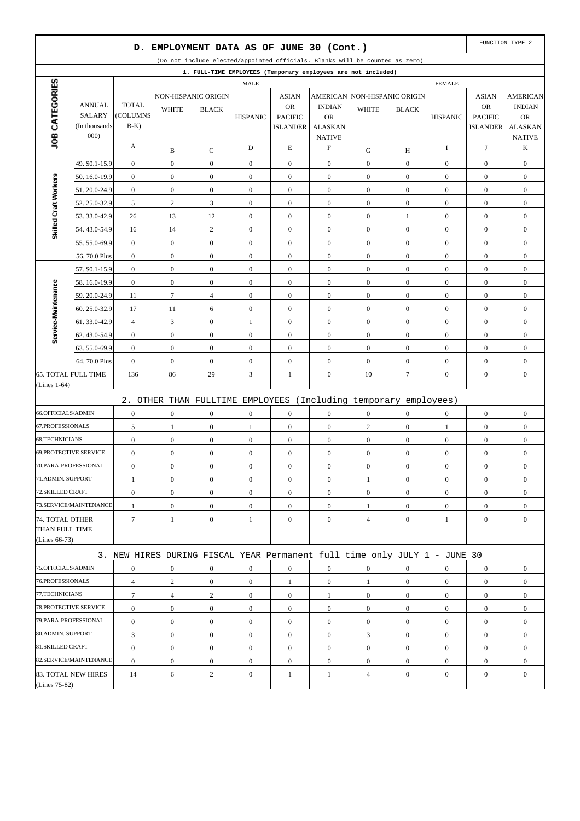|                              |                                | D.                |                  | EMPLOYMENT DATA AS OF JUNE 30 (Cont.) |                  |                                   |                             |                                                                              |                  |                  |                                   | FUNCTION TYPE 2             |
|------------------------------|--------------------------------|-------------------|------------------|---------------------------------------|------------------|-----------------------------------|-----------------------------|------------------------------------------------------------------------------|------------------|------------------|-----------------------------------|-----------------------------|
|                              |                                |                   |                  |                                       |                  |                                   |                             | (Do not include elected/appointed officials. Blanks will be counted as zero) |                  |                  |                                   |                             |
|                              |                                |                   |                  |                                       |                  |                                   |                             | 1. FULL-TIME EMPLOYEES (Temporary employees are not included)                |                  |                  |                                   |                             |
|                              |                                |                   |                  |                                       | <b>MALE</b>      |                                   |                             |                                                                              |                  | <b>FEMALE</b>    |                                   |                             |
| JOB CATEGORIES               |                                |                   |                  | NON-HISPANIC ORIGIN                   |                  | <b>ASIAN</b>                      |                             | AMERICAN NON-HISPANIC ORIGIN                                                 |                  |                  | <b>ASIAN</b>                      | <b>AMERICAN</b>             |
|                              | <b>ANNUAL</b>                  | <b>TOTAL</b>      | <b>WHITE</b>     | <b>BLACK</b>                          |                  | <b>OR</b>                         | <b>INDIAN</b>               | <b>WHITE</b>                                                                 | <b>BLACK</b>     |                  | <b>OR</b>                         | <b>INDIAN</b>               |
|                              | <b>SALARY</b><br>(In thousands | (COLUMNS<br>$B-K$ |                  |                                       | <b>HISPANIC</b>  | <b>PACIFIC</b><br><b>ISLANDER</b> | <b>OR</b><br><b>ALASKAN</b> |                                                                              |                  | <b>HISPANIC</b>  | <b>PACIFIC</b><br><b>ISLANDER</b> | <b>OR</b><br><b>ALASKAN</b> |
|                              | 000)                           |                   |                  |                                       |                  |                                   | <b>NATIVE</b>               |                                                                              |                  |                  |                                   | <b>NATIVE</b>               |
|                              |                                | A                 | B                | C                                     | D                | E                                 | F                           | G                                                                            | Н                | I                | J                                 | K                           |
|                              | 49. \$0.1-15.9                 | $\boldsymbol{0}$  | $\boldsymbol{0}$ | $\boldsymbol{0}$                      | $\boldsymbol{0}$ | $\boldsymbol{0}$                  | $\mathbf{0}$                | $\boldsymbol{0}$                                                             | $\boldsymbol{0}$ | $\mathbf{0}$     | $\boldsymbol{0}$                  | $\boldsymbol{0}$            |
|                              | 50.16.0-19.9                   | $\mathbf{0}$      | $\boldsymbol{0}$ | $\boldsymbol{0}$                      | $\boldsymbol{0}$ | $\boldsymbol{0}$                  | $\mathbf{0}$                | $\boldsymbol{0}$                                                             | $\overline{0}$   | $\boldsymbol{0}$ | $\boldsymbol{0}$                  | $\boldsymbol{0}$            |
| Skilled Craft Workers        | 51.20.0-24.9                   | $\boldsymbol{0}$  | $\boldsymbol{0}$ | $\boldsymbol{0}$                      | $\boldsymbol{0}$ | $\boldsymbol{0}$                  | $\boldsymbol{0}$            | $\boldsymbol{0}$                                                             | $\boldsymbol{0}$ | $\boldsymbol{0}$ | $\boldsymbol{0}$                  | $\boldsymbol{0}$            |
|                              | 52.25.0-32.9                   | 5                 | 2                | 3                                     | $\mathbf{0}$     | $\boldsymbol{0}$                  | $\mathbf{0}$                | $\boldsymbol{0}$                                                             | $\overline{0}$   | $\boldsymbol{0}$ | $\boldsymbol{0}$                  | $\boldsymbol{0}$            |
|                              | 53.33.0-42.9                   | 26                | 13               | 12                                    | $\boldsymbol{0}$ | $\boldsymbol{0}$                  | $\mathbf{0}$                | $\boldsymbol{0}$                                                             | $\mathbf{1}$     | $\mathbf{0}$     | $\boldsymbol{0}$                  | $\boldsymbol{0}$            |
|                              | 54.43.0-54.9                   | 16                | 14               | $\overline{c}$                        | $\boldsymbol{0}$ | $\boldsymbol{0}$                  | $\mathbf{0}$                | $\boldsymbol{0}$                                                             | $\overline{0}$   | $\mathbf{0}$     | $\boldsymbol{0}$                  | $\boldsymbol{0}$            |
|                              | 55.55.0-69.9                   | $\boldsymbol{0}$  | $\boldsymbol{0}$ | $\boldsymbol{0}$                      | $\boldsymbol{0}$ | $\boldsymbol{0}$                  | $\boldsymbol{0}$            | $\boldsymbol{0}$                                                             | $\boldsymbol{0}$ | $\boldsymbol{0}$ | $\boldsymbol{0}$                  | $\boldsymbol{0}$            |
|                              | 56.70.0 Plus                   | $\boldsymbol{0}$  | $\mathbf{0}$     | $\boldsymbol{0}$                      | $\mathbf{0}$     | $\boldsymbol{0}$                  | $\mathbf{0}$                | $\boldsymbol{0}$                                                             | $\overline{0}$   | $\boldsymbol{0}$ | $\boldsymbol{0}$                  | $\boldsymbol{0}$            |
|                              | 57. \$0.1-15.9                 | $\boldsymbol{0}$  | $\mathbf{0}$     | $\mathbf{0}$                          | $\boldsymbol{0}$ | $\boldsymbol{0}$                  | $\mathbf{0}$                | $\boldsymbol{0}$                                                             | $\boldsymbol{0}$ | $\boldsymbol{0}$ | $\boldsymbol{0}$                  | $\boldsymbol{0}$            |
|                              | 58.16.0-19.9                   | $\mathbf{0}$      | $\mathbf{0}$     | $\boldsymbol{0}$                      | $\boldsymbol{0}$ | $\boldsymbol{0}$                  | $\mathbf{0}$                | $\boldsymbol{0}$                                                             | $\overline{0}$   | $\mathbf{0}$     | $\boldsymbol{0}$                  | $\boldsymbol{0}$            |
|                              | 59.20.0-24.9                   | 11                | $\tau$           | $\overline{4}$                        | $\boldsymbol{0}$ | $\boldsymbol{0}$                  | $\boldsymbol{0}$            | $\boldsymbol{0}$                                                             | $\mathbf{0}$     | $\boldsymbol{0}$ | $\boldsymbol{0}$                  | $\boldsymbol{0}$            |
|                              | 60.25.0-32.9                   | 17                | 11               | 6                                     | $\mathbf{0}$     | $\boldsymbol{0}$                  | $\mathbf{0}$                | $\boldsymbol{0}$                                                             | $\overline{0}$   | $\mathbf{0}$     | $\boldsymbol{0}$                  | $\boldsymbol{0}$            |
| Service-Maintenance          | 61.33.0-42.9                   | $\overline{4}$    | 3                | $\boldsymbol{0}$                      | 1                | $\boldsymbol{0}$                  | $\mathbf{0}$                | $\boldsymbol{0}$                                                             | $\boldsymbol{0}$ | $\mathbf{0}$     | $\boldsymbol{0}$                  | $\boldsymbol{0}$            |
|                              | 62.43.0-54.9                   | $\mathbf{0}$      | $\boldsymbol{0}$ | $\boldsymbol{0}$                      | $\boldsymbol{0}$ | $\boldsymbol{0}$                  | $\mathbf{0}$                | $\boldsymbol{0}$                                                             | $\overline{0}$   | $\mathbf{0}$     | $\boldsymbol{0}$                  | $\boldsymbol{0}$            |
|                              | 63.55.0-69.9                   | $\boldsymbol{0}$  | $\boldsymbol{0}$ | $\boldsymbol{0}$                      | $\boldsymbol{0}$ | $\boldsymbol{0}$                  | $\mathbf{0}$                | $\boldsymbol{0}$                                                             | $\boldsymbol{0}$ | $\mathbf{0}$     | $\boldsymbol{0}$                  | $\boldsymbol{0}$            |
|                              | 64.70.0 Plus                   | $\mathbf{0}$      | $\boldsymbol{0}$ | $\boldsymbol{0}$                      | $\mathbf{0}$     | $\boldsymbol{0}$                  | $\mathbf{0}$                | $\boldsymbol{0}$                                                             | $\overline{0}$   | $\boldsymbol{0}$ | $\boldsymbol{0}$                  | $\boldsymbol{0}$            |
| 65. TOTAL FULL TIME          |                                | 136               | 86               | 29                                    | 3                | $\mathbf{1}$                      | $\mathbf{0}$                | 10                                                                           | $\tau$           | $\boldsymbol{0}$ | $\boldsymbol{0}$                  | $\boldsymbol{0}$            |
| (Lines $1-64$ )              |                                |                   |                  |                                       |                  |                                   |                             |                                                                              |                  |                  |                                   |                             |
|                              |                                |                   |                  |                                       |                  |                                   |                             | 2. OTHER THAN FULLTIME EMPLOYEES (Including temporary employees)             |                  |                  |                                   |                             |
| 66.OFFICIALS/ADMIN           |                                | $\boldsymbol{0}$  | $\boldsymbol{0}$ | $\mathbf{0}$                          | $\boldsymbol{0}$ | $\boldsymbol{0}$                  | $\mathbf{0}$                | $\boldsymbol{0}$                                                             | $\overline{0}$   | $\mathbf{0}$     | $\boldsymbol{0}$                  | $\boldsymbol{0}$            |
| 67.PROFESSIONALS             |                                | 5                 | $\mathbf{1}$     | $\boldsymbol{0}$                      | 1                | $\boldsymbol{0}$                  | $\mathbf{0}$                | $\overline{c}$                                                               | $\boldsymbol{0}$ | $\mathbf{1}$     | $\boldsymbol{0}$                  | $\boldsymbol{0}$            |
| 68.TECHNICIANS               |                                | $\boldsymbol{0}$  | $\boldsymbol{0}$ | $\boldsymbol{0}$                      | $\boldsymbol{0}$ | $\boldsymbol{0}$                  | $\mathbf{0}$                | $\boldsymbol{0}$                                                             | $\overline{0}$   | $\boldsymbol{0}$ | $\boldsymbol{0}$                  | $\boldsymbol{0}$            |
| <b>69.PROTECTIVE SERVICE</b> |                                | $\boldsymbol{0}$  | $\boldsymbol{0}$ | $\boldsymbol{0}$                      | $\boldsymbol{0}$ | $\boldsymbol{0}$                  | $\boldsymbol{0}$            | $\boldsymbol{0}$                                                             | $\boldsymbol{0}$ | $\boldsymbol{0}$ | $\boldsymbol{0}$                  | $\boldsymbol{0}$            |
| 70.PARA-PROFESSIONAL         |                                | $\boldsymbol{0}$  | $\mathbf{0}$     | $\boldsymbol{0}$                      | $\boldsymbol{0}$ | $\boldsymbol{0}$                  | $\mathbf{0}$                | $\boldsymbol{0}$                                                             | $\boldsymbol{0}$ | $\boldsymbol{0}$ | $\boldsymbol{0}$                  | $\boldsymbol{0}$            |
| 71.ADMIN. SUPPORT            |                                | $\mathbf{1}$      | $\boldsymbol{0}$ | $\mathbf{0}$                          | $\boldsymbol{0}$ | $\mathbf{0}$                      | $\mathbf{0}$                | $\mathbf{1}$                                                                 | $\overline{0}$   | $\mathbf{0}$     | $\boldsymbol{0}$                  | $\boldsymbol{0}$            |
| 72.SKILLED CRAFT             |                                | $\boldsymbol{0}$  | $\mathbf{0}$     | $\boldsymbol{0}$                      | $\overline{0}$   | $\boldsymbol{0}$                  | $\overline{0}$              | $\boldsymbol{0}$                                                             | $\overline{0}$   | $\overline{0}$   | $\boldsymbol{0}$                  | $\boldsymbol{0}$            |
|                              | 73.SERVICE/MAINTENANCE         | $\mathbf{1}$      | $\boldsymbol{0}$ | $\boldsymbol{0}$                      | $\boldsymbol{0}$ | $\boldsymbol{0}$                  | $\boldsymbol{0}$            | $\mathbf{1}$                                                                 | $\boldsymbol{0}$ | $\boldsymbol{0}$ | $\boldsymbol{0}$                  | $\boldsymbol{0}$            |
| 74. TOTAL OTHER              |                                | $\tau$            | $\mathbf{1}$     | $\overline{0}$                        | $\mathbf{1}$     | $\boldsymbol{0}$                  | $\overline{0}$              | $\overline{4}$                                                               | $\overline{0}$   | $\mathbf{1}$     | $\boldsymbol{0}$                  | $\mathbf{0}$                |
| THAN FULL TIME               |                                |                   |                  |                                       |                  |                                   |                             |                                                                              |                  |                  |                                   |                             |
| (Lines $66-73$ )             |                                |                   |                  |                                       |                  |                                   |                             |                                                                              |                  |                  |                                   |                             |
|                              |                                |                   |                  |                                       |                  |                                   |                             | 3. NEW HIRES DURING FISCAL YEAR Permanent full time only JULY 1 - JUNE 30    |                  |                  |                                   |                             |
| 75.OFFICIALS/ADMIN           |                                | $\boldsymbol{0}$  | $\boldsymbol{0}$ | $\boldsymbol{0}$                      | $\boldsymbol{0}$ | $\boldsymbol{0}$                  | $\boldsymbol{0}$            | $\boldsymbol{0}$                                                             | $\boldsymbol{0}$ | $\boldsymbol{0}$ | $\boldsymbol{0}$                  | $\boldsymbol{0}$            |
| 76.PROFESSIONALS             |                                | $\overline{4}$    | $\overline{c}$   | $\mathbf{0}$                          | $\boldsymbol{0}$ | $\mathbf{1}$                      | $\boldsymbol{0}$            | $\mathbf{1}$                                                                 | $\mathbf{0}$     | $\mathbf{0}$     | $\boldsymbol{0}$                  | $\boldsymbol{0}$            |
| 77.TECHNICIANS               |                                | 7                 | $\overline{4}$   | $\overline{c}$                        | $\boldsymbol{0}$ | $\boldsymbol{0}$                  | $\mathbf{1}$                | $\mathbf{0}$                                                                 | $\overline{0}$   | $\mathbf{0}$     | $\boldsymbol{0}$                  | $\boldsymbol{0}$            |
| 78. PROTECTIVE SERVICE       |                                | $\boldsymbol{0}$  | $\boldsymbol{0}$ | $\boldsymbol{0}$                      | $\boldsymbol{0}$ | $\mathbf{0}$                      | $\mathbf{0}$                | $\boldsymbol{0}$                                                             | $\overline{0}$   | $\mathbf{0}$     | $\boldsymbol{0}$                  | $\overline{0}$              |
| 79.PARA-PROFESSIONAL         |                                | $\boldsymbol{0}$  | $\mathbf{0}$     | $\boldsymbol{0}$                      | $\boldsymbol{0}$ | $\boldsymbol{0}$                  | $\mathbf{0}$                | $\boldsymbol{0}$                                                             | $\overline{0}$   | $\mathbf{0}$     | $\overline{0}$                    | $\boldsymbol{0}$            |
| 80.ADMIN. SUPPORT            |                                | 3                 | $\boldsymbol{0}$ | $\mathbf{0}$                          | $\boldsymbol{0}$ | $\mathbf{0}$                      | $\boldsymbol{0}$            | 3                                                                            | $\boldsymbol{0}$ | $\mathbf{0}$     | $\boldsymbol{0}$                  | $\overline{0}$              |
| 81.SKILLED CRAFT             |                                | $\boldsymbol{0}$  | $\mathbf{0}$     | $\mathbf{0}$                          | $\overline{0}$   | $\boldsymbol{0}$                  | $\mathbf{0}$                | $\mathbf{0}$                                                                 | $\overline{0}$   | $\mathbf{0}$     | $\boldsymbol{0}$                  | $\overline{0}$              |
|                              | 82.SERVICE/MAINTENANCE         | $\boldsymbol{0}$  | $\boldsymbol{0}$ | $\mathbf{0}$                          | $\boldsymbol{0}$ | $\boldsymbol{0}$                  | $\boldsymbol{0}$            | $\boldsymbol{0}$                                                             | $\overline{0}$   | $\mathbf{0}$     | $\boldsymbol{0}$                  | $\overline{0}$              |
|                              | 83. TOTAL NEW HIRES            | 14                | 6                | $\overline{c}$                        | $\boldsymbol{0}$ | $\mathbf{1}$                      | $\mathbf{1}$                | $\overline{4}$                                                               | $\mathbf{0}$     | $\mathbf{0}$     | $\boldsymbol{0}$                  | $\boldsymbol{0}$            |
| (Lines 75-82)                |                                |                   |                  |                                       |                  |                                   |                             |                                                                              |                  |                  |                                   |                             |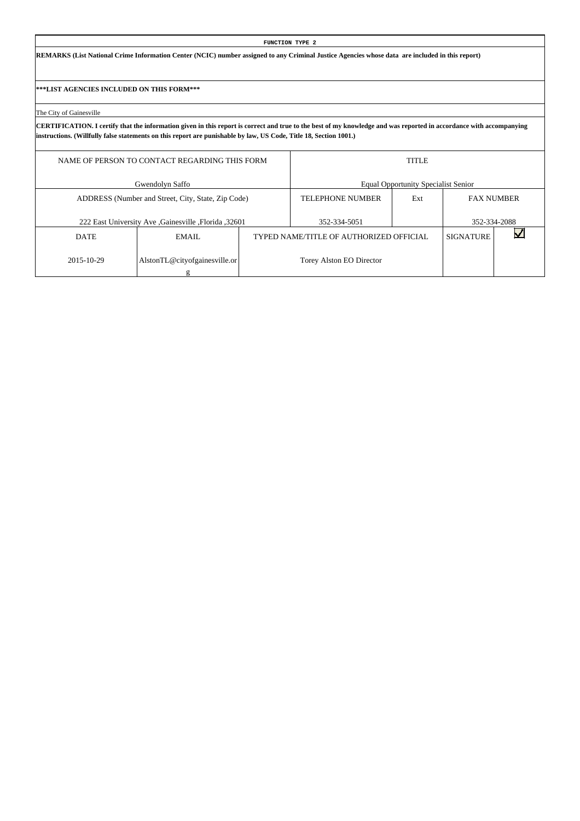**REMARKS (List National Crime Information Center (NCIC) number assigned to any Criminal Justice Agencies whose data are included in this report)**

**\*\*\*LIST AGENCIES INCLUDED ON THIS FORM\*\*\***

The City of Gainesville

|             | NAME OF PERSON TO CONTACT REGARDING THIS FORM       |                                         | <b>TITLE</b>                               |                   |              |
|-------------|-----------------------------------------------------|-----------------------------------------|--------------------------------------------|-------------------|--------------|
|             | Gwendolyn Saffo                                     |                                         | <b>Equal Opportunity Specialist Senior</b> |                   |              |
|             | ADDRESS (Number and Street, City, State, Zip Code)  | <b>TELEPHONE NUMBER</b>                 | Ext                                        | <b>FAX NUMBER</b> |              |
|             | 222 East University Ave Gainesville , Florida 32601 | 352-334-5051                            |                                            |                   | 352-334-2088 |
| <b>DATE</b> | EMAIL.                                              | TYPED NAME/TITLE OF AUTHORIZED OFFICIAL |                                            | <b>SIGNATURE</b>  |              |
| 2015-10-29  | AlstonTL@cityofgainesville.or                       | Torey Alston EO Director                |                                            |                   |              |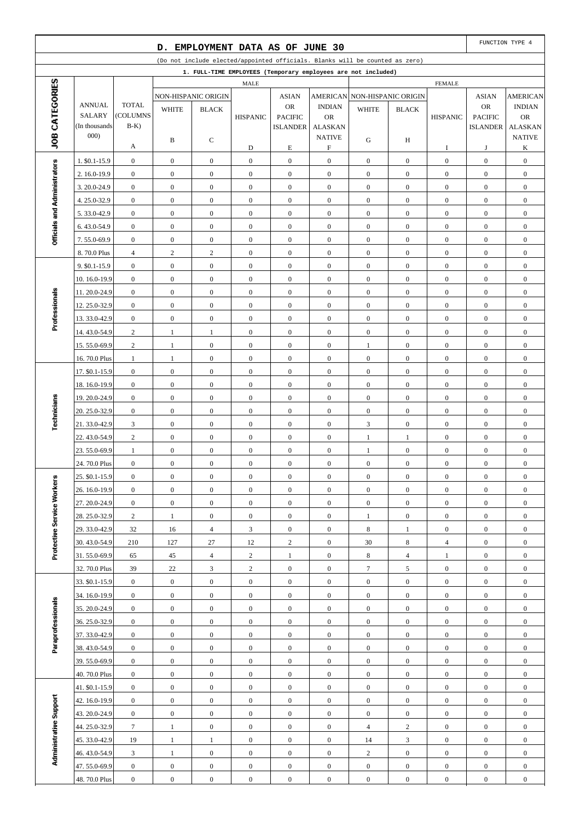|                              |                                |                                      | D.                                   |                                      |                                      | EMPLOYMENT DATA AS OF JUNE 30                                                |                                      |                                      |                                      |                                      |                                      | FUNCTION TYPE 4                      |
|------------------------------|--------------------------------|--------------------------------------|--------------------------------------|--------------------------------------|--------------------------------------|------------------------------------------------------------------------------|--------------------------------------|--------------------------------------|--------------------------------------|--------------------------------------|--------------------------------------|--------------------------------------|
|                              |                                |                                      |                                      |                                      |                                      | (Do not include elected/appointed officials. Blanks will be counted as zero) |                                      |                                      |                                      |                                      |                                      |                                      |
|                              |                                |                                      |                                      |                                      |                                      | 1. FULL-TIME EMPLOYEES (Temporary employees are not included)                |                                      |                                      |                                      |                                      |                                      |                                      |
| JOB CATEGORIES               |                                |                                      |                                      |                                      | <b>MALE</b>                          |                                                                              |                                      |                                      |                                      | <b>FEMALE</b>                        |                                      |                                      |
|                              |                                |                                      |                                      | NON-HISPANIC ORIGIN                  |                                      | <b>ASIAN</b>                                                                 |                                      | AMERICAN NON-HISPANIC ORIGIN         |                                      |                                      | <b>ASIAN</b>                         | <b>AMERICAN</b>                      |
|                              | <b>ANNUAL</b><br><b>SALARY</b> | <b>TOTAL</b><br>(COLUMNS             | <b>WHITE</b>                         | <b>BLACK</b>                         | <b>HISPANIC</b>                      | <b>OR</b><br><b>PACIFIC</b>                                                  | <b>INDIAN</b><br><b>OR</b>           | <b>WHITE</b>                         | <b>BLACK</b>                         | <b>HISPANIC</b>                      | <b>OR</b><br><b>PACIFIC</b>          | <b>INDIAN</b><br><b>OR</b>           |
|                              | (In thousands                  | $B-K$                                |                                      |                                      |                                      | <b>ISLANDER</b>                                                              | <b>ALASKAN</b>                       |                                      |                                      |                                      | <b>ISLANDER</b>                      | <b>ALASKAN</b>                       |
|                              | 000)                           |                                      | B                                    | C                                    |                                      |                                                                              | <b>NATIVE</b>                        | G                                    | H                                    |                                      |                                      | <b>NATIVE</b>                        |
|                              |                                | A                                    |                                      |                                      | D                                    | E                                                                            | F                                    |                                      |                                      | I                                    | J                                    | K                                    |
|                              | 1. \$0.1-15.9                  | $\boldsymbol{0}$                     | $\boldsymbol{0}$                     | $\boldsymbol{0}$                     | $\boldsymbol{0}$                     | $\boldsymbol{0}$                                                             | $\boldsymbol{0}$                     | $\boldsymbol{0}$                     | $\boldsymbol{0}$                     | $\boldsymbol{0}$                     | $\boldsymbol{0}$                     | $\boldsymbol{0}$                     |
|                              | 2.16.0-19.9                    | $\boldsymbol{0}$                     | $\boldsymbol{0}$                     | $\boldsymbol{0}$                     | $\boldsymbol{0}$                     | $\boldsymbol{0}$                                                             | $\boldsymbol{0}$                     | $\boldsymbol{0}$                     | $\boldsymbol{0}$                     | $\boldsymbol{0}$                     | $\boldsymbol{0}$                     | $\boldsymbol{0}$                     |
|                              | 3.20.0-24.9                    | $\boldsymbol{0}$                     | $\boldsymbol{0}$                     | $\overline{0}$                       | $\boldsymbol{0}$                     | $\mathbf{0}$                                                                 | $\overline{0}$                       | $\boldsymbol{0}$                     | $\overline{0}$                       | $\boldsymbol{0}$                     | $\boldsymbol{0}$                     | $\boldsymbol{0}$                     |
|                              | 4.25.0-32.9                    | $\boldsymbol{0}$                     | $\boldsymbol{0}$                     | $\boldsymbol{0}$                     | $\boldsymbol{0}$                     | $\mathbf{0}$                                                                 | $\boldsymbol{0}$                     | $\boldsymbol{0}$                     | $\boldsymbol{0}$                     | $\boldsymbol{0}$                     | $\boldsymbol{0}$                     | $\boldsymbol{0}$                     |
| Officials and Administrators | 5.33.0-42.9                    | $\boldsymbol{0}$                     | $\boldsymbol{0}$                     | $\boldsymbol{0}$                     | $\boldsymbol{0}$                     | $\boldsymbol{0}$                                                             | $\boldsymbol{0}$                     | $\boldsymbol{0}$                     | $\boldsymbol{0}$                     | $\boldsymbol{0}$                     | $\boldsymbol{0}$                     | $\boldsymbol{0}$                     |
|                              | 6.43.0-54.9                    | $\boldsymbol{0}$                     | $\boldsymbol{0}$                     | $\boldsymbol{0}$                     | $\boldsymbol{0}$                     | $\boldsymbol{0}$                                                             | $\boldsymbol{0}$                     | $\boldsymbol{0}$                     | $\boldsymbol{0}$                     | $\boldsymbol{0}$                     | $\boldsymbol{0}$                     | $\boldsymbol{0}$                     |
|                              | 7.55.0-69.9                    | $\boldsymbol{0}$                     | $\boldsymbol{0}$                     | $\mathbf{0}$                         | $\boldsymbol{0}$                     | $\boldsymbol{0}$                                                             | $\overline{0}$                       | $\boldsymbol{0}$                     | $\overline{0}$                       | $\boldsymbol{0}$                     | $\boldsymbol{0}$                     | $\boldsymbol{0}$                     |
|                              | 8.70.0 Plus                    | $\overline{4}$                       | $\overline{\mathbf{c}}$              | $\overline{c}$                       | $\boldsymbol{0}$                     | $\boldsymbol{0}$                                                             | $\boldsymbol{0}$                     | $\boldsymbol{0}$                     | $\boldsymbol{0}$                     | $\boldsymbol{0}$                     | $\boldsymbol{0}$                     | $\boldsymbol{0}$                     |
|                              | 9. \$0.1-15.9                  | $\boldsymbol{0}$                     | $\boldsymbol{0}$                     | $\boldsymbol{0}$                     | $\boldsymbol{0}$                     | $\boldsymbol{0}$                                                             | $\boldsymbol{0}$                     | $\boldsymbol{0}$                     | $\overline{0}$                       | $\boldsymbol{0}$                     | $\boldsymbol{0}$                     | $\boldsymbol{0}$                     |
|                              | 10.16.0-19.9                   | $\boldsymbol{0}$                     | $\boldsymbol{0}$                     | $\boldsymbol{0}$                     | $\boldsymbol{0}$                     | $\boldsymbol{0}$                                                             | $\boldsymbol{0}$                     | $\boldsymbol{0}$                     | $\boldsymbol{0}$                     | $\boldsymbol{0}$                     | $\boldsymbol{0}$                     | $\boldsymbol{0}$                     |
| Professionals                | 11.20.0-24.9                   | $\boldsymbol{0}$                     | $\mathbf{0}$                         | $\overline{0}$                       | $\boldsymbol{0}$                     | $\mathbf{0}$                                                                 | $\overline{0}$                       | $\boldsymbol{0}$                     | $\overline{0}$                       | $\boldsymbol{0}$                     | $\boldsymbol{0}$                     | $\boldsymbol{0}$                     |
|                              | 12.25.0-32.9                   | $\boldsymbol{0}$                     | $\boldsymbol{0}$                     | $\boldsymbol{0}$                     | $\boldsymbol{0}$                     | $\boldsymbol{0}$                                                             | $\boldsymbol{0}$                     | $\boldsymbol{0}$                     | $\mathbf{0}$                         | $\boldsymbol{0}$                     | $\boldsymbol{0}$                     | $\boldsymbol{0}$                     |
|                              | 13.33.0-42.9                   | $\boldsymbol{0}$                     | $\boldsymbol{0}$                     | $\boldsymbol{0}$                     | $\boldsymbol{0}$                     | $\boldsymbol{0}$                                                             | $\boldsymbol{0}$                     | $\boldsymbol{0}$                     | $\boldsymbol{0}$                     | $\boldsymbol{0}$                     | $\boldsymbol{0}$                     | $\boldsymbol{0}$                     |
|                              | 14.43.0-54.9                   | $\boldsymbol{2}$                     | $\mathbf{1}$                         | $\mathbf{1}$                         | $\boldsymbol{0}$                     | $\boldsymbol{0}$                                                             | $\boldsymbol{0}$                     | $\boldsymbol{0}$                     | $\boldsymbol{0}$                     | $\boldsymbol{0}$                     | $\boldsymbol{0}$                     | $\boldsymbol{0}$                     |
|                              | 15.55.0-69.9                   | $\overline{c}$                       | $\mathbf{1}$                         | $\overline{0}$                       | $\boldsymbol{0}$                     | $\boldsymbol{0}$                                                             | $\overline{0}$                       | $\mathbf{1}$                         | $\overline{0}$                       | $\boldsymbol{0}$                     | $\boldsymbol{0}$                     | $\boldsymbol{0}$                     |
|                              | 16.70.0 Plus                   | $\mathbf{1}$                         | 1                                    | $\boldsymbol{0}$                     | $\boldsymbol{0}$                     | $\boldsymbol{0}$                                                             | $\mathbf{0}$                         | $\boldsymbol{0}$                     | $\boldsymbol{0}$                     | $\boldsymbol{0}$                     | $\boldsymbol{0}$                     | $\boldsymbol{0}$                     |
|                              | 17. \$0.1-15.9<br>18.16.0-19.9 | $\boldsymbol{0}$<br>$\boldsymbol{0}$ | $\boldsymbol{0}$<br>$\boldsymbol{0}$ | $\boldsymbol{0}$<br>$\boldsymbol{0}$ | $\boldsymbol{0}$<br>$\boldsymbol{0}$ | $\boldsymbol{0}$<br>$\boldsymbol{0}$                                         | $\boldsymbol{0}$<br>$\boldsymbol{0}$ | $\boldsymbol{0}$<br>$\boldsymbol{0}$ | $\boldsymbol{0}$<br>$\boldsymbol{0}$ | $\boldsymbol{0}$<br>$\boldsymbol{0}$ | $\boldsymbol{0}$<br>$\boldsymbol{0}$ | $\boldsymbol{0}$<br>$\boldsymbol{0}$ |
|                              | 19.20.0-24.9                   | $\boldsymbol{0}$                     | $\boldsymbol{0}$                     | $\mathbf{0}$                         | $\boldsymbol{0}$                     | $\boldsymbol{0}$                                                             | $\overline{0}$                       | $\boldsymbol{0}$                     | $\overline{0}$                       | $\boldsymbol{0}$                     | $\boldsymbol{0}$                     | $\boldsymbol{0}$                     |
|                              | 20. 25.0-32.9                  | $\boldsymbol{0}$                     | $\boldsymbol{0}$                     | $\boldsymbol{0}$                     | $\boldsymbol{0}$                     | $\boldsymbol{0}$                                                             | $\boldsymbol{0}$                     | $\boldsymbol{0}$                     | $\mathbf{0}$                         | $\boldsymbol{0}$                     | $\boldsymbol{0}$                     | $\boldsymbol{0}$                     |
| Technicians                  | 21.33.0-42.9                   | 3                                    | $\boldsymbol{0}$                     | $\boldsymbol{0}$                     | $\boldsymbol{0}$                     | $\boldsymbol{0}$                                                             | $\boldsymbol{0}$                     | 3                                    | $\boldsymbol{0}$                     | $\boldsymbol{0}$                     | $\boldsymbol{0}$                     | $\boldsymbol{0}$                     |
|                              | 22.43.0-54.9                   | $\boldsymbol{2}$                     | $\boldsymbol{0}$                     | $\boldsymbol{0}$                     | $\boldsymbol{0}$                     | $\boldsymbol{0}$                                                             | $\boldsymbol{0}$                     | $\mathbf{1}$                         | $\mathbf{1}$                         | $\boldsymbol{0}$                     | $\boldsymbol{0}$                     | $\boldsymbol{0}$                     |
|                              | 23.55.0-69.9                   | 1                                    | $\boldsymbol{0}$                     | $\boldsymbol{0}$                     | $\boldsymbol{0}$                     | $\boldsymbol{0}$                                                             | $\overline{0}$                       | 1                                    | $\mathbf{0}$                         | $\boldsymbol{0}$                     | $\boldsymbol{0}$                     | $\boldsymbol{0}$                     |
|                              | 24.70.0 Plus                   | $\boldsymbol{0}$                     | $\boldsymbol{0}$                     | $\boldsymbol{0}$                     | $\boldsymbol{0}$                     | $\boldsymbol{0}$                                                             | $\boldsymbol{0}$                     | $\boldsymbol{0}$                     | $\boldsymbol{0}$                     | $\boldsymbol{0}$                     | $\boldsymbol{0}$                     | $\boldsymbol{0}$                     |
|                              | 25. \$0.1-15.9                 | $\boldsymbol{0}$                     | $\boldsymbol{0}$                     | $\boldsymbol{0}$                     | $\boldsymbol{0}$                     | $\boldsymbol{0}$                                                             | $\boldsymbol{0}$                     | $\boldsymbol{0}$                     | $\boldsymbol{0}$                     | $\boldsymbol{0}$                     | $\boldsymbol{0}$                     | $\boldsymbol{0}$                     |
|                              | 26. 16.0-19.9                  | $\boldsymbol{0}$                     | $\mathbf{0}$                         | $\boldsymbol{0}$                     | $\boldsymbol{0}$                     | $\boldsymbol{0}$                                                             | $\boldsymbol{0}$                     | $\boldsymbol{0}$                     | $\mathbf{0}$                         | $\boldsymbol{0}$                     | $\boldsymbol{0}$                     | $\boldsymbol{0}$                     |
|                              | 27.20.0-24.9                   | $\boldsymbol{0}$                     | $\mathbf{0}$                         | $\boldsymbol{0}$                     | $\boldsymbol{0}$                     | $\boldsymbol{0}$                                                             | $\boldsymbol{0}$                     | $\boldsymbol{0}$                     | $\overline{0}$                       | $\boldsymbol{0}$                     | $\boldsymbol{0}$                     | $\boldsymbol{0}$                     |
|                              | 28.25.0-32.9                   | $\overline{2}$                       | $\mathbf{1}$                         | $\boldsymbol{0}$                     | $\boldsymbol{0}$                     | $\boldsymbol{0}$                                                             | $\boldsymbol{0}$                     | $\mathbf{1}$                         | $\boldsymbol{0}$                     | $\boldsymbol{0}$                     | $\boldsymbol{0}$                     | $\boldsymbol{0}$                     |
|                              | 29.33.0-42.9                   | 32                                   | 16                                   | $\overline{4}$                       | $\mathfrak{Z}$                       | $\boldsymbol{0}$                                                             | $\boldsymbol{0}$                     | 8                                    | $\mathbf{1}$                         | $\boldsymbol{0}$                     | $\boldsymbol{0}$                     | $\boldsymbol{0}$                     |
| Protective Service Workers   | 30.43.0-54.9                   | 210                                  | 127                                  | 27                                   | 12                                   | $\sqrt{2}$                                                                   | $\boldsymbol{0}$                     | $30\,$                               | 8                                    | $\overline{4}$                       | $\boldsymbol{0}$                     | $\boldsymbol{0}$                     |
|                              | 31.55.0-69.9                   | 65                                   | 45                                   | $\overline{4}$                       | $\overline{2}$                       | $\mathbf{1}$                                                                 | $\boldsymbol{0}$                     | 8                                    | $\overline{4}$                       | $\mathbf{1}$                         | $\boldsymbol{0}$                     | $\boldsymbol{0}$                     |
|                              | 32.70.0 Plus                   | 39                                   | 22                                   | 3                                    | $\overline{c}$                       | $\boldsymbol{0}$                                                             | $\boldsymbol{0}$                     | $\tau$                               | 5                                    | $\boldsymbol{0}$                     | $\boldsymbol{0}$                     | $\boldsymbol{0}$                     |
|                              | 33. \$0.1-15.9                 | $\mathbf{0}$                         | $\boldsymbol{0}$                     | $\boldsymbol{0}$                     | $\boldsymbol{0}$                     | $\boldsymbol{0}$                                                             | $\boldsymbol{0}$                     | $\boldsymbol{0}$                     | $\boldsymbol{0}$                     | $\boldsymbol{0}$                     | $\boldsymbol{0}$                     | $\boldsymbol{0}$                     |
|                              | 34.16.0-19.9                   | $\boldsymbol{0}$                     | $\boldsymbol{0}$                     | $\boldsymbol{0}$                     | $\boldsymbol{0}$                     | $\boldsymbol{0}$                                                             | $\boldsymbol{0}$                     | $\boldsymbol{0}$                     | $\mathbf{0}$                         | $\boldsymbol{0}$                     | $\boldsymbol{0}$                     | $\boldsymbol{0}$                     |
|                              | 35.20.0-24.9                   | $\boldsymbol{0}$                     | $\mathbf{0}$                         | $\boldsymbol{0}$                     | $\boldsymbol{0}$                     | $\boldsymbol{0}$                                                             | $\boldsymbol{0}$                     | $\boldsymbol{0}$                     | $\overline{0}$                       | $\boldsymbol{0}$                     | $\boldsymbol{0}$                     | $\boldsymbol{0}$                     |
| Paraprofessionals            | 36.25.0-32.9                   | $\boldsymbol{0}$                     | $\boldsymbol{0}$                     | $\boldsymbol{0}$                     | $\boldsymbol{0}$                     | $\boldsymbol{0}$                                                             | $\boldsymbol{0}$                     | $\boldsymbol{0}$                     | $\mathbf{0}$                         | $\boldsymbol{0}$                     | $\boldsymbol{0}$                     | $\boldsymbol{0}$                     |
|                              | 37.33.0-42.9                   | $\overline{0}$                       | $\boldsymbol{0}$                     | $\boldsymbol{0}$                     | $\boldsymbol{0}$                     | $\boldsymbol{0}$                                                             | $\boldsymbol{0}$                     | $\boldsymbol{0}$                     | $\mathbf{0}$                         | $\boldsymbol{0}$                     | $\boldsymbol{0}$                     | $\boldsymbol{0}$                     |
|                              | 38.43.0-54.9                   | $\boldsymbol{0}$                     | $\boldsymbol{0}$                     | $\boldsymbol{0}$                     | $\boldsymbol{0}$                     | $\boldsymbol{0}$                                                             | $\boldsymbol{0}$                     | $\boldsymbol{0}$                     | $\boldsymbol{0}$                     | $\boldsymbol{0}$                     | $\boldsymbol{0}$                     | $\boldsymbol{0}$                     |
|                              | 39.55.0-69.9                   | $\boldsymbol{0}$                     | $\mathbf{0}$                         | $\boldsymbol{0}$                     | $\boldsymbol{0}$                     | $\boldsymbol{0}$                                                             | $\boldsymbol{0}$                     | $\boldsymbol{0}$                     | $\mathbf{0}$                         | $\boldsymbol{0}$                     | $\boldsymbol{0}$                     | $\boldsymbol{0}$                     |
|                              | 40.70.0 Plus                   | $\boldsymbol{0}$                     | $\boldsymbol{0}$                     | $\boldsymbol{0}$                     | $\boldsymbol{0}$                     | $\boldsymbol{0}$                                                             | $\boldsymbol{0}$                     | $\boldsymbol{0}$                     | $\mathbf{0}$                         | $\boldsymbol{0}$                     | $\boldsymbol{0}$                     | $\boldsymbol{0}$                     |
|                              | 41. \$0.1-15.9                 | $\boldsymbol{0}$                     | $\boldsymbol{0}$                     | $\boldsymbol{0}$                     | $\boldsymbol{0}$                     | $\boldsymbol{0}$                                                             | $\boldsymbol{0}$                     | $\boldsymbol{0}$                     | $\boldsymbol{0}$                     | $\boldsymbol{0}$                     | $\boldsymbol{0}$                     | $\boldsymbol{0}$                     |
| Administrative Support       | 42. 16.0-19.9                  | $\boldsymbol{0}$                     | $\boldsymbol{0}$                     | $\boldsymbol{0}$                     | $\boldsymbol{0}$                     | $\boldsymbol{0}$                                                             | $\boldsymbol{0}$                     | $\boldsymbol{0}$                     | $\mathbf{0}$                         | $\boldsymbol{0}$                     | $\boldsymbol{0}$                     | $\boldsymbol{0}$                     |
|                              | 43.20.0-24.9                   | $\boldsymbol{0}$                     | $\mathbf{0}$                         | $\boldsymbol{0}$                     | $\boldsymbol{0}$                     | $\boldsymbol{0}$                                                             | $\boldsymbol{0}$                     | $\boldsymbol{0}$                     | $\mathbf{0}$                         | $\boldsymbol{0}$                     | $\boldsymbol{0}$                     | $\boldsymbol{0}$                     |
|                              | 44.25.0-32.9                   | $\tau$                               | $\mathbf{1}$                         | $\boldsymbol{0}$                     | $\boldsymbol{0}$                     | $\boldsymbol{0}$                                                             | $\boldsymbol{0}$                     | $\overline{4}$                       | $\overline{c}$                       | $\boldsymbol{0}$                     | $\boldsymbol{0}$                     | $\boldsymbol{0}$                     |
|                              | 45.33.0-42.9                   | 19                                   | $\mathbf{1}$                         | $\mathbf{1}$                         | $\boldsymbol{0}$                     | $\boldsymbol{0}$                                                             | $\boldsymbol{0}$                     | 14                                   | 3                                    | $\boldsymbol{0}$                     | $\boldsymbol{0}$                     | $\boldsymbol{0}$                     |
|                              | 46.43.0-54.9<br>47.55.0-69.9   | 3<br>$\boldsymbol{0}$                | $\mathbf{1}$<br>$\mathbf{0}$         | $\boldsymbol{0}$                     | $\boldsymbol{0}$<br>$\overline{0}$   | $\boldsymbol{0}$<br>$\boldsymbol{0}$                                         | $\boldsymbol{0}$<br>$\boldsymbol{0}$ | $\overline{c}$                       | $\boldsymbol{0}$<br>$\overline{0}$   | $\boldsymbol{0}$<br>$\boldsymbol{0}$ | $\boldsymbol{0}$<br>$\boldsymbol{0}$ | $\boldsymbol{0}$                     |
|                              | 48.70.0 Plus                   | $\boldsymbol{0}$                     | $\boldsymbol{0}$                     | $\boldsymbol{0}$<br>$\boldsymbol{0}$ | $\boldsymbol{0}$                     | $\boldsymbol{0}$                                                             | $\boldsymbol{0}$                     | $\boldsymbol{0}$<br>$\boldsymbol{0}$ | $\mathbf{0}$                         | $\boldsymbol{0}$                     | $\boldsymbol{0}$                     | $\boldsymbol{0}$<br>$\boldsymbol{0}$ |
|                              |                                |                                      |                                      |                                      |                                      |                                                                              |                                      |                                      |                                      |                                      |                                      |                                      |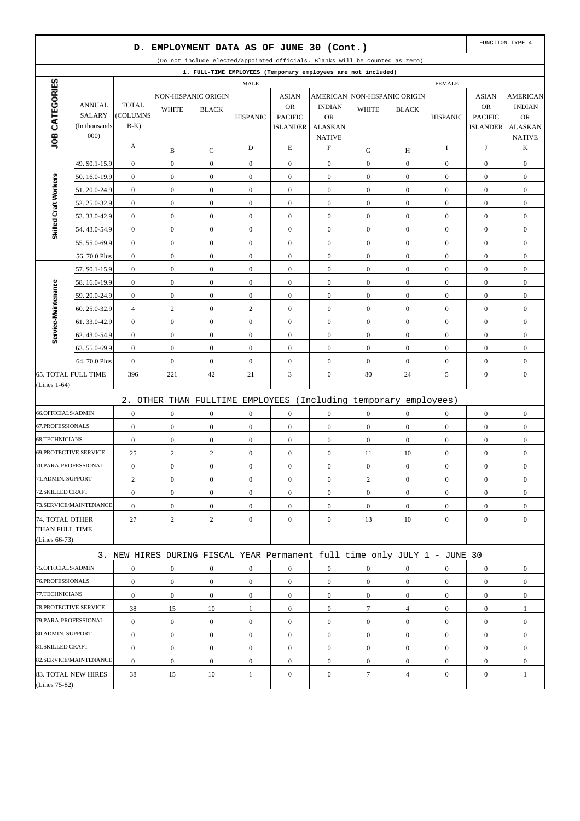|                                                       |                                | D.                                   |                                    | EMPLOYMENT DATA AS OF JUNE 30 (Cont.) |                                  |                                             |                                      |                                                                              |                                    |                                      |                                             | FUNCTION TYPE 4                               |
|-------------------------------------------------------|--------------------------------|--------------------------------------|------------------------------------|---------------------------------------|----------------------------------|---------------------------------------------|--------------------------------------|------------------------------------------------------------------------------|------------------------------------|--------------------------------------|---------------------------------------------|-----------------------------------------------|
|                                                       |                                |                                      |                                    |                                       |                                  |                                             |                                      | (Do not include elected/appointed officials. Blanks will be counted as zero) |                                    |                                      |                                             |                                               |
|                                                       |                                |                                      |                                    |                                       |                                  |                                             |                                      | 1. FULL-TIME EMPLOYEES (Temporary employees are not included)                |                                    |                                      |                                             |                                               |
|                                                       |                                |                                      |                                    |                                       | <b>MALE</b>                      |                                             |                                      |                                                                              |                                    | <b>FEMALE</b>                        |                                             |                                               |
| JOB CATEGORIES                                        | <b>ANNUAL</b><br><b>SALARY</b> | <b>TOTAL</b><br>(COLUMNS             | <b>WHITE</b>                       | NON-HISPANIC ORIGIN<br><b>BLACK</b>   | <b>HISPANIC</b>                  | <b>ASIAN</b><br><b>OR</b><br><b>PACIFIC</b> | <b>INDIAN</b><br><b>OR</b>           | AMERICAN NON-HISPANIC ORIGIN<br><b>WHITE</b>                                 | <b>BLACK</b>                       | <b>HISPANIC</b>                      | <b>ASIAN</b><br><b>OR</b><br><b>PACIFIC</b> | <b>AMERICAN</b><br><b>INDIAN</b><br><b>OR</b> |
|                                                       | (In thousands<br>000)          | $B-K$<br>A                           |                                    |                                       | D                                | <b>ISLANDER</b><br>E                        | <b>ALASKAN</b><br><b>NATIVE</b><br>F |                                                                              |                                    | I                                    | <b>ISLANDER</b><br>J                        | <b>ALASKAN</b><br><b>NATIVE</b><br>K          |
|                                                       |                                |                                      | B                                  | C                                     |                                  |                                             |                                      | G<br>$\boldsymbol{0}$                                                        | Н                                  |                                      |                                             |                                               |
|                                                       | 49. \$0.1-15.9                 | $\boldsymbol{0}$<br>$\boldsymbol{0}$ | $\boldsymbol{0}$                   | $\boldsymbol{0}$                      | $\boldsymbol{0}$                 | $\boldsymbol{0}$                            | $\mathbf{0}$<br>$\mathbf{0}$         |                                                                              | $\boldsymbol{0}$<br>$\overline{0}$ | $\mathbf{0}$<br>$\boldsymbol{0}$     | $\boldsymbol{0}$                            | $\boldsymbol{0}$                              |
| Skilled Craft Workers                                 | 50.16.0-19.9                   |                                      | $\boldsymbol{0}$                   | $\boldsymbol{0}$                      | $\boldsymbol{0}$                 | $\boldsymbol{0}$                            |                                      | $\boldsymbol{0}$                                                             |                                    | $\boldsymbol{0}$                     | $\boldsymbol{0}$                            | $\boldsymbol{0}$                              |
|                                                       | 51.20.0-24.9                   | $\boldsymbol{0}$                     | $\boldsymbol{0}$                   | $\boldsymbol{0}$                      | $\boldsymbol{0}$                 | $\boldsymbol{0}$                            | $\boldsymbol{0}$                     | $\boldsymbol{0}$                                                             | $\mathbf{0}$                       |                                      | $\boldsymbol{0}$                            | $\boldsymbol{0}$                              |
|                                                       | 52.25.0-32.9                   | $\mathbf{0}$                         | $\boldsymbol{0}$                   | $\boldsymbol{0}$                      | $\mathbf{0}$                     | $\boldsymbol{0}$                            | $\mathbf{0}$                         | $\boldsymbol{0}$                                                             | $\overline{0}$                     | $\mathbf{0}$                         | $\boldsymbol{0}$                            | $\boldsymbol{0}$                              |
|                                                       | 53.33.0-42.9                   | $\boldsymbol{0}$                     | $\boldsymbol{0}$                   | $\boldsymbol{0}$                      | $\boldsymbol{0}$                 | $\boldsymbol{0}$                            | $\mathbf{0}$                         | $\boldsymbol{0}$                                                             | $\boldsymbol{0}$                   | $\mathbf{0}$                         | $\boldsymbol{0}$                            | $\boldsymbol{0}$                              |
|                                                       | 54.43.0-54.9                   | $\mathbf{0}$                         | $\boldsymbol{0}$                   | $\boldsymbol{0}$                      | $\boldsymbol{0}$                 | $\boldsymbol{0}$                            | $\mathbf{0}$                         | $\boldsymbol{0}$                                                             | $\overline{0}$                     | $\mathbf{0}$                         | $\boldsymbol{0}$                            | $\boldsymbol{0}$                              |
|                                                       | 55.55.0-69.9                   | $\boldsymbol{0}$<br>$\boldsymbol{0}$ | $\boldsymbol{0}$<br>$\mathbf{0}$   | $\boldsymbol{0}$<br>$\boldsymbol{0}$  | $\boldsymbol{0}$<br>$\mathbf{0}$ | $\boldsymbol{0}$<br>$\boldsymbol{0}$        | $\boldsymbol{0}$<br>$\mathbf{0}$     | $\boldsymbol{0}$<br>$\boldsymbol{0}$                                         | $\boldsymbol{0}$<br>$\overline{0}$ | $\boldsymbol{0}$<br>$\boldsymbol{0}$ | $\boldsymbol{0}$<br>$\boldsymbol{0}$        | $\boldsymbol{0}$                              |
|                                                       | 56.70.0 Plus                   |                                      |                                    |                                       |                                  |                                             |                                      |                                                                              |                                    |                                      |                                             | $\boldsymbol{0}$                              |
|                                                       | 57. \$0.1-15.9                 | $\boldsymbol{0}$                     | $\mathbf{0}$                       | $\boldsymbol{0}$                      | $\boldsymbol{0}$                 | $\boldsymbol{0}$                            | $\mathbf{0}$                         | $\boldsymbol{0}$                                                             | $\boldsymbol{0}$                   | $\boldsymbol{0}$                     | $\boldsymbol{0}$                            | $\boldsymbol{0}$                              |
|                                                       | 58.16.0-19.9                   | $\mathbf{0}$                         | $\boldsymbol{0}$                   | $\boldsymbol{0}$                      | $\boldsymbol{0}$                 | $\boldsymbol{0}$                            | $\mathbf{0}$                         | $\boldsymbol{0}$                                                             | $\overline{0}$                     | $\mathbf{0}$                         | $\boldsymbol{0}$                            | $\boldsymbol{0}$                              |
|                                                       | 59.20.0-24.9                   | $\boldsymbol{0}$                     | $\boldsymbol{0}$                   | $\boldsymbol{0}$                      | $\boldsymbol{0}$                 | $\boldsymbol{0}$                            | $\boldsymbol{0}$                     | $\boldsymbol{0}$                                                             | $\mathbf{0}$                       | $\boldsymbol{0}$                     | $\boldsymbol{0}$                            | $\boldsymbol{0}$                              |
|                                                       | 60.25.0-32.9                   | $\overline{4}$<br>$\boldsymbol{0}$   | $\overline{c}$<br>$\boldsymbol{0}$ | $\boldsymbol{0}$                      | $\mathbf{2}$<br>$\boldsymbol{0}$ | $\boldsymbol{0}$<br>$\boldsymbol{0}$        | $\mathbf{0}$<br>$\mathbf{0}$         | $\boldsymbol{0}$<br>$\boldsymbol{0}$                                         | $\overline{0}$<br>$\boldsymbol{0}$ | $\mathbf{0}$<br>$\mathbf{0}$         | $\boldsymbol{0}$<br>$\boldsymbol{0}$        | $\boldsymbol{0}$                              |
| Service-Maintenance                                   | 61.33.0-42.9<br>62.43.0-54.9   | $\boldsymbol{0}$                     | $\boldsymbol{0}$                   | $\boldsymbol{0}$<br>$\boldsymbol{0}$  | $\boldsymbol{0}$                 | $\boldsymbol{0}$                            | $\mathbf{0}$                         | $\boldsymbol{0}$                                                             | $\overline{0}$                     | $\mathbf{0}$                         | $\boldsymbol{0}$                            | $\boldsymbol{0}$<br>$\boldsymbol{0}$          |
|                                                       | 63.55.0-69.9                   | $\boldsymbol{0}$                     | $\boldsymbol{0}$                   | $\boldsymbol{0}$                      | $\boldsymbol{0}$                 | $\boldsymbol{0}$                            | $\mathbf{0}$                         | $\boldsymbol{0}$                                                             | $\boldsymbol{0}$                   | $\mathbf{0}$                         | $\boldsymbol{0}$                            | $\boldsymbol{0}$                              |
|                                                       | 64.70.0 Plus                   | $\mathbf{0}$                         | $\boldsymbol{0}$                   | $\boldsymbol{0}$                      | $\mathbf{0}$                     | $\boldsymbol{0}$                            | $\mathbf{0}$                         | $\boldsymbol{0}$                                                             | $\overline{0}$                     | $\boldsymbol{0}$                     | $\boldsymbol{0}$                            | $\boldsymbol{0}$                              |
| <b>65. TOTAL FULL TIME</b>                            |                                | 396                                  | 221                                | 42                                    | 21                               | 3                                           | $\mathbf{0}$                         | 80                                                                           | 24                                 | 5                                    | $\boldsymbol{0}$                            | $\boldsymbol{0}$                              |
| (Lines $1-64$ )                                       |                                |                                      |                                    |                                       |                                  |                                             |                                      |                                                                              |                                    |                                      |                                             |                                               |
|                                                       |                                |                                      |                                    |                                       |                                  |                                             |                                      | 2. OTHER THAN FULLTIME EMPLOYEES (Including temporary employees)             |                                    |                                      |                                             |                                               |
| 66.OFFICIALS/ADMIN                                    |                                | $\boldsymbol{0}$                     | $\mathbf{0}$                       | $\mathbf{0}$                          | $\boldsymbol{0}$                 | $\boldsymbol{0}$                            | $\mathbf{0}$                         | $\boldsymbol{0}$                                                             | $\overline{0}$                     | $\mathbf{0}$                         | $\boldsymbol{0}$                            | $\boldsymbol{0}$                              |
| 67.PROFESSIONALS                                      |                                | $\boldsymbol{0}$                     | $\boldsymbol{0}$                   | $\boldsymbol{0}$                      | $\boldsymbol{0}$                 | $\boldsymbol{0}$                            | $\mathbf{0}$                         | $\boldsymbol{0}$                                                             | $\boldsymbol{0}$                   | $\boldsymbol{0}$                     | $\boldsymbol{0}$                            | $\boldsymbol{0}$                              |
| <b>68.TECHNICIANS</b>                                 |                                | $\boldsymbol{0}$                     | $\boldsymbol{0}$                   | $\boldsymbol{0}$                      | $\boldsymbol{0}$                 | $\boldsymbol{0}$                            | $\mathbf{0}$                         | $\boldsymbol{0}$                                                             | $\overline{0}$                     | $\boldsymbol{0}$                     | $\boldsymbol{0}$                            | $\boldsymbol{0}$                              |
| <b>69.PROTECTIVE SERVICE</b>                          |                                | 25                                   | $\overline{c}$                     | $\sqrt{2}$                            | $\boldsymbol{0}$                 | $\boldsymbol{0}$                            | $\boldsymbol{0}$                     | 11                                                                           | 10                                 | $\boldsymbol{0}$                     | $\boldsymbol{0}$                            | $\boldsymbol{0}$                              |
| 70.PARA-PROFESSIONAL                                  |                                | $\boldsymbol{0}$                     | $\mathbf{0}$                       | $\boldsymbol{0}$                      | $\boldsymbol{0}$                 | $\boldsymbol{0}$                            | $\mathbf{0}$                         | $\boldsymbol{0}$                                                             | $\overline{0}$                     | $\boldsymbol{0}$                     | $\boldsymbol{0}$                            | $\boldsymbol{0}$                              |
| 71.ADMIN. SUPPORT                                     |                                | $\overline{c}$                       | $\boldsymbol{0}$                   | $\boldsymbol{0}$                      | $\boldsymbol{0}$                 | $\mathbf{0}$                                | $\mathbf{0}$                         | $\overline{c}$                                                               | $\overline{0}$                     | $\mathbf{0}$                         | $\boldsymbol{0}$                            | $\boldsymbol{0}$                              |
| 72.SKILLED CRAFT                                      |                                | $\boldsymbol{0}$                     | $\mathbf{0}$                       | $\boldsymbol{0}$                      | $\overline{0}$                   | $\boldsymbol{0}$                            | $\mathbf{0}$                         | $\boldsymbol{0}$                                                             | $\overline{0}$                     | $\mathbf{0}$                         | $\boldsymbol{0}$                            | $\boldsymbol{0}$                              |
|                                                       | 73.SERVICE/MAINTENANCE         | $\boldsymbol{0}$                     | $\boldsymbol{0}$                   | $\boldsymbol{0}$                      | $\boldsymbol{0}$                 | $\boldsymbol{0}$                            | $\boldsymbol{0}$                     | $\boldsymbol{0}$                                                             | $\mathbf{0}$                       | $\mathbf{0}$                         | $\boldsymbol{0}$                            | $\boldsymbol{0}$                              |
| 74. TOTAL OTHER<br>THAN FULL TIME<br>(Lines $66-73$ ) |                                | 27                                   | $\overline{c}$                     | $\overline{c}$                        | $\mathbf{0}$                     | $\boldsymbol{0}$                            | $\overline{0}$                       | 13                                                                           | 10                                 | $\mathbf{0}$                         | $\boldsymbol{0}$                            | $\mathbf{0}$                                  |
|                                                       |                                |                                      |                                    |                                       |                                  |                                             |                                      | 3. NEW HIRES DURING FISCAL YEAR Permanent full time only JULY 1 - JUNE 30    |                                    |                                      |                                             |                                               |
| 75.OFFICIALS/ADMIN                                    |                                | $\boldsymbol{0}$                     | $\boldsymbol{0}$                   | $\boldsymbol{0}$                      | $\boldsymbol{0}$                 | $\boldsymbol{0}$                            | $\boldsymbol{0}$                     |                                                                              | $\boldsymbol{0}$                   | $\boldsymbol{0}$                     | $\boldsymbol{0}$                            | $\boldsymbol{0}$                              |
| 76.PROFESSIONALS                                      |                                | $\boldsymbol{0}$                     | $\boldsymbol{0}$                   | $\overline{0}$                        | $\boldsymbol{0}$                 | $\mathbf{0}$                                | $\overline{0}$                       | $\boldsymbol{0}$<br>$\mathbf{0}$                                             | $\boldsymbol{0}$                   | $\mathbf{0}$                         | $\boldsymbol{0}$                            | $\overline{0}$                                |
| 77.TECHNICIANS                                        |                                | $\mathbf{0}$                         | $\mathbf{0}$                       | $\overline{0}$                        | $\overline{0}$                   | $\boldsymbol{0}$                            | $\overline{0}$                       | $\mathbf{0}$                                                                 | $\overline{0}$                     | $\mathbf{0}$                         | $\overline{0}$                              | $\overline{0}$                                |
| 78. PROTECTIVE SERVICE                                |                                | 38                                   | 15                                 | 10                                    | 1                                | $\mathbf{0}$                                | $\mathbf{0}$                         | 7                                                                            | $\overline{4}$                     | $\mathbf{0}$                         | $\boldsymbol{0}$                            | 1                                             |
| 79.PARA-PROFESSIONAL                                  |                                | $\boldsymbol{0}$                     | $\mathbf{0}$                       | $\boldsymbol{0}$                      | $\boldsymbol{0}$                 | $\boldsymbol{0}$                            | $\overline{0}$                       | $\boldsymbol{0}$                                                             | $\overline{0}$                     | $\mathbf{0}$                         | $\overline{0}$                              | $\boldsymbol{0}$                              |
| 80.ADMIN. SUPPORT                                     |                                | $\boldsymbol{0}$                     | $\boldsymbol{0}$                   | $\overline{0}$                        | $\boldsymbol{0}$                 | $\mathbf{0}$                                | $\boldsymbol{0}$                     | $\boldsymbol{0}$                                                             | $\boldsymbol{0}$                   | $\mathbf{0}$                         | $\boldsymbol{0}$                            | $\overline{0}$                                |
| 81.SKILLED CRAFT                                      |                                | $\boldsymbol{0}$                     | $\mathbf{0}$                       | $\overline{0}$                        | $\overline{0}$                   | $\boldsymbol{0}$                            | $\mathbf{0}$                         | $\boldsymbol{0}$                                                             | $\overline{0}$                     | $\mathbf{0}$                         | $\boldsymbol{0}$                            | $\overline{0}$                                |
|                                                       | 82.SERVICE/MAINTENANCE         | $\boldsymbol{0}$                     | $\boldsymbol{0}$                   | $\mathbf{0}$                          | $\boldsymbol{0}$                 | $\mathbf{0}$                                | $\mathbf{0}$                         | $\boldsymbol{0}$                                                             | $\overline{0}$                     | $\mathbf{0}$                         | $\boldsymbol{0}$                            | $\boldsymbol{0}$                              |
|                                                       | 83. TOTAL NEW HIRES            | 38                                   | 15                                 | 10                                    | $\mathbf{1}$                     | $\mathbf{0}$                                | $\mathbf{0}$                         | $\tau$                                                                       | $\overline{4}$                     | $\mathbf{0}$                         | $\boldsymbol{0}$                            | $\mathbf{1}$                                  |
| (Lines 75-82)                                         |                                |                                      |                                    |                                       |                                  |                                             |                                      |                                                                              |                                    |                                      |                                             |                                               |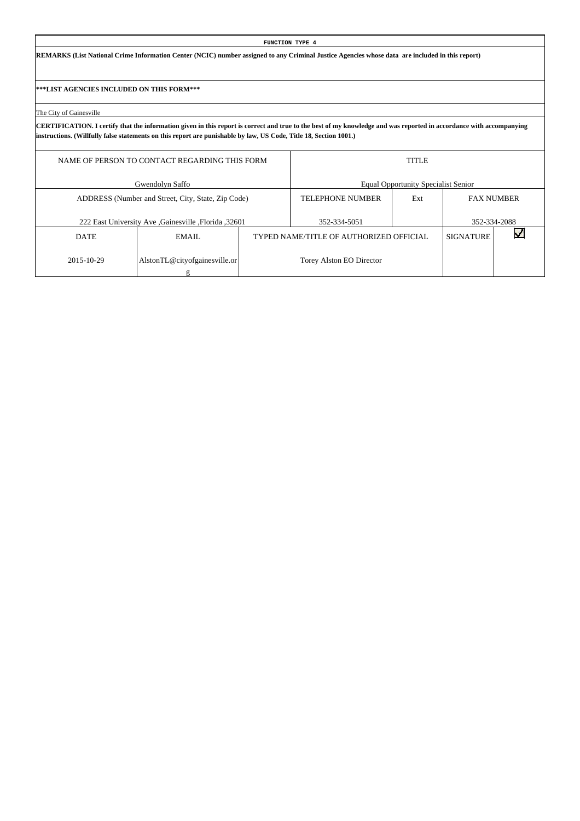**REMARKS (List National Crime Information Center (NCIC) number assigned to any Criminal Justice Agencies whose data are included in this report)**

**\*\*\*LIST AGENCIES INCLUDED ON THIS FORM\*\*\***

The City of Gainesville

|             | NAME OF PERSON TO CONTACT REGARDING THIS FORM       |                                         | <b>TITLE</b>                               |                   |              |
|-------------|-----------------------------------------------------|-----------------------------------------|--------------------------------------------|-------------------|--------------|
|             | Gwendolyn Saffo                                     |                                         | <b>Equal Opportunity Specialist Senior</b> |                   |              |
|             | ADDRESS (Number and Street, City, State, Zip Code)  | <b>TELEPHONE NUMBER</b>                 | Ext                                        | <b>FAX NUMBER</b> |              |
|             | 222 East University Ave Gainesville , Florida 32601 | 352-334-5051                            |                                            |                   | 352-334-2088 |
| <b>DATE</b> | EMAIL.                                              | TYPED NAME/TITLE OF AUTHORIZED OFFICIAL |                                            | <b>SIGNATURE</b>  |              |
| 2015-10-29  | AlstonTL@cityofgainesville.or                       | Torey Alston EO Director                |                                            |                   |              |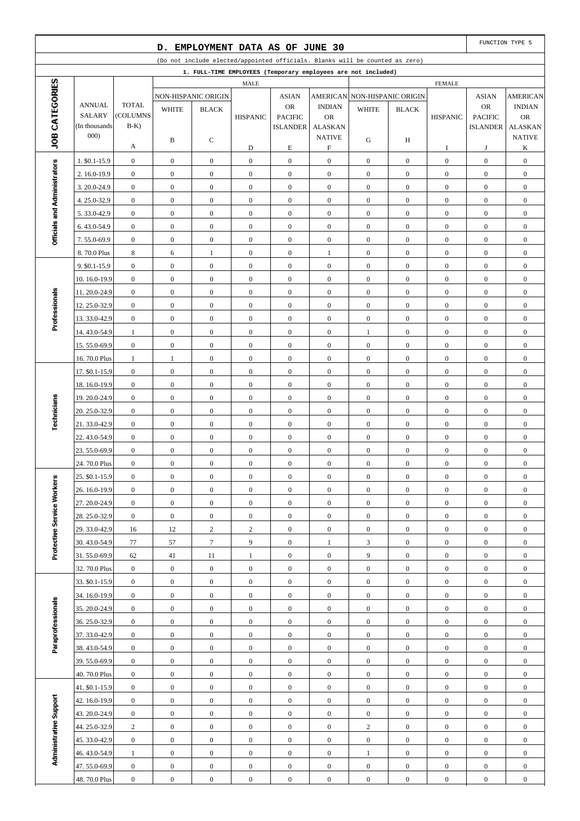|                              |                                |                                      | D.                                   |                                      |                                  | EMPLOYMENT DATA AS OF JUNE 30        |                                      |                                                                              |                                      |                                      |                                      | FUNCTION TYPE 5                      |
|------------------------------|--------------------------------|--------------------------------------|--------------------------------------|--------------------------------------|----------------------------------|--------------------------------------|--------------------------------------|------------------------------------------------------------------------------|--------------------------------------|--------------------------------------|--------------------------------------|--------------------------------------|
|                              |                                |                                      |                                      |                                      |                                  |                                      |                                      | (Do not include elected/appointed officials. Blanks will be counted as zero) |                                      |                                      |                                      |                                      |
|                              |                                |                                      |                                      |                                      |                                  |                                      |                                      | 1. FULL-TIME EMPLOYEES (Temporary employees are not included)                |                                      |                                      |                                      |                                      |
| JOB CATEGORIES               |                                |                                      |                                      |                                      | MALE                             |                                      |                                      |                                                                              |                                      | <b>FEMALE</b>                        |                                      |                                      |
|                              |                                |                                      |                                      | NON-HISPANIC ORIGIN                  |                                  | <b>ASIAN</b>                         | <b>AMERICAN</b>                      |                                                                              | NON-HISPANIC ORIGIN                  |                                      | <b>ASIAN</b>                         | <b>AMERICAN</b>                      |
|                              | <b>ANNUAL</b><br><b>SALARY</b> | <b>TOTAL</b><br>(COLUMNS             | <b>WHITE</b>                         | <b>BLACK</b>                         | <b>HISPANIC</b>                  | <b>OR</b><br><b>PACIFIC</b>          | <b>INDIAN</b><br><b>OR</b>           | <b>WHITE</b>                                                                 | <b>BLACK</b>                         | <b>HISPANIC</b>                      | OR<br><b>PACIFIC</b>                 | <b>INDIAN</b><br><b>OR</b>           |
|                              | (In thousands)                 | $B-K$ )                              |                                      |                                      |                                  | <b>ISLANDER</b>                      | <b>ALASKAN</b>                       |                                                                              |                                      |                                      | <b>ISLANDER</b>                      | <b>ALASKAN</b>                       |
|                              | 000)                           |                                      | B                                    | С                                    |                                  |                                      | <b>NATIVE</b>                        | G                                                                            | H                                    |                                      |                                      | <b>NATIVE</b>                        |
|                              |                                | А                                    |                                      |                                      | D                                | $\mathbf E$                          | $\boldsymbol{\mathrm{F}}$            |                                                                              |                                      | I                                    | J                                    | K                                    |
|                              | 1. \$0.1-15.9                  | $\boldsymbol{0}$                     | $\mathbf{0}$                         | $\boldsymbol{0}$                     | $\mathbf{0}$                     | $\boldsymbol{0}$                     | $\boldsymbol{0}$                     | $\mathbf{0}$                                                                 | $\mathbf{0}$                         | $\boldsymbol{0}$                     | $\boldsymbol{0}$                     | $\boldsymbol{0}$                     |
|                              | 2. 16.0-19.9                   | $\boldsymbol{0}$                     | $\boldsymbol{0}$                     | $\mathbf{0}$                         | $\boldsymbol{0}$                 | $\boldsymbol{0}$                     | $\boldsymbol{0}$                     | $\mathbf{0}$                                                                 | $\overline{0}$                       | $\mathbf{0}$                         | $\boldsymbol{0}$                     | $\boldsymbol{0}$                     |
|                              | 3.20.0-24.9                    | $\boldsymbol{0}$                     | $\boldsymbol{0}$                     | $\mathbf{0}$                         | $\mathbf{0}$                     | $\boldsymbol{0}$                     | $\boldsymbol{0}$                     | $\boldsymbol{0}$                                                             | $\mathbf{0}$                         | $\boldsymbol{0}$                     | $\boldsymbol{0}$                     | $\boldsymbol{0}$                     |
|                              | 4.25.0-32.9                    | $\boldsymbol{0}$                     | $\boldsymbol{0}$                     | $\boldsymbol{0}$                     | $\boldsymbol{0}$                 | $\boldsymbol{0}$                     | $\boldsymbol{0}$                     | $\mathbf{0}$                                                                 | $\overline{0}$                       | $\boldsymbol{0}$                     | $\boldsymbol{0}$                     | $\boldsymbol{0}$                     |
| Officials and Administrators | 5.33.0-42.9                    | $\boldsymbol{0}$                     | $\boldsymbol{0}$                     | $\boldsymbol{0}$                     | $\boldsymbol{0}$                 | $\boldsymbol{0}$                     | $\boldsymbol{0}$                     | $\mathbf{0}$                                                                 | $\mathbf{0}$                         | $\boldsymbol{0}$                     | $\boldsymbol{0}$                     | $\boldsymbol{0}$                     |
|                              | 6.43.0-54.9                    | $\boldsymbol{0}$                     | $\boldsymbol{0}$                     | $\boldsymbol{0}$                     | $\boldsymbol{0}$                 | $\boldsymbol{0}$                     | $\boldsymbol{0}$                     | $\mathbf{0}$                                                                 | $\mathbf{0}$                         | $\boldsymbol{0}$                     | $\boldsymbol{0}$                     | $\boldsymbol{0}$                     |
|                              | 7.55.0-69.9                    | $\boldsymbol{0}$                     | $\boldsymbol{0}$                     | $\mathbf{0}$                         | $\mathbf{0}$                     | $\boldsymbol{0}$                     | $\boldsymbol{0}$                     | $\boldsymbol{0}$                                                             | $\mathbf{0}$                         | $\boldsymbol{0}$                     | $\boldsymbol{0}$                     | $\boldsymbol{0}$                     |
|                              | 8.70.0 Plus                    | $\,$ 8 $\,$                          | 6                                    | $\mathbf{1}$                         | $\boldsymbol{0}$                 | $\boldsymbol{0}$                     | $\mathbf{1}$                         | $\mathbf{0}$                                                                 | $\overline{0}$                       | $\boldsymbol{0}$                     | $\boldsymbol{0}$                     | $\boldsymbol{0}$                     |
|                              | 9. \$0.1-15.9                  | $\boldsymbol{0}$                     | $\boldsymbol{0}$                     | $\boldsymbol{0}$                     | $\mathbf{0}$                     | $\boldsymbol{0}$                     | $\boldsymbol{0}$                     | $\boldsymbol{0}$                                                             | $\mathbf{0}$                         | $\boldsymbol{0}$                     | $\boldsymbol{0}$                     | $\boldsymbol{0}$                     |
|                              | 10.16.0-19.9                   | $\boldsymbol{0}$                     | $\boldsymbol{0}$                     | $\mathbf{0}$                         | $\boldsymbol{0}$                 | $\boldsymbol{0}$                     | $\boldsymbol{0}$                     | $\mathbf{0}$                                                                 | $\mathbf{0}$                         | $\boldsymbol{0}$                     | $\boldsymbol{0}$                     | $\boldsymbol{0}$                     |
| Professionals                | 11.20.0-24.9                   | $\boldsymbol{0}$                     | $\boldsymbol{0}$                     | $\mathbf{0}$                         | $\boldsymbol{0}$                 | $\boldsymbol{0}$                     | $\boldsymbol{0}$                     | $\boldsymbol{0}$                                                             | $\mathbf{0}$                         | $\boldsymbol{0}$                     | $\boldsymbol{0}$                     | $\boldsymbol{0}$                     |
|                              | 12.25.0-32.9                   | $\boldsymbol{0}$                     | $\boldsymbol{0}$                     | $\boldsymbol{0}$                     | $\boldsymbol{0}$                 | $\boldsymbol{0}$                     | $\boldsymbol{0}$                     | $\mathbf{0}$                                                                 | $\overline{0}$                       | $\boldsymbol{0}$                     | $\boldsymbol{0}$                     | $\boldsymbol{0}$                     |
|                              | 13.33.0-42.9                   | $\boldsymbol{0}$                     | $\boldsymbol{0}$                     | $\boldsymbol{0}$                     | $\boldsymbol{0}$                 | $\boldsymbol{0}$                     | $\boldsymbol{0}$                     | $\mathbf{0}$                                                                 | $\mathbf{0}$                         | $\boldsymbol{0}$                     | $\boldsymbol{0}$                     | $\boldsymbol{0}$                     |
|                              | 14.43.0-54.9                   | $\mathbf{1}$                         | $\boldsymbol{0}$                     | $\boldsymbol{0}$                     | $\boldsymbol{0}$                 | $\boldsymbol{0}$                     | $\boldsymbol{0}$                     | $\mathbf{1}$                                                                 | $\mathbf{0}$                         | $\boldsymbol{0}$                     | $\boldsymbol{0}$                     | $\boldsymbol{0}$                     |
|                              | 15.55.0-69.9                   | $\boldsymbol{0}$                     | $\boldsymbol{0}$                     | $\mathbf{0}$                         | $\boldsymbol{0}$                 | $\boldsymbol{0}$                     | $\boldsymbol{0}$                     | $\boldsymbol{0}$                                                             | $\mathbf{0}$                         | $\boldsymbol{0}$                     | $\boldsymbol{0}$                     | $\boldsymbol{0}$                     |
|                              | 16.70.0 Plus                   | $\mathbf{1}$                         | $\mathbf{1}$                         | $\boldsymbol{0}$                     | $\boldsymbol{0}$                 | $\boldsymbol{0}$                     | $\boldsymbol{0}$                     | $\boldsymbol{0}$                                                             | $\overline{0}$                       | $\boldsymbol{0}$                     | $\boldsymbol{0}$                     | $\boldsymbol{0}$                     |
|                              | 17. \$0.1-15.9                 | $\boldsymbol{0}$<br>$\boldsymbol{0}$ | $\boldsymbol{0}$<br>$\boldsymbol{0}$ | $\boldsymbol{0}$<br>$\mathbf{0}$     | $\mathbf{0}$<br>$\boldsymbol{0}$ | $\boldsymbol{0}$<br>$\boldsymbol{0}$ | $\boldsymbol{0}$<br>$\boldsymbol{0}$ | $\boldsymbol{0}$<br>$\mathbf{0}$                                             | $\mathbf{0}$<br>$\mathbf{0}$         | $\boldsymbol{0}$<br>$\boldsymbol{0}$ | $\boldsymbol{0}$<br>$\boldsymbol{0}$ | $\boldsymbol{0}$<br>$\boldsymbol{0}$ |
|                              | 18.16.0-19.9                   | $\boldsymbol{0}$                     | $\boldsymbol{0}$                     | $\mathbf{0}$                         | $\boldsymbol{0}$                 | $\boldsymbol{0}$                     | $\boldsymbol{0}$                     | $\boldsymbol{0}$                                                             | $\mathbf{0}$                         | $\boldsymbol{0}$                     | $\boldsymbol{0}$                     | $\boldsymbol{0}$                     |
|                              | 19.20.0-24.9<br>20. 25.0-32.9  | $\boldsymbol{0}$                     | $\boldsymbol{0}$                     | $\boldsymbol{0}$                     | $\boldsymbol{0}$                 | $\boldsymbol{0}$                     | $\boldsymbol{0}$                     | $\mathbf{0}$                                                                 | $\overline{0}$                       | $\boldsymbol{0}$                     | $\boldsymbol{0}$                     | $\boldsymbol{0}$                     |
| Technicians                  | 21.33.0-42.9                   | $\boldsymbol{0}$                     | $\boldsymbol{0}$                     | $\boldsymbol{0}$                     | $\boldsymbol{0}$                 | $\boldsymbol{0}$                     | $\boldsymbol{0}$                     | $\boldsymbol{0}$                                                             | $\mathbf{0}$                         | $\boldsymbol{0}$                     | $\boldsymbol{0}$                     | $\boldsymbol{0}$                     |
|                              | 22.43.0-54.9                   | $\boldsymbol{0}$                     | $\boldsymbol{0}$                     | $\boldsymbol{0}$                     | $\boldsymbol{0}$                 | $\boldsymbol{0}$                     | $\boldsymbol{0}$                     | $\boldsymbol{0}$                                                             | $\overline{0}$                       | $\boldsymbol{0}$                     | $\boldsymbol{0}$                     | $\boldsymbol{0}$                     |
|                              | 23.55.0-69.9                   | $\boldsymbol{0}$                     | $\boldsymbol{0}$                     | $\boldsymbol{0}$                     | $\boldsymbol{0}$                 | $\boldsymbol{0}$                     | $\boldsymbol{0}$                     | $\boldsymbol{0}$                                                             | $\overline{0}$                       | $\boldsymbol{0}$                     | $\boldsymbol{0}$                     | $\boldsymbol{0}$                     |
|                              | 24.70.0 Plus                   | $\boldsymbol{0}$                     | $\boldsymbol{0}$                     | $\mathbf{0}$                         | $\boldsymbol{0}$                 | $\boldsymbol{0}$                     | $\boldsymbol{0}$                     | $\boldsymbol{0}$                                                             | $\boldsymbol{0}$                     | $\boldsymbol{0}$                     | $\boldsymbol{0}$                     | $\boldsymbol{0}$                     |
|                              | 25. \$0.1-15.9                 | $\boldsymbol{0}$                     | $\boldsymbol{0}$                     | $\boldsymbol{0}$                     | $\boldsymbol{0}$                 | $\boldsymbol{0}$                     | $\boldsymbol{0}$                     | $\boldsymbol{0}$                                                             | $\boldsymbol{0}$                     | $\boldsymbol{0}$                     | $\boldsymbol{0}$                     | $\boldsymbol{0}$                     |
|                              | 26. 16.0-19.9                  | $\mathbf{0}$                         | $\overline{0}$                       | $\overline{0}$                       | $\boldsymbol{0}$                 | $\mathbf{0}$                         | $\overline{0}$                       | $\mathbf{0}$                                                                 | $\boldsymbol{0}$                     | $\mathbf{0}$                         | $\mathbf{0}$                         | $\mathbf{0}$                         |
|                              | 27.20.0-24.9                   | $\boldsymbol{0}$                     | $\mathbf{0}$                         | $\boldsymbol{0}$                     | $\mathbf{0}$                     | $\boldsymbol{0}$                     | $\mathbf{0}$                         | $\boldsymbol{0}$                                                             | $\boldsymbol{0}$                     | $\boldsymbol{0}$                     | $\mathbf{0}$                         | $\boldsymbol{0}$                     |
|                              | 28.25.0-32.9                   | $\boldsymbol{0}$                     | $\mathbf{0}$                         | $\boldsymbol{0}$                     | $\boldsymbol{0}$                 | $\boldsymbol{0}$                     | $\mathbf{0}$                         | $\mathbf{0}$                                                                 | $\boldsymbol{0}$                     | $\boldsymbol{0}$                     | $\boldsymbol{0}$                     | $\boldsymbol{0}$                     |
| Protective Service Workers   | 29.33.0-42.9                   | 16                                   | $12\,$                               | $\overline{c}$                       | $\overline{c}$                   | $\boldsymbol{0}$                     | $\mathbf{0}$                         | $\boldsymbol{0}$                                                             | $\boldsymbol{0}$                     | $\boldsymbol{0}$                     | $\boldsymbol{0}$                     | $\boldsymbol{0}$                     |
|                              | 30.43.0-54.9                   | 77                                   | 57                                   | $7\phantom{.0}$                      | $\overline{9}$                   | $\boldsymbol{0}$                     | $1\,$                                | 3                                                                            | $\boldsymbol{0}$                     | $\boldsymbol{0}$                     | $\boldsymbol{0}$                     | $\boldsymbol{0}$                     |
|                              | 31.55.0-69.9                   | 62                                   | 41                                   | $11\,$                               | $\mathbf{1}$                     | $\boldsymbol{0}$                     | $\boldsymbol{0}$                     | 9                                                                            | $\boldsymbol{0}$                     | $\boldsymbol{0}$                     | $\boldsymbol{0}$                     | $\boldsymbol{0}$                     |
|                              | 32.70.0 Plus                   | $\boldsymbol{0}$                     | $\mathbf{0}$                         | $\boldsymbol{0}$                     | $\boldsymbol{0}$                 | $\boldsymbol{0}$                     | $\boldsymbol{0}$                     | $\boldsymbol{0}$                                                             | $\boldsymbol{0}$                     | $\boldsymbol{0}$                     | $\boldsymbol{0}$                     | $\boldsymbol{0}$                     |
|                              | 33. \$0.1-15.9                 | $\boldsymbol{0}$                     | $\boldsymbol{0}$                     | $\boldsymbol{0}$                     | $\boldsymbol{0}$                 | $\boldsymbol{0}$                     | $\mathbf{0}$                         | $\boldsymbol{0}$                                                             | $\boldsymbol{0}$                     | $\boldsymbol{0}$                     | $\boldsymbol{0}$                     | $\boldsymbol{0}$                     |
|                              | 34. 16.0-19.9                  | $\boldsymbol{0}$                     | $\mathbf{0}$                         | $\boldsymbol{0}$                     | $\boldsymbol{0}$                 | $\boldsymbol{0}$                     | $\boldsymbol{0}$                     | $\mathbf{0}$                                                                 | $\boldsymbol{0}$                     | $\boldsymbol{0}$                     | $\boldsymbol{0}$                     | $\boldsymbol{0}$                     |
| Paraprofessionals            | 35.20.0-24.9                   | $\boldsymbol{0}$                     | $\mathbf{0}$                         | $\boldsymbol{0}$                     | $\mathbf{0}$                     | $\boldsymbol{0}$                     | $\mathbf{0}$                         | $\boldsymbol{0}$                                                             | $\boldsymbol{0}$                     | $\boldsymbol{0}$                     | $\mathbf{0}$                         | $\boldsymbol{0}$                     |
|                              | 36.25.0-32.9                   | $\boldsymbol{0}$                     | $\boldsymbol{0}$                     | $\boldsymbol{0}$                     | $\boldsymbol{0}$                 | $\boldsymbol{0}$                     | $\mathbf{0}$                         | $\mathbf{0}$                                                                 | $\boldsymbol{0}$                     | $\boldsymbol{0}$                     | $\boldsymbol{0}$                     | $\boldsymbol{0}$                     |
|                              | 37.33.0-42.9                   | $\boldsymbol{0}$                     | $\mathbf{0}$                         | $\boldsymbol{0}$                     | $\boldsymbol{0}$                 | $\boldsymbol{0}$                     | $\mathbf{0}$                         | $\boldsymbol{0}$                                                             | $\boldsymbol{0}$                     | $\boldsymbol{0}$                     | $\boldsymbol{0}$                     | $\boldsymbol{0}$                     |
|                              | 38.43.0-54.9                   | $\boldsymbol{0}$                     | $\mathbf{0}$                         | $\mathbf{0}$                         | $\boldsymbol{0}$                 | $\boldsymbol{0}$                     | $\mathbf{0}$                         | $\boldsymbol{0}$                                                             | $\boldsymbol{0}$                     | $\boldsymbol{0}$                     | $\boldsymbol{0}$                     | $\boldsymbol{0}$                     |
|                              | 39.55.0-69.9                   | $\boldsymbol{0}$                     | $\boldsymbol{0}$                     | $\boldsymbol{0}$                     | $\mathbf{0}$                     | $\boldsymbol{0}$                     | $\boldsymbol{0}$                     | $\boldsymbol{0}$                                                             | $\boldsymbol{0}$                     | $\boldsymbol{0}$                     | $\mathbf{0}$                         | $\boldsymbol{0}$                     |
|                              | 40.70.0 Plus                   | $\boldsymbol{0}$                     | $\mathbf{0}$                         | $\mathbf{0}$                         | $\boldsymbol{0}$                 | $\boldsymbol{0}$                     | $\boldsymbol{0}$                     | $\boldsymbol{0}$                                                             | $\boldsymbol{0}$                     | $\boldsymbol{0}$                     | $\boldsymbol{0}$                     | $\boldsymbol{0}$                     |
|                              | 41. \$0.1-15.9                 | $\boldsymbol{0}$                     | $\boldsymbol{0}$                     | $\boldsymbol{0}$                     | $\boldsymbol{0}$                 | $\boldsymbol{0}$                     | $\mathbf{0}$                         | $\boldsymbol{0}$                                                             | $\boldsymbol{0}$                     | $\boldsymbol{0}$                     | $\boldsymbol{0}$                     | $\boldsymbol{0}$                     |
| Administrative Support       | 42. 16.0-19.9                  | $\boldsymbol{0}$                     | $\mathbf{0}$                         | $\boldsymbol{0}$                     | $\boldsymbol{0}$                 | $\boldsymbol{0}$                     | $\boldsymbol{0}$                     | $\boldsymbol{0}$                                                             | $\boldsymbol{0}$                     | $\boldsymbol{0}$                     | $\boldsymbol{0}$                     | $\boldsymbol{0}$                     |
|                              | 43.20.0-24.9                   | $\boldsymbol{0}$                     | $\boldsymbol{0}$                     | $\boldsymbol{0}$                     | $\mathbf{0}$                     | $\boldsymbol{0}$                     | $\mathbf{0}$                         | $\boldsymbol{0}$                                                             | $\boldsymbol{0}$                     | $\boldsymbol{0}$                     | $\mathbf{0}$                         | $\boldsymbol{0}$                     |
|                              | 44.25.0-32.9                   | $\overline{c}$                       | $\boldsymbol{0}$                     | $\boldsymbol{0}$                     | $\boldsymbol{0}$                 | $\boldsymbol{0}$                     | $\boldsymbol{0}$                     | $\overline{2}$                                                               | $\boldsymbol{0}$                     | $\boldsymbol{0}$                     | $\boldsymbol{0}$                     | $\boldsymbol{0}$                     |
|                              | 45.33.0-42.9                   | $\boldsymbol{0}$                     | $\mathbf{0}$                         | $\boldsymbol{0}$                     | $\boldsymbol{0}$                 | $\boldsymbol{0}$                     | $\mathbf{0}$                         | $\boldsymbol{0}$                                                             | $\boldsymbol{0}$                     | $\boldsymbol{0}$                     | $\boldsymbol{0}$                     | $\boldsymbol{0}$                     |
|                              | 46.43.0-54.9                   | $\mathbf{1}$                         | $\mathbf{0}$                         | $\mathbf{0}$                         | $\boldsymbol{0}$                 | $\boldsymbol{0}$                     | $\mathbf{0}$                         | $\mathbf{1}$                                                                 | $\boldsymbol{0}$                     | $\boldsymbol{0}$                     | $\boldsymbol{0}$                     | $\boldsymbol{0}$                     |
|                              | 47.55.0-69.9<br>48.70.0 Plus   | $\boldsymbol{0}$<br>$\boldsymbol{0}$ | $\boldsymbol{0}$<br>$\boldsymbol{0}$ | $\boldsymbol{0}$<br>$\boldsymbol{0}$ | $\mathbf{0}$<br>$\mathbf{0}$     | $\boldsymbol{0}$<br>$\boldsymbol{0}$ | $\boldsymbol{0}$<br>$\boldsymbol{0}$ | $\boldsymbol{0}$<br>$\boldsymbol{0}$                                         | $\boldsymbol{0}$<br>$\boldsymbol{0}$ | $\boldsymbol{0}$<br>$\boldsymbol{0}$ | $\boldsymbol{0}$<br>$\boldsymbol{0}$ | $\boldsymbol{0}$<br>$\boldsymbol{0}$ |
|                              |                                |                                      |                                      |                                      |                                  |                                      |                                      |                                                                              |                                      |                                      |                                      |                                      |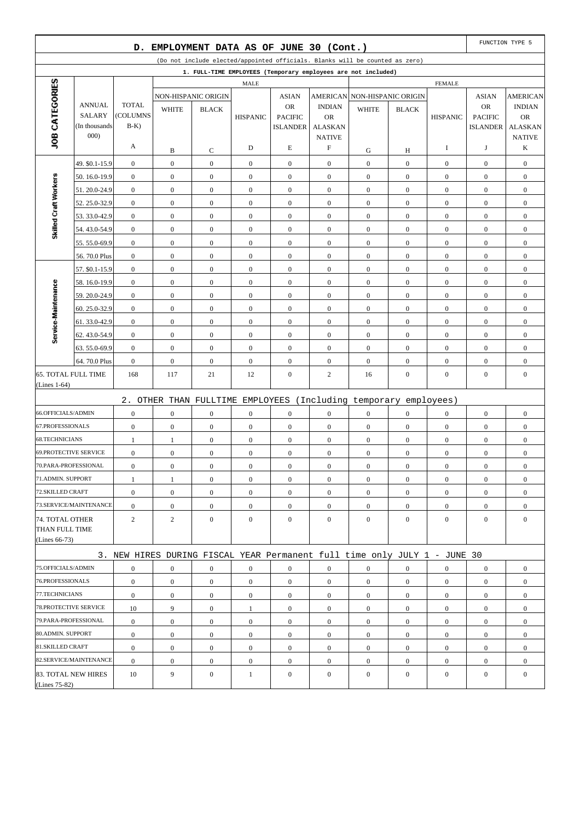|                                   |                                | D.                       |                  | EMPLOYMENT DATA AS OF JUNE 30 (Cont.) |                  |                                   |                                              |                                                                              |                  |                  |                                   | FUNCTION TYPE 5                              |
|-----------------------------------|--------------------------------|--------------------------|------------------|---------------------------------------|------------------|-----------------------------------|----------------------------------------------|------------------------------------------------------------------------------|------------------|------------------|-----------------------------------|----------------------------------------------|
|                                   |                                |                          |                  |                                       |                  |                                   |                                              | (Do not include elected/appointed officials. Blanks will be counted as zero) |                  |                  |                                   |                                              |
|                                   |                                |                          |                  |                                       |                  |                                   |                                              | 1. FULL-TIME EMPLOYEES (Temporary employees are not included)                |                  |                  |                                   |                                              |
|                                   |                                |                          |                  |                                       | <b>MALE</b>      |                                   |                                              |                                                                              |                  | <b>FEMALE</b>    |                                   |                                              |
| JOB CATEGORIES                    | <b>ANNUAL</b><br><b>SALARY</b> | <b>TOTAL</b><br>(COLUMNS | <b>WHITE</b>     | NON-HISPANIC ORIGIN<br><b>BLACK</b>   |                  | <b>ASIAN</b><br><b>OR</b>         | <b>INDIAN</b>                                | AMERICAN NON-HISPANIC ORIGIN<br><b>WHITE</b>                                 | <b>BLACK</b>     |                  | <b>ASIAN</b><br><b>OR</b>         | <b>AMERICAN</b><br><b>INDIAN</b>             |
|                                   | (In thousands<br>000)          | $B-K$                    |                  |                                       | <b>HISPANIC</b>  | <b>PACIFIC</b><br><b>ISLANDER</b> | <b>OR</b><br><b>ALASKAN</b><br><b>NATIVE</b> |                                                                              |                  | <b>HISPANIC</b>  | <b>PACIFIC</b><br><b>ISLANDER</b> | <b>OR</b><br><b>ALASKAN</b><br><b>NATIVE</b> |
|                                   |                                | A                        | B                | C                                     | D                | E                                 | F                                            | G                                                                            | Н                | I                | J                                 | K                                            |
|                                   | 49. \$0.1-15.9                 | $\boldsymbol{0}$         | $\boldsymbol{0}$ | $\boldsymbol{0}$                      | $\boldsymbol{0}$ | $\boldsymbol{0}$                  | $\mathbf{0}$                                 | $\boldsymbol{0}$                                                             | $\boldsymbol{0}$ | $\mathbf{0}$     | $\boldsymbol{0}$                  | $\boldsymbol{0}$                             |
|                                   | 50.16.0-19.9                   | $\boldsymbol{0}$         | $\boldsymbol{0}$ | $\boldsymbol{0}$                      | $\boldsymbol{0}$ | $\boldsymbol{0}$                  | $\mathbf{0}$                                 | $\boldsymbol{0}$                                                             | $\overline{0}$   | $\boldsymbol{0}$ | $\boldsymbol{0}$                  | $\boldsymbol{0}$                             |
| Skilled Craft Workers             | 51.20.0-24.9                   | $\boldsymbol{0}$         | $\boldsymbol{0}$ | $\boldsymbol{0}$                      | $\boldsymbol{0}$ | $\boldsymbol{0}$                  | $\boldsymbol{0}$                             | $\boldsymbol{0}$                                                             | $\mathbf{0}$     | $\boldsymbol{0}$ | $\boldsymbol{0}$                  | $\boldsymbol{0}$                             |
|                                   | 52.25.0-32.9                   | $\mathbf{0}$             | $\boldsymbol{0}$ | $\boldsymbol{0}$                      | $\mathbf{0}$     | $\boldsymbol{0}$                  | $\mathbf{0}$                                 | $\boldsymbol{0}$                                                             | $\overline{0}$   | $\mathbf{0}$     | $\boldsymbol{0}$                  | $\boldsymbol{0}$                             |
|                                   | 53.33.0-42.9                   | $\boldsymbol{0}$         | $\boldsymbol{0}$ | $\boldsymbol{0}$                      | $\boldsymbol{0}$ | $\boldsymbol{0}$                  | $\mathbf{0}$                                 | $\boldsymbol{0}$                                                             | $\boldsymbol{0}$ | $\mathbf{0}$     | $\boldsymbol{0}$                  | $\boldsymbol{0}$                             |
|                                   | 54.43.0-54.9                   | $\mathbf{0}$             | $\boldsymbol{0}$ | $\boldsymbol{0}$                      | $\boldsymbol{0}$ | $\boldsymbol{0}$                  | $\mathbf{0}$                                 | $\boldsymbol{0}$                                                             | $\overline{0}$   | $\mathbf{0}$     | $\boldsymbol{0}$                  | $\boldsymbol{0}$                             |
|                                   | 55.55.0-69.9                   | $\boldsymbol{0}$         | $\boldsymbol{0}$ | $\boldsymbol{0}$                      | $\boldsymbol{0}$ | $\boldsymbol{0}$                  | $\boldsymbol{0}$                             | $\boldsymbol{0}$                                                             | $\boldsymbol{0}$ | $\boldsymbol{0}$ | $\boldsymbol{0}$                  | $\boldsymbol{0}$                             |
|                                   | 56.70.0 Plus                   | $\boldsymbol{0}$         | $\mathbf{0}$     | $\boldsymbol{0}$                      | $\mathbf{0}$     | $\boldsymbol{0}$                  | $\mathbf{0}$                                 | $\boldsymbol{0}$                                                             | $\overline{0}$   | $\boldsymbol{0}$ | $\boldsymbol{0}$                  | $\boldsymbol{0}$                             |
|                                   | 57. \$0.1-15.9                 | $\boldsymbol{0}$         | $\mathbf{0}$     | $\mathbf{0}$                          | $\boldsymbol{0}$ | $\boldsymbol{0}$                  | $\mathbf{0}$                                 | $\boldsymbol{0}$                                                             | $\boldsymbol{0}$ | $\boldsymbol{0}$ | $\boldsymbol{0}$                  | $\boldsymbol{0}$                             |
|                                   | 58.16.0-19.9                   | $\mathbf{0}$             | $\boldsymbol{0}$ | $\boldsymbol{0}$                      | $\boldsymbol{0}$ | $\boldsymbol{0}$                  | $\mathbf{0}$                                 | $\boldsymbol{0}$                                                             | $\overline{0}$   | $\mathbf{0}$     | $\boldsymbol{0}$                  | $\boldsymbol{0}$                             |
|                                   | 59.20.0-24.9                   | $\boldsymbol{0}$         | $\boldsymbol{0}$ | $\boldsymbol{0}$                      | $\boldsymbol{0}$ | $\boldsymbol{0}$                  | $\boldsymbol{0}$                             | $\boldsymbol{0}$                                                             | $\mathbf{0}$     | $\boldsymbol{0}$ | $\boldsymbol{0}$                  | $\boldsymbol{0}$                             |
|                                   | 60.25.0-32.9                   | $\mathbf{0}$             | $\mathbf{0}$     | $\boldsymbol{0}$                      | $\mathbf{0}$     | $\boldsymbol{0}$                  | $\mathbf{0}$                                 | $\boldsymbol{0}$                                                             | $\overline{0}$   | $\mathbf{0}$     | $\boldsymbol{0}$                  | $\boldsymbol{0}$                             |
| Service-Maintenance               | 61.33.0-42.9                   | $\boldsymbol{0}$         | $\boldsymbol{0}$ | $\boldsymbol{0}$                      | $\boldsymbol{0}$ | $\boldsymbol{0}$                  | $\mathbf{0}$                                 | $\boldsymbol{0}$                                                             | $\boldsymbol{0}$ | $\mathbf{0}$     | $\boldsymbol{0}$                  | $\boldsymbol{0}$                             |
|                                   | 62.43.0-54.9                   | $\mathbf{0}$             | $\boldsymbol{0}$ | $\boldsymbol{0}$                      | $\boldsymbol{0}$ | $\boldsymbol{0}$                  | $\mathbf{0}$                                 | $\boldsymbol{0}$                                                             | $\overline{0}$   | $\mathbf{0}$     | $\boldsymbol{0}$                  | $\boldsymbol{0}$                             |
|                                   | 63.55.0-69.9                   | $\boldsymbol{0}$         | $\boldsymbol{0}$ | $\boldsymbol{0}$                      | $\boldsymbol{0}$ | $\boldsymbol{0}$                  | $\mathbf{0}$                                 | $\boldsymbol{0}$                                                             | $\boldsymbol{0}$ | $\mathbf{0}$     | $\boldsymbol{0}$                  | $\boldsymbol{0}$                             |
|                                   | 64.70.0 Plus                   | $\mathbf{0}$             | $\mathbf{0}$     | $\boldsymbol{0}$                      | $\mathbf{0}$     | $\boldsymbol{0}$                  | $\mathbf{0}$                                 | $\boldsymbol{0}$                                                             | $\overline{0}$   | $\boldsymbol{0}$ | $\boldsymbol{0}$                  | $\boldsymbol{0}$                             |
| (Lines $1-64$ )                   | 65. TOTAL FULL TIME            | 168                      | 117              | 21                                    | 12               | $\boldsymbol{0}$                  | 2                                            | 16                                                                           | $\mathbf{0}$     | $\boldsymbol{0}$ | $\boldsymbol{0}$                  | $\boldsymbol{0}$                             |
|                                   |                                |                          |                  |                                       |                  |                                   |                                              | 2. OTHER THAN FULLTIME EMPLOYEES (Including temporary employees)             |                  |                  |                                   |                                              |
| 66.OFFICIALS/ADMIN                |                                | $\boldsymbol{0}$         | $\boldsymbol{0}$ | $\mathbf{0}$                          | $\boldsymbol{0}$ | $\boldsymbol{0}$                  | $\mathbf{0}$                                 | $\boldsymbol{0}$                                                             | $\overline{0}$   | $\mathbf{0}$     | $\boldsymbol{0}$                  | $\boldsymbol{0}$                             |
| 67.PROFESSIONALS                  |                                | $\boldsymbol{0}$         | $\boldsymbol{0}$ | $\boldsymbol{0}$                      | $\boldsymbol{0}$ | $\boldsymbol{0}$                  | $\mathbf{0}$                                 | $\boldsymbol{0}$                                                             | $\boldsymbol{0}$ | $\boldsymbol{0}$ | $\boldsymbol{0}$                  | $\boldsymbol{0}$                             |
| <b>68.TECHNICIANS</b>             |                                | 1                        | 1                | $\boldsymbol{0}$                      | $\boldsymbol{0}$ | $\boldsymbol{0}$                  | $\mathbf{0}$                                 | $\boldsymbol{0}$                                                             | $\overline{0}$   | $\boldsymbol{0}$ | $\boldsymbol{0}$                  | $\boldsymbol{0}$                             |
| <b>69.PROTECTIVE SERVICE</b>      |                                | $\boldsymbol{0}$         | $\boldsymbol{0}$ | $\boldsymbol{0}$                      | $\boldsymbol{0}$ | $\boldsymbol{0}$                  | $\boldsymbol{0}$                             | $\boldsymbol{0}$                                                             | $\boldsymbol{0}$ | $\boldsymbol{0}$ | $\boldsymbol{0}$                  | $\boldsymbol{0}$                             |
| 70.PARA-PROFESSIONAL              |                                | $\boldsymbol{0}$         | $\boldsymbol{0}$ | $\boldsymbol{0}$                      | $\boldsymbol{0}$ | $\boldsymbol{0}$                  | $\mathbf{0}$                                 | $\boldsymbol{0}$                                                             | $\boldsymbol{0}$ | $\boldsymbol{0}$ | $\boldsymbol{0}$                  | $\boldsymbol{0}$                             |
| 71.ADMIN. SUPPORT                 |                                | 1                        | 1                | $\mathbf{0}$                          | $\boldsymbol{0}$ | $\mathbf{0}$                      | $\mathbf{0}$                                 | $\boldsymbol{0}$                                                             | $\overline{0}$   | $\mathbf{0}$     | $\boldsymbol{0}$                  | $\boldsymbol{0}$                             |
| 72.SKILLED CRAFT                  |                                | $\boldsymbol{0}$         | $\mathbf{0}$     | $\boldsymbol{0}$                      | $\overline{0}$   | $\boldsymbol{0}$                  | $\mathbf{0}$                                 | $\boldsymbol{0}$                                                             | $\overline{0}$   | $\mathbf{0}$     | $\boldsymbol{0}$                  | $\boldsymbol{0}$                             |
|                                   | 73.SERVICE/MAINTENANCE         | $\boldsymbol{0}$         | $\boldsymbol{0}$ | $\boldsymbol{0}$                      | $\boldsymbol{0}$ | $\boldsymbol{0}$                  | $\boldsymbol{0}$                             | $\boldsymbol{0}$                                                             | $\boldsymbol{0}$ | $\mathbf{0}$     | $\boldsymbol{0}$                  | $\boldsymbol{0}$                             |
| 74. TOTAL OTHER<br>THAN FULL TIME |                                | $\overline{c}$           | $\overline{c}$   | $\overline{0}$                        | $\mathbf{0}$     | $\boldsymbol{0}$                  | $\overline{0}$                               | $\boldsymbol{0}$                                                             | $\overline{0}$   | $\mathbf{0}$     | $\boldsymbol{0}$                  | $\mathbf{0}$                                 |
| (Lines $66-73$ )                  |                                |                          |                  |                                       |                  |                                   |                                              |                                                                              |                  |                  |                                   |                                              |
|                                   |                                |                          |                  |                                       |                  |                                   |                                              | 3. NEW HIRES DURING FISCAL YEAR Permanent full time only JULY 1 - JUNE 30    |                  |                  |                                   |                                              |
| 75.OFFICIALS/ADMIN                |                                | $\boldsymbol{0}$         | $\boldsymbol{0}$ | $\boldsymbol{0}$                      | $\boldsymbol{0}$ | $\boldsymbol{0}$                  | $\boldsymbol{0}$                             | $\boldsymbol{0}$                                                             | $\boldsymbol{0}$ | $\boldsymbol{0}$ | $\boldsymbol{0}$                  | $\boldsymbol{0}$                             |
| 76.PROFESSIONALS                  |                                | $\boldsymbol{0}$         | $\boldsymbol{0}$ | $\overline{0}$                        | $\boldsymbol{0}$ | $\mathbf{0}$                      | $\overline{0}$                               | $\mathbf{0}$                                                                 | $\boldsymbol{0}$ | $\mathbf{0}$     | $\boldsymbol{0}$                  | $\boldsymbol{0}$                             |
| 77.TECHNICIANS                    |                                | $\mathbf{0}$             | $\mathbf{0}$     | $\overline{0}$                        | $\boldsymbol{0}$ | $\boldsymbol{0}$                  | $\overline{0}$                               | $\mathbf{0}$                                                                 | $\overline{0}$   | $\mathbf{0}$     | $\boldsymbol{0}$                  | $\boldsymbol{0}$                             |
| 78. PROTECTIVE SERVICE            |                                | 10                       | 9                | $\overline{0}$                        | 1                | $\mathbf{0}$                      | $\mathbf{0}$                                 | $\boldsymbol{0}$                                                             | $\overline{0}$   | $\mathbf{0}$     | $\boldsymbol{0}$                  | $\boldsymbol{0}$                             |
| 79.PARA-PROFESSIONAL              |                                | $\boldsymbol{0}$         | $\mathbf{0}$     | $\boldsymbol{0}$                      | $\boldsymbol{0}$ | $\boldsymbol{0}$                  | $\overline{0}$                               | $\boldsymbol{0}$                                                             | $\overline{0}$   | $\mathbf{0}$     | $\boldsymbol{0}$                  | $\boldsymbol{0}$                             |
| 80.ADMIN. SUPPORT                 |                                | $\boldsymbol{0}$         | $\boldsymbol{0}$ | $\overline{0}$                        | $\boldsymbol{0}$ | $\mathbf{0}$                      | $\boldsymbol{0}$                             | $\boldsymbol{0}$                                                             | $\boldsymbol{0}$ | $\mathbf{0}$     | $\boldsymbol{0}$                  | $\overline{0}$                               |
| 81.SKILLED CRAFT                  |                                | $\boldsymbol{0}$         | $\mathbf{0}$     | $\overline{0}$                        | $\overline{0}$   | $\boldsymbol{0}$                  | $\overline{0}$                               | $\boldsymbol{0}$                                                             | $\overline{0}$   | $\mathbf{0}$     | $\boldsymbol{0}$                  | $\overline{0}$                               |
|                                   | 82.SERVICE/MAINTENANCE         | $\boldsymbol{0}$         | $\boldsymbol{0}$ | $\mathbf{0}$                          | $\boldsymbol{0}$ | $\mathbf{0}$                      | $\mathbf{0}$                                 | $\boldsymbol{0}$                                                             | $\overline{0}$   | $\mathbf{0}$     | $\boldsymbol{0}$                  | $\overline{0}$                               |
| (Lines 75-82)                     | 83. TOTAL NEW HIRES            | 10                       | 9                | $\mathbf{0}$                          | $\mathbf{1}$     | $\mathbf{0}$                      | $\mathbf{0}$                                 | $\boldsymbol{0}$                                                             | $\mathbf{0}$     | $\mathbf{0}$     | $\boldsymbol{0}$                  | $\overline{0}$                               |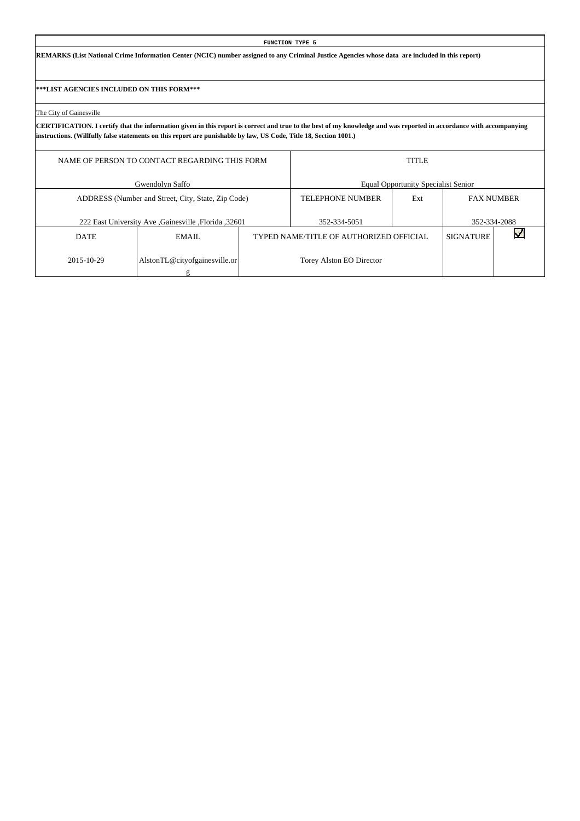**REMARKS (List National Crime Information Center (NCIC) number assigned to any Criminal Justice Agencies whose data are included in this report)**

**\*\*\*LIST AGENCIES INCLUDED ON THIS FORM\*\*\***

The City of Gainesville

|             | NAME OF PERSON TO CONTACT REGARDING THIS FORM       |                                         | <b>TITLE</b>                               |                   |              |
|-------------|-----------------------------------------------------|-----------------------------------------|--------------------------------------------|-------------------|--------------|
|             | Gwendolyn Saffo                                     |                                         | <b>Equal Opportunity Specialist Senior</b> |                   |              |
|             | ADDRESS (Number and Street, City, State, Zip Code)  | <b>TELEPHONE NUMBER</b>                 | Ext                                        | <b>FAX NUMBER</b> |              |
|             | 222 East University Ave Gainesville , Florida 32601 | 352-334-5051                            |                                            |                   | 352-334-2088 |
| <b>DATE</b> | EMAIL.                                              | TYPED NAME/TITLE OF AUTHORIZED OFFICIAL |                                            | <b>SIGNATURE</b>  |              |
| 2015-10-29  | AlstonTL@cityofgainesville.or                       | Torey Alston EO Director                |                                            |                   |              |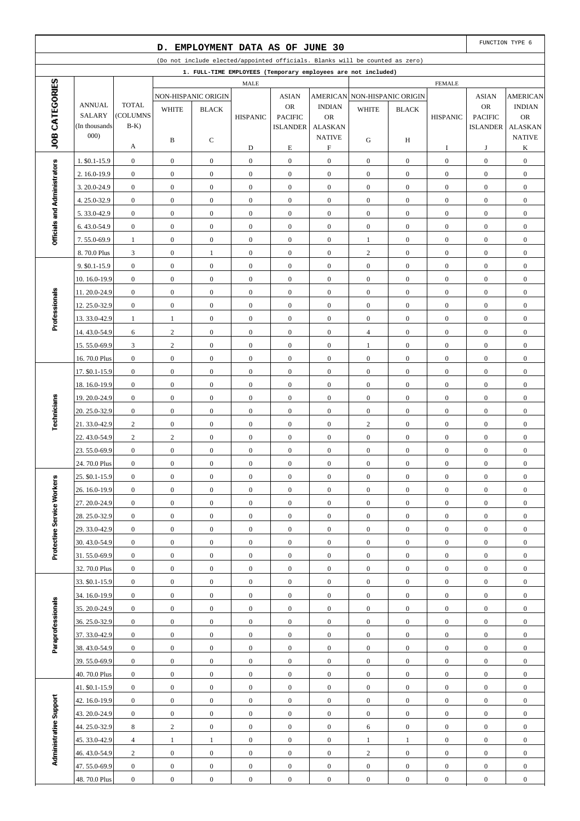|                              |                                |                                      | D.                               | EMPLOYMENT DATA AS OF JUNE 30    |                                      |                                      |                                      |                                                                              |                                      |                                      |                                      | FUNCTION TYPE 6                      |
|------------------------------|--------------------------------|--------------------------------------|----------------------------------|----------------------------------|--------------------------------------|--------------------------------------|--------------------------------------|------------------------------------------------------------------------------|--------------------------------------|--------------------------------------|--------------------------------------|--------------------------------------|
|                              |                                |                                      |                                  |                                  |                                      |                                      |                                      | (Do not include elected/appointed officials. Blanks will be counted as zero) |                                      |                                      |                                      |                                      |
|                              |                                |                                      |                                  |                                  |                                      |                                      |                                      | 1. FULL-TIME EMPLOYEES (Temporary employees are not included)                |                                      |                                      |                                      |                                      |
| JOB CATEGORIES               |                                |                                      |                                  |                                  | MALE                                 |                                      |                                      |                                                                              |                                      | <b>FEMALE</b>                        |                                      |                                      |
|                              |                                |                                      |                                  | NON-HISPANIC ORIGIN              |                                      | <b>ASIAN</b>                         | <b>AMERICAN</b>                      |                                                                              | NON-HISPANIC ORIGIN                  |                                      | <b>ASIAN</b>                         | <b>AMERICAN</b>                      |
|                              | <b>ANNUAL</b><br><b>SALARY</b> | <b>TOTAL</b><br>(COLUMNS             | <b>WHITE</b>                     | <b>BLACK</b>                     | <b>HISPANIC</b>                      | <b>OR</b><br><b>PACIFIC</b>          | <b>INDIAN</b><br><b>OR</b>           | <b>WHITE</b>                                                                 | <b>BLACK</b>                         | <b>HISPANIC</b>                      | OR<br><b>PACIFIC</b>                 | <b>INDIAN</b><br><b>OR</b>           |
|                              | (In thousands)                 | $B-K$ )                              |                                  |                                  |                                      | <b>ISLANDER</b>                      | <b>ALASKAN</b>                       |                                                                              |                                      |                                      | <b>ISLANDER</b>                      | <b>ALASKAN</b>                       |
|                              | 000)                           |                                      | B                                | С                                |                                      |                                      | <b>NATIVE</b>                        | G                                                                            | H                                    |                                      |                                      | <b>NATIVE</b>                        |
|                              |                                | А                                    |                                  |                                  | D                                    | $\mathbf E$                          | $\boldsymbol{\mathrm{F}}$            |                                                                              |                                      | I                                    | J                                    | K                                    |
|                              | 1. \$0.1-15.9                  | $\boldsymbol{0}$                     | $\mathbf{0}$                     | $\boldsymbol{0}$                 | $\mathbf{0}$                         | $\boldsymbol{0}$                     | $\boldsymbol{0}$                     | $\mathbf{0}$                                                                 | $\mathbf{0}$                         | $\boldsymbol{0}$                     | $\boldsymbol{0}$                     | $\boldsymbol{0}$                     |
|                              | 2. 16.0-19.9                   | $\boldsymbol{0}$                     | $\boldsymbol{0}$                 | $\mathbf{0}$                     | $\boldsymbol{0}$                     | $\boldsymbol{0}$                     | $\boldsymbol{0}$                     | $\mathbf{0}$                                                                 | $\overline{0}$                       | $\mathbf{0}$                         | $\boldsymbol{0}$                     | $\overline{0}$                       |
|                              | 3.20.0-24.9                    | $\boldsymbol{0}$                     | $\boldsymbol{0}$                 | $\mathbf{0}$                     | $\mathbf{0}$                         | $\boldsymbol{0}$                     | $\boldsymbol{0}$                     | $\boldsymbol{0}$                                                             | $\mathbf{0}$                         | $\boldsymbol{0}$                     | $\boldsymbol{0}$                     | $\boldsymbol{0}$                     |
|                              | 4.25.0-32.9                    | $\boldsymbol{0}$                     | $\boldsymbol{0}$                 | $\boldsymbol{0}$                 | $\boldsymbol{0}$                     | $\boldsymbol{0}$                     | $\boldsymbol{0}$                     | $\mathbf{0}$                                                                 | $\overline{0}$                       | $\boldsymbol{0}$                     | $\boldsymbol{0}$                     | $\boldsymbol{0}$                     |
| Officials and Administrators | 5.33.0-42.9                    | $\boldsymbol{0}$                     | $\boldsymbol{0}$                 | $\boldsymbol{0}$                 | $\boldsymbol{0}$                     | $\boldsymbol{0}$                     | $\boldsymbol{0}$                     | $\mathbf{0}$                                                                 | $\mathbf{0}$                         | $\boldsymbol{0}$                     | $\boldsymbol{0}$                     | $\boldsymbol{0}$                     |
|                              | 6.43.0-54.9                    | $\boldsymbol{0}$                     | $\boldsymbol{0}$                 | $\boldsymbol{0}$                 | $\boldsymbol{0}$                     | $\boldsymbol{0}$                     | $\boldsymbol{0}$                     | $\boldsymbol{0}$                                                             | $\mathbf{0}$                         | $\boldsymbol{0}$                     | $\boldsymbol{0}$                     | $\boldsymbol{0}$                     |
|                              | 7.55.0-69.9                    | $\mathbf{1}$                         | $\boldsymbol{0}$                 | $\mathbf{0}$                     | $\mathbf{0}$                         | $\boldsymbol{0}$                     | $\boldsymbol{0}$                     | $\mathbf{1}$                                                                 | $\mathbf{0}$                         | $\boldsymbol{0}$                     | $\boldsymbol{0}$                     | $\boldsymbol{0}$                     |
|                              | 8.70.0 Plus                    | $\mathfrak{Z}$                       | $\boldsymbol{0}$                 | $\mathbf{1}$                     | $\boldsymbol{0}$                     | $\boldsymbol{0}$                     | $\boldsymbol{0}$                     | $\overline{c}$                                                               | $\overline{0}$                       | $\boldsymbol{0}$                     | $\boldsymbol{0}$                     | $\boldsymbol{0}$                     |
|                              | 9. \$0.1-15.9                  | $\boldsymbol{0}$                     | $\boldsymbol{0}$                 | $\boldsymbol{0}$                 | $\mathbf{0}$                         | $\boldsymbol{0}$                     | $\boldsymbol{0}$                     | $\boldsymbol{0}$                                                             | $\mathbf{0}$                         | $\boldsymbol{0}$                     | $\boldsymbol{0}$                     | $\boldsymbol{0}$                     |
|                              | 10.16.0-19.9                   | $\boldsymbol{0}$                     | $\boldsymbol{0}$                 | $\mathbf{0}$                     | $\boldsymbol{0}$                     | $\boldsymbol{0}$                     | $\boldsymbol{0}$                     | $\mathbf{0}$                                                                 | $\mathbf{0}$                         | $\boldsymbol{0}$                     | $\boldsymbol{0}$                     | $\boldsymbol{0}$                     |
| Professionals                | 11.20.0-24.9                   | $\boldsymbol{0}$                     | $\boldsymbol{0}$                 | $\mathbf{0}$                     | $\boldsymbol{0}$                     | $\boldsymbol{0}$                     | $\boldsymbol{0}$                     | $\boldsymbol{0}$                                                             | $\mathbf{0}$                         | $\boldsymbol{0}$                     | $\boldsymbol{0}$                     | $\boldsymbol{0}$                     |
|                              | 12.25.0-32.9                   | $\boldsymbol{0}$                     | $\boldsymbol{0}$                 | $\boldsymbol{0}$                 | $\boldsymbol{0}$                     | $\boldsymbol{0}$                     | $\boldsymbol{0}$                     | $\mathbf{0}$                                                                 | $\overline{0}$                       | $\boldsymbol{0}$                     | $\boldsymbol{0}$                     | $\boldsymbol{0}$                     |
|                              | 13.33.0-42.9                   | 1                                    | $\mathbf{1}$                     | $\boldsymbol{0}$                 | $\boldsymbol{0}$                     | $\boldsymbol{0}$                     | $\boldsymbol{0}$                     | $\boldsymbol{0}$                                                             | $\mathbf{0}$                         | $\boldsymbol{0}$                     | $\boldsymbol{0}$                     | $\boldsymbol{0}$                     |
|                              | 14.43.0-54.9                   | 6<br>3                               | $\sqrt{2}$<br>$\mathbf{2}$       | $\boldsymbol{0}$<br>$\mathbf{0}$ | $\boldsymbol{0}$<br>$\boldsymbol{0}$ | $\boldsymbol{0}$<br>$\boldsymbol{0}$ | $\boldsymbol{0}$<br>$\boldsymbol{0}$ | $\overline{4}$<br>$\mathbf{1}$                                               | $\mathbf{0}$<br>$\mathbf{0}$         | $\boldsymbol{0}$<br>$\boldsymbol{0}$ | $\boldsymbol{0}$<br>$\boldsymbol{0}$ | $\boldsymbol{0}$                     |
|                              | 15.55.0-69.9<br>16.70.0 Plus   | $\boldsymbol{0}$                     | $\boldsymbol{0}$                 | $\boldsymbol{0}$                 | $\boldsymbol{0}$                     | $\boldsymbol{0}$                     | $\boldsymbol{0}$                     | $\boldsymbol{0}$                                                             | $\overline{0}$                       | $\boldsymbol{0}$                     | $\boldsymbol{0}$                     | $\boldsymbol{0}$<br>$\boldsymbol{0}$ |
|                              | 17. \$0.1-15.9                 | $\boldsymbol{0}$                     | $\boldsymbol{0}$                 | $\boldsymbol{0}$                 | $\mathbf{0}$                         | $\boldsymbol{0}$                     | $\boldsymbol{0}$                     | $\boldsymbol{0}$                                                             | $\mathbf{0}$                         | $\boldsymbol{0}$                     | $\boldsymbol{0}$                     | $\boldsymbol{0}$                     |
|                              | 18.16.0-19.9                   | $\boldsymbol{0}$                     | $\boldsymbol{0}$                 | $\mathbf{0}$                     | $\boldsymbol{0}$                     | $\boldsymbol{0}$                     | $\boldsymbol{0}$                     | $\mathbf{0}$                                                                 | $\mathbf{0}$                         | $\boldsymbol{0}$                     | $\boldsymbol{0}$                     | $\boldsymbol{0}$                     |
|                              | 19.20.0-24.9                   | $\boldsymbol{0}$                     | $\boldsymbol{0}$                 | $\mathbf{0}$                     | $\boldsymbol{0}$                     | $\boldsymbol{0}$                     | $\boldsymbol{0}$                     | $\boldsymbol{0}$                                                             | $\mathbf{0}$                         | $\boldsymbol{0}$                     | $\boldsymbol{0}$                     | $\boldsymbol{0}$                     |
|                              | 20. 25.0-32.9                  | $\boldsymbol{0}$                     | $\boldsymbol{0}$                 | $\boldsymbol{0}$                 | $\boldsymbol{0}$                     | $\boldsymbol{0}$                     | $\boldsymbol{0}$                     | $\mathbf{0}$                                                                 | $\overline{0}$                       | $\boldsymbol{0}$                     | $\boldsymbol{0}$                     | $\boldsymbol{0}$                     |
| Technicians                  | 21.33.0-42.9                   | $\overline{c}$                       | $\boldsymbol{0}$                 | $\boldsymbol{0}$                 | $\boldsymbol{0}$                     | $\boldsymbol{0}$                     | $\boldsymbol{0}$                     | $\overline{c}$                                                               | $\mathbf{0}$                         | $\boldsymbol{0}$                     | $\boldsymbol{0}$                     | $\boldsymbol{0}$                     |
|                              | 22.43.0-54.9                   | $\sqrt{2}$                           | $\sqrt{2}$                       | $\boldsymbol{0}$                 | $\boldsymbol{0}$                     | $\boldsymbol{0}$                     | $\boldsymbol{0}$                     | $\boldsymbol{0}$                                                             | $\overline{0}$                       | $\boldsymbol{0}$                     | $\boldsymbol{0}$                     | $\boldsymbol{0}$                     |
|                              | 23.55.0-69.9                   | $\boldsymbol{0}$                     | $\boldsymbol{0}$                 | $\boldsymbol{0}$                 | $\boldsymbol{0}$                     | $\boldsymbol{0}$                     | $\boldsymbol{0}$                     | $\boldsymbol{0}$                                                             | $\overline{0}$                       | $\boldsymbol{0}$                     | $\boldsymbol{0}$                     | $\boldsymbol{0}$                     |
|                              | 24.70.0 Plus                   | $\boldsymbol{0}$                     | $\boldsymbol{0}$                 | $\mathbf{0}$                     | $\boldsymbol{0}$                     | $\boldsymbol{0}$                     | $\boldsymbol{0}$                     | $\boldsymbol{0}$                                                             | $\boldsymbol{0}$                     | $\boldsymbol{0}$                     | $\boldsymbol{0}$                     | $\boldsymbol{0}$                     |
|                              | 25. \$0.1-15.9                 | $\boldsymbol{0}$                     | $\boldsymbol{0}$                 | $\boldsymbol{0}$                 | $\boldsymbol{0}$                     | $\boldsymbol{0}$                     | $\boldsymbol{0}$                     | $\boldsymbol{0}$                                                             | $\boldsymbol{0}$                     | $\boldsymbol{0}$                     | $\boldsymbol{0}$                     | $\boldsymbol{0}$                     |
|                              | 26. 16.0-19.9                  | $\mathbf{0}$                         | $\overline{0}$                   | $\overline{0}$                   | $\boldsymbol{0}$                     | $\mathbf{0}$                         | $\overline{0}$                       | $\mathbf{0}$                                                                 | $\overline{0}$                       | $\mathbf{0}$                         | $\mathbf{0}$                         | $\mathbf{0}$                         |
|                              | 27.20.0-24.9                   | $\boldsymbol{0}$                     | $\boldsymbol{0}$                 | $\boldsymbol{0}$                 | $\mathbf{0}$                         | $\boldsymbol{0}$                     | $\mathbf{0}$                         | $\boldsymbol{0}$                                                             | $\boldsymbol{0}$                     | $\boldsymbol{0}$                     | $\mathbf{0}$                         | $\boldsymbol{0}$                     |
| Protective Service Workers   | 28.25.0-32.9                   | $\boldsymbol{0}$                     | $\boldsymbol{0}$                 | $\boldsymbol{0}$                 | $\boldsymbol{0}$                     | $\boldsymbol{0}$                     | $\mathbf{0}$                         | $\mathbf{0}$                                                                 | $\boldsymbol{0}$                     | $\boldsymbol{0}$                     | $\boldsymbol{0}$                     | $\boldsymbol{0}$                     |
|                              | 29.33.0-42.9                   | $\boldsymbol{0}$                     | $\boldsymbol{0}$                 | $\boldsymbol{0}$                 | $\boldsymbol{0}$                     | $\boldsymbol{0}$                     | $\mathbf{0}$                         | $\boldsymbol{0}$                                                             | $\boldsymbol{0}$                     | $\boldsymbol{0}$                     | $\boldsymbol{0}$                     | $\boldsymbol{0}$                     |
|                              | 30.43.0-54.9                   | $\boldsymbol{0}$                     | $\mathbf{0}$                     | $\mathbf{0}$                     | $\boldsymbol{0}$                     | $\boldsymbol{0}$                     | $\mathbf{0}$                         | $\mathbf{0}$                                                                 | $\boldsymbol{0}$                     | $\boldsymbol{0}$                     | $\boldsymbol{0}$                     | $\boldsymbol{0}$                     |
|                              | 31.55.0-69.9                   | $\boldsymbol{0}$                     | $\boldsymbol{0}$                 | $\boldsymbol{0}$                 | $\mathbf{0}$                         | $\boldsymbol{0}$                     | $\boldsymbol{0}$                     | $\boldsymbol{0}$                                                             | $\boldsymbol{0}$                     | $\boldsymbol{0}$                     | $\mathbf{0}$                         | $\boldsymbol{0}$                     |
|                              | 32.70.0 Plus                   | $\boldsymbol{0}$                     | $\mathbf{0}$                     | $\mathbf{0}$                     | $\boldsymbol{0}$                     | $\boldsymbol{0}$                     | $\mathbf{0}$                         | $\boldsymbol{0}$                                                             | $\boldsymbol{0}$                     | $\boldsymbol{0}$                     | $\boldsymbol{0}$                     | $\boldsymbol{0}$                     |
|                              | 33. \$0.1-15.9                 | $\boldsymbol{0}$                     | $\mathbf{0}$                     | $\boldsymbol{0}$                 | $\boldsymbol{0}$                     | $\boldsymbol{0}$                     | $\mathbf{0}$                         | $\boldsymbol{0}$                                                             | $\boldsymbol{0}$                     | $\boldsymbol{0}$                     | $\boldsymbol{0}$                     | $\boldsymbol{0}$                     |
|                              | 34. 16.0-19.9                  | $\boldsymbol{0}$                     | $\mathbf{0}$                     | $\boldsymbol{0}$                 | $\boldsymbol{0}$                     | $\boldsymbol{0}$                     | $\boldsymbol{0}$                     | $\mathbf{0}$                                                                 | $\boldsymbol{0}$                     | $\boldsymbol{0}$                     | $\boldsymbol{0}$                     | $\boldsymbol{0}$                     |
| Paraprofessionals            | 35.20.0-24.9                   | $\boldsymbol{0}$                     | $\boldsymbol{0}$                 | $\boldsymbol{0}$                 | $\mathbf{0}$                         | $\boldsymbol{0}$                     | $\mathbf{0}$                         | $\boldsymbol{0}$                                                             | $\boldsymbol{0}$                     | $\boldsymbol{0}$                     | $\mathbf{0}$                         | $\boldsymbol{0}$                     |
|                              | 36.25.0-32.9                   | $\boldsymbol{0}$                     | $\boldsymbol{0}$                 | $\boldsymbol{0}$                 | $\boldsymbol{0}$                     | $\boldsymbol{0}$                     | $\mathbf{0}$                         | $\mathbf{0}$                                                                 | $\boldsymbol{0}$                     | $\boldsymbol{0}$                     | $\boldsymbol{0}$                     | $\boldsymbol{0}$                     |
|                              | 37.33.0-42.9                   | $\boldsymbol{0}$                     | $\mathbf{0}$                     | $\boldsymbol{0}$                 | $\boldsymbol{0}$                     | $\boldsymbol{0}$                     | $\mathbf{0}$                         | $\boldsymbol{0}$                                                             | $\boldsymbol{0}$                     | $\boldsymbol{0}$                     | $\boldsymbol{0}$                     | $\boldsymbol{0}$                     |
|                              | 38.43.0-54.9                   | $\boldsymbol{0}$                     | $\mathbf{0}$                     | $\mathbf{0}$                     | $\boldsymbol{0}$                     | $\boldsymbol{0}$                     | $\mathbf{0}$                         | $\boldsymbol{0}$                                                             | $\boldsymbol{0}$                     | $\boldsymbol{0}$                     | $\boldsymbol{0}$                     | $\boldsymbol{0}$                     |
|                              | 39.55.0-69.9                   | $\boldsymbol{0}$                     | $\boldsymbol{0}$                 | $\boldsymbol{0}$                 | $\mathbf{0}$                         | $\boldsymbol{0}$                     | $\boldsymbol{0}$                     | $\boldsymbol{0}$                                                             | $\boldsymbol{0}$                     | $\boldsymbol{0}$                     | $\mathbf{0}$                         | $\boldsymbol{0}$                     |
|                              | 40.70.0 Plus<br>41. \$0.1-15.9 | $\boldsymbol{0}$<br>$\boldsymbol{0}$ | $\mathbf{0}$<br>$\boldsymbol{0}$ | $\mathbf{0}$<br>$\boldsymbol{0}$ | $\boldsymbol{0}$                     | $\boldsymbol{0}$<br>$\boldsymbol{0}$ | $\boldsymbol{0}$<br>$\mathbf{0}$     | $\boldsymbol{0}$<br>$\boldsymbol{0}$                                         | $\boldsymbol{0}$<br>$\boldsymbol{0}$ | $\boldsymbol{0}$<br>$\boldsymbol{0}$ | $\boldsymbol{0}$<br>$\boldsymbol{0}$ | $\boldsymbol{0}$                     |
|                              | 42. 16.0-19.9                  | $\boldsymbol{0}$                     | $\mathbf{0}$                     | $\boldsymbol{0}$                 | $\boldsymbol{0}$<br>$\boldsymbol{0}$ | $\boldsymbol{0}$                     | $\boldsymbol{0}$                     | $\mathbf{0}$                                                                 | $\boldsymbol{0}$                     | $\boldsymbol{0}$                     | $\boldsymbol{0}$                     | $\boldsymbol{0}$<br>$\boldsymbol{0}$ |
| Administrative Support       | 43.20.0-24.9                   | $\boldsymbol{0}$                     | $\mathbf{0}$                     | $\boldsymbol{0}$                 | $\mathbf{0}$                         | $\boldsymbol{0}$                     | $\overline{0}$                       | $\boldsymbol{0}$                                                             | $\boldsymbol{0}$                     | $\boldsymbol{0}$                     | $\mathbf{0}$                         | $\boldsymbol{0}$                     |
|                              | 44.25.0-32.9                   | 8                                    | $\sqrt{2}$                       | $\boldsymbol{0}$                 | $\boldsymbol{0}$                     | $\boldsymbol{0}$                     | $\boldsymbol{0}$                     | 6                                                                            | $\boldsymbol{0}$                     | $\boldsymbol{0}$                     | $\boldsymbol{0}$                     | $\boldsymbol{0}$                     |
|                              | 45.33.0-42.9                   | $\overline{4}$                       | $\mathbf{1}$                     | $\mathbf{1}$                     | $\boldsymbol{0}$                     | $\boldsymbol{0}$                     | $\mathbf{0}$                         | $\mathbf{1}$                                                                 | $\mathbf{1}$                         | $\boldsymbol{0}$                     | $\boldsymbol{0}$                     | $\boldsymbol{0}$                     |
|                              | 46.43.0-54.9                   | $\overline{c}$                       | $\mathbf{0}$                     | $\mathbf{0}$                     | $\boldsymbol{0}$                     | $\boldsymbol{0}$                     | $\mathbf{0}$                         | $\overline{2}$                                                               | $\boldsymbol{0}$                     | $\boldsymbol{0}$                     | $\boldsymbol{0}$                     | $\boldsymbol{0}$                     |
|                              | 47.55.0-69.9                   | $\boldsymbol{0}$                     | $\mathbf{0}$                     | $\boldsymbol{0}$                 | $\mathbf{0}$                         | $\boldsymbol{0}$                     | $\boldsymbol{0}$                     | $\boldsymbol{0}$                                                             | $\boldsymbol{0}$                     | $\boldsymbol{0}$                     | $\boldsymbol{0}$                     | $\boldsymbol{0}$                     |
|                              | 48.70.0 Plus                   | $\boldsymbol{0}$                     | $\boldsymbol{0}$                 | $\boldsymbol{0}$                 | $\mathbf{0}$                         | $\boldsymbol{0}$                     | $\boldsymbol{0}$                     | $\boldsymbol{0}$                                                             | $\boldsymbol{0}$                     | $\boldsymbol{0}$                     | $\boldsymbol{0}$                     | $\boldsymbol{0}$                     |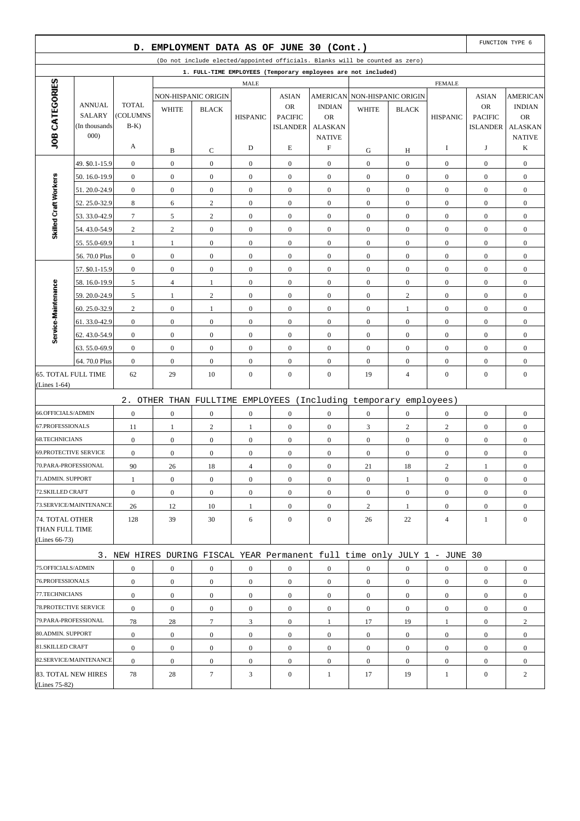|                              |                                | D.                |                  | EMPLOYMENT DATA AS OF JUNE 30 (Cont.) |                  |                                   |                             |                                                                              |                  |                  |                                   | FUNCTION TYPE 6             |
|------------------------------|--------------------------------|-------------------|------------------|---------------------------------------|------------------|-----------------------------------|-----------------------------|------------------------------------------------------------------------------|------------------|------------------|-----------------------------------|-----------------------------|
|                              |                                |                   |                  |                                       |                  |                                   |                             | (Do not include elected/appointed officials. Blanks will be counted as zero) |                  |                  |                                   |                             |
|                              |                                |                   |                  |                                       |                  |                                   |                             | 1. FULL-TIME EMPLOYEES (Temporary employees are not included)                |                  |                  |                                   |                             |
|                              |                                |                   |                  |                                       | <b>MALE</b>      |                                   |                             |                                                                              |                  | <b>FEMALE</b>    |                                   |                             |
| JOB CATEGORIES               |                                |                   |                  | NON-HISPANIC ORIGIN                   |                  | <b>ASIAN</b>                      |                             | AMERICAN NON-HISPANIC ORIGIN                                                 |                  |                  | <b>ASIAN</b>                      | <b>AMERICAN</b>             |
|                              | <b>ANNUAL</b>                  | <b>TOTAL</b>      | <b>WHITE</b>     | <b>BLACK</b>                          |                  | <b>OR</b>                         | <b>INDIAN</b>               | <b>WHITE</b>                                                                 | <b>BLACK</b>     |                  | <b>OR</b>                         | <b>INDIAN</b>               |
|                              | <b>SALARY</b><br>(In thousands | (COLUMNS<br>$B-K$ |                  |                                       | <b>HISPANIC</b>  | <b>PACIFIC</b><br><b>ISLANDER</b> | <b>OR</b><br><b>ALASKAN</b> |                                                                              |                  | <b>HISPANIC</b>  | <b>PACIFIC</b><br><b>ISLANDER</b> | <b>OR</b><br><b>ALASKAN</b> |
|                              | 000)                           |                   |                  |                                       |                  |                                   | <b>NATIVE</b>               |                                                                              |                  |                  |                                   | <b>NATIVE</b>               |
|                              |                                | A                 | B                | C                                     | D                | E                                 | F                           | G                                                                            | Н                | I                | J                                 | K                           |
|                              | 49. \$0.1-15.9                 | $\boldsymbol{0}$  | $\boldsymbol{0}$ | $\boldsymbol{0}$                      | $\boldsymbol{0}$ | $\boldsymbol{0}$                  | $\mathbf{0}$                | $\boldsymbol{0}$                                                             | $\boldsymbol{0}$ | $\mathbf{0}$     | $\boldsymbol{0}$                  | $\boldsymbol{0}$            |
|                              | 50.16.0-19.9                   | $\boldsymbol{0}$  | $\boldsymbol{0}$ | $\boldsymbol{0}$                      | $\boldsymbol{0}$ | $\boldsymbol{0}$                  | $\mathbf{0}$                | $\boldsymbol{0}$                                                             | $\overline{0}$   | $\boldsymbol{0}$ | $\boldsymbol{0}$                  | $\boldsymbol{0}$            |
| Skilled Craft Workers        | 51.20.0-24.9                   | $\boldsymbol{0}$  | $\boldsymbol{0}$ | $\boldsymbol{0}$                      | $\boldsymbol{0}$ | $\boldsymbol{0}$                  | $\boldsymbol{0}$            | $\boldsymbol{0}$                                                             | $\boldsymbol{0}$ | $\boldsymbol{0}$ | $\boldsymbol{0}$                  | $\boldsymbol{0}$            |
|                              | 52.25.0-32.9                   | 8                 | 6                | $\sqrt{2}$                            | $\mathbf{0}$     | $\boldsymbol{0}$                  | $\mathbf{0}$                | $\boldsymbol{0}$                                                             | $\overline{0}$   | $\boldsymbol{0}$ | $\boldsymbol{0}$                  | $\boldsymbol{0}$            |
|                              | 53.33.0-42.9                   | $\tau$            | 5                | $\boldsymbol{2}$                      | $\boldsymbol{0}$ | $\boldsymbol{0}$                  | $\mathbf{0}$                | $\boldsymbol{0}$                                                             | $\boldsymbol{0}$ | $\mathbf{0}$     | $\boldsymbol{0}$                  | $\boldsymbol{0}$            |
|                              | 54.43.0-54.9                   | $\overline{c}$    | $\overline{c}$   | $\boldsymbol{0}$                      | $\boldsymbol{0}$ | $\boldsymbol{0}$                  | $\mathbf{0}$                | $\boldsymbol{0}$                                                             | $\overline{0}$   | $\mathbf{0}$     | $\boldsymbol{0}$                  | $\boldsymbol{0}$            |
|                              | 55.55.0-69.9                   | $\mathbf{1}$      | $\mathbf{1}$     | $\boldsymbol{0}$                      | $\boldsymbol{0}$ | $\boldsymbol{0}$                  | $\boldsymbol{0}$            | $\boldsymbol{0}$                                                             | $\boldsymbol{0}$ | $\boldsymbol{0}$ | $\boldsymbol{0}$                  | $\boldsymbol{0}$            |
|                              | 56.70.0 Plus                   | $\boldsymbol{0}$  | $\boldsymbol{0}$ | $\boldsymbol{0}$                      | $\boldsymbol{0}$ | $\boldsymbol{0}$                  | $\mathbf{0}$                | $\boldsymbol{0}$                                                             | $\overline{0}$   | $\boldsymbol{0}$ | $\boldsymbol{0}$                  | $\boldsymbol{0}$            |
|                              | 57. \$0.1-15.9                 | $\boldsymbol{0}$  | $\mathbf{0}$     | $\boldsymbol{0}$                      | $\boldsymbol{0}$ | $\boldsymbol{0}$                  | $\mathbf{0}$                | $\boldsymbol{0}$                                                             | $\boldsymbol{0}$ | $\boldsymbol{0}$ | $\boldsymbol{0}$                  | $\boldsymbol{0}$            |
|                              | 58.16.0-19.9                   | 5                 | $\overline{4}$   | $\mathbf{1}$                          | $\boldsymbol{0}$ | $\boldsymbol{0}$                  | $\mathbf{0}$                | $\boldsymbol{0}$                                                             | $\mathbf{0}$     | $\mathbf{0}$     | $\boldsymbol{0}$                  | $\boldsymbol{0}$            |
|                              | 59.20.0-24.9                   | 5                 | $\mathbf{1}$     | $\sqrt{2}$                            | $\boldsymbol{0}$ | $\boldsymbol{0}$                  | $\boldsymbol{0}$            | $\boldsymbol{0}$                                                             | $\overline{c}$   | $\boldsymbol{0}$ | $\boldsymbol{0}$                  | $\boldsymbol{0}$            |
|                              | 60.25.0-32.9                   | 2                 | $\mathbf{0}$     | $\mathbf{1}$                          | $\mathbf{0}$     | $\boldsymbol{0}$                  | $\mathbf{0}$                | $\boldsymbol{0}$                                                             | $\mathbf{1}$     | $\mathbf{0}$     | $\boldsymbol{0}$                  | $\boldsymbol{0}$            |
|                              | 61.33.0-42.9                   | $\boldsymbol{0}$  | $\boldsymbol{0}$ | $\boldsymbol{0}$                      | $\boldsymbol{0}$ | $\boldsymbol{0}$                  | $\mathbf{0}$                | $\boldsymbol{0}$                                                             | $\boldsymbol{0}$ | $\mathbf{0}$     | $\boldsymbol{0}$                  | $\boldsymbol{0}$            |
| Service-Maintenance          | 62.43.0-54.9                   | $\boldsymbol{0}$  | $\boldsymbol{0}$ | $\boldsymbol{0}$                      | $\boldsymbol{0}$ | $\boldsymbol{0}$                  | $\mathbf{0}$                | $\boldsymbol{0}$                                                             | $\overline{0}$   | $\mathbf{0}$     | $\boldsymbol{0}$                  | $\boldsymbol{0}$            |
|                              | 63.55.0-69.9                   | $\boldsymbol{0}$  | $\boldsymbol{0}$ | $\boldsymbol{0}$                      | $\boldsymbol{0}$ | $\boldsymbol{0}$                  | $\mathbf{0}$                | $\boldsymbol{0}$                                                             | $\boldsymbol{0}$ | $\mathbf{0}$     | $\boldsymbol{0}$                  | $\boldsymbol{0}$            |
|                              | 64.70.0 Plus                   | $\mathbf{0}$      | $\boldsymbol{0}$ | $\boldsymbol{0}$                      | $\mathbf{0}$     | $\boldsymbol{0}$                  | $\mathbf{0}$                | $\boldsymbol{0}$                                                             | $\overline{0}$   | $\boldsymbol{0}$ | $\boldsymbol{0}$                  | $\boldsymbol{0}$            |
| <b>65. TOTAL FULL TIME</b>   |                                | 62                | 29               | 10                                    | $\boldsymbol{0}$ | $\boldsymbol{0}$                  | $\mathbf{0}$                | 19                                                                           | 4                | $\boldsymbol{0}$ | $\boldsymbol{0}$                  | $\boldsymbol{0}$            |
| (Lines $1-64$ )              |                                |                   |                  |                                       |                  |                                   |                             |                                                                              |                  |                  |                                   |                             |
|                              |                                |                   |                  |                                       |                  |                                   |                             | 2. OTHER THAN FULLTIME EMPLOYEES (Including temporary employees)             |                  |                  |                                   |                             |
| 66.OFFICIALS/ADMIN           |                                | $\boldsymbol{0}$  | $\mathbf{0}$     | $\mathbf{0}$                          | $\boldsymbol{0}$ | $\boldsymbol{0}$                  | $\mathbf{0}$                | $\boldsymbol{0}$                                                             | $\overline{0}$   | $\mathbf{0}$     | $\boldsymbol{0}$                  | $\boldsymbol{0}$            |
| 67.PROFESSIONALS             |                                | 11                | $\mathbf{1}$     | $\boldsymbol{2}$                      | 1                | $\boldsymbol{0}$                  | $\mathbf{0}$                | 3                                                                            | $\mathbf{2}$     | $\sqrt{2}$       | $\boldsymbol{0}$                  | $\boldsymbol{0}$            |
| <b>68.TECHNICIANS</b>        |                                | $\boldsymbol{0}$  | $\boldsymbol{0}$ | $\boldsymbol{0}$                      | $\boldsymbol{0}$ | $\boldsymbol{0}$                  | $\mathbf{0}$                | $\boldsymbol{0}$                                                             | $\mathbf{0}$     | $\boldsymbol{0}$ | $\boldsymbol{0}$                  | $\boldsymbol{0}$            |
| <b>69.PROTECTIVE SERVICE</b> |                                | $\boldsymbol{0}$  | $\boldsymbol{0}$ | $\boldsymbol{0}$                      | $\boldsymbol{0}$ | $\boldsymbol{0}$                  | $\boldsymbol{0}$            | $\boldsymbol{0}$                                                             | $\overline{0}$   | $\boldsymbol{0}$ | $\boldsymbol{0}$                  | $\boldsymbol{0}$            |
| 70.PARA-PROFESSIONAL         |                                | 90                | 26               | 18                                    | $\overline{4}$   | $\boldsymbol{0}$                  | $\mathbf{0}$                | 21                                                                           | 18               | $\overline{c}$   | 1                                 | $\boldsymbol{0}$            |
| 71.ADMIN. SUPPORT            |                                | $\mathbf{1}$      | $\boldsymbol{0}$ | $\boldsymbol{0}$                      | $\boldsymbol{0}$ | $\mathbf{0}$                      | $\mathbf{0}$                | $\boldsymbol{0}$                                                             | $\mathbf{1}$     | $\mathbf{0}$     | $\boldsymbol{0}$                  | $\boldsymbol{0}$            |
| 72.SKILLED CRAFT             |                                | $\mathbf{0}$      | $\mathbf{0}$     | $\boldsymbol{0}$                      | $\overline{0}$   | $\boldsymbol{0}$                  | $\overline{0}$              | $\boldsymbol{0}$                                                             | $\overline{0}$   | $\overline{0}$   | $\overline{0}$                    | $\boldsymbol{0}$            |
|                              | 73.SERVICE/MAINTENANCE         | 26                | 12               | 10                                    | $\mathbf{1}$     | $\boldsymbol{0}$                  | $\boldsymbol{0}$            | $\overline{2}$                                                               | $\mathbf{1}$     | $\mathbf{0}$     | $\boldsymbol{0}$                  | $\overline{0}$              |
| 74. TOTAL OTHER              |                                | 128               | 39               | 30                                    | 6                | $\boldsymbol{0}$                  | $\overline{0}$              | 26                                                                           | 22               | $\overline{4}$   | $\mathbf{1}$                      | $\mathbf{0}$                |
| THAN FULL TIME               |                                |                   |                  |                                       |                  |                                   |                             |                                                                              |                  |                  |                                   |                             |
| (Lines $66-73$ )             |                                |                   |                  |                                       |                  |                                   |                             |                                                                              |                  |                  |                                   |                             |
|                              |                                |                   |                  |                                       |                  |                                   |                             | 3. NEW HIRES DURING FISCAL YEAR Permanent full time only JULY 1 - JUNE 30    |                  |                  |                                   |                             |
| 75.OFFICIALS/ADMIN           |                                | $\boldsymbol{0}$  | $\boldsymbol{0}$ | $\boldsymbol{0}$                      | $\overline{0}$   | $\boldsymbol{0}$                  | $\boldsymbol{0}$            | $\boldsymbol{0}$                                                             | $\boldsymbol{0}$ | $\boldsymbol{0}$ | $\boldsymbol{0}$                  | $\boldsymbol{0}$            |
| 76.PROFESSIONALS             |                                | $\boldsymbol{0}$  | $\boldsymbol{0}$ | $\overline{0}$                        | $\boldsymbol{0}$ | $\mathbf{0}$                      | $\overline{0}$              | $\boldsymbol{0}$                                                             | $\mathbf{0}$     | $\mathbf{0}$     | $\boldsymbol{0}$                  | $\boldsymbol{0}$            |
| 77.TECHNICIANS               |                                | $\boldsymbol{0}$  | $\mathbf{0}$     | $\overline{0}$                        | $\mathbf{0}$     | $\boldsymbol{0}$                  | $\overline{0}$              | $\mathbf{0}$                                                                 | $\overline{0}$   | $\mathbf{0}$     | $\boldsymbol{0}$                  | $\boldsymbol{0}$            |
| 78. PROTECTIVE SERVICE       |                                | $\boldsymbol{0}$  | $\boldsymbol{0}$ | $\boldsymbol{0}$                      | $\boldsymbol{0}$ | $\mathbf{0}$                      | $\boldsymbol{0}$            | $\boldsymbol{0}$                                                             | $\overline{0}$   | $\mathbf{0}$     | $\boldsymbol{0}$                  | $\boldsymbol{0}$            |
| 79.PARA-PROFESSIONAL         |                                | 78                | 28               | $\tau$                                | 3                | $\boldsymbol{0}$                  | $\mathbf{1}$                | 17                                                                           | 19               | 1                | $\boldsymbol{0}$                  | $\overline{c}$              |
| 80.ADMIN. SUPPORT            |                                | $\boldsymbol{0}$  | $\boldsymbol{0}$ | $\boldsymbol{0}$                      | $\boldsymbol{0}$ | $\boldsymbol{0}$                  | $\boldsymbol{0}$            | $\boldsymbol{0}$                                                             | $\boldsymbol{0}$ | $\boldsymbol{0}$ | $\boldsymbol{0}$                  | $\boldsymbol{0}$            |
| 81.SKILLED CRAFT             |                                | $\boldsymbol{0}$  | $\mathbf{0}$     | $\overline{0}$                        | $\boldsymbol{0}$ | $\boldsymbol{0}$                  | $\overline{0}$              | $\mathbf{0}$                                                                 | $\overline{0}$   | $\mathbf{0}$     | $\boldsymbol{0}$                  | $\boldsymbol{0}$            |
|                              | 82.SERVICE/MAINTENANCE         | $\boldsymbol{0}$  | $\boldsymbol{0}$ | $\overline{0}$                        | $\boldsymbol{0}$ | $\mathbf{0}$                      | $\boldsymbol{0}$            | $\boldsymbol{0}$                                                             | $\overline{0}$   | $\mathbf{0}$     | $\boldsymbol{0}$                  | $\boldsymbol{0}$            |
| 83. TOTAL NEW HIRES          |                                | 78                | 28               | $\tau$                                | 3                | $\mathbf{0}$                      | $\mathbf{1}$                | 17                                                                           | 19               | $\mathbf{1}$     | $\boldsymbol{0}$                  | $\overline{c}$              |
| (Lines 75-82)                |                                |                   |                  |                                       |                  |                                   |                             |                                                                              |                  |                  |                                   |                             |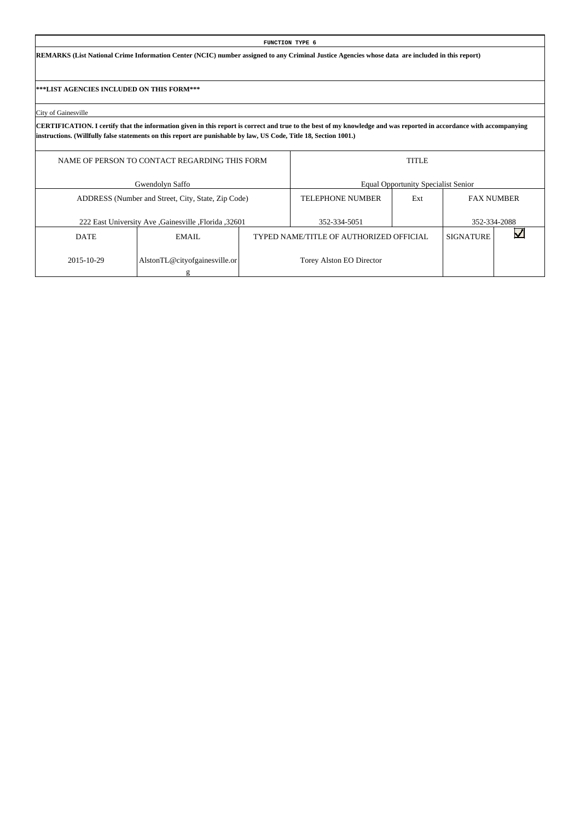**REMARKS (List National Crime Information Center (NCIC) number assigned to any Criminal Justice Agencies whose data are included in this report)**

**\*\*\*LIST AGENCIES INCLUDED ON THIS FORM\*\*\***

City of Gainesville

|             | NAME OF PERSON TO CONTACT REGARDING THIS FORM       |                                         | <b>TITLE</b>                               |                   |              |
|-------------|-----------------------------------------------------|-----------------------------------------|--------------------------------------------|-------------------|--------------|
|             | Gwendolyn Saffo                                     |                                         | <b>Equal Opportunity Specialist Senior</b> |                   |              |
|             | ADDRESS (Number and Street, City, State, Zip Code)  | <b>TELEPHONE NUMBER</b>                 | Ext                                        | <b>FAX NUMBER</b> |              |
|             | 222 East University Ave Gainesville , Florida 32601 | 352-334-5051                            |                                            |                   | 352-334-2088 |
| <b>DATE</b> | EMAIL.                                              | TYPED NAME/TITLE OF AUTHORIZED OFFICIAL |                                            | <b>SIGNATURE</b>  |              |
| 2015-10-29  | AlstonTL@cityofgainesville.or                       | Torey Alston EO Director                |                                            |                   |              |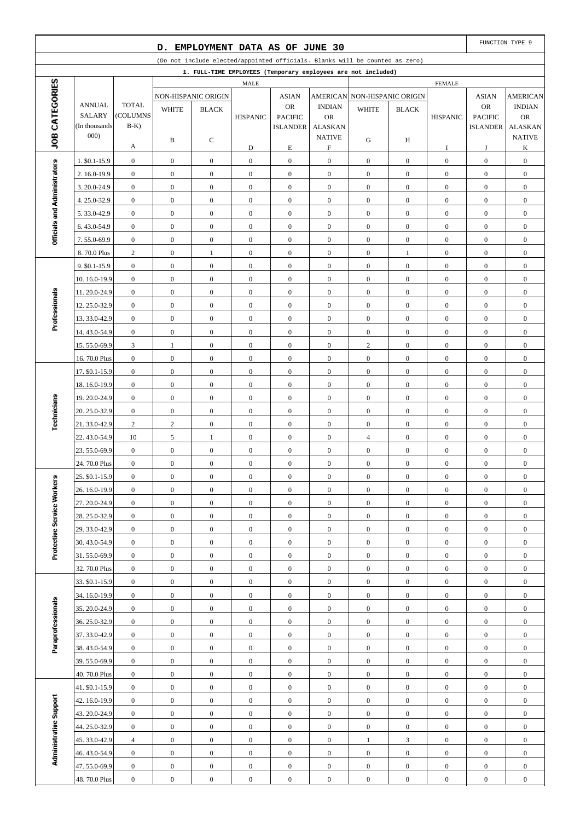|                              |                               |                                      | D.                                   |                                      |                                      | EMPLOYMENT DATA AS OF JUNE 30        |                                      |                                                                              |                                      |                                      |                                      | FUNCTION TYPE 9                      |
|------------------------------|-------------------------------|--------------------------------------|--------------------------------------|--------------------------------------|--------------------------------------|--------------------------------------|--------------------------------------|------------------------------------------------------------------------------|--------------------------------------|--------------------------------------|--------------------------------------|--------------------------------------|
|                              |                               |                                      |                                      |                                      |                                      |                                      |                                      | (Do not include elected/appointed officials. Blanks will be counted as zero) |                                      |                                      |                                      |                                      |
|                              |                               |                                      |                                      |                                      |                                      |                                      |                                      | 1. FULL-TIME EMPLOYEES (Temporary employees are not included)                |                                      |                                      |                                      |                                      |
| JOB CATEGORIES               |                               |                                      |                                      |                                      | MALE                                 |                                      |                                      |                                                                              |                                      | <b>FEMALE</b>                        |                                      |                                      |
|                              | <b>ANNUAL</b>                 | <b>TOTAL</b>                         |                                      | NON-HISPANIC ORIGIN                  |                                      | <b>ASIAN</b>                         | <b>AMERICAN</b>                      |                                                                              | NON-HISPANIC ORIGIN                  |                                      | <b>ASIAN</b>                         | <b>AMERICAN</b>                      |
|                              | <b>SALARY</b>                 | (COLUMNS                             | <b>WHITE</b>                         | <b>BLACK</b>                         | <b>HISPANIC</b>                      | <b>OR</b><br><b>PACIFIC</b>          | <b>INDIAN</b><br><b>OR</b>           | <b>WHITE</b>                                                                 | <b>BLACK</b>                         | <b>HISPANIC</b>                      | OR<br><b>PACIFIC</b>                 | <b>INDIAN</b><br><b>OR</b>           |
|                              | (In thousands)                | $B-K$ )                              |                                      |                                      |                                      | <b>ISLANDER</b>                      | <b>ALASKAN</b>                       |                                                                              |                                      |                                      | <b>ISLANDER</b>                      | <b>ALASKAN</b>                       |
|                              | 000)                          |                                      | B                                    | С                                    |                                      |                                      | <b>NATIVE</b>                        | G                                                                            | H                                    |                                      |                                      | <b>NATIVE</b>                        |
|                              |                               | А                                    |                                      |                                      | D                                    | $\mathbf E$                          | $\boldsymbol{\mathrm{F}}$            |                                                                              |                                      | I                                    | J                                    | K                                    |
|                              | 1. \$0.1-15.9                 | $\boldsymbol{0}$                     | $\boldsymbol{0}$                     | $\boldsymbol{0}$                     | $\mathbf{0}$                         | $\boldsymbol{0}$                     | $\boldsymbol{0}$                     | $\mathbf{0}$                                                                 | $\mathbf{0}$                         | $\boldsymbol{0}$                     | $\boldsymbol{0}$                     | $\boldsymbol{0}$                     |
|                              | 2. 16.0-19.9                  | $\boldsymbol{0}$                     | $\boldsymbol{0}$                     | $\mathbf{0}$                         | $\boldsymbol{0}$                     | $\boldsymbol{0}$                     | $\boldsymbol{0}$                     | $\mathbf{0}$                                                                 | $\overline{0}$                       | $\mathbf{0}$                         | $\boldsymbol{0}$                     | $\boldsymbol{0}$                     |
|                              | 3.20.0-24.9                   | $\boldsymbol{0}$                     | $\boldsymbol{0}$                     | $\mathbf{0}$                         | $\mathbf{0}$                         | $\boldsymbol{0}$                     | $\boldsymbol{0}$                     | $\boldsymbol{0}$                                                             | $\mathbf{0}$                         | $\boldsymbol{0}$                     | $\boldsymbol{0}$                     | $\boldsymbol{0}$                     |
| Officials and Administrators | 4.25.0-32.9                   | $\boldsymbol{0}$                     | $\boldsymbol{0}$                     | $\boldsymbol{0}$                     | $\boldsymbol{0}$                     | $\boldsymbol{0}$                     | $\boldsymbol{0}$                     | $\mathbf{0}$                                                                 | $\overline{0}$                       | $\boldsymbol{0}$                     | $\boldsymbol{0}$                     | $\boldsymbol{0}$                     |
|                              | 5.33.0-42.9                   | $\boldsymbol{0}$                     | $\boldsymbol{0}$                     | $\boldsymbol{0}$                     | $\boldsymbol{0}$                     | $\boldsymbol{0}$                     | $\boldsymbol{0}$                     | $\mathbf{0}$                                                                 | $\mathbf{0}$                         | $\boldsymbol{0}$                     | $\boldsymbol{0}$                     | $\boldsymbol{0}$                     |
|                              | 6.43.0-54.9                   | $\boldsymbol{0}$                     | $\boldsymbol{0}$                     | $\boldsymbol{0}$                     | $\boldsymbol{0}$                     | $\boldsymbol{0}$                     | $\boldsymbol{0}$                     | $\mathbf{0}$                                                                 | $\mathbf{0}$                         | $\boldsymbol{0}$                     | $\boldsymbol{0}$                     | $\boldsymbol{0}$                     |
|                              | 7.55.0-69.9                   | $\boldsymbol{0}$                     | $\boldsymbol{0}$                     | $\mathbf{0}$                         | $\mathbf{0}$                         | $\boldsymbol{0}$                     | $\boldsymbol{0}$                     | $\boldsymbol{0}$                                                             | $\mathbf{0}$                         | $\boldsymbol{0}$                     | $\boldsymbol{0}$                     | $\boldsymbol{0}$                     |
|                              | 8.70.0 Plus                   | $\sqrt{2}$                           | $\boldsymbol{0}$                     | $\mathbf{1}$                         | $\boldsymbol{0}$                     | $\boldsymbol{0}$                     | $\boldsymbol{0}$                     | $\mathbf{0}$                                                                 | $\mathbf{1}$                         | $\boldsymbol{0}$                     | $\boldsymbol{0}$                     | $\boldsymbol{0}$                     |
|                              | 9. \$0.1-15.9                 | $\boldsymbol{0}$                     | $\boldsymbol{0}$                     | $\boldsymbol{0}$                     | $\mathbf{0}$                         | $\boldsymbol{0}$                     | $\boldsymbol{0}$                     | $\boldsymbol{0}$                                                             | $\mathbf{0}$                         | $\boldsymbol{0}$                     | $\boldsymbol{0}$                     | $\boldsymbol{0}$                     |
|                              | 10.16.0-19.9                  | $\boldsymbol{0}$                     | $\boldsymbol{0}$                     | $\mathbf{0}$                         | $\boldsymbol{0}$                     | $\boldsymbol{0}$                     | $\boldsymbol{0}$                     | $\mathbf{0}$                                                                 | $\mathbf{0}$                         | $\boldsymbol{0}$                     | $\boldsymbol{0}$                     | $\boldsymbol{0}$                     |
| Professionals                | 11.20.0-24.9                  | $\boldsymbol{0}$                     | $\boldsymbol{0}$                     | $\mathbf{0}$                         | $\boldsymbol{0}$                     | $\boldsymbol{0}$                     | $\boldsymbol{0}$                     | $\boldsymbol{0}$                                                             | $\mathbf{0}$                         | $\boldsymbol{0}$                     | $\boldsymbol{0}$                     | $\boldsymbol{0}$                     |
|                              | 12.25.0-32.9                  | $\boldsymbol{0}$                     | $\boldsymbol{0}$                     | $\boldsymbol{0}$                     | $\boldsymbol{0}$                     | $\boldsymbol{0}$                     | $\boldsymbol{0}$                     | $\mathbf{0}$                                                                 | $\overline{0}$                       | $\boldsymbol{0}$                     | $\boldsymbol{0}$                     | $\boldsymbol{0}$                     |
|                              | 13.33.0-42.9                  | $\boldsymbol{0}$                     | $\boldsymbol{0}$                     | $\boldsymbol{0}$                     | $\boldsymbol{0}$                     | $\boldsymbol{0}$                     | $\boldsymbol{0}$                     | $\mathbf{0}$                                                                 | $\mathbf{0}$                         | $\boldsymbol{0}$                     | $\boldsymbol{0}$                     | $\boldsymbol{0}$                     |
|                              | 14.43.0-54.9                  | $\boldsymbol{0}$                     | $\boldsymbol{0}$                     | $\boldsymbol{0}$                     | $\boldsymbol{0}$                     | $\boldsymbol{0}$                     | $\boldsymbol{0}$                     | $\boldsymbol{0}$                                                             | $\mathbf{0}$                         | $\boldsymbol{0}$                     | $\boldsymbol{0}$                     | $\boldsymbol{0}$                     |
|                              | 15.55.0-69.9                  | 3                                    | $\mathbf{1}$                         | $\mathbf{0}$                         | $\boldsymbol{0}$                     | $\boldsymbol{0}$                     | $\boldsymbol{0}$                     | $\mathbf{2}$                                                                 | $\mathbf{0}$                         | $\boldsymbol{0}$                     | $\boldsymbol{0}$                     | $\boldsymbol{0}$                     |
|                              | 16.70.0 Plus                  | $\boldsymbol{0}$                     | $\boldsymbol{0}$                     | $\boldsymbol{0}$                     | $\boldsymbol{0}$                     | $\boldsymbol{0}$                     | $\boldsymbol{0}$                     | $\boldsymbol{0}$                                                             | $\overline{0}$                       | $\boldsymbol{0}$                     | $\boldsymbol{0}$                     | $\boldsymbol{0}$                     |
|                              | 17. \$0.1-15.9                | $\boldsymbol{0}$<br>$\boldsymbol{0}$ | $\boldsymbol{0}$                     | $\boldsymbol{0}$<br>$\mathbf{0}$     | $\mathbf{0}$<br>$\boldsymbol{0}$     | $\boldsymbol{0}$<br>$\boldsymbol{0}$ | $\boldsymbol{0}$<br>$\boldsymbol{0}$ | $\boldsymbol{0}$<br>$\mathbf{0}$                                             | $\mathbf{0}$<br>$\mathbf{0}$         | $\boldsymbol{0}$<br>$\boldsymbol{0}$ | $\boldsymbol{0}$                     | $\boldsymbol{0}$<br>$\boldsymbol{0}$ |
|                              | 18.16.0-19.9                  | $\boldsymbol{0}$                     | $\boldsymbol{0}$<br>$\boldsymbol{0}$ | $\mathbf{0}$                         | $\boldsymbol{0}$                     | $\boldsymbol{0}$                     | $\boldsymbol{0}$                     | $\boldsymbol{0}$                                                             | $\mathbf{0}$                         | $\boldsymbol{0}$                     | $\boldsymbol{0}$<br>$\boldsymbol{0}$ | $\boldsymbol{0}$                     |
|                              | 19.20.0-24.9<br>20. 25.0-32.9 | $\boldsymbol{0}$                     | $\boldsymbol{0}$                     | $\boldsymbol{0}$                     | $\boldsymbol{0}$                     | $\boldsymbol{0}$                     | $\boldsymbol{0}$                     | $\mathbf{0}$                                                                 | $\overline{0}$                       | $\boldsymbol{0}$                     | $\boldsymbol{0}$                     | $\boldsymbol{0}$                     |
| Technicians                  | 21.33.0-42.9                  | $\overline{c}$                       | $\sqrt{2}$                           | $\boldsymbol{0}$                     | $\mathbf{0}$                         | $\boldsymbol{0}$                     | $\boldsymbol{0}$                     | $\boldsymbol{0}$                                                             | $\mathbf{0}$                         | $\boldsymbol{0}$                     | $\boldsymbol{0}$                     | $\boldsymbol{0}$                     |
|                              | 22.43.0-54.9                  | 10                                   | $\sqrt{5}$                           | $\mathbf{1}$                         | $\boldsymbol{0}$                     | $\boldsymbol{0}$                     | $\boldsymbol{0}$                     | $\overline{4}$                                                               | $\overline{0}$                       | $\boldsymbol{0}$                     | $\boldsymbol{0}$                     | $\boldsymbol{0}$                     |
|                              | 23.55.0-69.9                  | $\boldsymbol{0}$                     | $\boldsymbol{0}$                     | $\boldsymbol{0}$                     | $\boldsymbol{0}$                     | $\boldsymbol{0}$                     | $\boldsymbol{0}$                     | $\boldsymbol{0}$                                                             | $\overline{0}$                       | $\boldsymbol{0}$                     | $\boldsymbol{0}$                     | $\boldsymbol{0}$                     |
|                              | 24.70.0 Plus                  | $\boldsymbol{0}$                     | $\boldsymbol{0}$                     | $\mathbf{0}$                         | $\boldsymbol{0}$                     | $\boldsymbol{0}$                     | $\boldsymbol{0}$                     | $\boldsymbol{0}$                                                             | $\boldsymbol{0}$                     | $\boldsymbol{0}$                     | $\boldsymbol{0}$                     | $\boldsymbol{0}$                     |
|                              | 25. \$0.1-15.9                | $\boldsymbol{0}$                     | $\boldsymbol{0}$                     | $\boldsymbol{0}$                     | $\boldsymbol{0}$                     | $\boldsymbol{0}$                     | $\boldsymbol{0}$                     | $\boldsymbol{0}$                                                             | $\boldsymbol{0}$                     | $\boldsymbol{0}$                     | $\boldsymbol{0}$                     | $\boldsymbol{0}$                     |
|                              | 26. 16.0-19.9                 | $\mathbf{0}$                         | $\overline{0}$                       | $\overline{0}$                       | $\boldsymbol{0}$                     | $\mathbf{0}$                         | $\overline{0}$                       | $\mathbf{0}$                                                                 | $\overline{0}$                       | $\mathbf{0}$                         | $\mathbf{0}$                         | $\mathbf{0}$                         |
|                              | 27.20.0-24.9                  | $\mathbf{0}$                         | $\boldsymbol{0}$                     | $\boldsymbol{0}$                     | $\boldsymbol{0}$                     | $\boldsymbol{0}$                     | $\mathbf{0}$                         | $\boldsymbol{0}$                                                             | $\boldsymbol{0}$                     | $\boldsymbol{0}$                     | $\mathbf{0}$                         | $\boldsymbol{0}$                     |
| Protective Service Workers   | 28.25.0-32.9                  | $\boldsymbol{0}$                     | $\boldsymbol{0}$                     | $\boldsymbol{0}$                     | $\boldsymbol{0}$                     | $\boldsymbol{0}$                     | $\mathbf{0}$                         | $\mathbf{0}$                                                                 | $\boldsymbol{0}$                     | $\boldsymbol{0}$                     | $\boldsymbol{0}$                     | $\boldsymbol{0}$                     |
|                              | 29.33.0-42.9                  | $\boldsymbol{0}$                     | $\boldsymbol{0}$                     | $\boldsymbol{0}$                     | $\boldsymbol{0}$                     | $\boldsymbol{0}$                     | $\mathbf{0}$                         | $\boldsymbol{0}$                                                             | $\boldsymbol{0}$                     | $\boldsymbol{0}$                     | $\boldsymbol{0}$                     | $\boldsymbol{0}$                     |
|                              | 30.43.0-54.9                  | $\boldsymbol{0}$                     | $\boldsymbol{0}$                     | $\mathbf{0}$                         | $\boldsymbol{0}$                     | $\boldsymbol{0}$                     | $\mathbf{0}$                         | $\mathbf{0}$                                                                 | $\boldsymbol{0}$                     | $\boldsymbol{0}$                     | $\boldsymbol{0}$                     | $\boldsymbol{0}$                     |
|                              | 31.55.0-69.9                  | $\boldsymbol{0}$                     | $\boldsymbol{0}$                     | $\boldsymbol{0}$                     | $\boldsymbol{0}$                     | $\boldsymbol{0}$                     | $\boldsymbol{0}$                     | $\boldsymbol{0}$                                                             | $\boldsymbol{0}$                     | $\boldsymbol{0}$                     | $\boldsymbol{0}$                     | $\boldsymbol{0}$                     |
|                              | 32.70.0 Plus                  | $\boldsymbol{0}$                     | $\mathbf{0}$                         | $\mathbf{0}$                         | $\boldsymbol{0}$                     | $\boldsymbol{0}$                     | $\mathbf{0}$                         | $\boldsymbol{0}$                                                             | $\boldsymbol{0}$                     | $\boldsymbol{0}$                     | $\boldsymbol{0}$                     | $\boldsymbol{0}$                     |
|                              | 33. \$0.1-15.9                | $\boldsymbol{0}$                     | $\mathbf{0}$                         | $\boldsymbol{0}$                     | $\boldsymbol{0}$                     | $\boldsymbol{0}$                     | $\mathbf{0}$                         | $\boldsymbol{0}$                                                             | $\boldsymbol{0}$                     | $\boldsymbol{0}$                     | $\boldsymbol{0}$                     | $\boldsymbol{0}$                     |
|                              | 34. 16.0-19.9                 | $\boldsymbol{0}$                     | $\mathbf{0}$                         | $\boldsymbol{0}$                     | $\boldsymbol{0}$                     | $\boldsymbol{0}$                     | $\boldsymbol{0}$                     | $\mathbf{0}$                                                                 | $\boldsymbol{0}$                     | $\boldsymbol{0}$                     | $\boldsymbol{0}$                     | $\boldsymbol{0}$                     |
| Paraprofessionals            | 35.20.0-24.9                  | $\boldsymbol{0}$                     | $\boldsymbol{0}$                     | $\boldsymbol{0}$                     | $\boldsymbol{0}$                     | $\boldsymbol{0}$                     | $\mathbf{0}$                         | $\boldsymbol{0}$                                                             | $\boldsymbol{0}$                     | $\boldsymbol{0}$                     | $\mathbf{0}$                         | $\boldsymbol{0}$                     |
|                              | 36.25.0-32.9                  | $\boldsymbol{0}$                     | $\boldsymbol{0}$                     | $\boldsymbol{0}$                     | $\boldsymbol{0}$                     | $\boldsymbol{0}$                     | $\mathbf{0}$                         | $\mathbf{0}$                                                                 | $\boldsymbol{0}$                     | $\boldsymbol{0}$                     | $\boldsymbol{0}$                     | $\boldsymbol{0}$                     |
|                              | 37.33.0-42.9                  | $\boldsymbol{0}$                     | $\mathbf{0}$                         | $\boldsymbol{0}$                     | $\boldsymbol{0}$                     | $\boldsymbol{0}$                     | $\mathbf{0}$                         | $\boldsymbol{0}$                                                             | $\boldsymbol{0}$                     | $\boldsymbol{0}$                     | $\boldsymbol{0}$                     | $\boldsymbol{0}$                     |
|                              | 38.43.0-54.9                  | $\boldsymbol{0}$                     | $\mathbf{0}$                         | $\mathbf{0}$                         | $\boldsymbol{0}$                     | $\boldsymbol{0}$                     | $\mathbf{0}$                         | $\boldsymbol{0}$                                                             | $\boldsymbol{0}$                     | $\boldsymbol{0}$                     | $\boldsymbol{0}$                     | $\boldsymbol{0}$                     |
|                              | 39.55.0-69.9                  | $\boldsymbol{0}$                     | $\boldsymbol{0}$                     | $\boldsymbol{0}$                     | $\boldsymbol{0}$                     | $\boldsymbol{0}$                     | $\boldsymbol{0}$                     | $\boldsymbol{0}$                                                             | $\boldsymbol{0}$                     | $\boldsymbol{0}$                     | $\mathbf{0}$                         | $\boldsymbol{0}$                     |
|                              | 40.70.0 Plus                  | $\boldsymbol{0}$                     | $\boldsymbol{0}$                     | $\mathbf{0}$                         | $\boldsymbol{0}$                     | $\boldsymbol{0}$                     | $\boldsymbol{0}$                     | $\boldsymbol{0}$                                                             | $\boldsymbol{0}$                     | $\boldsymbol{0}$                     | $\boldsymbol{0}$                     | $\boldsymbol{0}$                     |
|                              | 41. \$0.1-15.9                | $\boldsymbol{0}$                     | $\boldsymbol{0}$                     | $\boldsymbol{0}$                     | $\boldsymbol{0}$                     | $\boldsymbol{0}$                     | $\mathbf{0}$                         | $\boldsymbol{0}$                                                             | $\boldsymbol{0}$                     | $\boldsymbol{0}$                     | $\boldsymbol{0}$                     | $\boldsymbol{0}$                     |
| Administrative Support       | 42. 16.0-19.9                 | $\mathbf{0}$                         | $\mathbf{0}$                         | $\boldsymbol{0}$                     | $\boldsymbol{0}$                     | $\boldsymbol{0}$                     | $\boldsymbol{0}$                     | $\mathbf{0}$                                                                 | $\boldsymbol{0}$                     | $\boldsymbol{0}$                     | $\boldsymbol{0}$                     | $\boldsymbol{0}$                     |
|                              | 43.20.0-24.9                  | $\boldsymbol{0}$                     | $\boldsymbol{0}$                     | $\boldsymbol{0}$                     | $\boldsymbol{0}$                     | $\boldsymbol{0}$                     | $\overline{0}$                       | $\boldsymbol{0}$                                                             | $\boldsymbol{0}$                     | $\boldsymbol{0}$                     | $\mathbf{0}$                         | $\boldsymbol{0}$                     |
|                              | 44.25.0-32.9                  | $\boldsymbol{0}$                     | $\boldsymbol{0}$                     | $\boldsymbol{0}$                     | $\boldsymbol{0}$                     | $\boldsymbol{0}$                     | $\boldsymbol{0}$                     | $\mathbf{0}$                                                                 | $\boldsymbol{0}$                     | $\boldsymbol{0}$                     | $\boldsymbol{0}$                     | $\boldsymbol{0}$                     |
|                              | 45.33.0-42.9                  | $\overline{4}$                       | $\mathbf{0}$                         | $\boldsymbol{0}$                     | $\boldsymbol{0}$                     | $\boldsymbol{0}$                     | $\mathbf{0}$                         | $\mathbf{1}$                                                                 | $\mathfrak{Z}$                       | $\boldsymbol{0}$                     | $\boldsymbol{0}$                     | $\boldsymbol{0}$                     |
|                              | 46.43.0-54.9                  | $\boldsymbol{0}$                     | $\mathbf{0}$                         | $\mathbf{0}$                         | $\boldsymbol{0}$                     | $\boldsymbol{0}$                     | $\mathbf{0}$                         | $\boldsymbol{0}$                                                             | $\boldsymbol{0}$                     | $\boldsymbol{0}$                     | $\boldsymbol{0}$                     | $\boldsymbol{0}$                     |
|                              | 47.55.0-69.9<br>48.70.0 Plus  | $\boldsymbol{0}$<br>$\boldsymbol{0}$ | $\mathbf{0}$<br>$\boldsymbol{0}$     | $\boldsymbol{0}$<br>$\boldsymbol{0}$ | $\boldsymbol{0}$<br>$\boldsymbol{0}$ | $\boldsymbol{0}$<br>$\boldsymbol{0}$ | $\boldsymbol{0}$<br>$\boldsymbol{0}$ | $\boldsymbol{0}$<br>$\boldsymbol{0}$                                         | $\boldsymbol{0}$<br>$\boldsymbol{0}$ | $\boldsymbol{0}$<br>$\boldsymbol{0}$ | $\boldsymbol{0}$<br>$\boldsymbol{0}$ | $\boldsymbol{0}$<br>$\boldsymbol{0}$ |
|                              |                               |                                      |                                      |                                      |                                      |                                      |                                      |                                                                              |                                      |                                      |                                      |                                      |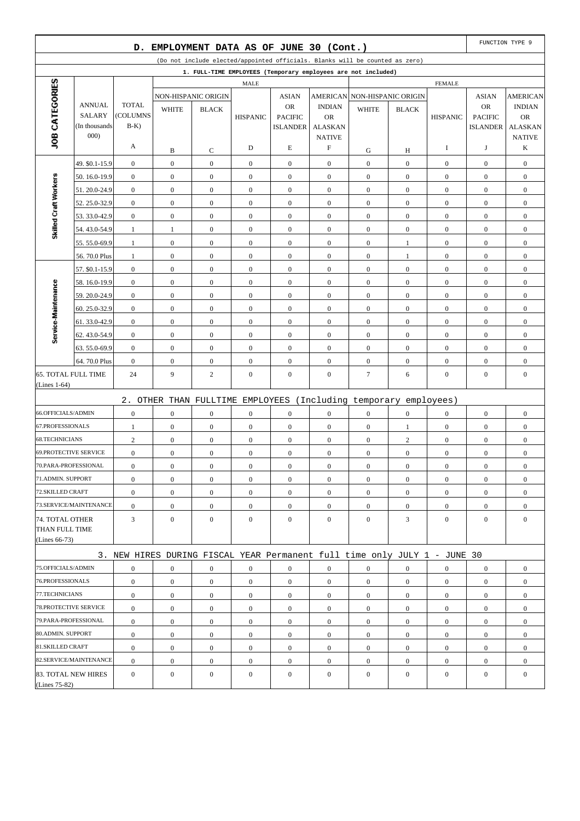|                              |                                | D.                       |                  | EMPLOYMENT DATA AS OF JUNE 30 (Cont.) |                  |                                   |                             |                                                                              |                  |                  |                                   | FUNCTION TYPE 9             |
|------------------------------|--------------------------------|--------------------------|------------------|---------------------------------------|------------------|-----------------------------------|-----------------------------|------------------------------------------------------------------------------|------------------|------------------|-----------------------------------|-----------------------------|
|                              |                                |                          |                  |                                       |                  |                                   |                             | (Do not include elected/appointed officials. Blanks will be counted as zero) |                  |                  |                                   |                             |
|                              |                                |                          |                  |                                       |                  |                                   |                             | 1. FULL-TIME EMPLOYEES (Temporary employees are not included)                |                  |                  |                                   |                             |
|                              |                                |                          |                  |                                       | <b>MALE</b>      |                                   |                             |                                                                              |                  | <b>FEMALE</b>    |                                   |                             |
| JOB CATEGORIES               |                                |                          |                  | NON-HISPANIC ORIGIN                   |                  | <b>ASIAN</b>                      |                             | AMERICAN NON-HISPANIC ORIGIN                                                 |                  |                  | <b>ASIAN</b>                      | <b>AMERICAN</b>             |
|                              | <b>ANNUAL</b><br><b>SALARY</b> | <b>TOTAL</b><br>(COLUMNS | <b>WHITE</b>     | <b>BLACK</b>                          |                  | <b>OR</b>                         | <b>INDIAN</b>               | <b>WHITE</b>                                                                 | <b>BLACK</b>     |                  | <b>OR</b>                         | <b>INDIAN</b>               |
|                              | (In thousands                  | $B-K$                    |                  |                                       | <b>HISPANIC</b>  | <b>PACIFIC</b><br><b>ISLANDER</b> | <b>OR</b><br><b>ALASKAN</b> |                                                                              |                  | <b>HISPANIC</b>  | <b>PACIFIC</b><br><b>ISLANDER</b> | <b>OR</b><br><b>ALASKAN</b> |
|                              | 000)                           |                          |                  |                                       |                  |                                   | <b>NATIVE</b>               |                                                                              |                  |                  |                                   | <b>NATIVE</b>               |
|                              |                                | A                        | B                | C                                     | D                | E                                 | F                           | G                                                                            | Н                | I                | J                                 | K                           |
|                              | 49. \$0.1-15.9                 | $\boldsymbol{0}$         | $\boldsymbol{0}$ | $\boldsymbol{0}$                      | $\boldsymbol{0}$ | $\boldsymbol{0}$                  | $\mathbf{0}$                | $\boldsymbol{0}$                                                             | $\boldsymbol{0}$ | $\mathbf{0}$     | $\boldsymbol{0}$                  | $\boldsymbol{0}$            |
|                              | 50.16.0-19.9                   | $\boldsymbol{0}$         | $\boldsymbol{0}$ | $\boldsymbol{0}$                      | $\boldsymbol{0}$ | $\boldsymbol{0}$                  | $\mathbf{0}$                | $\boldsymbol{0}$                                                             | $\overline{0}$   | $\boldsymbol{0}$ | $\boldsymbol{0}$                  | $\boldsymbol{0}$            |
| Skilled Craft Workers        | 51.20.0-24.9                   | $\boldsymbol{0}$         | $\boldsymbol{0}$ | $\boldsymbol{0}$                      | $\boldsymbol{0}$ | $\boldsymbol{0}$                  | $\boldsymbol{0}$            | $\boldsymbol{0}$                                                             | $\boldsymbol{0}$ | $\boldsymbol{0}$ | $\boldsymbol{0}$                  | $\boldsymbol{0}$            |
|                              | 52.25.0-32.9                   | $\mathbf{0}$             | $\mathbf{0}$     | $\boldsymbol{0}$                      | $\mathbf{0}$     | $\boldsymbol{0}$                  | $\mathbf{0}$                | $\boldsymbol{0}$                                                             | $\overline{0}$   | $\boldsymbol{0}$ | $\boldsymbol{0}$                  | $\boldsymbol{0}$            |
|                              | 53.33.0-42.9                   | $\boldsymbol{0}$         | $\boldsymbol{0}$ | $\boldsymbol{0}$                      | $\boldsymbol{0}$ | $\boldsymbol{0}$                  | $\mathbf{0}$                | $\boldsymbol{0}$                                                             | $\boldsymbol{0}$ | $\mathbf{0}$     | $\boldsymbol{0}$                  | $\boldsymbol{0}$            |
|                              | 54.43.0-54.9                   | $\mathbf{1}$             | $\mathbf{1}$     | $\boldsymbol{0}$                      | $\boldsymbol{0}$ | $\boldsymbol{0}$                  | $\mathbf{0}$                | $\boldsymbol{0}$                                                             | $\overline{0}$   | $\mathbf{0}$     | $\boldsymbol{0}$                  | $\boldsymbol{0}$            |
|                              | 55.55.0-69.9                   | $\mathbf{1}$             | $\boldsymbol{0}$ | $\boldsymbol{0}$                      | $\boldsymbol{0}$ | $\boldsymbol{0}$                  | $\boldsymbol{0}$            | $\boldsymbol{0}$                                                             | $\mathbf{1}$     | $\boldsymbol{0}$ | $\boldsymbol{0}$                  | $\boldsymbol{0}$            |
|                              | 56.70.0 Plus                   | $\mathbf{1}$             | $\mathbf{0}$     | $\boldsymbol{0}$                      | $\boldsymbol{0}$ | $\boldsymbol{0}$                  | $\mathbf{0}$                | $\boldsymbol{0}$                                                             | $\mathbf{1}$     | $\boldsymbol{0}$ | $\boldsymbol{0}$                  | $\boldsymbol{0}$            |
|                              | 57. \$0.1-15.9                 | $\boldsymbol{0}$         | $\mathbf{0}$     | $\boldsymbol{0}$                      | $\boldsymbol{0}$ | $\boldsymbol{0}$                  | $\mathbf{0}$                | $\boldsymbol{0}$                                                             | $\boldsymbol{0}$ | $\mathbf{0}$     | $\boldsymbol{0}$                  | $\boldsymbol{0}$            |
|                              | 58.16.0-19.9                   | $\mathbf{0}$             | $\boldsymbol{0}$ | $\boldsymbol{0}$                      | $\boldsymbol{0}$ | $\boldsymbol{0}$                  | $\mathbf{0}$                | $\boldsymbol{0}$                                                             | $\overline{0}$   | $\mathbf{0}$     | $\boldsymbol{0}$                  | $\boldsymbol{0}$            |
|                              | 59.20.0-24.9                   | $\boldsymbol{0}$         | $\boldsymbol{0}$ | $\boldsymbol{0}$                      | $\boldsymbol{0}$ | $\boldsymbol{0}$                  | $\boldsymbol{0}$            | $\boldsymbol{0}$                                                             | $\boldsymbol{0}$ | $\boldsymbol{0}$ | $\boldsymbol{0}$                  | $\boldsymbol{0}$            |
|                              | 60.25.0-32.9                   | $\mathbf{0}$             | $\boldsymbol{0}$ | $\boldsymbol{0}$                      | $\mathbf{0}$     | $\boldsymbol{0}$                  | $\mathbf{0}$                | $\boldsymbol{0}$                                                             | $\overline{0}$   | $\mathbf{0}$     | $\boldsymbol{0}$                  | $\boldsymbol{0}$            |
| Service-Maintenance          | 61.33.0-42.9                   | $\boldsymbol{0}$         | $\boldsymbol{0}$ | $\boldsymbol{0}$                      | $\boldsymbol{0}$ | $\boldsymbol{0}$                  | $\mathbf{0}$                | $\boldsymbol{0}$                                                             | $\boldsymbol{0}$ | $\mathbf{0}$     | $\boldsymbol{0}$                  | $\boldsymbol{0}$            |
|                              | 62.43.0-54.9                   | $\mathbf{0}$             | $\boldsymbol{0}$ | $\boldsymbol{0}$                      | $\boldsymbol{0}$ | $\boldsymbol{0}$                  | $\mathbf{0}$                | $\boldsymbol{0}$                                                             | $\overline{0}$   | $\mathbf{0}$     | $\boldsymbol{0}$                  | $\boldsymbol{0}$            |
|                              | 63.55.0-69.9                   | $\boldsymbol{0}$         | $\boldsymbol{0}$ | $\boldsymbol{0}$                      | $\boldsymbol{0}$ | $\boldsymbol{0}$                  | $\mathbf{0}$                | $\boldsymbol{0}$                                                             | $\boldsymbol{0}$ | $\mathbf{0}$     | $\boldsymbol{0}$                  | $\boldsymbol{0}$            |
|                              | 64.70.0 Plus                   | $\boldsymbol{0}$         | $\boldsymbol{0}$ | $\boldsymbol{0}$                      | $\mathbf{0}$     | $\boldsymbol{0}$                  | $\mathbf{0}$                | $\boldsymbol{0}$                                                             | $\overline{0}$   | $\boldsymbol{0}$ | $\boldsymbol{0}$                  | $\boldsymbol{0}$            |
| <b>65. TOTAL FULL TIME</b>   |                                | 24                       | 9                | $\overline{c}$                        | $\boldsymbol{0}$ | $\boldsymbol{0}$                  | $\mathbf{0}$                | 7                                                                            | 6                | $\boldsymbol{0}$ | $\boldsymbol{0}$                  | $\boldsymbol{0}$            |
| (Lines $1-64$ )              |                                |                          |                  |                                       |                  |                                   |                             |                                                                              |                  |                  |                                   |                             |
|                              |                                |                          |                  |                                       |                  |                                   |                             | 2. OTHER THAN FULLTIME EMPLOYEES (Including temporary employees)             |                  |                  |                                   |                             |
| 66.OFFICIALS/ADMIN           |                                | $\boldsymbol{0}$         | $\mathbf{0}$     | $\mathbf{0}$                          | $\boldsymbol{0}$ | $\boldsymbol{0}$                  | $\mathbf{0}$                | $\boldsymbol{0}$                                                             | $\overline{0}$   | $\mathbf{0}$     | $\boldsymbol{0}$                  | $\boldsymbol{0}$            |
| 67.PROFESSIONALS             |                                | $\mathbf{1}$             | $\boldsymbol{0}$ | $\boldsymbol{0}$                      | $\boldsymbol{0}$ | $\boldsymbol{0}$                  | $\mathbf{0}$                | $\boldsymbol{0}$                                                             | $\mathbf{1}$     | $\boldsymbol{0}$ | $\boldsymbol{0}$                  | $\boldsymbol{0}$            |
| <b>68.TECHNICIANS</b>        |                                | $\overline{c}$           | $\boldsymbol{0}$ | $\boldsymbol{0}$                      | $\boldsymbol{0}$ | $\boldsymbol{0}$                  | $\mathbf{0}$                | $\boldsymbol{0}$                                                             | $\overline{c}$   | $\boldsymbol{0}$ | $\boldsymbol{0}$                  | $\boldsymbol{0}$            |
| <b>69.PROTECTIVE SERVICE</b> |                                | $\boldsymbol{0}$         | $\boldsymbol{0}$ | $\boldsymbol{0}$                      | $\boldsymbol{0}$ | $\boldsymbol{0}$                  | $\boldsymbol{0}$            | $\boldsymbol{0}$                                                             | $\boldsymbol{0}$ | $\boldsymbol{0}$ | $\boldsymbol{0}$                  | $\boldsymbol{0}$            |
| 70.PARA-PROFESSIONAL         |                                | $\boldsymbol{0}$         | $\boldsymbol{0}$ | $\boldsymbol{0}$                      | $\boldsymbol{0}$ | $\boldsymbol{0}$                  | $\mathbf{0}$                | $\boldsymbol{0}$                                                             | $\boldsymbol{0}$ | $\boldsymbol{0}$ | $\boldsymbol{0}$                  | $\boldsymbol{0}$            |
| 71.ADMIN. SUPPORT            |                                | $\boldsymbol{0}$         | $\boldsymbol{0}$ | $\mathbf{0}$                          | $\boldsymbol{0}$ | $\mathbf{0}$                      | $\mathbf{0}$                | $\boldsymbol{0}$                                                             | $\overline{0}$   | $\mathbf{0}$     | $\boldsymbol{0}$                  | $\boldsymbol{0}$            |
| 72.SKILLED CRAFT             |                                | $\boldsymbol{0}$         | $\mathbf{0}$     | $\boldsymbol{0}$                      | $\boldsymbol{0}$ | $\boldsymbol{0}$                  | $\overline{0}$              | $\boldsymbol{0}$                                                             | $\overline{0}$   | $\overline{0}$   | $\overline{0}$                    | $\boldsymbol{0}$            |
|                              | 73.SERVICE/MAINTENANCE         | $\boldsymbol{0}$         | $\boldsymbol{0}$ | $\boldsymbol{0}$                      | $\boldsymbol{0}$ | $\boldsymbol{0}$                  | $\boldsymbol{0}$            | $\boldsymbol{0}$                                                             | $\boldsymbol{0}$ | $\mathbf{0}$     | $\boldsymbol{0}$                  | $\overline{0}$              |
| 74. TOTAL OTHER              |                                | 3                        | $\overline{0}$   | $\overline{0}$                        | $\mathbf{0}$     | $\boldsymbol{0}$                  | $\overline{0}$              | $\boldsymbol{0}$                                                             | 3                | $\mathbf{0}$     | $\boldsymbol{0}$                  | $\mathbf{0}$                |
| THAN FULL TIME               |                                |                          |                  |                                       |                  |                                   |                             |                                                                              |                  |                  |                                   |                             |
| (Lines $66-73$ )             |                                |                          |                  |                                       |                  |                                   |                             |                                                                              |                  |                  |                                   |                             |
|                              |                                |                          |                  |                                       |                  |                                   |                             | 3. NEW HIRES DURING FISCAL YEAR Permanent full time only JULY 1 - JUNE 30    |                  |                  |                                   |                             |
| 75.OFFICIALS/ADMIN           |                                | $\boldsymbol{0}$         | $\boldsymbol{0}$ | $\boldsymbol{0}$                      | $\boldsymbol{0}$ | $\boldsymbol{0}$                  | $\boldsymbol{0}$            | $\boldsymbol{0}$                                                             | $\boldsymbol{0}$ | $\boldsymbol{0}$ | $\boldsymbol{0}$                  | $\boldsymbol{0}$            |
| 76.PROFESSIONALS             |                                | $\boldsymbol{0}$         | $\boldsymbol{0}$ | $\overline{0}$                        | $\boldsymbol{0}$ | $\mathbf{0}$                      | $\overline{0}$              | $\mathbf{0}$                                                                 | $\mathbf{0}$     | $\mathbf{0}$     | $\boldsymbol{0}$                  | $\overline{0}$              |
| 77.TECHNICIANS               |                                | $\boldsymbol{0}$         | $\mathbf{0}$     | $\overline{0}$                        | $\overline{0}$   | $\boldsymbol{0}$                  | $\overline{0}$              | $\mathbf{0}$                                                                 | $\overline{0}$   | $\mathbf{0}$     | $\overline{0}$                    | $\overline{0}$              |
| 78. PROTECTIVE SERVICE       |                                | $\boldsymbol{0}$         | $\boldsymbol{0}$ | $\overline{0}$                        | $\boldsymbol{0}$ | $\mathbf{0}$                      | $\mathbf{0}$                | $\boldsymbol{0}$                                                             | $\overline{0}$   | $\mathbf{0}$     | $\boldsymbol{0}$                  | $\overline{0}$              |
| 79.PARA-PROFESSIONAL         |                                | $\boldsymbol{0}$         | $\mathbf{0}$     | $\boldsymbol{0}$                      | $\boldsymbol{0}$ | $\boldsymbol{0}$                  | $\overline{0}$              | $\boldsymbol{0}$                                                             | $\overline{0}$   | $\mathbf{0}$     | $\boldsymbol{0}$                  | $\boldsymbol{0}$            |
| 80.ADMIN. SUPPORT            |                                | $\boldsymbol{0}$         | $\boldsymbol{0}$ | $\overline{0}$                        | $\boldsymbol{0}$ | $\mathbf{0}$                      | $\boldsymbol{0}$            | $\boldsymbol{0}$                                                             | $\boldsymbol{0}$ | $\mathbf{0}$     | $\boldsymbol{0}$                  | $\boldsymbol{0}$            |
| 81.SKILLED CRAFT             |                                | $\boldsymbol{0}$         | $\mathbf{0}$     | $\mathbf{0}$                          | $\boldsymbol{0}$ | $\mathbf{0}$                      | $\mathbf{0}$                | $\boldsymbol{0}$                                                             | $\overline{0}$   | $\mathbf{0}$     | $\boldsymbol{0}$                  | $\boldsymbol{0}$            |
|                              | 82.SERVICE/MAINTENANCE         | $\boldsymbol{0}$         | $\boldsymbol{0}$ | $\mathbf{0}$                          | $\boldsymbol{0}$ | $\mathbf{0}$                      | $\mathbf{0}$                | $\boldsymbol{0}$                                                             | $\overline{0}$   | $\mathbf{0}$     | $\boldsymbol{0}$                  | $\boldsymbol{0}$            |
| (Lines 75-82)                | 83. TOTAL NEW HIRES            | $\boldsymbol{0}$         | $\boldsymbol{0}$ | $\mathbf{0}$                          | $\boldsymbol{0}$ | $\mathbf{0}$                      | $\mathbf{0}$                | $\boldsymbol{0}$                                                             | $\mathbf{0}$     | $\mathbf{0}$     | $\boldsymbol{0}$                  | $\boldsymbol{0}$            |
|                              |                                |                          |                  |                                       |                  |                                   |                             |                                                                              |                  |                  |                                   |                             |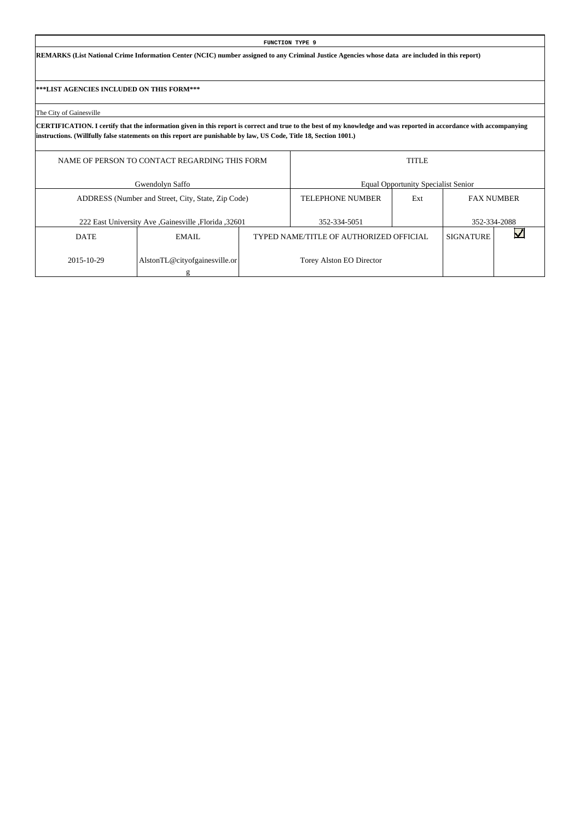**REMARKS (List National Crime Information Center (NCIC) number assigned to any Criminal Justice Agencies whose data are included in this report)**

**\*\*\*LIST AGENCIES INCLUDED ON THIS FORM\*\*\***

The City of Gainesville

|             | NAME OF PERSON TO CONTACT REGARDING THIS FORM       |                                         | <b>TITLE</b>                               |                   |              |
|-------------|-----------------------------------------------------|-----------------------------------------|--------------------------------------------|-------------------|--------------|
|             | Gwendolyn Saffo                                     |                                         | <b>Equal Opportunity Specialist Senior</b> |                   |              |
|             | ADDRESS (Number and Street, City, State, Zip Code)  | <b>TELEPHONE NUMBER</b>                 | Ext                                        | <b>FAX NUMBER</b> |              |
|             | 222 East University Ave Gainesville , Florida 32601 | 352-334-5051                            |                                            |                   | 352-334-2088 |
| <b>DATE</b> | EMAIL.                                              | TYPED NAME/TITLE OF AUTHORIZED OFFICIAL |                                            | <b>SIGNATURE</b>  |              |
| 2015-10-29  | AlstonTL@cityofgainesville.or                       | Torey Alston EO Director                |                                            |                   |              |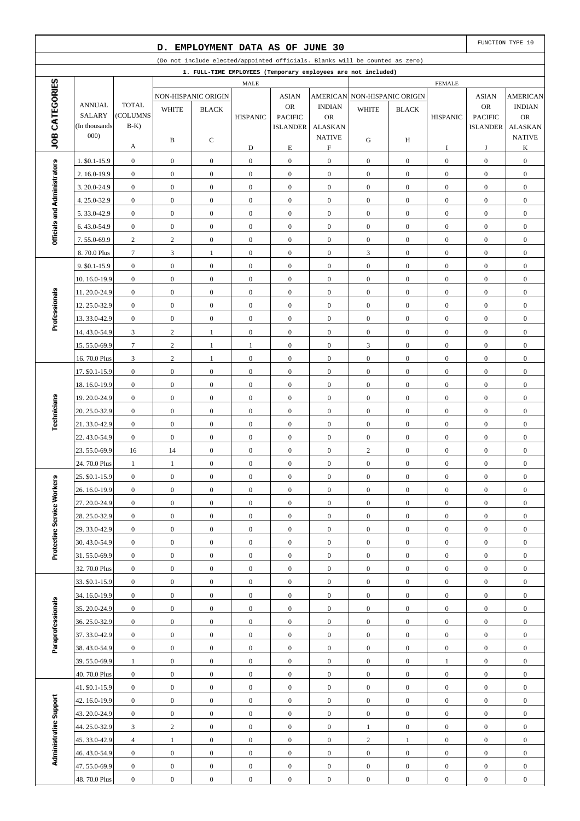|                              |                              |                                      | D.                           | EMPLOYMENT DATA AS OF JUNE 30    |                                      |                                      |                                            |                                                                              |                                      |                                      |                                      | FUNCTION TYPE 10                     |
|------------------------------|------------------------------|--------------------------------------|------------------------------|----------------------------------|--------------------------------------|--------------------------------------|--------------------------------------------|------------------------------------------------------------------------------|--------------------------------------|--------------------------------------|--------------------------------------|--------------------------------------|
|                              |                              |                                      |                              |                                  |                                      |                                      |                                            | (Do not include elected/appointed officials. Blanks will be counted as zero) |                                      |                                      |                                      |                                      |
|                              |                              |                                      |                              |                                  |                                      |                                      |                                            | 1. FULL-TIME EMPLOYEES (Temporary employees are not included)                |                                      |                                      |                                      |                                      |
| JOB CATEGORIES               |                              |                                      |                              |                                  | MALE                                 |                                      |                                            |                                                                              |                                      | <b>FEMALE</b>                        |                                      |                                      |
|                              | <b>ANNUAL</b>                | <b>TOTAL</b>                         |                              | NON-HISPANIC ORIGIN              |                                      | <b>ASIAN</b><br><b>OR</b>            | <b>AMERICAN</b><br><b>INDIAN</b>           |                                                                              | <b>NON-HISPANIC ORIGIN</b>           |                                      | <b>ASIAN</b><br>OR                   | <b>AMERICAN</b><br><b>INDIAN</b>     |
|                              | <b>SALARY</b>                | (COLUMNS                             | <b>WHITE</b>                 | <b>BLACK</b>                     | <b>HISPANIC</b>                      | <b>PACIFIC</b>                       | <b>OR</b>                                  | <b>WHITE</b>                                                                 | <b>BLACK</b>                         | <b>HISPANIC</b>                      | <b>PACIFIC</b>                       | <b>OR</b>                            |
|                              | (In thousands)               | $B-K$ )                              |                              |                                  |                                      | <b>ISLANDER</b>                      | <b>ALASKAN</b>                             |                                                                              |                                      |                                      | <b>ISLANDER</b>                      | <b>ALASKAN</b>                       |
|                              | 000)                         | А                                    | B                            | С                                | D                                    | $\mathbf E$                          | <b>NATIVE</b><br>$\boldsymbol{\mathrm{F}}$ | G                                                                            | H                                    | I                                    | J                                    | <b>NATIVE</b><br>K                   |
|                              | 1. \$0.1-15.9                | $\boldsymbol{0}$                     | $\mathbf{0}$                 | $\boldsymbol{0}$                 | $\mathbf{0}$                         | $\boldsymbol{0}$                     | $\boldsymbol{0}$                           | $\mathbf{0}$                                                                 | $\mathbf{0}$                         | $\boldsymbol{0}$                     | $\boldsymbol{0}$                     | $\boldsymbol{0}$                     |
|                              | 2. 16.0-19.9                 | $\boldsymbol{0}$                     | $\boldsymbol{0}$             | $\mathbf{0}$                     | $\boldsymbol{0}$                     | $\boldsymbol{0}$                     | $\boldsymbol{0}$                           | $\mathbf{0}$                                                                 | $\overline{0}$                       | $\mathbf{0}$                         | $\boldsymbol{0}$                     | $\boldsymbol{0}$                     |
|                              | 3.20.0-24.9                  | $\boldsymbol{0}$                     | $\boldsymbol{0}$             | $\mathbf{0}$                     | $\mathbf{0}$                         | $\boldsymbol{0}$                     | $\boldsymbol{0}$                           | $\boldsymbol{0}$                                                             | $\mathbf{0}$                         | $\boldsymbol{0}$                     | $\boldsymbol{0}$                     | $\boldsymbol{0}$                     |
|                              | 4.25.0-32.9                  | $\boldsymbol{0}$                     | $\boldsymbol{0}$             | $\boldsymbol{0}$                 | $\boldsymbol{0}$                     | $\boldsymbol{0}$                     | $\boldsymbol{0}$                           | $\mathbf{0}$                                                                 | $\overline{0}$                       | $\boldsymbol{0}$                     | $\boldsymbol{0}$                     | $\boldsymbol{0}$                     |
| Officials and Administrators | 5.33.0-42.9                  | $\boldsymbol{0}$                     | $\boldsymbol{0}$             | $\boldsymbol{0}$                 | $\boldsymbol{0}$                     | $\boldsymbol{0}$                     | $\boldsymbol{0}$                           | $\mathbf{0}$                                                                 | $\mathbf{0}$                         | $\boldsymbol{0}$                     | $\boldsymbol{0}$                     | $\boldsymbol{0}$                     |
|                              | 6.43.0-54.9                  | $\boldsymbol{0}$                     | $\boldsymbol{0}$             | $\boldsymbol{0}$                 | $\boldsymbol{0}$                     | $\boldsymbol{0}$                     | $\boldsymbol{0}$                           | $\mathbf{0}$                                                                 | $\mathbf{0}$                         | $\boldsymbol{0}$                     | $\boldsymbol{0}$                     | $\boldsymbol{0}$                     |
|                              | 7.55.0-69.9                  | $\overline{c}$                       | $\mathbf{2}$                 | $\mathbf{0}$                     | $\mathbf{0}$                         | $\boldsymbol{0}$                     | $\boldsymbol{0}$                           | $\boldsymbol{0}$                                                             | $\mathbf{0}$                         | $\boldsymbol{0}$                     | $\boldsymbol{0}$                     | $\boldsymbol{0}$                     |
|                              | 8.70.0 Plus                  | $\boldsymbol{7}$                     | $\mathfrak{Z}$               | $\mathbf{1}$                     | $\boldsymbol{0}$                     | $\boldsymbol{0}$                     | $\boldsymbol{0}$                           | $\mathfrak{Z}$                                                               | $\overline{0}$                       | $\boldsymbol{0}$                     | $\boldsymbol{0}$                     | $\boldsymbol{0}$                     |
|                              | 9. \$0.1-15.9                | $\boldsymbol{0}$                     | $\boldsymbol{0}$             | $\boldsymbol{0}$                 | $\mathbf{0}$                         | $\boldsymbol{0}$                     | $\boldsymbol{0}$                           | $\boldsymbol{0}$                                                             | $\mathbf{0}$                         | $\boldsymbol{0}$                     | $\boldsymbol{0}$                     | $\boldsymbol{0}$                     |
|                              | 10.16.0-19.9                 | $\boldsymbol{0}$                     | $\boldsymbol{0}$             | $\mathbf{0}$                     | $\boldsymbol{0}$                     | $\boldsymbol{0}$                     | $\boldsymbol{0}$                           | $\mathbf{0}$                                                                 | $\mathbf{0}$                         | $\boldsymbol{0}$                     | $\boldsymbol{0}$                     | $\boldsymbol{0}$                     |
|                              | 11.20.0-24.9                 | $\boldsymbol{0}$                     | $\boldsymbol{0}$             | $\mathbf{0}$                     | $\boldsymbol{0}$                     | $\boldsymbol{0}$                     | $\boldsymbol{0}$                           | $\boldsymbol{0}$                                                             | $\mathbf{0}$                         | $\boldsymbol{0}$                     | $\boldsymbol{0}$                     | $\boldsymbol{0}$                     |
| Professionals                | 12.25.0-32.9                 | $\boldsymbol{0}$                     | $\boldsymbol{0}$             | $\boldsymbol{0}$                 | $\boldsymbol{0}$                     | $\boldsymbol{0}$                     | $\boldsymbol{0}$                           | $\mathbf{0}$                                                                 | $\overline{0}$                       | $\boldsymbol{0}$                     | $\boldsymbol{0}$                     | $\boldsymbol{0}$                     |
|                              | 13.33.0-42.9                 | $\boldsymbol{0}$                     | $\boldsymbol{0}$             | $\boldsymbol{0}$                 | $\mathbf{0}$                         | $\boldsymbol{0}$                     | $\boldsymbol{0}$                           | $\mathbf{0}$                                                                 | $\mathbf{0}$                         | $\boldsymbol{0}$                     | $\boldsymbol{0}$                     | $\boldsymbol{0}$                     |
|                              | 14.43.0-54.9                 | $\mathfrak{Z}$                       | $\sqrt{2}$                   | $\mathbf{1}$                     | $\boldsymbol{0}$                     | $\boldsymbol{0}$                     | $\boldsymbol{0}$                           | $\boldsymbol{0}$                                                             | $\mathbf{0}$                         | $\boldsymbol{0}$                     | $\boldsymbol{0}$                     | $\boldsymbol{0}$                     |
|                              | 15.55.0-69.9                 | $\tau$                               | $\mathbf{2}$                 | $\mathbf{1}$                     | 1                                    | $\boldsymbol{0}$                     | $\boldsymbol{0}$                           | 3                                                                            | $\mathbf{0}$                         | $\boldsymbol{0}$                     | $\boldsymbol{0}$                     | $\boldsymbol{0}$                     |
|                              | 16.70.0 Plus                 | $\mathfrak{Z}$                       | $\sqrt{2}$                   | $\mathbf{1}$                     | $\boldsymbol{0}$                     | $\boldsymbol{0}$                     | $\boldsymbol{0}$                           | $\boldsymbol{0}$                                                             | $\overline{0}$                       | $\boldsymbol{0}$                     | $\boldsymbol{0}$                     | $\boldsymbol{0}$                     |
|                              | 17. \$0.1-15.9               | $\boldsymbol{0}$                     | $\boldsymbol{0}$             | $\boldsymbol{0}$                 | $\mathbf{0}$                         | $\boldsymbol{0}$                     | $\boldsymbol{0}$                           | $\boldsymbol{0}$                                                             | $\mathbf{0}$                         | $\boldsymbol{0}$                     | $\boldsymbol{0}$                     | $\boldsymbol{0}$                     |
|                              | 18.16.0-19.9                 | $\boldsymbol{0}$                     | $\boldsymbol{0}$             | $\mathbf{0}$                     | $\boldsymbol{0}$                     | $\boldsymbol{0}$                     | $\boldsymbol{0}$                           | $\mathbf{0}$                                                                 | $\mathbf{0}$                         | $\boldsymbol{0}$                     | $\boldsymbol{0}$                     | $\boldsymbol{0}$                     |
|                              | 19.20.0-24.9                 | $\boldsymbol{0}$                     | $\boldsymbol{0}$             | $\mathbf{0}$                     | $\boldsymbol{0}$                     | $\boldsymbol{0}$                     | $\boldsymbol{0}$                           | $\boldsymbol{0}$                                                             | $\mathbf{0}$                         | $\boldsymbol{0}$                     | $\boldsymbol{0}$                     | $\boldsymbol{0}$                     |
| Technicians                  | 20. 25.0-32.9                | $\boldsymbol{0}$                     | $\boldsymbol{0}$             | $\boldsymbol{0}$                 | $\boldsymbol{0}$                     | $\boldsymbol{0}$                     | $\boldsymbol{0}$                           | $\mathbf{0}$                                                                 | $\overline{0}$                       | $\boldsymbol{0}$                     | $\boldsymbol{0}$                     | $\boldsymbol{0}$                     |
|                              | 21.33.0-42.9                 | $\boldsymbol{0}$                     | $\boldsymbol{0}$             | $\boldsymbol{0}$                 | $\mathbf{0}$                         | $\boldsymbol{0}$                     | $\boldsymbol{0}$                           | $\boldsymbol{0}$                                                             | $\mathbf{0}$                         | $\boldsymbol{0}$                     | $\boldsymbol{0}$                     | $\boldsymbol{0}$                     |
|                              | 22.43.0-54.9                 | $\boldsymbol{0}$                     | $\boldsymbol{0}$             | $\boldsymbol{0}$                 | $\boldsymbol{0}$                     | $\boldsymbol{0}$                     | $\boldsymbol{0}$                           | $\boldsymbol{0}$                                                             | $\overline{0}$                       | $\boldsymbol{0}$                     | $\boldsymbol{0}$                     | $\boldsymbol{0}$                     |
|                              | 23.55.0-69.9                 | 16                                   | 14                           | $\boldsymbol{0}$                 | $\boldsymbol{0}$                     | $\boldsymbol{0}$                     | $\boldsymbol{0}$                           | $\mathbf{2}$                                                                 | $\overline{0}$                       | $\boldsymbol{0}$                     | $\boldsymbol{0}$                     | $\boldsymbol{0}$                     |
|                              | 24.70.0 Plus                 | $\mathbf{1}$                         | $\mathbf{1}$                 | $\mathbf{0}$                     | $\boldsymbol{0}$                     | $\boldsymbol{0}$                     | $\boldsymbol{0}$                           | $\boldsymbol{0}$                                                             | $\boldsymbol{0}$                     | $\boldsymbol{0}$                     | $\boldsymbol{0}$                     | $\boldsymbol{0}$                     |
|                              | 25. \$0.1-15.9               | $\boldsymbol{0}$                     | $\boldsymbol{0}$             | $\boldsymbol{0}$                 | $\boldsymbol{0}$                     | $\boldsymbol{0}$                     | $\boldsymbol{0}$                           | $\boldsymbol{0}$                                                             | $\boldsymbol{0}$                     | $\boldsymbol{0}$                     | $\boldsymbol{0}$                     | $\boldsymbol{0}$                     |
|                              | 26. 16.0-19.9                | $\mathbf{0}$                         | $\overline{0}$               | $\overline{0}$                   | $\boldsymbol{0}$                     | $\mathbf{0}$                         | $\overline{0}$                             | $\mathbf{0}$                                                                 | $\overline{0}$                       | $\mathbf{0}$                         | $\mathbf{0}$                         | $\mathbf{0}$                         |
|                              | 27.20.0-24.9                 | $\boldsymbol{0}$                     | $\boldsymbol{0}$             | $\boldsymbol{0}$                 | $\mathbf{0}$                         | $\boldsymbol{0}$                     | $\mathbf{0}$                               | $\boldsymbol{0}$                                                             | $\boldsymbol{0}$                     | $\boldsymbol{0}$                     | $\mathbf{0}$                         | $\boldsymbol{0}$                     |
|                              | 28.25.0-32.9<br>29.33.0-42.9 | $\boldsymbol{0}$                     | $\boldsymbol{0}$             | $\boldsymbol{0}$                 | $\boldsymbol{0}$                     | $\boldsymbol{0}$                     | $\mathbf{0}$                               | $\mathbf{0}$                                                                 | $\boldsymbol{0}$                     | $\boldsymbol{0}$                     | $\boldsymbol{0}$                     | $\boldsymbol{0}$                     |
|                              | 30.43.0-54.9                 | $\boldsymbol{0}$<br>$\boldsymbol{0}$ | $\mathbf{0}$<br>$\mathbf{0}$ | $\boldsymbol{0}$<br>$\mathbf{0}$ | $\boldsymbol{0}$<br>$\boldsymbol{0}$ | $\boldsymbol{0}$<br>$\boldsymbol{0}$ | $\mathbf{0}$<br>$\mathbf{0}$               | $\boldsymbol{0}$<br>$\mathbf{0}$                                             | $\boldsymbol{0}$<br>$\boldsymbol{0}$ | $\boldsymbol{0}$<br>$\boldsymbol{0}$ | $\boldsymbol{0}$<br>$\boldsymbol{0}$ | $\boldsymbol{0}$<br>$\boldsymbol{0}$ |
| Protective Service Workers   | 31.55.0-69.9                 | $\boldsymbol{0}$                     | $\boldsymbol{0}$             | $\boldsymbol{0}$                 | $\mathbf{0}$                         | $\boldsymbol{0}$                     | $\boldsymbol{0}$                           | $\boldsymbol{0}$                                                             | $\boldsymbol{0}$                     | $\boldsymbol{0}$                     | $\mathbf{0}$                         | $\boldsymbol{0}$                     |
|                              | 32.70.0 Plus                 | $\boldsymbol{0}$                     | $\boldsymbol{0}$             | $\mathbf{0}$                     | $\boldsymbol{0}$                     | $\boldsymbol{0}$                     | $\mathbf{0}$                               | $\boldsymbol{0}$                                                             | $\boldsymbol{0}$                     | $\boldsymbol{0}$                     | $\boldsymbol{0}$                     | $\boldsymbol{0}$                     |
|                              | 33. \$0.1-15.9               | $\boldsymbol{0}$                     | $\boldsymbol{0}$             | $\boldsymbol{0}$                 | $\boldsymbol{0}$                     | $\boldsymbol{0}$                     | $\mathbf{0}$                               | $\boldsymbol{0}$                                                             | $\boldsymbol{0}$                     | $\boldsymbol{0}$                     | $\boldsymbol{0}$                     | $\boldsymbol{0}$                     |
|                              | 34. 16.0-19.9                | $\boldsymbol{0}$                     | $\boldsymbol{0}$             | $\boldsymbol{0}$                 | $\boldsymbol{0}$                     | $\boldsymbol{0}$                     | $\boldsymbol{0}$                           | $\mathbf{0}$                                                                 | $\boldsymbol{0}$                     | $\boldsymbol{0}$                     | $\boldsymbol{0}$                     | $\boldsymbol{0}$                     |
| Paraprofessionals            | 35.20.0-24.9                 | $\boldsymbol{0}$                     | $\boldsymbol{0}$             | $\boldsymbol{0}$                 | $\mathbf{0}$                         | $\boldsymbol{0}$                     | $\mathbf{0}$                               | $\boldsymbol{0}$                                                             | $\boldsymbol{0}$                     | $\boldsymbol{0}$                     | $\mathbf{0}$                         | $\boldsymbol{0}$                     |
|                              | 36.25.0-32.9                 | $\boldsymbol{0}$                     | $\boldsymbol{0}$             | $\boldsymbol{0}$                 | $\boldsymbol{0}$                     | $\boldsymbol{0}$                     | $\mathbf{0}$                               | $\mathbf{0}$                                                                 | $\boldsymbol{0}$                     | $\boldsymbol{0}$                     | $\boldsymbol{0}$                     | $\boldsymbol{0}$                     |
|                              | 37.33.0-42.9                 | $\boldsymbol{0}$                     | $\boldsymbol{0}$             | $\boldsymbol{0}$                 | $\boldsymbol{0}$                     | $\boldsymbol{0}$                     | $\mathbf{0}$                               | $\boldsymbol{0}$                                                             | $\boldsymbol{0}$                     | $\boldsymbol{0}$                     | $\boldsymbol{0}$                     | $\boldsymbol{0}$                     |
|                              | 38.43.0-54.9                 | $\boldsymbol{0}$                     | $\boldsymbol{0}$             | $\mathbf{0}$                     | $\boldsymbol{0}$                     | $\boldsymbol{0}$                     | $\mathbf{0}$                               | $\boldsymbol{0}$                                                             | $\boldsymbol{0}$                     | $\boldsymbol{0}$                     | $\boldsymbol{0}$                     | $\boldsymbol{0}$                     |
|                              | 39.55.0-69.9                 | $\mathbf{1}$                         | $\boldsymbol{0}$             | $\boldsymbol{0}$                 | $\mathbf{0}$                         | $\boldsymbol{0}$                     | $\boldsymbol{0}$                           | $\boldsymbol{0}$                                                             | $\boldsymbol{0}$                     | $\mathbf{1}$                         | $\mathbf{0}$                         | $\boldsymbol{0}$                     |
|                              | 40.70.0 Plus                 | $\boldsymbol{0}$                     | $\mathbf{0}$                 | $\mathbf{0}$                     | $\boldsymbol{0}$                     | $\boldsymbol{0}$                     | $\boldsymbol{0}$                           | $\boldsymbol{0}$                                                             | $\boldsymbol{0}$                     | $\boldsymbol{0}$                     | $\boldsymbol{0}$                     | $\boldsymbol{0}$                     |
|                              | 41. \$0.1-15.9               | $\boldsymbol{0}$                     | $\boldsymbol{0}$             | $\boldsymbol{0}$                 | $\boldsymbol{0}$                     | $\boldsymbol{0}$                     | $\mathbf{0}$                               | $\boldsymbol{0}$                                                             | $\boldsymbol{0}$                     | $\boldsymbol{0}$                     | $\boldsymbol{0}$                     | $\boldsymbol{0}$                     |
|                              | 42. 16.0-19.9                | $\boldsymbol{0}$                     | $\boldsymbol{0}$             | $\boldsymbol{0}$                 | $\boldsymbol{0}$                     | $\boldsymbol{0}$                     | $\boldsymbol{0}$                           | $\mathbf{0}$                                                                 | $\boldsymbol{0}$                     | $\boldsymbol{0}$                     | $\boldsymbol{0}$                     | $\boldsymbol{0}$                     |
|                              | 43.20.0-24.9                 | $\boldsymbol{0}$                     | $\boldsymbol{0}$             | $\boldsymbol{0}$                 | $\mathbf{0}$                         | $\boldsymbol{0}$                     | $\overline{0}$                             | $\boldsymbol{0}$                                                             | $\boldsymbol{0}$                     | $\boldsymbol{0}$                     | $\mathbf{0}$                         | $\boldsymbol{0}$                     |
|                              | 44.25.0-32.9                 | 3                                    | $\overline{c}$               | $\boldsymbol{0}$                 | $\boldsymbol{0}$                     | $\boldsymbol{0}$                     | $\boldsymbol{0}$                           | $\mathbf{1}$                                                                 | $\boldsymbol{0}$                     | $\boldsymbol{0}$                     | $\boldsymbol{0}$                     | $\boldsymbol{0}$                     |
|                              | 45.33.0-42.9                 | $\overline{4}$                       | $\mathbf{1}$                 | $\boldsymbol{0}$                 | $\boldsymbol{0}$                     | $\boldsymbol{0}$                     | $\mathbf{0}$                               | $\overline{2}$                                                               | $\mathbf{1}$                         | $\boldsymbol{0}$                     | $\boldsymbol{0}$                     | $\boldsymbol{0}$                     |
| Administrative Support       | 46.43.0-54.9                 | $\boldsymbol{0}$                     | $\boldsymbol{0}$             | $\mathbf{0}$                     | $\boldsymbol{0}$                     | $\boldsymbol{0}$                     | $\mathbf{0}$                               | $\boldsymbol{0}$                                                             | $\boldsymbol{0}$                     | $\boldsymbol{0}$                     | $\boldsymbol{0}$                     | $\boldsymbol{0}$                     |
|                              | 47.55.0-69.9                 | $\boldsymbol{0}$                     | $\boldsymbol{0}$             | $\boldsymbol{0}$                 | $\mathbf{0}$                         | $\boldsymbol{0}$                     | $\boldsymbol{0}$                           | $\boldsymbol{0}$                                                             | $\boldsymbol{0}$                     | $\boldsymbol{0}$                     | $\boldsymbol{0}$                     | $\boldsymbol{0}$                     |
|                              | 48.70.0 Plus                 | $\boldsymbol{0}$                     | $\boldsymbol{0}$             | $\boldsymbol{0}$                 | $\mathbf{0}$                         | $\boldsymbol{0}$                     | $\boldsymbol{0}$                           | $\boldsymbol{0}$                                                             | $\boldsymbol{0}$                     | $\boldsymbol{0}$                     | $\boldsymbol{0}$                     | $\boldsymbol{0}$                     |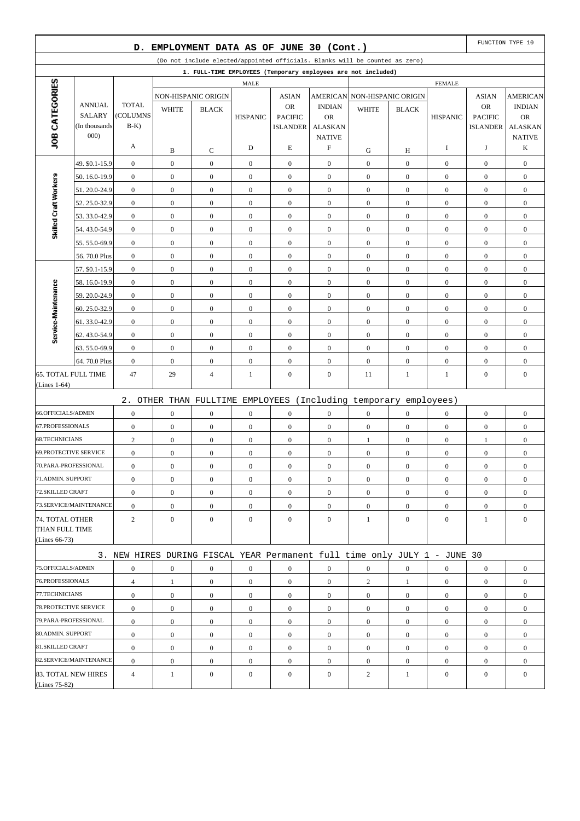|                              |                                                                                                                                               | D.                       |                  | EMPLOYMENT DATA AS OF JUNE 30 (Cont.) |                  |                                   |                             |                                                                           |                  |                  |                                   | FUNCTION TYPE 10            |
|------------------------------|-----------------------------------------------------------------------------------------------------------------------------------------------|--------------------------|------------------|---------------------------------------|------------------|-----------------------------------|-----------------------------|---------------------------------------------------------------------------|------------------|------------------|-----------------------------------|-----------------------------|
|                              | (Do not include elected/appointed officials. Blanks will be counted as zero)<br>1. FULL-TIME EMPLOYEES (Temporary employees are not included) |                          |                  |                                       |                  |                                   |                             |                                                                           |                  |                  |                                   |                             |
|                              |                                                                                                                                               |                          |                  |                                       |                  |                                   |                             |                                                                           |                  |                  |                                   |                             |
| JOB CATEGORIES               |                                                                                                                                               |                          |                  |                                       | <b>MALE</b>      |                                   |                             |                                                                           |                  | <b>FEMALE</b>    |                                   |                             |
|                              |                                                                                                                                               |                          |                  | NON-HISPANIC ORIGIN                   |                  | <b>ASIAN</b>                      |                             | AMERICAN NON-HISPANIC ORIGIN                                              |                  |                  | <b>ASIAN</b>                      | <b>AMERICAN</b>             |
|                              | <b>ANNUAL</b><br><b>SALARY</b>                                                                                                                | <b>TOTAL</b><br>(COLUMNS | <b>WHITE</b>     | <b>BLACK</b>                          |                  | <b>OR</b>                         | <b>INDIAN</b>               | <b>WHITE</b>                                                              | <b>BLACK</b>     |                  | <b>OR</b>                         | <b>INDIAN</b>               |
|                              | (In thousands)                                                                                                                                | $B-K$                    |                  |                                       | <b>HISPANIC</b>  | <b>PACIFIC</b><br><b>ISLANDER</b> | <b>OR</b><br><b>ALASKAN</b> |                                                                           |                  | <b>HISPANIC</b>  | <b>PACIFIC</b><br><b>ISLANDER</b> | <b>OR</b><br><b>ALASKAN</b> |
|                              | 000                                                                                                                                           |                          |                  |                                       |                  |                                   | <b>NATIVE</b>               |                                                                           |                  |                  |                                   | <b>NATIVE</b>               |
|                              |                                                                                                                                               | A                        | B                | C                                     | D                | E                                 | $\boldsymbol{\mathrm{F}}$   | G                                                                         | Н                | 1                | J                                 | K                           |
|                              | 49. \$0.1-15.9                                                                                                                                | $\boldsymbol{0}$         | $\boldsymbol{0}$ | $\boldsymbol{0}$                      | $\boldsymbol{0}$ | $\mathbf{0}$                      | $\mathbf{0}$                | $\boldsymbol{0}$                                                          | $\mathbf{0}$     | $\boldsymbol{0}$ | $\boldsymbol{0}$                  | $\boldsymbol{0}$            |
|                              | 50.16.0-19.9                                                                                                                                  | $\boldsymbol{0}$         | $\boldsymbol{0}$ | $\boldsymbol{0}$                      | $\overline{0}$   | $\boldsymbol{0}$                  | $\overline{0}$              | $\boldsymbol{0}$                                                          | $\overline{0}$   | $\boldsymbol{0}$ | $\boldsymbol{0}$                  | $\boldsymbol{0}$            |
| Skilled Craft Workers        | 51.20.0-24.9                                                                                                                                  | $\boldsymbol{0}$         | $\boldsymbol{0}$ | $\boldsymbol{0}$                      | $\boldsymbol{0}$ | $\boldsymbol{0}$                  | $\boldsymbol{0}$            | $\boldsymbol{0}$                                                          | $\mathbf{0}$     | $\boldsymbol{0}$ | $\boldsymbol{0}$                  | $\boldsymbol{0}$            |
|                              | 52.25.0-32.9                                                                                                                                  | $\boldsymbol{0}$         | $\mathbf{0}$     | $\overline{0}$                        | $\boldsymbol{0}$ | $\boldsymbol{0}$                  | $\overline{0}$              | $\boldsymbol{0}$                                                          | $\overline{0}$   | $\boldsymbol{0}$ | $\boldsymbol{0}$                  | $\boldsymbol{0}$            |
|                              | 53.33.0-42.9                                                                                                                                  | $\boldsymbol{0}$         | $\boldsymbol{0}$ | $\boldsymbol{0}$                      | $\boldsymbol{0}$ | $\mathbf{0}$                      | $\overline{0}$              | $\boldsymbol{0}$                                                          | $\overline{0}$   | $\boldsymbol{0}$ | $\boldsymbol{0}$                  | $\boldsymbol{0}$            |
|                              | 54.43.0-54.9                                                                                                                                  | $\boldsymbol{0}$         | $\boldsymbol{0}$ | $\boldsymbol{0}$                      | $\boldsymbol{0}$ | $\boldsymbol{0}$                  | $\overline{0}$              | $\boldsymbol{0}$                                                          | $\overline{0}$   | $\boldsymbol{0}$ | $\boldsymbol{0}$                  | $\boldsymbol{0}$            |
|                              | 55.55.0-69.9                                                                                                                                  | $\boldsymbol{0}$         | $\boldsymbol{0}$ | $\boldsymbol{0}$                      | $\boldsymbol{0}$ | $\boldsymbol{0}$                  | $\boldsymbol{0}$            | $\boldsymbol{0}$                                                          | $\mathbf{0}$     | $\boldsymbol{0}$ | $\boldsymbol{0}$                  | $\boldsymbol{0}$            |
|                              | 56.70.0 Plus                                                                                                                                  | $\boldsymbol{0}$         | $\boldsymbol{0}$ | $\mathbf{0}$                          | $\boldsymbol{0}$ | $\boldsymbol{0}$                  | $\overline{0}$              | $\boldsymbol{0}$                                                          | $\overline{0}$   | $\boldsymbol{0}$ | $\boldsymbol{0}$                  | $\boldsymbol{0}$            |
|                              | 57. \$0.1-15.9                                                                                                                                | $\boldsymbol{0}$         | $\boldsymbol{0}$ | $\boldsymbol{0}$                      | $\boldsymbol{0}$ | $\mathbf{0}$                      | $\overline{0}$              | $\boldsymbol{0}$                                                          | $\mathbf{0}$     | $\boldsymbol{0}$ | $\boldsymbol{0}$                  | $\boldsymbol{0}$            |
|                              | 58.16.0-19.9                                                                                                                                  | $\boldsymbol{0}$         | $\boldsymbol{0}$ | $\boldsymbol{0}$                      | $\boldsymbol{0}$ | $\boldsymbol{0}$                  | $\overline{0}$              | $\boldsymbol{0}$                                                          | $\overline{0}$   | $\boldsymbol{0}$ | $\boldsymbol{0}$                  | $\boldsymbol{0}$            |
|                              | 59.20.0-24.9                                                                                                                                  | $\boldsymbol{0}$         | $\boldsymbol{0}$ | $\boldsymbol{0}$                      | $\boldsymbol{0}$ | $\boldsymbol{0}$                  | $\boldsymbol{0}$            | $\boldsymbol{0}$                                                          | $\mathbf{0}$     | $\boldsymbol{0}$ | $\boldsymbol{0}$                  | $\boldsymbol{0}$            |
|                              | 60.25.0-32.9                                                                                                                                  | $\boldsymbol{0}$         | $\mathbf{0}$     | $\overline{0}$                        | $\boldsymbol{0}$ | $\boldsymbol{0}$                  | $\overline{0}$              | $\boldsymbol{0}$                                                          | $\overline{0}$   | $\boldsymbol{0}$ | $\boldsymbol{0}$                  | $\boldsymbol{0}$            |
| Service-Maintenance          | 61.33.0-42.9                                                                                                                                  | $\boldsymbol{0}$         | $\boldsymbol{0}$ | $\boldsymbol{0}$                      | $\boldsymbol{0}$ | $\mathbf{0}$                      | $\overline{0}$              | $\boldsymbol{0}$                                                          | $\overline{0}$   | $\boldsymbol{0}$ | $\boldsymbol{0}$                  | $\boldsymbol{0}$            |
|                              | 62.43.0-54.9                                                                                                                                  | $\boldsymbol{0}$         | $\boldsymbol{0}$ | $\boldsymbol{0}$                      | $\boldsymbol{0}$ | $\boldsymbol{0}$                  | $\mathbf{0}$                | $\boldsymbol{0}$                                                          | $\overline{0}$   | $\boldsymbol{0}$ | $\boldsymbol{0}$                  | $\boldsymbol{0}$            |
|                              | 63.55.0-69.9                                                                                                                                  | $\boldsymbol{0}$         | $\boldsymbol{0}$ | $\boldsymbol{0}$                      | $\boldsymbol{0}$ | $\boldsymbol{0}$                  | $\boldsymbol{0}$            | $\boldsymbol{0}$                                                          | $\mathbf{0}$     | $\boldsymbol{0}$ | $\boldsymbol{0}$                  | $\boldsymbol{0}$            |
|                              | 64.70.0 Plus                                                                                                                                  | $\boldsymbol{0}$         | $\mathbf{0}$     | $\overline{0}$                        | $\overline{0}$   | $\boldsymbol{0}$                  | $\overline{0}$              | $\boldsymbol{0}$                                                          | $\overline{0}$   | $\boldsymbol{0}$ | $\boldsymbol{0}$                  | $\boldsymbol{0}$            |
| <b>65. TOTAL FULL TIME</b>   |                                                                                                                                               | 47                       | 29               | 4                                     | 1                | $\boldsymbol{0}$                  | $\mathbf{0}$                | 11                                                                        | 1                | 1                | $\boldsymbol{0}$                  | $\boldsymbol{0}$            |
| (Lines 1-64)                 |                                                                                                                                               |                          |                  |                                       |                  |                                   |                             |                                                                           |                  |                  |                                   |                             |
|                              |                                                                                                                                               | 2.                       |                  |                                       |                  |                                   |                             | OTHER THAN FULLTIME EMPLOYEES (Including temporary employees)             |                  |                  |                                   |                             |
| 66.OFFICIALS/ADMIN           |                                                                                                                                               | $\boldsymbol{0}$         | $\mathbf{0}$     | $\overline{0}$                        | $\boldsymbol{0}$ | $\boldsymbol{0}$                  | $\overline{0}$              | $\boldsymbol{0}$                                                          | $\overline{0}$   | $\boldsymbol{0}$ | $\boldsymbol{0}$                  | $\boldsymbol{0}$            |
| 67.PROFESSIONALS             |                                                                                                                                               | $\boldsymbol{0}$         | $\boldsymbol{0}$ | $\boldsymbol{0}$                      | $\boldsymbol{0}$ | $\mathbf{0}$                      | $\mathbf{0}$                | $\boldsymbol{0}$                                                          | $\mathbf{0}$     | $\boldsymbol{0}$ | $\boldsymbol{0}$                  | $\boldsymbol{0}$            |
| <b>68.TECHNICIANS</b>        |                                                                                                                                               | $\overline{c}$           | $\boldsymbol{0}$ | $\boldsymbol{0}$                      | $\boldsymbol{0}$ | $\boldsymbol{0}$                  | $\mathbf{0}$                | $\mathbf{1}$                                                              | $\overline{0}$   | $\mathbf{0}$     | 1                                 | $\boldsymbol{0}$            |
| <b>69.PROTECTIVE SERVICE</b> |                                                                                                                                               | $\boldsymbol{0}$         | $\boldsymbol{0}$ | $\boldsymbol{0}$                      | $\boldsymbol{0}$ | $\boldsymbol{0}$                  | $\boldsymbol{0}$            | $\boldsymbol{0}$                                                          | $\boldsymbol{0}$ | $\boldsymbol{0}$ | $\boldsymbol{0}$                  | $\boldsymbol{0}$            |
| 70.PARA-PROFESSIONAL         |                                                                                                                                               | $\boldsymbol{0}$         | $\mathbf{0}$     | $\overline{0}$                        | $\boldsymbol{0}$ | $\boldsymbol{0}$                  | $\overline{0}$              | $\boldsymbol{0}$                                                          | $\mathbf{0}$     | $\boldsymbol{0}$ | $\boldsymbol{0}$                  | $\boldsymbol{0}$            |
| 71.ADMIN. SUPPORT            |                                                                                                                                               | $\boldsymbol{0}$         | $\boldsymbol{0}$ | $\boldsymbol{0}$                      | $\boldsymbol{0}$ | $\boldsymbol{0}$                  | $\mathbf{0}$                | $\boldsymbol{0}$                                                          | $\boldsymbol{0}$ | $\boldsymbol{0}$ | $\boldsymbol{0}$                  | $\boldsymbol{0}$            |
| 72.SKILLED CRAFT             |                                                                                                                                               | $\boldsymbol{0}$         | $\overline{0}$   | $\boldsymbol{0}$                      | $\overline{0}$   | $\overline{0}$                    | $\overline{0}$              | $\overline{0}$                                                            | $\overline{0}$   | $\overline{0}$   | $\overline{0}$                    | $\boldsymbol{0}$            |
|                              | 73.SERVICE/MAINTENANCE                                                                                                                        | $\boldsymbol{0}$         | $\boldsymbol{0}$ | $\boldsymbol{0}$                      | $\boldsymbol{0}$ | $\boldsymbol{0}$                  | $\boldsymbol{0}$            | $\boldsymbol{0}$                                                          | $\overline{0}$   | $\mathbf{0}$     | $\boldsymbol{0}$                  | $\boldsymbol{0}$            |
| 74. TOTAL OTHER              |                                                                                                                                               | $\mathbf{2}$             | $\overline{0}$   | $\overline{0}$                        | $\overline{0}$   | $\mathbf{0}$                      | $\overline{0}$              | $\mathbf{1}$                                                              | $\overline{0}$   | $\overline{0}$   | $\mathbf{1}$                      | $\mathbf{0}$                |
| THAN FULL TIME               |                                                                                                                                               |                          |                  |                                       |                  |                                   |                             |                                                                           |                  |                  |                                   |                             |
| (Lines 66-73)                |                                                                                                                                               |                          |                  |                                       |                  |                                   |                             |                                                                           |                  |                  |                                   |                             |
|                              |                                                                                                                                               |                          |                  |                                       |                  |                                   |                             | 3. NEW HIRES DURING FISCAL YEAR Permanent full time only JULY 1 - JUNE 30 |                  |                  |                                   |                             |
| 75.OFFICIALS/ADMIN           |                                                                                                                                               | $\boldsymbol{0}$         | $\boldsymbol{0}$ | $\boldsymbol{0}$                      | $\boldsymbol{0}$ | $\boldsymbol{0}$                  | $\boldsymbol{0}$            | $\boldsymbol{0}$                                                          | $\boldsymbol{0}$ | $\boldsymbol{0}$ | $\overline{0}$                    | $\boldsymbol{0}$            |
| 76.PROFESSIONALS             |                                                                                                                                               | $\overline{4}$           | 1                | $\overline{0}$                        | $\overline{0}$   | $\boldsymbol{0}$                  | $\overline{0}$              | $\overline{c}$                                                            | $\mathbf{1}$     | $\mathbf{0}$     | $\boldsymbol{0}$                  | $\overline{0}$              |
| 77.TECHNICIANS               |                                                                                                                                               | $\boldsymbol{0}$         | $\overline{0}$   | $\overline{0}$                        | $\overline{0}$   | $\mathbf{0}$                      | $\overline{0}$              | $\overline{0}$                                                            | $\overline{0}$   | $\mathbf{0}$     | $\overline{0}$                    | $\overline{0}$              |
| 78. PROTECTIVE SERVICE       |                                                                                                                                               | $\boldsymbol{0}$         | $\boldsymbol{0}$ | $\boldsymbol{0}$                      | $\boldsymbol{0}$ | $\boldsymbol{0}$                  | $\mathbf{0}$                | $\overline{0}$                                                            | $\overline{0}$   | $\mathbf{0}$     | $\boldsymbol{0}$                  | $\overline{0}$              |
| 79.PARA-PROFESSIONAL         |                                                                                                                                               | $\boldsymbol{0}$         | $\overline{0}$   | $\boldsymbol{0}$                      | $\boldsymbol{0}$ | $\boldsymbol{0}$                  | $\overline{0}$              | $\boldsymbol{0}$                                                          | $\overline{0}$   | $\mathbf{0}$     | $\overline{0}$                    | $\overline{0}$              |
| 80.ADMIN. SUPPORT            |                                                                                                                                               | $\boldsymbol{0}$         | $\boldsymbol{0}$ | $\boldsymbol{0}$                      | $\boldsymbol{0}$ | $\boldsymbol{0}$                  | $\boldsymbol{0}$            | $\boldsymbol{0}$                                                          | $\boldsymbol{0}$ | $\mathbf{0}$     | $\boldsymbol{0}$                  | $\overline{0}$              |
| 81.SKILLED CRAFT             |                                                                                                                                               | $\boldsymbol{0}$         | $\boldsymbol{0}$ | $\overline{0}$                        | $\overline{0}$   | $\mathbf{0}$                      | $\overline{0}$              | $\overline{0}$                                                            | $\overline{0}$   | $\mathbf{0}$     | $\boldsymbol{0}$                  | $\overline{0}$              |
|                              | 82.SERVICE/MAINTENANCE                                                                                                                        | $\boldsymbol{0}$         | $\boldsymbol{0}$ | $\boldsymbol{0}$                      | $\boldsymbol{0}$ | $\boldsymbol{0}$                  | $\boldsymbol{0}$            | $\boldsymbol{0}$                                                          | $\overline{0}$   | $\boldsymbol{0}$ | $\boldsymbol{0}$                  | $\boldsymbol{0}$            |
| 83. TOTAL NEW HIRES          |                                                                                                                                               | $\overline{4}$           | 1                | $\boldsymbol{0}$                      | $\overline{0}$   | $\boldsymbol{0}$                  | $\mathbf{0}$                | $\overline{c}$                                                            | 1                | $\mathbf{0}$     | $\boldsymbol{0}$                  | $\boldsymbol{0}$            |
| (Lines 75-82)                |                                                                                                                                               |                          |                  |                                       |                  |                                   |                             |                                                                           |                  |                  |                                   |                             |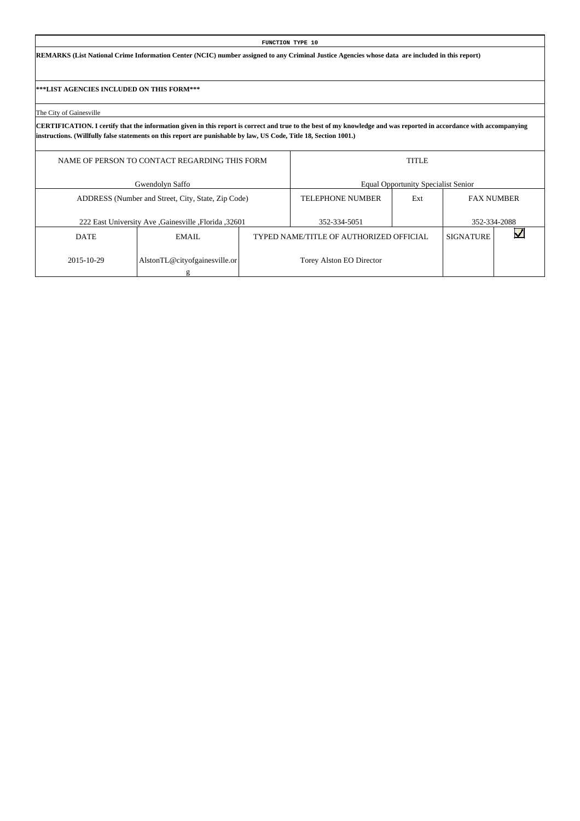**REMARKS (List National Crime Information Center (NCIC) number assigned to any Criminal Justice Agencies whose data are included in this report)**

**\*\*\*LIST AGENCIES INCLUDED ON THIS FORM\*\*\***

The City of Gainesville

|             | NAME OF PERSON TO CONTACT REGARDING THIS FORM       |                                         | <b>TITLE</b>                               |                   |              |
|-------------|-----------------------------------------------------|-----------------------------------------|--------------------------------------------|-------------------|--------------|
|             | Gwendolyn Saffo                                     |                                         | <b>Equal Opportunity Specialist Senior</b> |                   |              |
|             | ADDRESS (Number and Street, City, State, Zip Code)  | <b>TELEPHONE NUMBER</b>                 | Ext                                        | <b>FAX NUMBER</b> |              |
|             | 222 East University Ave Gainesville , Florida 32601 | 352-334-5051                            |                                            |                   | 352-334-2088 |
| <b>DATE</b> | EMAIL.                                              | TYPED NAME/TITLE OF AUTHORIZED OFFICIAL |                                            | <b>SIGNATURE</b>  |              |
| 2015-10-29  | AlstonTL@cityofgainesville.or                       | Torey Alston EO Director                |                                            |                   |              |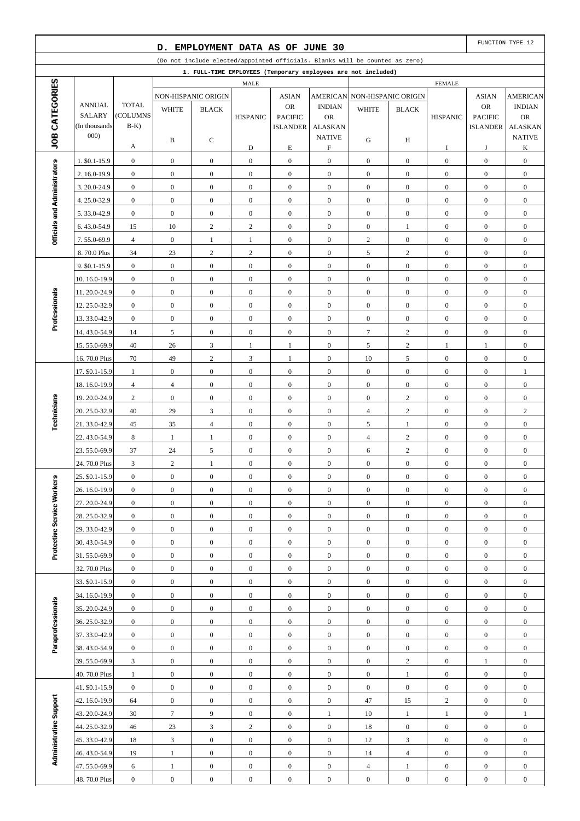|                              |                               |                                      | D.                                   | EMPLOYMENT DATA AS OF JUNE 30        |                                  |                                      |                                      |                                                                              |                                |                                      |                                      | FUNCTION TYPE 12                     |
|------------------------------|-------------------------------|--------------------------------------|--------------------------------------|--------------------------------------|----------------------------------|--------------------------------------|--------------------------------------|------------------------------------------------------------------------------|--------------------------------|--------------------------------------|--------------------------------------|--------------------------------------|
|                              |                               |                                      |                                      |                                      |                                  |                                      |                                      | (Do not include elected/appointed officials. Blanks will be counted as zero) |                                |                                      |                                      |                                      |
|                              |                               |                                      |                                      |                                      |                                  |                                      |                                      | 1. FULL-TIME EMPLOYEES (Temporary employees are not included)                |                                |                                      |                                      |                                      |
| JOB CATEGORIES               |                               |                                      |                                      |                                      | MALE                             |                                      |                                      |                                                                              |                                | <b>FEMALE</b>                        |                                      |                                      |
|                              | <b>ANNUAL</b>                 | <b>TOTAL</b>                         |                                      | NON-HISPANIC ORIGIN                  |                                  | <b>ASIAN</b><br><b>OR</b>            | <b>AMERICAN</b><br><b>INDIAN</b>     |                                                                              | NON-HISPANIC ORIGIN            |                                      | <b>ASIAN</b><br>OR                   | <b>AMERICAN</b><br><b>INDIAN</b>     |
|                              | <b>SALARY</b>                 | <b>COLUMNS</b>                       | <b>WHITE</b>                         | <b>BLACK</b>                         | <b>HISPANIC</b>                  | <b>PACIFIC</b>                       | <b>OR</b>                            | <b>WHITE</b>                                                                 | <b>BLACK</b>                   | <b>HISPANIC</b>                      | <b>PACIFIC</b>                       | <b>OR</b>                            |
|                              | (In thousands                 | $B-K$                                |                                      |                                      |                                  | <b>ISLANDER</b>                      | <b>ALASKAN</b>                       |                                                                              |                                |                                      | <b>ISLANDER</b>                      | <b>ALASKAN</b>                       |
|                              | 000)                          |                                      | B                                    | C                                    |                                  |                                      | <b>NATIVE</b>                        | G                                                                            | H                              |                                      |                                      | <b>NATIVE</b>                        |
|                              |                               | A                                    |                                      |                                      | D                                | E                                    | $\boldsymbol{\mathrm{F}}$            |                                                                              |                                | 1                                    | J                                    | K                                    |
|                              | 1. \$0.1-15.9<br>2.16.0-19.9  | $\boldsymbol{0}$<br>$\boldsymbol{0}$ | $\boldsymbol{0}$<br>$\boldsymbol{0}$ | $\boldsymbol{0}$<br>$\overline{0}$   | $\mathbf{0}$<br>$\boldsymbol{0}$ | $\boldsymbol{0}$<br>$\boldsymbol{0}$ | $\boldsymbol{0}$<br>$\boldsymbol{0}$ | $\boldsymbol{0}$<br>$\mathbf{0}$                                             | $\overline{0}$<br>$\mathbf{0}$ | $\boldsymbol{0}$<br>$\boldsymbol{0}$ | $\mathbf{0}$<br>$\boldsymbol{0}$     | $\boldsymbol{0}$<br>$\boldsymbol{0}$ |
|                              | 3.20.0-24.9                   | $\mathbf{0}$                         | $\mathbf{0}$                         | $\mathbf{0}$                         | $\mathbf{0}$                     | $\mathbf{0}$                         | $\boldsymbol{0}$                     | $\mathbf{0}$                                                                 | $\mathbf{0}$                   | $\boldsymbol{0}$                     | $\boldsymbol{0}$                     | $\boldsymbol{0}$                     |
|                              | 4.25.0-32.9                   | $\mathbf{0}$                         | $\boldsymbol{0}$                     | $\boldsymbol{0}$                     | $\mathbf{0}$                     | $\mathbf{0}$                         | $\boldsymbol{0}$                     | $\boldsymbol{0}$                                                             | $\mathbf{0}$                   | $\boldsymbol{0}$                     | $\boldsymbol{0}$                     | $\boldsymbol{0}$                     |
| Officials and Administrators | 5.33.0-42.9                   | $\boldsymbol{0}$                     | $\boldsymbol{0}$                     | $\boldsymbol{0}$                     | $\boldsymbol{0}$                 | $\boldsymbol{0}$                     | $\boldsymbol{0}$                     | $\boldsymbol{0}$                                                             | $\boldsymbol{0}$               | $\boldsymbol{0}$                     | $\boldsymbol{0}$                     | $\boldsymbol{0}$                     |
|                              | 6.43.0-54.9                   | 15                                   | 10                                   | $\sqrt{2}$                           | $\overline{c}$                   | $\boldsymbol{0}$                     | $\boldsymbol{0}$                     | $\boldsymbol{0}$                                                             | $\mathbf{1}$                   | $\boldsymbol{0}$                     | $\boldsymbol{0}$                     | $\boldsymbol{0}$                     |
|                              | 7.55.0-69.9                   | $\overline{4}$                       | $\mathbf{0}$                         | $\mathbf{1}$                         | $\mathbf{1}$                     | $\mathbf{0}$                         | $\boldsymbol{0}$                     | $\mathbf{2}$                                                                 | $\mathbf{0}$                   | $\boldsymbol{0}$                     | $\boldsymbol{0}$                     | $\boldsymbol{0}$                     |
|                              | 8.70.0 Plus                   | 34                                   | $23\,$                               | $\sqrt{2}$                           | $\overline{c}$                   | $\mathbf{0}$                         | $\boldsymbol{0}$                     | 5                                                                            | $\overline{c}$                 | $\boldsymbol{0}$                     | $\boldsymbol{0}$                     | $\boldsymbol{0}$                     |
|                              | 9. \$0.1-15.9                 | $\mathbf{0}$                         | $\boldsymbol{0}$                     | $\boldsymbol{0}$                     | $\boldsymbol{0}$                 | $\boldsymbol{0}$                     | $\boldsymbol{0}$                     | $\mathbf{0}$                                                                 | $\overline{0}$                 | $\boldsymbol{0}$                     | $\boldsymbol{0}$                     | $\boldsymbol{0}$                     |
|                              | 10.16.0-19.9                  | $\boldsymbol{0}$                     | $\boldsymbol{0}$                     | $\overline{0}$                       | $\mathbf{0}$                     | $\boldsymbol{0}$                     | $\boldsymbol{0}$                     | $\mathbf{0}$                                                                 | $\mathbf{0}$                   | $\boldsymbol{0}$                     | $\boldsymbol{0}$                     | $\boldsymbol{0}$                     |
|                              | 11.20.0-24.9                  | $\mathbf{0}$                         | $\mathbf{0}$                         | $\mathbf{0}$                         | $\mathbf{0}$                     | $\boldsymbol{0}$                     | $\boldsymbol{0}$                     | $\mathbf{0}$                                                                 | $\mathbf{0}$                   | $\boldsymbol{0}$                     | $\boldsymbol{0}$                     | $\boldsymbol{0}$                     |
| Professionals                | 12.25.0-32.9                  | $\mathbf{0}$                         | $\boldsymbol{0}$                     | $\boldsymbol{0}$                     | $\mathbf{0}$                     | $\boldsymbol{0}$                     | $\boldsymbol{0}$                     | $\boldsymbol{0}$                                                             | $\mathbf{0}$                   | $\boldsymbol{0}$                     | $\boldsymbol{0}$                     | $\boldsymbol{0}$                     |
|                              | 13.33.0-42.9                  | $\mathbf{0}$                         | $\boldsymbol{0}$                     | $\boldsymbol{0}$                     | $\boldsymbol{0}$                 | $\boldsymbol{0}$                     | $\boldsymbol{0}$                     | $\boldsymbol{0}$                                                             | $\boldsymbol{0}$               | $\boldsymbol{0}$                     | $\boldsymbol{0}$                     | $\boldsymbol{0}$                     |
|                              | 14.43.0-54.9                  | 14                                   | 5                                    | $\boldsymbol{0}$                     | $\mathbf{0}$                     | $\boldsymbol{0}$                     | $\boldsymbol{0}$                     | $\tau$                                                                       | $\overline{c}$                 | $\boldsymbol{0}$                     | $\boldsymbol{0}$                     | $\boldsymbol{0}$                     |
|                              | 15.55.0-69.9                  | 40                                   | 26                                   | 3                                    | 1                                | $\mathbf{1}$                         | $\boldsymbol{0}$                     | 5                                                                            | $\overline{2}$                 | 1                                    | $\mathbf{1}$                         | $\boldsymbol{0}$                     |
|                              | 16.70.0 Plus                  | 70                                   | 49                                   | $\sqrt{2}$                           | 3                                | $\mathbf{1}$                         | $\boldsymbol{0}$                     | 10                                                                           | 5                              | $\boldsymbol{0}$                     | $\boldsymbol{0}$                     | $\boldsymbol{0}$                     |
|                              | 17. \$0.1-15.9                | $\mathbf{1}$                         | $\boldsymbol{0}$                     | $\boldsymbol{0}$                     | $\boldsymbol{0}$                 | $\boldsymbol{0}$                     | $\boldsymbol{0}$                     | $\mathbf{0}$                                                                 | $\mathbf{0}$                   | $\boldsymbol{0}$                     | $\boldsymbol{0}$                     | 1                                    |
|                              | 18.16.0-19.9                  | $\overline{4}$                       | $\overline{4}$                       | $\boldsymbol{0}$                     | $\mathbf{0}$                     | $\boldsymbol{0}$                     | $\boldsymbol{0}$                     | $\mathbf{0}$                                                                 | $\mathbf{0}$                   | $\boldsymbol{0}$                     | $\boldsymbol{0}$                     | $\boldsymbol{0}$                     |
|                              | 19.20.0-24.9                  | 2                                    | $\mathbf{0}$                         | $\mathbf{0}$                         | $\mathbf{0}$                     | $\mathbf{0}$                         | $\boldsymbol{0}$                     | $\mathbf{0}$                                                                 | $\overline{c}$                 | $\boldsymbol{0}$                     | $\boldsymbol{0}$                     | $\boldsymbol{0}$                     |
| Technicians                  | 20. 25.0-32.9<br>21.33.0-42.9 | 40<br>45                             | 29<br>35                             | 3<br>$\overline{4}$                  | $\mathbf{0}$<br>$\boldsymbol{0}$ | $\mathbf{0}$<br>$\boldsymbol{0}$     | $\boldsymbol{0}$<br>$\boldsymbol{0}$ | $\overline{4}$<br>5                                                          | $\overline{c}$<br>$\mathbf{1}$ | $\boldsymbol{0}$<br>$\boldsymbol{0}$ | $\boldsymbol{0}$<br>$\boldsymbol{0}$ | $\sqrt{2}$<br>$\boldsymbol{0}$       |
|                              | 22.43.0-54.9                  | 8                                    | 1                                    | $\mathbf{1}$                         | $\boldsymbol{0}$                 | $\boldsymbol{0}$                     | $\boldsymbol{0}$                     | $\overline{4}$                                                               | $\overline{c}$                 | $\boldsymbol{0}$                     | $\boldsymbol{0}$                     | $\boldsymbol{0}$                     |
|                              | 23.55.0-69.9                  | 37                                   | 24                                   | 5                                    | $\boldsymbol{0}$                 | $\boldsymbol{0}$                     | $\boldsymbol{0}$                     | $\sqrt{6}$                                                                   | $\overline{c}$                 | $\boldsymbol{0}$                     | $\boldsymbol{0}$                     | $\boldsymbol{0}$                     |
|                              | 24.70.0 Plus                  | 3                                    | $\sqrt{2}$                           | $\mathbf{1}$                         | $\boldsymbol{0}$                 | $\boldsymbol{0}$                     | $\boldsymbol{0}$                     | $\boldsymbol{0}$                                                             | $\mathbf{0}$                   | $\boldsymbol{0}$                     | $\boldsymbol{0}$                     | $\boldsymbol{0}$                     |
|                              | 25. \$0.1-15.9                | $\boldsymbol{0}$                     | $\boldsymbol{0}$                     | $\boldsymbol{0}$                     | $\boldsymbol{0}$                 | $\boldsymbol{0}$                     | $\boldsymbol{0}$                     | $\boldsymbol{0}$                                                             | $\boldsymbol{0}$               | $\boldsymbol{0}$                     | $\boldsymbol{0}$                     | $\boldsymbol{0}$                     |
|                              | 26. 16.0-19.9                 | $\overline{0}$                       | $\mathbf{0}$                         | $\overline{0}$                       | $\boldsymbol{0}$                 | $\boldsymbol{0}$                     | $\boldsymbol{0}$                     | $\overline{0}$                                                               | $\mathbf{0}$                   | $\mathbf{0}$                         | $\mathbf{0}$                         | $\boldsymbol{0}$                     |
|                              | 27.20.0-24.9                  | $\mathbf{0}$                         | $\mathbf{0}$                         | $\boldsymbol{0}$                     | $\mathbf{0}$                     | $\boldsymbol{0}$                     | $\boldsymbol{0}$                     | $\mathbf{0}$                                                                 | $\mathbf{0}$                   | $\boldsymbol{0}$                     | $\mathbf{0}$                         | $\boldsymbol{0}$                     |
| Protective Service Workers   | 28.25.0-32.9                  | $\boldsymbol{0}$                     | $\boldsymbol{0}$                     | $\boldsymbol{0}$                     | $\mathbf{0}$                     | $\boldsymbol{0}$                     | $\boldsymbol{0}$                     | $\boldsymbol{0}$                                                             | $\overline{0}$                 | $\boldsymbol{0}$                     | $\boldsymbol{0}$                     | $\boldsymbol{0}$                     |
|                              | 29.33.0-42.9                  | $\boldsymbol{0}$                     | $\boldsymbol{0}$                     | $\boldsymbol{0}$                     | $\boldsymbol{0}$                 | $\boldsymbol{0}$                     | $\boldsymbol{0}$                     | $\boldsymbol{0}$                                                             | $\overline{0}$                 | $\boldsymbol{0}$                     | $\boldsymbol{0}$                     | $\boldsymbol{0}$                     |
|                              | 30.43.0-54.9                  | $\mathbf{0}$                         | $\boldsymbol{0}$                     | $\boldsymbol{0}$                     | $\boldsymbol{0}$                 | $\boldsymbol{0}$                     | $\boldsymbol{0}$                     | $\mathbf{0}$                                                                 | $\mathbf{0}$                   | $\boldsymbol{0}$                     | $\boldsymbol{0}$                     | $\boldsymbol{0}$                     |
|                              | 31.55.0-69.9                  | $\boldsymbol{0}$                     | $\boldsymbol{0}$                     | $\boldsymbol{0}$                     | $\boldsymbol{0}$                 | $\boldsymbol{0}$                     | $\boldsymbol{0}$                     | $\boldsymbol{0}$                                                             | $\mathbf{0}$                   | $\boldsymbol{0}$                     | $\boldsymbol{0}$                     | $\boldsymbol{0}$                     |
|                              | 32.70.0 Plus                  | $\boldsymbol{0}$                     | $\boldsymbol{0}$                     | $\boldsymbol{0}$                     | $\boldsymbol{0}$                 | $\boldsymbol{0}$                     | $\boldsymbol{0}$                     | $\boldsymbol{0}$                                                             | $\boldsymbol{0}$               | $\boldsymbol{0}$                     | $\boldsymbol{0}$                     | $\boldsymbol{0}$                     |
|                              | 33. \$0.1-15.9                | $\boldsymbol{0}$                     | $\boldsymbol{0}$                     | $\boldsymbol{0}$                     | $\boldsymbol{0}$                 | $\boldsymbol{0}$                     | $\boldsymbol{0}$                     | $\boldsymbol{0}$                                                             | $\overline{0}$                 | $\boldsymbol{0}$                     | $\boldsymbol{0}$                     | $\boldsymbol{0}$                     |
|                              | 34. 16.0-19.9                 | $\boldsymbol{0}$                     | $\boldsymbol{0}$                     | $\boldsymbol{0}$                     | $\boldsymbol{0}$                 | $\boldsymbol{0}$                     | $\boldsymbol{0}$                     | $\boldsymbol{0}$                                                             | $\boldsymbol{0}$               | $\boldsymbol{0}$                     | $\boldsymbol{0}$                     | $\boldsymbol{0}$                     |
| Paraprofessionals            | 35.20.0-24.9<br>36.25.0-32.9  | $\boldsymbol{0}$<br>$\boldsymbol{0}$ | $\boldsymbol{0}$<br>$\boldsymbol{0}$ | $\boldsymbol{0}$<br>$\boldsymbol{0}$ | $\mathbf{0}$<br>$\mathbf{0}$     | $\boldsymbol{0}$<br>$\boldsymbol{0}$ | $\boldsymbol{0}$<br>$\boldsymbol{0}$ | $\boldsymbol{0}$<br>$\boldsymbol{0}$                                         | $\mathbf{0}$<br>$\mathbf{0}$   | $\boldsymbol{0}$<br>$\boldsymbol{0}$ | $\mathbf{0}$<br>$\boldsymbol{0}$     | $\boldsymbol{0}$<br>$\boldsymbol{0}$ |
|                              | 37.33.0-42.9                  | $\boldsymbol{0}$                     | $\boldsymbol{0}$                     | $\boldsymbol{0}$                     | $\boldsymbol{0}$                 | $\boldsymbol{0}$                     | $\boldsymbol{0}$                     | $\mathbf{0}$                                                                 | $\overline{0}$                 | $\boldsymbol{0}$                     | $\boldsymbol{0}$                     | $\boldsymbol{0}$                     |
|                              | 38.43.0-54.9                  | $\mathbf{0}$                         | $\boldsymbol{0}$                     | $\mathbf{0}$                         | $\boldsymbol{0}$                 | $\boldsymbol{0}$                     | $\boldsymbol{0}$                     | $\mathbf{0}$                                                                 | $\mathbf{0}$                   | $\boldsymbol{0}$                     | $\boldsymbol{0}$                     | $\boldsymbol{0}$                     |
|                              | 39.55.0-69.9                  | $\mathfrak{Z}$                       | $\boldsymbol{0}$                     | $\boldsymbol{0}$                     | $\boldsymbol{0}$                 | $\boldsymbol{0}$                     | $\boldsymbol{0}$                     | $\boldsymbol{0}$                                                             | $\overline{c}$                 | $\boldsymbol{0}$                     | $\mathbf{1}$                         | $\boldsymbol{0}$                     |
|                              | 40.70.0 Plus                  | $\mathbf{1}$                         | $\boldsymbol{0}$                     | $\boldsymbol{0}$                     | $\boldsymbol{0}$                 | $\boldsymbol{0}$                     | $\boldsymbol{0}$                     | $\boldsymbol{0}$                                                             | $\mathbf{1}$                   | $\boldsymbol{0}$                     | $\boldsymbol{0}$                     | $\boldsymbol{0}$                     |
|                              | 41. \$0.1-15.9                | $\boldsymbol{0}$                     | $\boldsymbol{0}$                     | $\boldsymbol{0}$                     | $\boldsymbol{0}$                 | $\boldsymbol{0}$                     | $\boldsymbol{0}$                     | $\boldsymbol{0}$                                                             | $\boldsymbol{0}$               | $\boldsymbol{0}$                     | $\boldsymbol{0}$                     | $\boldsymbol{0}$                     |
|                              | 42. 16.0-19.9                 | 64                                   | $\boldsymbol{0}$                     | $\boldsymbol{0}$                     | $\boldsymbol{0}$                 | $\boldsymbol{0}$                     | $\boldsymbol{0}$                     | $47\,$                                                                       | 15                             | $\boldsymbol{2}$                     | $\boldsymbol{0}$                     | $\boldsymbol{0}$                     |
|                              | 43.20.0-24.9                  | 30                                   | $\tau$                               | $\overline{9}$                       | $\mathbf{0}$                     | $\boldsymbol{0}$                     | $\mathbf{1}$                         | 10                                                                           | $\mathbf{1}$                   | $\mathbf{1}$                         | $\boldsymbol{0}$                     | $\mathbf{1}$                         |
|                              | 44.25.0-32.9                  | 46                                   | $23\,$                               | $\mathfrak{Z}$                       | $\overline{c}$                   | $\boldsymbol{0}$                     | $\boldsymbol{0}$                     | 18                                                                           | $\mathbf{0}$                   | $\boldsymbol{0}$                     | $\boldsymbol{0}$                     | $\boldsymbol{0}$                     |
|                              | 45.33.0-42.9                  | 18                                   | 3                                    | $\boldsymbol{0}$                     | $\boldsymbol{0}$                 | $\boldsymbol{0}$                     | $\boldsymbol{0}$                     | 12                                                                           | $\mathfrak{Z}$                 | $\boldsymbol{0}$                     | $\boldsymbol{0}$                     | $\boldsymbol{0}$                     |
| Administrative Support       | 46.43.0-54.9                  | 19                                   | $\mathbf{1}$                         | $\mathbf{0}$                         | $\boldsymbol{0}$                 | $\boldsymbol{0}$                     | $\boldsymbol{0}$                     | 14                                                                           | $\overline{4}$                 | $\boldsymbol{0}$                     | $\boldsymbol{0}$                     | $\boldsymbol{0}$                     |
|                              | 47.55.0-69.9                  | 6                                    | $\mathbf{1}$                         | $\boldsymbol{0}$                     | $\mathbf{0}$                     | $\boldsymbol{0}$                     | $\boldsymbol{0}$                     | $\overline{4}$                                                               | $\mathbf{1}$                   | $\boldsymbol{0}$                     | $\boldsymbol{0}$                     | $\boldsymbol{0}$                     |
|                              | 48.70.0 Plus                  | $\boldsymbol{0}$                     | $\boldsymbol{0}$                     | $\boldsymbol{0}$                     | $\boldsymbol{0}$                 | $\boldsymbol{0}$                     | $\boldsymbol{0}$                     | $\boldsymbol{0}$                                                             | $\boldsymbol{0}$               | $\boldsymbol{0}$                     | $\boldsymbol{0}$                     | $\boldsymbol{0}$                     |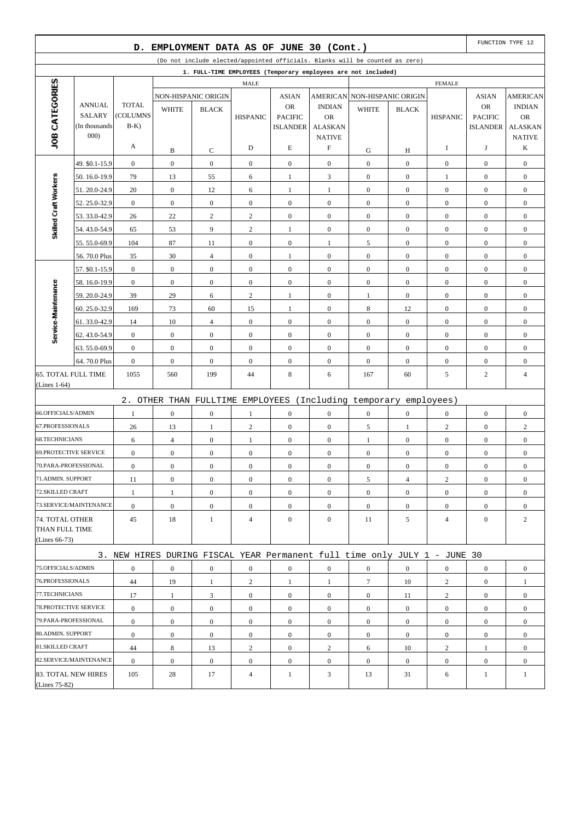|                              |                                                                                                                                               | D.                       |                  | EMPLOYMENT DATA AS OF JUNE 30 (Cont.) |                         |                                   |                            |                                                                           |                  |                  |                                   | FUNCTION TYPE 12           |
|------------------------------|-----------------------------------------------------------------------------------------------------------------------------------------------|--------------------------|------------------|---------------------------------------|-------------------------|-----------------------------------|----------------------------|---------------------------------------------------------------------------|------------------|------------------|-----------------------------------|----------------------------|
|                              | (Do not include elected/appointed officials. Blanks will be counted as zero)<br>1. FULL-TIME EMPLOYEES (Temporary employees are not included) |                          |                  |                                       |                         |                                   |                            |                                                                           |                  |                  |                                   |                            |
|                              |                                                                                                                                               |                          |                  |                                       |                         |                                   |                            |                                                                           |                  |                  |                                   |                            |
| JOB CATEGORIES               |                                                                                                                                               |                          |                  |                                       | <b>MALE</b>             |                                   |                            |                                                                           |                  | <b>FEMALE</b>    |                                   |                            |
|                              |                                                                                                                                               |                          |                  | NON-HISPANIC ORIGIN                   |                         | <b>ASIAN</b>                      |                            | AMERICAN NON-HISPANIC ORIGIN                                              |                  |                  | <b>ASIAN</b>                      | <b>AMERICAN</b>            |
|                              | <b>ANNUAL</b><br><b>SALARY</b>                                                                                                                | <b>TOTAL</b><br>(COLUMNS | <b>WHITE</b>     | <b>BLACK</b>                          |                         | <b>OR</b>                         | <b>INDIAN</b><br><b>OR</b> | <b>WHITE</b>                                                              | <b>BLACK</b>     |                  | <b>OR</b>                         | <b>INDIAN</b><br><b>OR</b> |
|                              | (In thousands)                                                                                                                                | $B-K$                    |                  |                                       | <b>HISPANIC</b>         | <b>PACIFIC</b><br><b>ISLANDER</b> | <b>ALASKAN</b>             |                                                                           |                  | <b>HISPANIC</b>  | <b>PACIFIC</b><br><b>ISLANDER</b> | <b>ALASKAN</b>             |
|                              | 000                                                                                                                                           |                          |                  |                                       |                         |                                   | <b>NATIVE</b>              |                                                                           |                  |                  |                                   | <b>NATIVE</b>              |
|                              |                                                                                                                                               | A                        | B                | C                                     | D                       | E                                 | $\boldsymbol{\mathrm{F}}$  | G                                                                         | Н                | 1                | J                                 | K                          |
|                              | 49. \$0.1-15.9                                                                                                                                | $\boldsymbol{0}$         | $\boldsymbol{0}$ | $\boldsymbol{0}$                      | $\boldsymbol{0}$        | $\boldsymbol{0}$                  | $\mathbf{0}$               | $\boldsymbol{0}$                                                          | $\mathbf{0}$     | $\boldsymbol{0}$ | $\boldsymbol{0}$                  | $\boldsymbol{0}$           |
|                              | 50.16.0-19.9                                                                                                                                  | 79                       | 13               | 55                                    | 6                       | 1                                 | 3                          | $\boldsymbol{0}$                                                          | $\overline{0}$   | 1                | $\boldsymbol{0}$                  | $\boldsymbol{0}$           |
| Skilled Craft Workers        | 51.20.0-24.9                                                                                                                                  | 20                       | $\boldsymbol{0}$ | 12                                    | 6                       | $\mathbf{1}$                      | $\mathbf{1}$               | $\boldsymbol{0}$                                                          | $\mathbf{0}$     | $\boldsymbol{0}$ | $\boldsymbol{0}$                  | $\boldsymbol{0}$           |
|                              | 52.25.0-32.9                                                                                                                                  | $\boldsymbol{0}$         | $\mathbf{0}$     | $\overline{0}$                        | $\boldsymbol{0}$        | $\boldsymbol{0}$                  | $\overline{0}$             | $\boldsymbol{0}$                                                          | $\overline{0}$   | $\boldsymbol{0}$ | $\boldsymbol{0}$                  | $\boldsymbol{0}$           |
|                              | 53.33.0-42.9                                                                                                                                  | 26                       | 22               | $\overline{\mathbf{c}}$               | $\overline{\mathbf{c}}$ | $\mathbf{0}$                      | $\boldsymbol{0}$           | $\boldsymbol{0}$                                                          | $\mathbf{0}$     | $\boldsymbol{0}$ | $\boldsymbol{0}$                  | $\boldsymbol{0}$           |
|                              | 54.43.0-54.9                                                                                                                                  | 65                       | 53               | 9                                     | $\overline{c}$          | 1                                 | $\overline{0}$             | $\boldsymbol{0}$                                                          | $\overline{0}$   | $\boldsymbol{0}$ | $\boldsymbol{0}$                  | $\boldsymbol{0}$           |
|                              | 55.55.0-69.9                                                                                                                                  | 104                      | 87               | 11                                    | $\boldsymbol{0}$        | $\boldsymbol{0}$                  | $\mathbf{1}$               | 5                                                                         | $\boldsymbol{0}$ | $\boldsymbol{0}$ | $\boldsymbol{0}$                  | $\boldsymbol{0}$           |
|                              | 56.70.0 Plus                                                                                                                                  | 35                       | 30               | $\overline{4}$                        | $\overline{0}$          | 1                                 | $\overline{0}$             | $\boldsymbol{0}$                                                          | $\overline{0}$   | $\boldsymbol{0}$ | $\boldsymbol{0}$                  | $\boldsymbol{0}$           |
|                              | 57. \$0.1-15.9                                                                                                                                | $\boldsymbol{0}$         | $\boldsymbol{0}$ | $\boldsymbol{0}$                      | $\boldsymbol{0}$        | $\mathbf{0}$                      | $\overline{0}$             | $\boldsymbol{0}$                                                          | $\boldsymbol{0}$ | $\boldsymbol{0}$ | $\boldsymbol{0}$                  | $\boldsymbol{0}$           |
|                              | 58.16.0-19.9                                                                                                                                  | $\boldsymbol{0}$         | $\boldsymbol{0}$ | $\boldsymbol{0}$                      | $\boldsymbol{0}$        | $\boldsymbol{0}$                  | $\overline{0}$             | $\boldsymbol{0}$                                                          | $\overline{0}$   | $\boldsymbol{0}$ | $\boldsymbol{0}$                  | $\boldsymbol{0}$           |
|                              | 59.20.0-24.9                                                                                                                                  | 39                       | 29               | 6                                     | $\sqrt{2}$              | $\mathbf{1}$                      | $\boldsymbol{0}$           | $\mathbf{1}$                                                              | $\mathbf{0}$     | $\boldsymbol{0}$ | $\boldsymbol{0}$                  | $\boldsymbol{0}$           |
|                              | 60.25.0-32.9                                                                                                                                  | 169                      | 73               | 60                                    | 15                      | 1                                 | $\overline{0}$             | 8                                                                         | 12               | $\boldsymbol{0}$ | $\boldsymbol{0}$                  | $\boldsymbol{0}$           |
| Service-Maintenance          | 61.33.0-42.9                                                                                                                                  | 14                       | 10               | $\overline{4}$                        | $\boldsymbol{0}$        | $\mathbf{0}$                      | $\overline{0}$             | $\boldsymbol{0}$                                                          | $\mathbf{0}$     | $\boldsymbol{0}$ | $\boldsymbol{0}$                  | $\boldsymbol{0}$           |
|                              | 62.43.0-54.9                                                                                                                                  | $\boldsymbol{0}$         | $\boldsymbol{0}$ | $\boldsymbol{0}$                      | $\boldsymbol{0}$        | $\boldsymbol{0}$                  | $\mathbf{0}$               | $\boldsymbol{0}$                                                          | $\overline{0}$   | $\boldsymbol{0}$ | $\boldsymbol{0}$                  | $\boldsymbol{0}$           |
|                              | 63.55.0-69.9                                                                                                                                  | $\boldsymbol{0}$         | $\boldsymbol{0}$ | $\boldsymbol{0}$                      | $\boldsymbol{0}$        | $\boldsymbol{0}$                  | $\boldsymbol{0}$           | $\boldsymbol{0}$                                                          | $\boldsymbol{0}$ | $\boldsymbol{0}$ | $\boldsymbol{0}$                  | $\boldsymbol{0}$           |
|                              | 64.70.0 Plus                                                                                                                                  | $\boldsymbol{0}$         | $\mathbf{0}$     | $\overline{0}$                        | $\overline{0}$          | $\boldsymbol{0}$                  | $\overline{0}$             | $\boldsymbol{0}$                                                          | $\overline{0}$   | $\boldsymbol{0}$ | $\boldsymbol{0}$                  | $\boldsymbol{0}$           |
| <b>65. TOTAL FULL TIME</b>   |                                                                                                                                               | 1055                     | 560              | 199                                   | 44                      | 8                                 | 6                          | 167                                                                       | 60               | 5                | $\overline{c}$                    | $\overline{4}$             |
| $(Lines 1-64)$               |                                                                                                                                               |                          |                  |                                       |                         |                                   |                            |                                                                           |                  |                  |                                   |                            |
|                              |                                                                                                                                               |                          |                  |                                       |                         |                                   |                            | 2. OTHER THAN FULLTIME EMPLOYEES (Including temporary employees)          |                  |                  |                                   |                            |
| 66.OFFICIALS/ADMIN           |                                                                                                                                               | 1                        | $\mathbf{0}$     | $\boldsymbol{0}$                      | 1                       | $\boldsymbol{0}$                  | $\overline{0}$             | $\boldsymbol{0}$                                                          | $\overline{0}$   | $\boldsymbol{0}$ | $\boldsymbol{0}$                  | $\boldsymbol{0}$           |
| 67.PROFESSIONALS             |                                                                                                                                               | 26                       | 13               | 1                                     | $\overline{c}$          | $\mathbf{0}$                      | $\mathbf{0}$               | 5                                                                         | $\mathbf{1}$     | $\sqrt{2}$       | $\boldsymbol{0}$                  | $\boldsymbol{2}$           |
| <b>68.TECHNICIANS</b>        |                                                                                                                                               | 6                        | $\overline{4}$   | $\boldsymbol{0}$                      | 1                       | $\boldsymbol{0}$                  | $\mathbf{0}$               | 1                                                                         | $\mathbf{0}$     | $\boldsymbol{0}$ | $\boldsymbol{0}$                  | $\boldsymbol{0}$           |
| <b>69.PROTECTIVE SERVICE</b> |                                                                                                                                               | $\boldsymbol{0}$         | $\boldsymbol{0}$ | $\boldsymbol{0}$                      | $\boldsymbol{0}$        | $\boldsymbol{0}$                  | $\boldsymbol{0}$           | $\boldsymbol{0}$                                                          | $\boldsymbol{0}$ | $\boldsymbol{0}$ | $\boldsymbol{0}$                  | $\boldsymbol{0}$           |
| 70.PARA-PROFESSIONAL         |                                                                                                                                               | $\boldsymbol{0}$         | $\mathbf{0}$     | $\overline{0}$                        | $\boldsymbol{0}$        | $\boldsymbol{0}$                  | $\overline{0}$             | $\boldsymbol{0}$                                                          | $\mathbf{0}$     | $\boldsymbol{0}$ | $\boldsymbol{0}$                  | $\boldsymbol{0}$           |
| 71.ADMIN. SUPPORT            |                                                                                                                                               | 11                       | $\boldsymbol{0}$ | $\boldsymbol{0}$                      | $\boldsymbol{0}$        | $\boldsymbol{0}$                  | $\mathbf{0}$               | 5                                                                         | $\overline{4}$   | $\overline{c}$   | $\boldsymbol{0}$                  | $\boldsymbol{0}$           |
| 72.SKILLED CRAFT             |                                                                                                                                               | 1                        | 1                | $\boldsymbol{0}$                      | $\overline{0}$          | $\overline{0}$                    | $\overline{0}$             | $\overline{0}$                                                            | $\overline{0}$   | $\overline{0}$   | $\overline{0}$                    | $\overline{0}$             |
|                              | 73.SERVICE/MAINTENANCE                                                                                                                        | $\boldsymbol{0}$         | $\boldsymbol{0}$ | $\boldsymbol{0}$                      | $\boldsymbol{0}$        | $\boldsymbol{0}$                  | $\boldsymbol{0}$           | $\boldsymbol{0}$                                                          | $\mathbf{0}$     | $\mathbf{0}$     | $\boldsymbol{0}$                  | $\boldsymbol{0}$           |
| 74. TOTAL OTHER              |                                                                                                                                               | 45                       | 18               | $\mathbf{1}$                          | $\overline{4}$          | $\mathbf{0}$                      | $\overline{0}$             | 11                                                                        | 5                | $\overline{4}$   | $\boldsymbol{0}$                  | $\mathbf{2}$               |
| THAN FULL TIME               |                                                                                                                                               |                          |                  |                                       |                         |                                   |                            |                                                                           |                  |                  |                                   |                            |
| (Lines 66-73)                |                                                                                                                                               |                          |                  |                                       |                         |                                   |                            |                                                                           |                  |                  |                                   |                            |
|                              |                                                                                                                                               |                          |                  |                                       |                         |                                   |                            | 3. NEW HIRES DURING FISCAL YEAR Permanent full time only JULY 1 - JUNE 30 |                  |                  |                                   |                            |
| 75.OFFICIALS/ADMIN           |                                                                                                                                               | $\boldsymbol{0}$         | $\boldsymbol{0}$ | $\boldsymbol{0}$                      | $\boldsymbol{0}$        | $\boldsymbol{0}$                  | $\boldsymbol{0}$           | $\boldsymbol{0}$                                                          | $\boldsymbol{0}$ | $\boldsymbol{0}$ | $\overline{0}$                    | $\boldsymbol{0}$           |
| 76.PROFESSIONALS             |                                                                                                                                               | 44                       | 19               | $\mathbf{1}$                          | $\overline{c}$          | $\mathbf{1}$                      | $\mathbf{1}$               | $\tau$                                                                    | 10               | $\overline{c}$   | $\boldsymbol{0}$                  | $\mathbf{1}$               |
| 77.TECHNICIANS               |                                                                                                                                               | 17                       | 1                | 3                                     | $\overline{0}$          | $\mathbf{0}$                      | $\overline{0}$             | $\overline{0}$                                                            | 11               | $\overline{c}$   | $\overline{0}$                    | $\boldsymbol{0}$           |
| 78. PROTECTIVE SERVICE       |                                                                                                                                               | $\boldsymbol{0}$         | $\boldsymbol{0}$ | $\boldsymbol{0}$                      | $\boldsymbol{0}$        | $\boldsymbol{0}$                  | $\mathbf{0}$               | $\overline{0}$                                                            | $\overline{0}$   | $\mathbf{0}$     | $\boldsymbol{0}$                  | $\boldsymbol{0}$           |
| 79.PARA-PROFESSIONAL         |                                                                                                                                               | $\boldsymbol{0}$         | $\boldsymbol{0}$ | $\boldsymbol{0}$                      | $\boldsymbol{0}$        | $\boldsymbol{0}$                  | $\overline{0}$             | $\boldsymbol{0}$                                                          | $\overline{0}$   | $\mathbf{0}$     | $\overline{0}$                    | $\boldsymbol{0}$           |
| 80.ADMIN. SUPPORT            |                                                                                                                                               | $\boldsymbol{0}$         | $\boldsymbol{0}$ | $\boldsymbol{0}$                      | $\boldsymbol{0}$        | $\boldsymbol{0}$                  | $\boldsymbol{0}$           | $\boldsymbol{0}$                                                          | $\boldsymbol{0}$ | $\mathbf{0}$     | $\boldsymbol{0}$                  | $\boldsymbol{0}$           |
| 81.SKILLED CRAFT             |                                                                                                                                               | 44                       | 8                | 13                                    | $\overline{c}$          | $\mathbf{0}$                      | $\overline{c}$             | 6                                                                         | 10               | 2                | 1                                 | $\boldsymbol{0}$           |
|                              | 82.SERVICE/MAINTENANCE                                                                                                                        | $\boldsymbol{0}$         | $\boldsymbol{0}$ | $\boldsymbol{0}$                      | $\boldsymbol{0}$        | $\boldsymbol{0}$                  | $\boldsymbol{0}$           | $\boldsymbol{0}$                                                          | $\overline{0}$   | $\mathbf{0}$     | $\boldsymbol{0}$                  | $\boldsymbol{0}$           |
|                              | 83. TOTAL NEW HIRES                                                                                                                           | 105                      | 28               | 17                                    | $\overline{4}$          | $\mathbf{1}$                      | 3                          | 13                                                                        | 31               | 6                | 1                                 | $\mathbf{1}$               |
| (Lines 75-82)                |                                                                                                                                               |                          |                  |                                       |                         |                                   |                            |                                                                           |                  |                  |                                   |                            |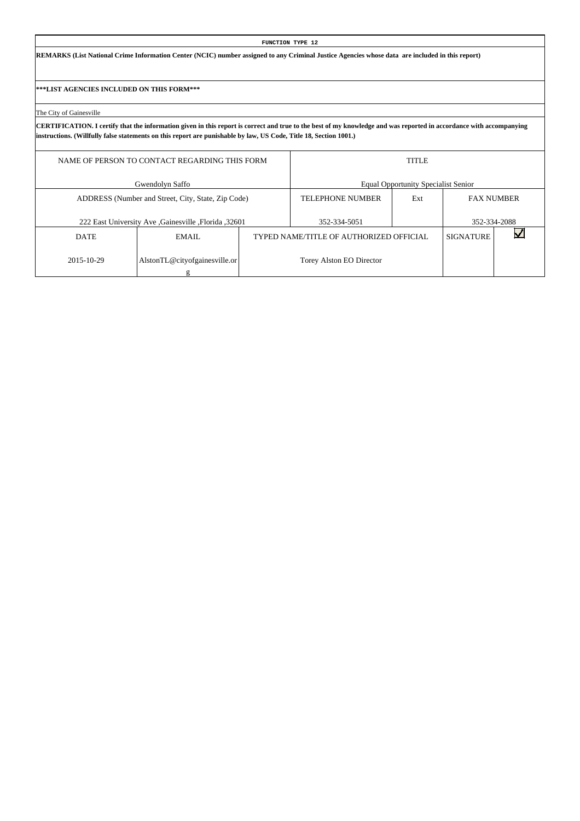**REMARKS (List National Crime Information Center (NCIC) number assigned to any Criminal Justice Agencies whose data are included in this report)**

**\*\*\*LIST AGENCIES INCLUDED ON THIS FORM\*\*\***

The City of Gainesville

|             | NAME OF PERSON TO CONTACT REGARDING THIS FORM       | <b>TITLE</b>            |                                            |                   |              |  |  |  |
|-------------|-----------------------------------------------------|-------------------------|--------------------------------------------|-------------------|--------------|--|--|--|
|             | Gwendolyn Saffo                                     |                         | <b>Equal Opportunity Specialist Senior</b> |                   |              |  |  |  |
|             | ADDRESS (Number and Street, City, State, Zip Code)  | <b>TELEPHONE NUMBER</b> | Ext                                        | <b>FAX NUMBER</b> |              |  |  |  |
|             | 222 East University Ave Gainesville , Florida 32601 |                         | 352-334-5051                               |                   | 352-334-2088 |  |  |  |
| <b>DATE</b> | EMAIL.                                              |                         | TYPED NAME/TITLE OF AUTHORIZED OFFICIAL    | <b>SIGNATURE</b>  |              |  |  |  |
| 2015-10-29  | AlstonTL@cityofgainesville.or                       |                         | Torey Alston EO Director                   |                   |              |  |  |  |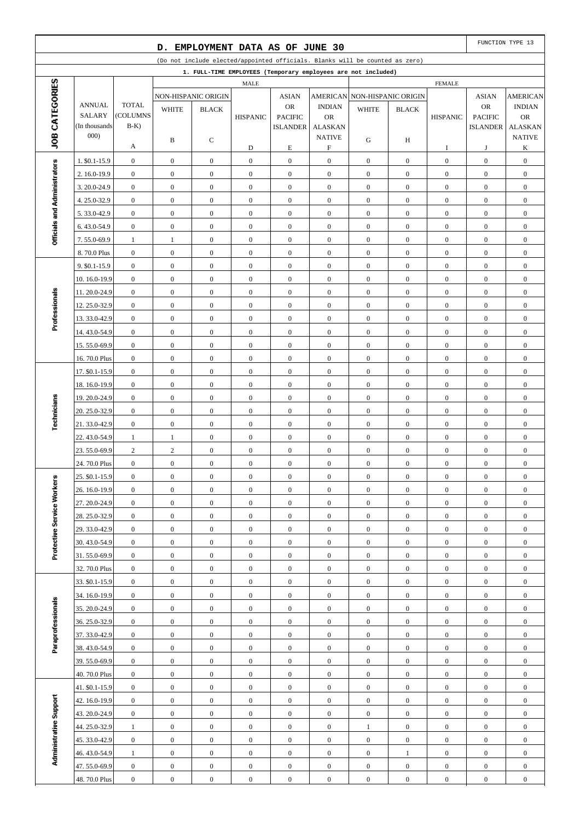| EMPLOYMENT DATA AS OF JUNE 30<br>D.                                          |                              |                                      |                                      |                                  |                                      |                                      |                                            |                                                               | FUNCTION TYPE 13                     |                                      |                                      |                                      |
|------------------------------------------------------------------------------|------------------------------|--------------------------------------|--------------------------------------|----------------------------------|--------------------------------------|--------------------------------------|--------------------------------------------|---------------------------------------------------------------|--------------------------------------|--------------------------------------|--------------------------------------|--------------------------------------|
| (Do not include elected/appointed officials. Blanks will be counted as zero) |                              |                                      |                                      |                                  |                                      |                                      |                                            |                                                               |                                      |                                      |                                      |                                      |
|                                                                              |                              |                                      |                                      |                                  |                                      |                                      |                                            | 1. FULL-TIME EMPLOYEES (Temporary employees are not included) |                                      |                                      |                                      |                                      |
| JOB CATEGORIES                                                               |                              |                                      |                                      |                                  | MALE                                 |                                      |                                            |                                                               |                                      | <b>FEMALE</b>                        |                                      |                                      |
|                                                                              | <b>ANNUAL</b>                | <b>TOTAL</b>                         |                                      | NON-HISPANIC ORIGIN              |                                      | <b>ASIAN</b><br><b>OR</b>            | <b>AMERICAN</b><br><b>INDIAN</b>           |                                                               | <b>NON-HISPANIC ORIGIN</b>           |                                      | <b>ASIAN</b><br>OR                   | <b>AMERICAN</b><br><b>INDIAN</b>     |
|                                                                              | <b>SALARY</b>                | (COLUMNS                             | <b>WHITE</b>                         | <b>BLACK</b>                     | <b>HISPANIC</b>                      | <b>PACIFIC</b>                       | <b>OR</b>                                  | <b>WHITE</b>                                                  | <b>BLACK</b>                         | <b>HISPANIC</b>                      | <b>PACIFIC</b>                       | <b>OR</b>                            |
|                                                                              | (In thousands)               | $B-K$ )                              |                                      |                                  |                                      | <b>ISLANDER</b>                      | <b>ALASKAN</b>                             |                                                               |                                      |                                      | <b>ISLANDER</b>                      | <b>ALASKAN</b>                       |
|                                                                              | 000)                         | А                                    | B                                    | С                                | D                                    | $\mathbf E$                          | <b>NATIVE</b><br>$\boldsymbol{\mathrm{F}}$ | G                                                             | H                                    | I                                    | J                                    | <b>NATIVE</b><br>K                   |
|                                                                              | 1. \$0.1-15.9                | $\boldsymbol{0}$                     | $\boldsymbol{0}$                     | $\boldsymbol{0}$                 | $\mathbf{0}$                         | $\boldsymbol{0}$                     | $\boldsymbol{0}$                           | $\mathbf{0}$                                                  | $\mathbf{0}$                         | $\boldsymbol{0}$                     | $\boldsymbol{0}$                     | $\boldsymbol{0}$                     |
|                                                                              | 2. 16.0-19.9                 | $\boldsymbol{0}$                     | $\boldsymbol{0}$                     | $\mathbf{0}$                     | $\boldsymbol{0}$                     | $\boldsymbol{0}$                     | $\boldsymbol{0}$                           | $\mathbf{0}$                                                  | $\overline{0}$                       | $\mathbf{0}$                         | $\boldsymbol{0}$                     | $\overline{0}$                       |
| Officials and Administrators                                                 | 3.20.0-24.9                  | $\boldsymbol{0}$                     | $\boldsymbol{0}$                     | $\mathbf{0}$                     | $\mathbf{0}$                         | $\boldsymbol{0}$                     | $\boldsymbol{0}$                           | $\boldsymbol{0}$                                              | $\mathbf{0}$                         | $\boldsymbol{0}$                     | $\boldsymbol{0}$                     | $\boldsymbol{0}$                     |
|                                                                              | 4.25.0-32.9                  | $\boldsymbol{0}$                     | $\boldsymbol{0}$                     | $\mathbf{0}$                     | $\boldsymbol{0}$                     | $\boldsymbol{0}$                     | $\boldsymbol{0}$                           | $\mathbf{0}$                                                  | $\overline{0}$                       | $\boldsymbol{0}$                     | $\boldsymbol{0}$                     | $\boldsymbol{0}$                     |
|                                                                              | 5.33.0-42.9                  | $\boldsymbol{0}$                     | $\boldsymbol{0}$                     | $\boldsymbol{0}$                 | $\boldsymbol{0}$                     | $\boldsymbol{0}$                     | $\boldsymbol{0}$                           | $\mathbf{0}$                                                  | $\mathbf{0}$                         | $\boldsymbol{0}$                     | $\boldsymbol{0}$                     | $\boldsymbol{0}$                     |
|                                                                              | 6.43.0-54.9                  | $\boldsymbol{0}$                     | $\boldsymbol{0}$                     | $\boldsymbol{0}$                 | $\boldsymbol{0}$                     | $\boldsymbol{0}$                     | $\boldsymbol{0}$                           | $\mathbf{0}$                                                  | $\mathbf{0}$                         | $\boldsymbol{0}$                     | $\boldsymbol{0}$                     | $\boldsymbol{0}$                     |
|                                                                              | 7.55.0-69.9                  | $\mathbf{1}$                         | $\mathbf{1}$                         | $\mathbf{0}$                     | $\mathbf{0}$                         | $\boldsymbol{0}$                     | $\boldsymbol{0}$                           | $\boldsymbol{0}$                                              | $\mathbf{0}$                         | $\boldsymbol{0}$                     | $\boldsymbol{0}$                     | $\boldsymbol{0}$                     |
|                                                                              | 8.70.0 Plus                  | $\boldsymbol{0}$                     | $\boldsymbol{0}$                     | $\mathbf{0}$                     | $\boldsymbol{0}$                     | $\boldsymbol{0}$                     | $\boldsymbol{0}$                           | $\mathbf{0}$                                                  | $\overline{0}$                       | $\boldsymbol{0}$                     | $\boldsymbol{0}$                     | $\boldsymbol{0}$                     |
|                                                                              | 9. \$0.1-15.9                | $\boldsymbol{0}$                     | $\boldsymbol{0}$                     | $\boldsymbol{0}$                 | $\mathbf{0}$                         | $\boldsymbol{0}$                     | $\boldsymbol{0}$                           | $\boldsymbol{0}$                                              | $\mathbf{0}$                         | $\boldsymbol{0}$                     | $\boldsymbol{0}$                     | $\boldsymbol{0}$                     |
|                                                                              | 10.16.0-19.9                 | $\boldsymbol{0}$                     | $\boldsymbol{0}$                     | $\mathbf{0}$                     | $\boldsymbol{0}$                     | $\boldsymbol{0}$                     | $\boldsymbol{0}$                           | $\mathbf{0}$                                                  | $\mathbf{0}$                         | $\boldsymbol{0}$                     | $\boldsymbol{0}$                     | $\boldsymbol{0}$                     |
|                                                                              | 11.20.0-24.9                 | $\boldsymbol{0}$                     | $\boldsymbol{0}$                     | $\mathbf{0}$                     | $\boldsymbol{0}$                     | $\boldsymbol{0}$                     | $\boldsymbol{0}$                           | $\boldsymbol{0}$                                              | $\mathbf{0}$                         | $\boldsymbol{0}$                     | $\boldsymbol{0}$                     | $\boldsymbol{0}$                     |
|                                                                              | 12.25.0-32.9                 | $\boldsymbol{0}$                     | $\boldsymbol{0}$                     | $\boldsymbol{0}$                 | $\boldsymbol{0}$                     | $\boldsymbol{0}$                     | $\boldsymbol{0}$                           | $\mathbf{0}$                                                  | $\overline{0}$                       | $\boldsymbol{0}$                     | $\boldsymbol{0}$                     | $\boldsymbol{0}$                     |
| Professionals                                                                | 13.33.0-42.9                 | $\boldsymbol{0}$                     | $\boldsymbol{0}$                     | $\boldsymbol{0}$                 | $\boldsymbol{0}$                     | $\boldsymbol{0}$                     | $\boldsymbol{0}$                           | $\mathbf{0}$                                                  | $\mathbf{0}$                         | $\boldsymbol{0}$                     | $\boldsymbol{0}$                     | $\boldsymbol{0}$                     |
|                                                                              | 14.43.0-54.9                 | $\boldsymbol{0}$                     | $\boldsymbol{0}$                     | $\boldsymbol{0}$                 | $\boldsymbol{0}$                     | $\boldsymbol{0}$                     | $\boldsymbol{0}$                           | $\boldsymbol{0}$                                              | $\mathbf{0}$                         | $\boldsymbol{0}$                     | $\boldsymbol{0}$                     | $\boldsymbol{0}$                     |
|                                                                              | 15.55.0-69.9                 | $\boldsymbol{0}$                     | $\boldsymbol{0}$                     | $\mathbf{0}$                     | $\boldsymbol{0}$                     | $\boldsymbol{0}$                     | $\boldsymbol{0}$                           | $\boldsymbol{0}$                                              | $\mathbf{0}$                         | $\boldsymbol{0}$                     | $\boldsymbol{0}$                     | $\boldsymbol{0}$                     |
|                                                                              | 16.70.0 Plus                 | $\boldsymbol{0}$                     | $\boldsymbol{0}$                     | $\boldsymbol{0}$                 | $\boldsymbol{0}$                     | $\boldsymbol{0}$                     | $\boldsymbol{0}$                           | $\boldsymbol{0}$                                              | $\overline{0}$                       | $\boldsymbol{0}$                     | $\boldsymbol{0}$                     | $\boldsymbol{0}$                     |
|                                                                              | 17. \$0.1-15.9               | $\boldsymbol{0}$                     | $\boldsymbol{0}$                     | $\boldsymbol{0}$                 | $\mathbf{0}$                         | $\boldsymbol{0}$                     | $\boldsymbol{0}$                           | $\boldsymbol{0}$                                              | $\mathbf{0}$                         | $\boldsymbol{0}$                     | $\boldsymbol{0}$                     | $\boldsymbol{0}$                     |
|                                                                              | 18.16.0-19.9                 | $\boldsymbol{0}$                     | $\boldsymbol{0}$                     | $\mathbf{0}$                     | $\boldsymbol{0}$                     | $\boldsymbol{0}$                     | $\boldsymbol{0}$                           | $\mathbf{0}$                                                  | $\mathbf{0}$                         | $\boldsymbol{0}$                     | $\boldsymbol{0}$                     | $\boldsymbol{0}$                     |
|                                                                              | 19.20.0-24.9                 | $\boldsymbol{0}$                     | $\boldsymbol{0}$                     | $\mathbf{0}$                     | $\boldsymbol{0}$                     | $\boldsymbol{0}$                     | $\boldsymbol{0}$                           | $\boldsymbol{0}$                                              | $\mathbf{0}$                         | $\boldsymbol{0}$                     | $\boldsymbol{0}$                     | $\boldsymbol{0}$                     |
| Technicians                                                                  | 20. 25.0-32.9                | $\boldsymbol{0}$                     | $\boldsymbol{0}$                     | $\boldsymbol{0}$                 | $\boldsymbol{0}$                     | $\boldsymbol{0}$                     | $\boldsymbol{0}$                           | $\mathbf{0}$                                                  | $\overline{0}$                       | $\boldsymbol{0}$                     | $\boldsymbol{0}$                     | $\boldsymbol{0}$                     |
|                                                                              | 21.33.0-42.9                 | $\boldsymbol{0}$                     | $\boldsymbol{0}$                     | $\boldsymbol{0}$                 | $\mathbf{0}$                         | $\boldsymbol{0}$                     | $\boldsymbol{0}$                           | $\boldsymbol{0}$                                              | $\mathbf{0}$                         | $\boldsymbol{0}$                     | $\boldsymbol{0}$                     | $\boldsymbol{0}$                     |
|                                                                              | 22.43.0-54.9                 | $\mathbf{1}$                         | $\mathbf{1}$                         | $\boldsymbol{0}$                 | $\boldsymbol{0}$                     | $\boldsymbol{0}$                     | $\boldsymbol{0}$                           | $\boldsymbol{0}$                                              | $\overline{0}$                       | $\boldsymbol{0}$                     | $\boldsymbol{0}$                     | $\boldsymbol{0}$                     |
|                                                                              | 23.55.0-69.9                 | $\mathbf{2}$                         | $\overline{c}$                       | $\boldsymbol{0}$                 | $\boldsymbol{0}$                     | $\boldsymbol{0}$                     | $\boldsymbol{0}$                           | $\boldsymbol{0}$                                              | $\overline{0}$                       | $\boldsymbol{0}$                     | $\boldsymbol{0}$                     | $\boldsymbol{0}$                     |
|                                                                              | 24.70.0 Plus                 | $\boldsymbol{0}$                     | $\boldsymbol{0}$                     | $\mathbf{0}$                     | $\boldsymbol{0}$                     | $\boldsymbol{0}$                     | $\boldsymbol{0}$                           | $\boldsymbol{0}$                                              | $\boldsymbol{0}$                     | $\boldsymbol{0}$                     | $\boldsymbol{0}$                     | $\boldsymbol{0}$                     |
|                                                                              | 25. \$0.1-15.9               | $\boldsymbol{0}$                     | $\boldsymbol{0}$                     | $\boldsymbol{0}$                 | $\boldsymbol{0}$                     | $\boldsymbol{0}$                     | $\boldsymbol{0}$                           | $\boldsymbol{0}$                                              | $\boldsymbol{0}$                     | $\boldsymbol{0}$                     | $\boldsymbol{0}$                     | $\boldsymbol{0}$                     |
|                                                                              | 26. 16.0-19.9                | $\mathbf{0}$                         | $\overline{0}$                       | $\overline{0}$                   | $\boldsymbol{0}$                     | $\mathbf{0}$                         | $\overline{0}$                             | $\mathbf{0}$                                                  | $\overline{0}$                       | $\mathbf{0}$                         | $\mathbf{0}$                         | $\mathbf{0}$                         |
|                                                                              | 27.20.0-24.9                 | $\mathbf{0}$                         | $\boldsymbol{0}$                     | $\boldsymbol{0}$                 | $\boldsymbol{0}$                     | $\boldsymbol{0}$                     | $\mathbf{0}$                               | $\boldsymbol{0}$                                              | $\boldsymbol{0}$                     | $\boldsymbol{0}$                     | $\mathbf{0}$                         | $\boldsymbol{0}$                     |
|                                                                              | 28.25.0-32.9<br>29.33.0-42.9 | $\boldsymbol{0}$                     | $\boldsymbol{0}$                     | $\boldsymbol{0}$                 | $\boldsymbol{0}$                     | $\boldsymbol{0}$                     | $\mathbf{0}$                               | $\mathbf{0}$                                                  | $\boldsymbol{0}$                     | $\boldsymbol{0}$                     | $\boldsymbol{0}$                     | $\boldsymbol{0}$                     |
|                                                                              | 30.43.0-54.9                 | $\boldsymbol{0}$<br>$\boldsymbol{0}$ | $\boldsymbol{0}$<br>$\boldsymbol{0}$ | $\boldsymbol{0}$<br>$\mathbf{0}$ | $\boldsymbol{0}$<br>$\boldsymbol{0}$ | $\boldsymbol{0}$<br>$\boldsymbol{0}$ | $\mathbf{0}$<br>$\mathbf{0}$               | $\boldsymbol{0}$<br>$\mathbf{0}$                              | $\boldsymbol{0}$<br>$\boldsymbol{0}$ | $\boldsymbol{0}$<br>$\boldsymbol{0}$ | $\boldsymbol{0}$<br>$\boldsymbol{0}$ | $\boldsymbol{0}$<br>$\boldsymbol{0}$ |
| Protective Service Workers                                                   | 31.55.0-69.9                 | $\boldsymbol{0}$                     | $\boldsymbol{0}$                     | $\boldsymbol{0}$                 | $\boldsymbol{0}$                     | $\boldsymbol{0}$                     | $\boldsymbol{0}$                           | $\boldsymbol{0}$                                              | $\boldsymbol{0}$                     | $\boldsymbol{0}$                     | $\boldsymbol{0}$                     | $\boldsymbol{0}$                     |
|                                                                              | 32.70.0 Plus                 | $\boldsymbol{0}$                     | $\mathbf{0}$                         | $\mathbf{0}$                     | $\boldsymbol{0}$                     | $\boldsymbol{0}$                     | $\mathbf{0}$                               | $\boldsymbol{0}$                                              | $\boldsymbol{0}$                     | $\boldsymbol{0}$                     | $\boldsymbol{0}$                     | $\boldsymbol{0}$                     |
|                                                                              | 33. \$0.1-15.9               | $\boldsymbol{0}$                     | $\mathbf{0}$                         | $\boldsymbol{0}$                 | $\boldsymbol{0}$                     | $\boldsymbol{0}$                     | $\mathbf{0}$                               | $\boldsymbol{0}$                                              | $\boldsymbol{0}$                     | $\boldsymbol{0}$                     | $\boldsymbol{0}$                     | $\boldsymbol{0}$                     |
|                                                                              | 34. 16.0-19.9                | $\boldsymbol{0}$                     | $\mathbf{0}$                         | $\boldsymbol{0}$                 | $\boldsymbol{0}$                     | $\boldsymbol{0}$                     | $\boldsymbol{0}$                           | $\mathbf{0}$                                                  | $\boldsymbol{0}$                     | $\boldsymbol{0}$                     | $\boldsymbol{0}$                     | $\boldsymbol{0}$                     |
| Paraprofessionals                                                            | 35.20.0-24.9                 | $\boldsymbol{0}$                     | $\boldsymbol{0}$                     | $\boldsymbol{0}$                 | $\mathbf{0}$                         | $\boldsymbol{0}$                     | $\mathbf{0}$                               | $\boldsymbol{0}$                                              | $\boldsymbol{0}$                     | $\boldsymbol{0}$                     | $\mathbf{0}$                         | $\boldsymbol{0}$                     |
|                                                                              | 36.25.0-32.9                 | $\boldsymbol{0}$                     | $\boldsymbol{0}$                     | $\boldsymbol{0}$                 | $\boldsymbol{0}$                     | $\boldsymbol{0}$                     | $\mathbf{0}$                               | $\mathbf{0}$                                                  | $\boldsymbol{0}$                     | $\boldsymbol{0}$                     | $\boldsymbol{0}$                     | $\boldsymbol{0}$                     |
|                                                                              | 37.33.0-42.9                 | $\boldsymbol{0}$                     | $\mathbf{0}$                         | $\boldsymbol{0}$                 | $\boldsymbol{0}$                     | $\boldsymbol{0}$                     | $\mathbf{0}$                               | $\boldsymbol{0}$                                              | $\boldsymbol{0}$                     | $\boldsymbol{0}$                     | $\boldsymbol{0}$                     | $\boldsymbol{0}$                     |
|                                                                              | 38.43.0-54.9                 | $\boldsymbol{0}$                     | $\mathbf{0}$                         | $\mathbf{0}$                     | $\boldsymbol{0}$                     | $\boldsymbol{0}$                     | $\mathbf{0}$                               | $\boldsymbol{0}$                                              | $\boldsymbol{0}$                     | $\boldsymbol{0}$                     | $\boldsymbol{0}$                     | $\boldsymbol{0}$                     |
|                                                                              | 39.55.0-69.9                 | $\boldsymbol{0}$                     | $\boldsymbol{0}$                     | $\boldsymbol{0}$                 | $\mathbf{0}$                         | $\boldsymbol{0}$                     | $\boldsymbol{0}$                           | $\boldsymbol{0}$                                              | $\boldsymbol{0}$                     | $\boldsymbol{0}$                     | $\mathbf{0}$                         | $\boldsymbol{0}$                     |
|                                                                              | 40.70.0 Plus                 | $\boldsymbol{0}$                     | $\boldsymbol{0}$                     | $\mathbf{0}$                     | $\boldsymbol{0}$                     | $\boldsymbol{0}$                     | $\boldsymbol{0}$                           | $\boldsymbol{0}$                                              | $\boldsymbol{0}$                     | $\boldsymbol{0}$                     | $\boldsymbol{0}$                     | $\boldsymbol{0}$                     |
|                                                                              | 41. \$0.1-15.9               | $\boldsymbol{0}$                     | $\boldsymbol{0}$                     | $\boldsymbol{0}$                 | $\boldsymbol{0}$                     | $\boldsymbol{0}$                     | $\mathbf{0}$                               | $\boldsymbol{0}$                                              | $\boldsymbol{0}$                     | $\boldsymbol{0}$                     | $\boldsymbol{0}$                     | $\boldsymbol{0}$                     |
|                                                                              | 42. 16.0-19.9                | $\boldsymbol{0}$                     | $\mathbf{0}$                         | $\boldsymbol{0}$                 | $\boldsymbol{0}$                     | $\boldsymbol{0}$                     | $\boldsymbol{0}$                           | $\boldsymbol{0}$                                              | $\boldsymbol{0}$                     | $\boldsymbol{0}$                     | $\boldsymbol{0}$                     | $\boldsymbol{0}$                     |
|                                                                              | 43.20.0-24.9                 | $\boldsymbol{0}$                     | $\boldsymbol{0}$                     | $\boldsymbol{0}$                 | $\mathbf{0}$                         | $\boldsymbol{0}$                     | $\overline{0}$                             | $\boldsymbol{0}$                                              | $\boldsymbol{0}$                     | $\boldsymbol{0}$                     | $\mathbf{0}$                         | $\boldsymbol{0}$                     |
|                                                                              | 44.25.0-32.9                 | $\mathbf{1}$                         | $\boldsymbol{0}$                     | $\boldsymbol{0}$                 | $\boldsymbol{0}$                     | $\boldsymbol{0}$                     | $\boldsymbol{0}$                           | $\mathbf{1}$                                                  | $\boldsymbol{0}$                     | $\boldsymbol{0}$                     | $\boldsymbol{0}$                     | $\boldsymbol{0}$                     |
| Administrative Support                                                       | 45.33.0-42.9                 | $\boldsymbol{0}$                     | $\mathbf{0}$                         | $\boldsymbol{0}$                 | $\boldsymbol{0}$                     | $\boldsymbol{0}$                     | $\mathbf{0}$                               | $\boldsymbol{0}$                                              | $\boldsymbol{0}$                     | $\boldsymbol{0}$                     | $\boldsymbol{0}$                     | $\boldsymbol{0}$                     |
|                                                                              | 46.43.0-54.9                 | $\mathbf{1}$                         | $\mathbf{0}$                         | $\mathbf{0}$                     | $\boldsymbol{0}$                     | $\boldsymbol{0}$                     | $\mathbf{0}$                               | $\boldsymbol{0}$                                              | $\mathbf{1}$                         | $\boldsymbol{0}$                     | $\boldsymbol{0}$                     | $\boldsymbol{0}$                     |
|                                                                              | 47.55.0-69.9                 | $\boldsymbol{0}$                     | $\boldsymbol{0}$                     | $\boldsymbol{0}$                 | $\mathbf{0}$                         | $\boldsymbol{0}$                     | $\boldsymbol{0}$                           | $\boldsymbol{0}$                                              | $\boldsymbol{0}$                     | $\boldsymbol{0}$                     | $\boldsymbol{0}$                     | $\boldsymbol{0}$                     |
|                                                                              | 48.70.0 Plus                 | $\boldsymbol{0}$                     | $\boldsymbol{0}$                     | $\boldsymbol{0}$                 | $\mathbf{0}$                         | $\boldsymbol{0}$                     | $\boldsymbol{0}$                           | $\boldsymbol{0}$                                              | $\boldsymbol{0}$                     | $\boldsymbol{0}$                     | $\boldsymbol{0}$                     | $\boldsymbol{0}$                     |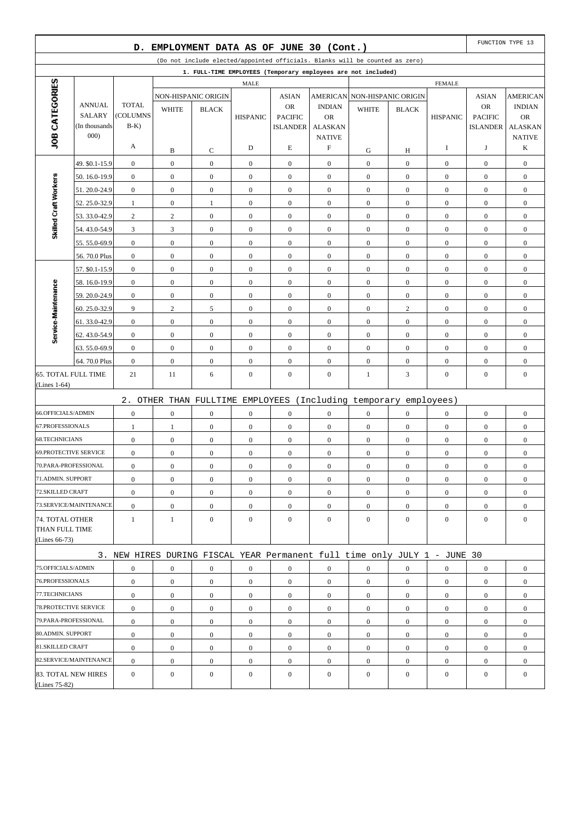| EMPLOYMENT DATA AS OF JUNE 30 (Cont.)<br>D.                                  |                                |                                      |                                      |                                    |                                    |                                      |                                    | FUNCTION TYPE 13                                                          |                                    |                                  |                                    |                                      |
|------------------------------------------------------------------------------|--------------------------------|--------------------------------------|--------------------------------------|------------------------------------|------------------------------------|--------------------------------------|------------------------------------|---------------------------------------------------------------------------|------------------------------------|----------------------------------|------------------------------------|--------------------------------------|
| (Do not include elected/appointed officials. Blanks will be counted as zero) |                                |                                      |                                      |                                    |                                    |                                      |                                    |                                                                           |                                    |                                  |                                    |                                      |
|                                                                              |                                |                                      |                                      |                                    |                                    |                                      |                                    | 1. FULL-TIME EMPLOYEES (Temporary employees are not included)             |                                    |                                  |                                    |                                      |
| JOB CATEGORIES                                                               | <b>FEMALE</b><br><b>MALE</b>   |                                      |                                      |                                    |                                    |                                      |                                    |                                                                           |                                    |                                  |                                    |                                      |
|                                                                              |                                |                                      |                                      | NON-HISPANIC ORIGIN                |                                    | <b>ASIAN</b>                         |                                    | AMERICAN NON-HISPANIC ORIGIN                                              |                                    |                                  | <b>ASIAN</b>                       | <b>AMERICAN</b>                      |
|                                                                              | <b>ANNUAL</b><br><b>SALARY</b> | <b>TOTAL</b><br>(COLUMNS             | <b>WHITE</b>                         | <b>BLACK</b>                       |                                    | <b>OR</b>                            | <b>INDIAN</b>                      | <b>WHITE</b>                                                              | <b>BLACK</b>                       |                                  | <b>OR</b>                          | <b>INDIAN</b>                        |
|                                                                              | (In thousands)                 | $B-K$                                |                                      |                                    | <b>HISPANIC</b>                    | <b>PACIFIC</b><br><b>ISLANDER</b>    | <b>OR</b><br><b>ALASKAN</b>        |                                                                           |                                    | <b>HISPANIC</b>                  | <b>PACIFIC</b><br><b>ISLANDER</b>  | <b>OR</b><br><b>ALASKAN</b>          |
|                                                                              | 000                            |                                      |                                      |                                    |                                    |                                      | <b>NATIVE</b>                      |                                                                           |                                    |                                  |                                    | <b>NATIVE</b>                        |
|                                                                              |                                | A                                    | B                                    | C                                  | D                                  | E                                    | $\boldsymbol{\mathrm{F}}$          | G                                                                         | Н                                  | 1                                | J                                  | K                                    |
|                                                                              | 49. \$0.1-15.9                 | $\boldsymbol{0}$                     | $\boldsymbol{0}$                     | $\boldsymbol{0}$                   | $\boldsymbol{0}$                   | $\mathbf{0}$                         | $\mathbf{0}$                       | $\boldsymbol{0}$                                                          | $\mathbf{0}$                       | $\boldsymbol{0}$                 | $\boldsymbol{0}$                   | $\boldsymbol{0}$                     |
|                                                                              | 50.16.0-19.9                   | $\boldsymbol{0}$                     | $\boldsymbol{0}$                     | $\boldsymbol{0}$                   | $\overline{0}$                     | $\boldsymbol{0}$                     | $\overline{0}$                     | $\boldsymbol{0}$                                                          | $\overline{0}$                     | $\boldsymbol{0}$                 | $\boldsymbol{0}$                   | $\boldsymbol{0}$                     |
| Skilled Craft Workers                                                        | 51.20.0-24.9                   | $\boldsymbol{0}$                     | $\boldsymbol{0}$                     | $\boldsymbol{0}$                   | $\boldsymbol{0}$                   | $\boldsymbol{0}$                     | $\boldsymbol{0}$                   | $\boldsymbol{0}$                                                          | $\mathbf{0}$                       | $\boldsymbol{0}$                 | $\boldsymbol{0}$                   | $\boldsymbol{0}$                     |
|                                                                              | 52.25.0-32.9                   | 1                                    | $\mathbf{0}$                         | 1                                  | $\boldsymbol{0}$                   | $\boldsymbol{0}$                     | $\overline{0}$                     | $\boldsymbol{0}$                                                          | $\overline{0}$                     | $\boldsymbol{0}$                 | $\boldsymbol{0}$                   | $\boldsymbol{0}$                     |
|                                                                              | 53.33.0-42.9                   | $\sqrt{2}$                           | $\sqrt{2}$                           | $\boldsymbol{0}$                   | $\boldsymbol{0}$                   | $\mathbf{0}$                         | $\overline{0}$                     | $\boldsymbol{0}$                                                          | $\overline{0}$                     | $\boldsymbol{0}$                 | $\boldsymbol{0}$                   | $\boldsymbol{0}$                     |
|                                                                              | 54.43.0-54.9                   | 3                                    | 3                                    | $\boldsymbol{0}$                   | $\boldsymbol{0}$                   | $\boldsymbol{0}$                     | $\mathbf{0}$                       | $\boldsymbol{0}$                                                          | $\overline{0}$                     | $\boldsymbol{0}$                 | $\boldsymbol{0}$                   | $\boldsymbol{0}$                     |
|                                                                              | 55.55.0-69.9                   | $\boldsymbol{0}$                     | $\boldsymbol{0}$                     | $\boldsymbol{0}$                   | $\boldsymbol{0}$                   | $\boldsymbol{0}$                     | $\boldsymbol{0}$                   | $\boldsymbol{0}$                                                          | $\mathbf{0}$                       | $\boldsymbol{0}$                 | $\boldsymbol{0}$                   | $\boldsymbol{0}$                     |
|                                                                              | 56.70.0 Plus                   | $\boldsymbol{0}$                     | $\boldsymbol{0}$                     | $\mathbf{0}$                       | $\boldsymbol{0}$                   | $\boldsymbol{0}$                     | $\overline{0}$                     | $\boldsymbol{0}$                                                          | $\overline{0}$                     | $\boldsymbol{0}$                 | $\boldsymbol{0}$                   | $\boldsymbol{0}$                     |
|                                                                              | 57. \$0.1-15.9                 | $\boldsymbol{0}$                     | $\boldsymbol{0}$                     | $\boldsymbol{0}$                   | $\boldsymbol{0}$                   | $\mathbf{0}$                         | $\overline{0}$                     | $\boldsymbol{0}$                                                          | $\mathbf{0}$                       | $\boldsymbol{0}$                 | $\boldsymbol{0}$                   | $\boldsymbol{0}$                     |
|                                                                              | 58.16.0-19.9                   | $\boldsymbol{0}$                     | $\boldsymbol{0}$                     | $\boldsymbol{0}$                   | $\boldsymbol{0}$                   | $\boldsymbol{0}$                     | $\overline{0}$                     | $\boldsymbol{0}$                                                          | $\overline{0}$                     | $\boldsymbol{0}$                 | $\boldsymbol{0}$                   | $\boldsymbol{0}$                     |
|                                                                              | 59.20.0-24.9                   | $\boldsymbol{0}$                     | $\boldsymbol{0}$                     | $\boldsymbol{0}$                   | $\boldsymbol{0}$                   | $\boldsymbol{0}$                     | $\boldsymbol{0}$                   | $\boldsymbol{0}$                                                          | $\mathbf{0}$                       | $\boldsymbol{0}$                 | $\boldsymbol{0}$                   | $\boldsymbol{0}$                     |
|                                                                              | 60.25.0-32.9                   | 9                                    | $\overline{c}$                       | 5                                  | $\boldsymbol{0}$                   | $\boldsymbol{0}$                     | $\overline{0}$                     | $\boldsymbol{0}$                                                          | $\overline{c}$                     | $\boldsymbol{0}$                 | $\boldsymbol{0}$                   | $\boldsymbol{0}$                     |
| Service-Maintenance                                                          | 61.33.0-42.9                   | $\boldsymbol{0}$                     | $\boldsymbol{0}$                     | $\boldsymbol{0}$                   | $\boldsymbol{0}$                   | $\mathbf{0}$                         | $\overline{0}$                     | $\boldsymbol{0}$                                                          | $\mathbf{0}$                       | $\boldsymbol{0}$                 | $\boldsymbol{0}$                   | $\boldsymbol{0}$                     |
|                                                                              | 62.43.0-54.9                   | $\boldsymbol{0}$                     | $\boldsymbol{0}$                     | $\boldsymbol{0}$                   | $\boldsymbol{0}$                   | $\boldsymbol{0}$                     | $\mathbf{0}$                       | $\boldsymbol{0}$                                                          | $\overline{0}$                     | $\boldsymbol{0}$                 | $\boldsymbol{0}$                   | $\boldsymbol{0}$                     |
|                                                                              | 63.55.0-69.9                   | $\boldsymbol{0}$                     | $\boldsymbol{0}$                     | $\boldsymbol{0}$                   | $\boldsymbol{0}$                   | $\boldsymbol{0}$                     | $\boldsymbol{0}$                   | $\boldsymbol{0}$                                                          | $\mathbf{0}$                       | $\boldsymbol{0}$                 | $\boldsymbol{0}$                   | $\boldsymbol{0}$                     |
|                                                                              | 64.70.0 Plus                   | $\boldsymbol{0}$                     | $\mathbf{0}$                         | $\overline{0}$                     | $\boldsymbol{0}$                   | $\boldsymbol{0}$                     | $\overline{0}$                     | $\boldsymbol{0}$                                                          | $\overline{0}$                     | $\boldsymbol{0}$                 | $\boldsymbol{0}$                   | $\boldsymbol{0}$                     |
| <b>65. TOTAL FULL TIME</b>                                                   |                                | 21                                   | 11                                   | 6                                  | $\boldsymbol{0}$                   | $\boldsymbol{0}$                     | $\mathbf{0}$                       | 1                                                                         | 3                                  | $\boldsymbol{0}$                 | $\boldsymbol{0}$                   | $\boldsymbol{0}$                     |
| $(Lines 1-64)$                                                               |                                |                                      |                                      |                                    |                                    |                                      |                                    |                                                                           |                                    |                                  |                                    |                                      |
|                                                                              |                                | 2.                                   |                                      |                                    |                                    |                                      |                                    | OTHER THAN FULLTIME EMPLOYEES (Including temporary employees)             |                                    |                                  |                                    |                                      |
| 66.OFFICIALS/ADMIN                                                           |                                | $\boldsymbol{0}$                     | $\mathbf{0}$                         | $\overline{0}$                     | $\boldsymbol{0}$                   | $\boldsymbol{0}$                     | $\overline{0}$                     | $\boldsymbol{0}$                                                          | $\overline{0}$                     | $\boldsymbol{0}$                 | $\boldsymbol{0}$                   | $\boldsymbol{0}$                     |
| 67.PROFESSIONALS                                                             |                                | 1                                    | 1                                    | $\boldsymbol{0}$                   | $\boldsymbol{0}$                   | $\mathbf{0}$                         | $\mathbf{0}$                       | $\boldsymbol{0}$                                                          | $\mathbf{0}$                       | $\boldsymbol{0}$                 | $\boldsymbol{0}$                   | $\boldsymbol{0}$                     |
| <b>68.TECHNICIANS</b>                                                        |                                | $\boldsymbol{0}$                     | $\boldsymbol{0}$                     | $\boldsymbol{0}$                   | $\boldsymbol{0}$                   | $\boldsymbol{0}$                     | $\mathbf{0}$                       | $\boldsymbol{0}$                                                          | $\overline{0}$                     | $\mathbf{0}$                     | $\boldsymbol{0}$                   | $\boldsymbol{0}$                     |
| <b>69.PROTECTIVE SERVICE</b>                                                 |                                | $\boldsymbol{0}$                     | $\boldsymbol{0}$                     | $\boldsymbol{0}$                   | $\boldsymbol{0}$                   | $\boldsymbol{0}$                     | $\boldsymbol{0}$                   | $\boldsymbol{0}$                                                          | $\boldsymbol{0}$                   | $\boldsymbol{0}$                 | $\boldsymbol{0}$                   | $\boldsymbol{0}$                     |
| 70.PARA-PROFESSIONAL                                                         |                                | $\boldsymbol{0}$                     | $\mathbf{0}$                         | $\overline{0}$                     | $\boldsymbol{0}$                   | $\boldsymbol{0}$                     | $\overline{0}$                     | $\boldsymbol{0}$                                                          | $\mathbf{0}$                       | $\boldsymbol{0}$                 | $\boldsymbol{0}$                   | $\boldsymbol{0}$                     |
| 71.ADMIN. SUPPORT                                                            |                                | $\boldsymbol{0}$                     | $\boldsymbol{0}$                     | $\boldsymbol{0}$                   | $\boldsymbol{0}$                   | $\boldsymbol{0}$                     | $\mathbf{0}$                       | $\boldsymbol{0}$                                                          | $\boldsymbol{0}$                   | $\boldsymbol{0}$                 | $\boldsymbol{0}$                   | $\boldsymbol{0}$                     |
| 72.SKILLED CRAFT                                                             |                                | $\boldsymbol{0}$                     | $\overline{0}$                       | $\boldsymbol{0}$                   | $\overline{0}$                     | $\overline{0}$                       | $\overline{0}$                     | $\overline{0}$                                                            | $\overline{0}$                     | $\overline{0}$                   | $\overline{0}$                     | $\boldsymbol{0}$                     |
|                                                                              | 73.SERVICE/MAINTENANCE         | $\boldsymbol{0}$                     | $\boldsymbol{0}$                     | $\boldsymbol{0}$                   | $\boldsymbol{0}$                   | $\boldsymbol{0}$                     | $\boldsymbol{0}$                   | $\boldsymbol{0}$                                                          | $\overline{0}$                     | $\mathbf{0}$                     | $\boldsymbol{0}$                   | $\boldsymbol{0}$                     |
| 74. TOTAL OTHER                                                              |                                | $\mathbf{1}$                         | $\mathbf{1}$                         | $\overline{0}$                     | $\overline{0}$                     | $\boldsymbol{0}$                     | $\overline{0}$                     | $\boldsymbol{0}$                                                          | $\overline{0}$                     | $\overline{0}$                   | $\boldsymbol{0}$                   | $\mathbf{0}$                         |
| THAN FULL TIME<br>(Lines 66-73)                                              |                                |                                      |                                      |                                    |                                    |                                      |                                    |                                                                           |                                    |                                  |                                    |                                      |
|                                                                              |                                |                                      |                                      |                                    |                                    |                                      |                                    |                                                                           |                                    |                                  |                                    |                                      |
| 75.OFFICIALS/ADMIN                                                           |                                |                                      |                                      |                                    |                                    |                                      |                                    | 3. NEW HIRES DURING FISCAL YEAR Permanent full time only JULY 1 - JUNE 30 |                                    |                                  |                                    |                                      |
| 76.PROFESSIONALS                                                             |                                | $\boldsymbol{0}$<br>$\boldsymbol{0}$ | $\boldsymbol{0}$<br>$\boldsymbol{0}$ | $\boldsymbol{0}$<br>$\overline{0}$ | $\boldsymbol{0}$<br>$\overline{0}$ | $\boldsymbol{0}$<br>$\boldsymbol{0}$ | $\boldsymbol{0}$<br>$\overline{0}$ | $\boldsymbol{0}$<br>$\overline{0}$                                        | $\boldsymbol{0}$<br>$\overline{0}$ | $\boldsymbol{0}$<br>$\mathbf{0}$ | $\overline{0}$<br>$\boldsymbol{0}$ | $\boldsymbol{0}$<br>$\boldsymbol{0}$ |
| 77.TECHNICIANS                                                               |                                | $\boldsymbol{0}$                     | $\overline{0}$                       | $\overline{0}$                     | $\overline{0}$                     | $\mathbf{0}$                         | $\overline{0}$                     | $\overline{0}$                                                            | $\overline{0}$                     | $\mathbf{0}$                     | $\overline{0}$                     | $\boldsymbol{0}$                     |
| 78. PROTECTIVE SERVICE                                                       |                                | $\boldsymbol{0}$                     | $\boldsymbol{0}$                     | $\boldsymbol{0}$                   | $\boldsymbol{0}$                   | $\boldsymbol{0}$                     | $\mathbf{0}$                       | $\overline{0}$                                                            | $\overline{0}$                     | $\mathbf{0}$                     | $\boldsymbol{0}$                   | $\boldsymbol{0}$                     |
| 79.PARA-PROFESSIONAL                                                         |                                | $\boldsymbol{0}$                     | $\overline{0}$                       | $\boldsymbol{0}$                   | $\boldsymbol{0}$                   | $\boldsymbol{0}$                     | $\overline{0}$                     | $\boldsymbol{0}$                                                          | $\overline{0}$                     | $\mathbf{0}$                     | $\overline{0}$                     | $\boldsymbol{0}$                     |
| 80.ADMIN. SUPPORT                                                            |                                | $\boldsymbol{0}$                     | $\boldsymbol{0}$                     | $\boldsymbol{0}$                   | $\boldsymbol{0}$                   | $\boldsymbol{0}$                     | $\boldsymbol{0}$                   | $\boldsymbol{0}$                                                          | $\boldsymbol{0}$                   | $\mathbf{0}$                     | $\boldsymbol{0}$                   | $\boldsymbol{0}$                     |
| 81.SKILLED CRAFT                                                             |                                | $\boldsymbol{0}$                     | $\boldsymbol{0}$                     | $\overline{0}$                     | $\overline{0}$                     | $\mathbf{0}$                         | $\overline{0}$                     | $\overline{0}$                                                            | $\overline{0}$                     | $\mathbf{0}$                     | $\boldsymbol{0}$                   | $\boldsymbol{0}$                     |
|                                                                              | 82.SERVICE/MAINTENANCE         | $\boldsymbol{0}$                     | $\boldsymbol{0}$                     | $\boldsymbol{0}$                   | $\boldsymbol{0}$                   | $\boldsymbol{0}$                     | $\boldsymbol{0}$                   | $\boldsymbol{0}$                                                          | $\overline{0}$                     | $\boldsymbol{0}$                 | $\boldsymbol{0}$                   | $\boldsymbol{0}$                     |
| 83. TOTAL NEW HIRES                                                          |                                | $\boldsymbol{0}$                     | $\overline{0}$                       | $\boldsymbol{0}$                   | $\overline{0}$                     | $\boldsymbol{0}$                     | $\overline{0}$                     | $\boldsymbol{0}$                                                          | $\overline{0}$                     | $\mathbf{0}$                     | $\boldsymbol{0}$                   | $\boldsymbol{0}$                     |
| (Lines 75-82)                                                                |                                |                                      |                                      |                                    |                                    |                                      |                                    |                                                                           |                                    |                                  |                                    |                                      |